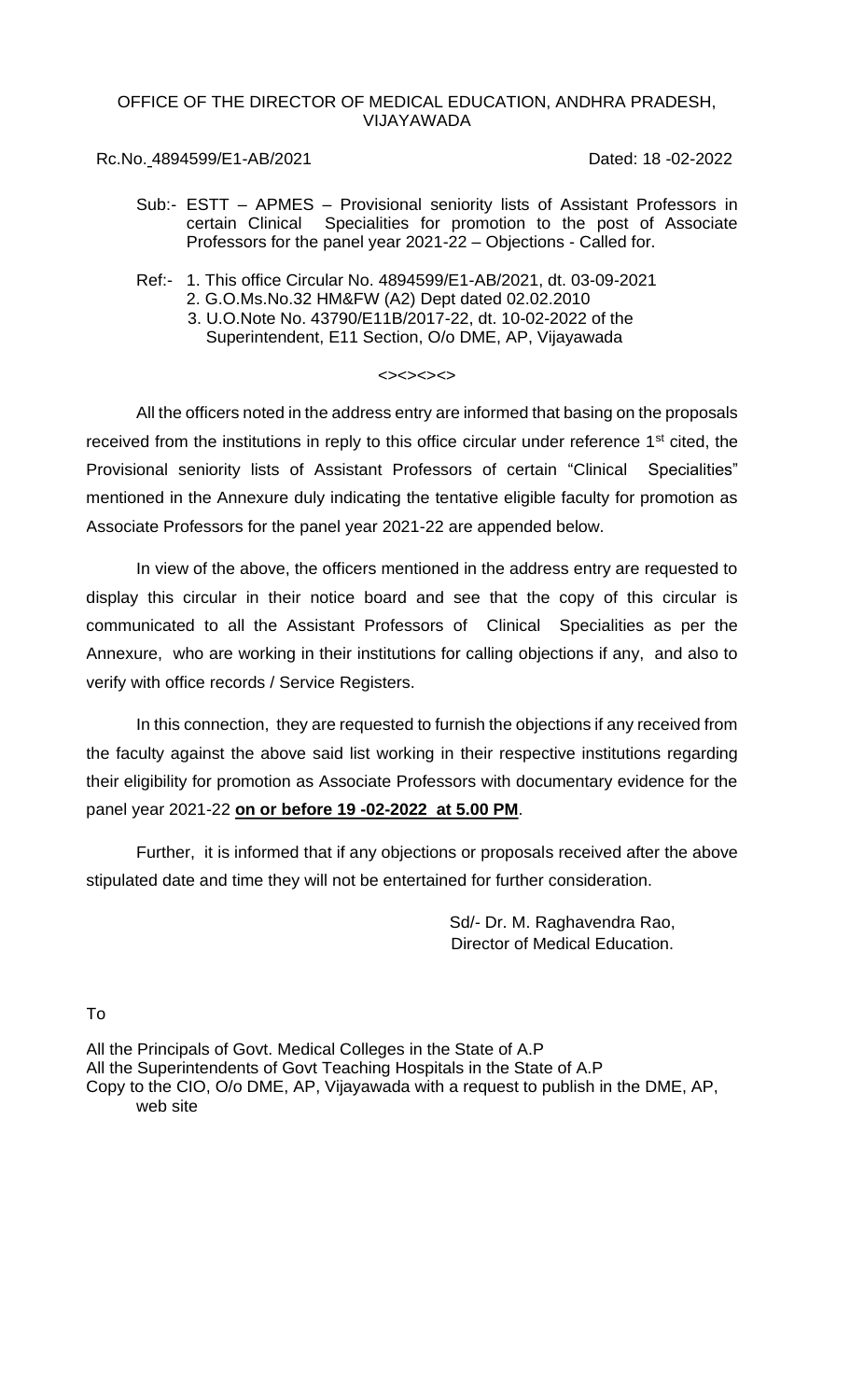# OFFICE OF THE DIRECTOR OF MEDICAL EDUCATION, ANDHRA PRADESH, VIJAYAWADA

# Rc.No. 4894599/E1-AB/2021 Dated: 18 -02-2022

- Sub:- ESTT APMES Provisional seniority lists of Assistant Professors in certain Clinical Specialities for promotion to the post of Associate Professors for the panel year 2021-22 – Objections - Called for.
- Ref:- 1. This office Circular No. 4894599/E1-AB/2021, dt. 03-09-2021 2. G.O.Ms.No.32 HM&FW (A2) Dept dated 02.02.2010 3. U.O.Note No. 43790/E11B/2017-22, dt. 10-02-2022 of the Superintendent, E11 Section, O/o DME, AP, Vijayawada

## <><><><>

All the officers noted in the address entry are informed that basing on the proposals received from the institutions in reply to this office circular under reference 1<sup>st</sup> cited, the Provisional seniority lists of Assistant Professors of certain "Clinical Specialities" mentioned in the Annexure duly indicating the tentative eligible faculty for promotion as Associate Professors for the panel year 2021-22 are appended below.

In view of the above, the officers mentioned in the address entry are requested to display this circular in their notice board and see that the copy of this circular is communicated to all the Assistant Professors of Clinical Specialities as per the Annexure, who are working in their institutions for calling objections if any, and also to verify with office records / Service Registers.

In this connection, they are requested to furnish the objections if any received from the faculty against the above said list working in their respective institutions regarding their eligibility for promotion as Associate Professors with documentary evidence for the panel year 2021-22 **on or before 19 -02-2022 at 5.00 PM**.

Further, it is informed that if any objections or proposals received after the above stipulated date and time they will not be entertained for further consideration.

> Sd/- Dr. M. Raghavendra Rao, Director of Medical Education.

To

All the Principals of Govt. Medical Colleges in the State of A.P All the Superintendents of Govt Teaching Hospitals in the State of A.P Copy to the CIO, O/o DME, AP, Vijayawada with a request to publish in the DME, AP, web site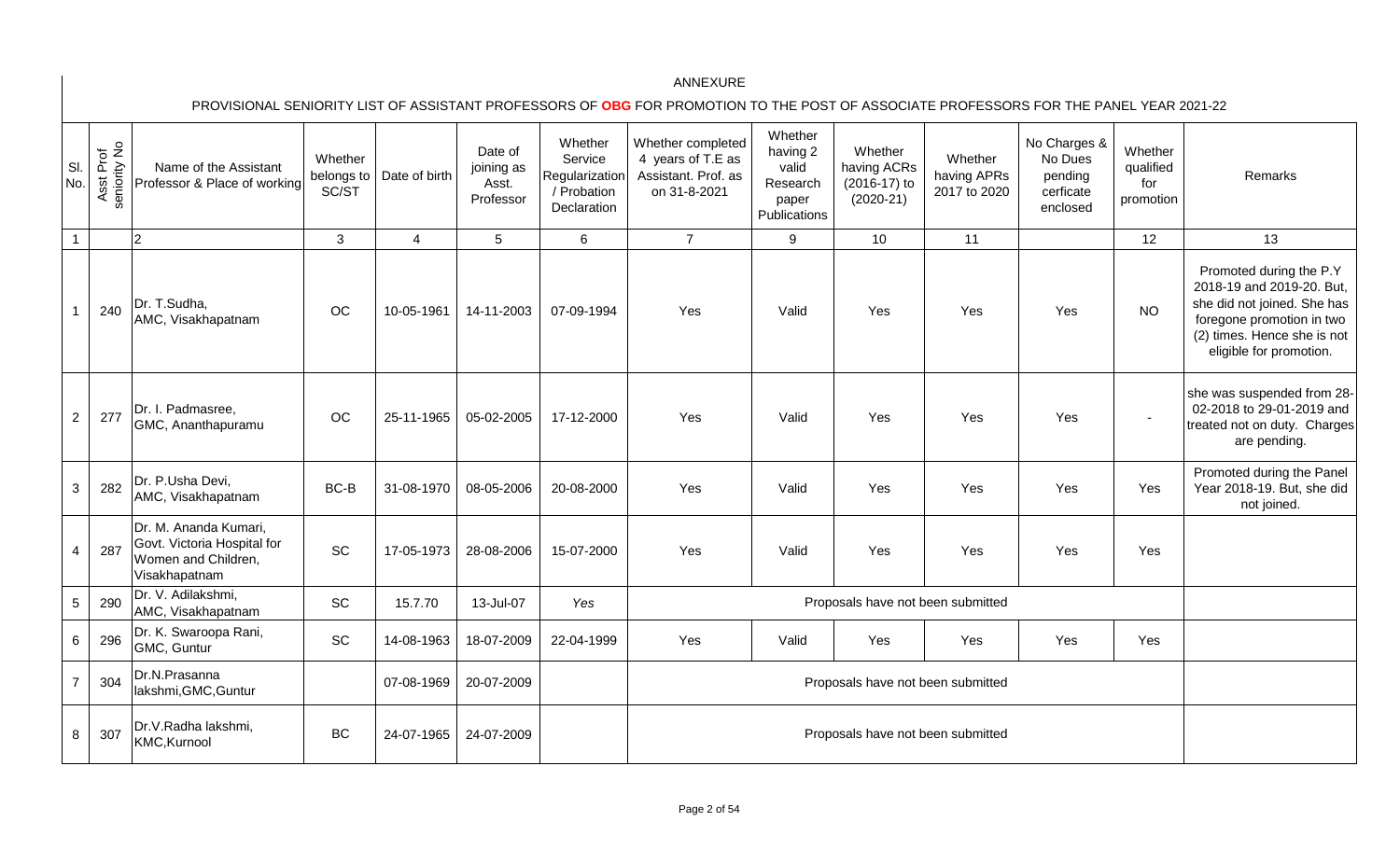| SI.<br>No.     | Asst Prof<br>seniority No | Name of the Assistant<br>Professor & Place of working                                        | Whether<br>belongs to<br>SC/ST | Date of birth  | Date of<br>joining as<br>Asst.<br>Professor | Whether<br>Service<br>Regularization<br>/ Probation<br>Declaration | Whether completed<br>4 years of T.E as<br>Assistant. Prof. as<br>on 31-8-2021 | Whether<br>having 2<br>valid<br>Research<br>paper<br>Publications | Whether<br>having ACRs<br>(2016-17) to<br>$(2020-21)$ | Whether<br>having APRs<br>2017 to 2020 | No Charges &<br>No Dues<br>pending<br>cerficate<br>enclosed | Whether<br>qualified<br>for<br>promotion | Remarks                                                                                                                                                                    |
|----------------|---------------------------|----------------------------------------------------------------------------------------------|--------------------------------|----------------|---------------------------------------------|--------------------------------------------------------------------|-------------------------------------------------------------------------------|-------------------------------------------------------------------|-------------------------------------------------------|----------------------------------------|-------------------------------------------------------------|------------------------------------------|----------------------------------------------------------------------------------------------------------------------------------------------------------------------------|
| $\mathbf 1$    |                           | $\overline{2}$                                                                               | 3                              | $\overline{4}$ | 5                                           | $6\phantom{1}$                                                     | $\overline{7}$                                                                | 9                                                                 | 10                                                    | 11                                     |                                                             | 12                                       | 13                                                                                                                                                                         |
|                | 240                       | Dr. T.Sudha,<br>AMC, Visakhapatnam                                                           | <b>OC</b>                      | 10-05-1961     | 14-11-2003                                  | 07-09-1994                                                         | Yes                                                                           | Valid                                                             | Yes                                                   | Yes                                    | Yes                                                         | <b>NO</b>                                | Promoted during the P.Y<br>2018-19 and 2019-20. But,<br>she did not joined. She has<br>foregone promotion in two<br>(2) times. Hence she is not<br>eligible for promotion. |
| $\overline{2}$ | 277                       | Dr. I. Padmasree,<br>GMC, Ananthapuramu                                                      | OC                             | 25-11-1965     | 05-02-2005                                  | 17-12-2000                                                         | Yes                                                                           | Valid                                                             | Yes                                                   | Yes                                    | Yes                                                         | $\blacksquare$                           | she was suspended from 28-<br>02-2018 to 29-01-2019 and<br>treated not on duty. Charges<br>are pending.                                                                    |
| 3              | 282                       | Dr. P.Usha Devi,<br>AMC, Visakhapatnam                                                       | BC-B                           | 31-08-1970     | 08-05-2006                                  | 20-08-2000                                                         | Yes                                                                           | Valid                                                             | Yes                                                   | Yes                                    | Yes                                                         | Yes                                      | Promoted during the Panel<br>Year 2018-19. But, she did<br>not joined.                                                                                                     |
| 4              | 287                       | Dr. M. Ananda Kumari,<br>Govt. Victoria Hospital for<br>Women and Children,<br>Visakhapatnam | <b>SC</b>                      | 17-05-1973     | 28-08-2006                                  | 15-07-2000                                                         | Yes                                                                           | Valid                                                             | Yes                                                   | Yes                                    | Yes                                                         | Yes                                      |                                                                                                                                                                            |
| 5              | 290                       | Dr. V. Adilakshmi,<br>AMC, Visakhapatnam                                                     | SC                             | 15.7.70        | 13-Jul-07                                   | Yes                                                                |                                                                               |                                                                   | Proposals have not been submitted                     |                                        |                                                             |                                          |                                                                                                                                                                            |
| 6              | 296                       | Dr. K. Swaroopa Rani,<br>GMC, Guntur                                                         | SC                             | 14-08-1963     | 18-07-2009                                  | 22-04-1999                                                         | Yes                                                                           | Valid                                                             | Yes                                                   | Yes                                    | Yes                                                         | Yes                                      |                                                                                                                                                                            |
| $\overline{7}$ | 304                       | Dr.N.Prasanna<br>lakshmi, GMC, Guntur                                                        |                                | 07-08-1969     | 20-07-2009                                  |                                                                    | Proposals have not been submitted                                             |                                                                   |                                                       |                                        |                                                             |                                          |                                                                                                                                                                            |
| 8              | 307                       | Dr.V.Radha lakshmi,<br>KMC, Kurnool                                                          | <b>BC</b>                      | 24-07-1965     | 24-07-2009                                  |                                                                    |                                                                               |                                                                   | Proposals have not been submitted                     |                                        |                                                             |                                          |                                                                                                                                                                            |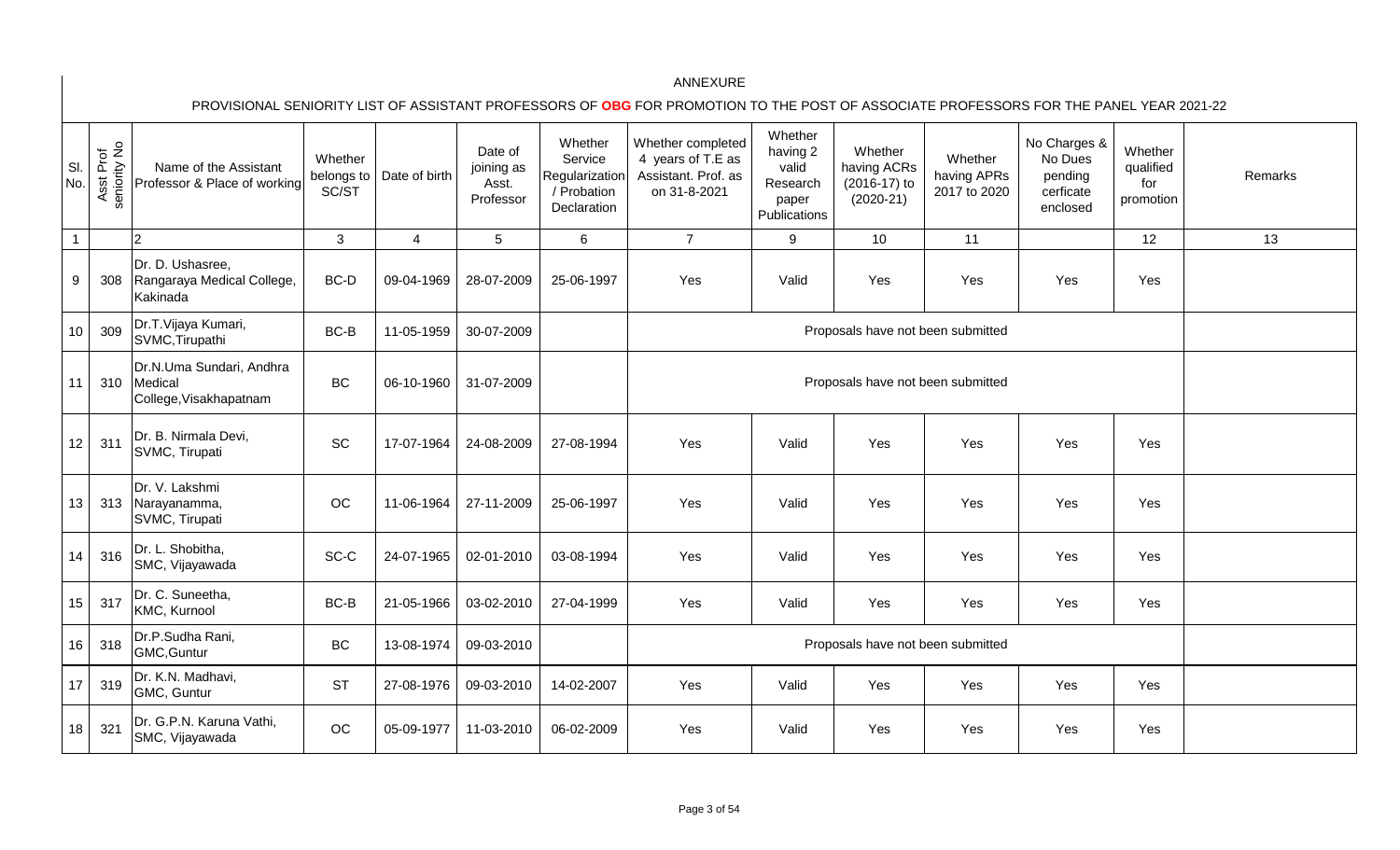| SI.<br>No.        | Asst Prof<br>seniority No | Name of the Assistant<br>Professor & Place of working         | Whether<br>belongs to<br>SC/ST | Date of birth  | Date of<br>joining as<br>Asst.<br>Professor | Whether<br>Service<br>Regularization<br>/ Probation<br>Declaration | Whether completed<br>4 years of T.E as<br>Assistant. Prof. as<br>on 31-8-2021 | Whether<br>having 2<br>valid<br>Research<br>paper<br>Publications | Whether<br>having ACRs<br>(2016-17) to<br>$(2020-21)$ | Whether<br>having APRs<br>2017 to 2020 | No Charges &<br>No Dues<br>pending<br>cerficate<br>enclosed | Whether<br>qualified<br>for<br>promotion | Remarks |
|-------------------|---------------------------|---------------------------------------------------------------|--------------------------------|----------------|---------------------------------------------|--------------------------------------------------------------------|-------------------------------------------------------------------------------|-------------------------------------------------------------------|-------------------------------------------------------|----------------------------------------|-------------------------------------------------------------|------------------------------------------|---------|
| $\mathbf{1}$      |                           | $\overline{2}$                                                | 3                              | $\overline{4}$ | 5                                           | $6\phantom{a}$                                                     | $\overline{7}$                                                                | 9                                                                 | 10                                                    | 11                                     |                                                             | 12                                       | 13      |
| 9                 | 308                       | Dr. D. Ushasree,<br>Rangaraya Medical College,<br>Kakinada    | BC-D                           | 09-04-1969     | 28-07-2009                                  | 25-06-1997                                                         | Yes                                                                           | Valid                                                             | Yes                                                   | Yes                                    | Yes                                                         | Yes                                      |         |
| 10                | 309                       | Dr.T.Vijaya Kumari,<br>SVMC, Tirupathi                        | BC-B                           | 11-05-1959     | 30-07-2009                                  |                                                                    |                                                                               |                                                                   | Proposals have not been submitted                     |                                        |                                                             |                                          |         |
| 11                | 310                       | Dr.N.Uma Sundari, Andhra<br>Medical<br>College, Visakhapatnam | <b>BC</b>                      | 06-10-1960     | 31-07-2009                                  |                                                                    |                                                                               |                                                                   | Proposals have not been submitted                     |                                        |                                                             |                                          |         |
| $12 \overline{ }$ | 311                       | Dr. B. Nirmala Devi,<br>SVMC, Tirupati                        | SC                             | 17-07-1964     | 24-08-2009                                  | 27-08-1994                                                         | Yes                                                                           | Valid                                                             | Yes                                                   | Yes                                    | Yes                                                         | Yes                                      |         |
| 13                | 313                       | Dr. V. Lakshmi<br>Narayanamma,<br>SVMC, Tirupati              | OC                             | 11-06-1964     | 27-11-2009                                  | 25-06-1997                                                         | Yes                                                                           | Valid                                                             | Yes                                                   | Yes                                    | Yes                                                         | Yes                                      |         |
| 14                | 316                       | Dr. L. Shobitha,<br>SMC, Vijayawada                           | SC-C                           | 24-07-1965     | 02-01-2010                                  | 03-08-1994                                                         | Yes                                                                           | Valid                                                             | Yes                                                   | Yes                                    | Yes                                                         | Yes                                      |         |
| 15                | 317                       | Dr. C. Suneetha,<br>KMC, Kurnool                              | BC-B                           | 21-05-1966     | 03-02-2010                                  | 27-04-1999                                                         | Yes                                                                           | Valid                                                             | Yes                                                   | Yes                                    | Yes                                                         | Yes                                      |         |
| 16                | 318                       | Dr.P.Sudha Rani,<br>GMC, Guntur                               | <b>BC</b>                      | 13-08-1974     | 09-03-2010                                  |                                                                    |                                                                               |                                                                   | Proposals have not been submitted                     |                                        |                                                             |                                          |         |
| 17                | 319                       | Dr. K.N. Madhavi,<br>GMC, Guntur                              | <b>ST</b>                      | 27-08-1976     | 09-03-2010                                  | 14-02-2007                                                         | Yes                                                                           | Valid                                                             | Yes                                                   | Yes                                    | Yes                                                         | Yes                                      |         |
| 18                | 321                       | Dr. G.P.N. Karuna Vathi,<br>SMC, Vijayawada                   | OC                             | 05-09-1977     | 11-03-2010                                  | 06-02-2009                                                         | Yes                                                                           | Valid                                                             | Yes                                                   | Yes                                    | Yes                                                         | Yes                                      |         |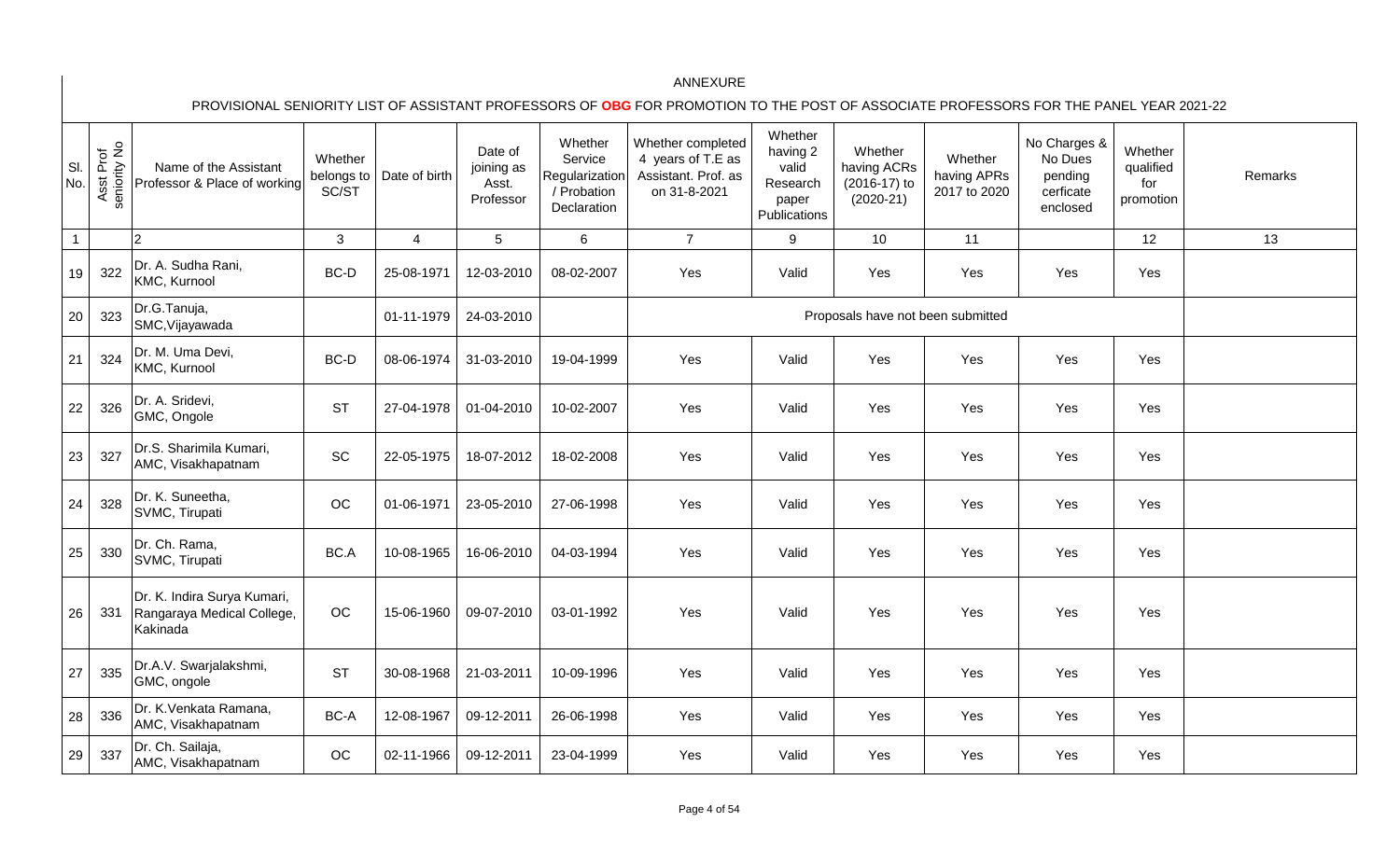| SI.<br>No.     | Asst Prof<br>seniority No | Name of the Assistant<br>Professor & Place of working                 | Whether<br>belongs to<br>SC/ST | Date of birth  | Date of<br>joining as<br>Asst.<br>Professor | Whether<br>Service<br>Regularization<br>/ Probation<br>Declaration | Whether completed<br>4 years of T.E as<br>Assistant. Prof. as<br>on 31-8-2021 | Whether<br>having 2<br>valid<br>Research<br>paper<br>Publications | Whether<br>having ACRs<br>(2016-17) to<br>$(2020-21)$ | Whether<br>having APRs<br>2017 to 2020 | No Charges &<br>No Dues<br>pending<br>cerficate<br>enclosed | Whether<br>qualified<br>for<br>promotion | Remarks |
|----------------|---------------------------|-----------------------------------------------------------------------|--------------------------------|----------------|---------------------------------------------|--------------------------------------------------------------------|-------------------------------------------------------------------------------|-------------------------------------------------------------------|-------------------------------------------------------|----------------------------------------|-------------------------------------------------------------|------------------------------------------|---------|
| $\overline{1}$ |                           | $\overline{2}$                                                        | 3                              | $\overline{4}$ | $5\phantom{.0}$                             | 6                                                                  | $\overline{7}$                                                                | 9                                                                 | 10 <sup>°</sup>                                       | 11                                     |                                                             | 12                                       | 13      |
| 19             | 322                       | Dr. A. Sudha Rani,<br>KMC, Kurnool                                    | BC-D                           | 25-08-1971     | 12-03-2010                                  | 08-02-2007                                                         | Yes                                                                           | Valid                                                             | Yes                                                   | Yes                                    | Yes                                                         | Yes                                      |         |
| 20             | 323                       | Dr.G.Tanuja,<br>SMC, Vijayawada                                       |                                | 01-11-1979     | 24-03-2010                                  |                                                                    |                                                                               |                                                                   | Proposals have not been submitted                     |                                        |                                                             |                                          |         |
| 21             | 324                       | Dr. M. Uma Devi,<br>KMC, Kurnool                                      | BC-D                           | 08-06-1974     | 31-03-2010                                  | 19-04-1999                                                         | Yes                                                                           | Valid                                                             | Yes                                                   | Yes                                    | Yes                                                         | Yes                                      |         |
| 22             | 326                       | Dr. A. Sridevi,<br>GMC, Ongole                                        | <b>ST</b>                      | 27-04-1978     | 01-04-2010                                  | 10-02-2007                                                         | Yes                                                                           | Valid                                                             | Yes                                                   | Yes                                    | Yes                                                         | Yes                                      |         |
| 23             | 327                       | Dr.S. Sharimila Kumari,<br>AMC, Visakhapatnam                         | <b>SC</b>                      | 22-05-1975     | 18-07-2012                                  | 18-02-2008                                                         | Yes                                                                           | Valid                                                             | Yes                                                   | Yes                                    | Yes                                                         | Yes                                      |         |
| 24             | 328                       | Dr. K. Suneetha,<br>SVMC, Tirupati                                    | OC                             | 01-06-1971     | 23-05-2010                                  | 27-06-1998                                                         | Yes                                                                           | Valid                                                             | Yes                                                   | Yes                                    | Yes                                                         | Yes                                      |         |
| 25             | 330                       | Dr. Ch. Rama,<br>SVMC, Tirupati                                       | BC.A                           | 10-08-1965     | 16-06-2010                                  | 04-03-1994                                                         | Yes                                                                           | Valid                                                             | Yes                                                   | Yes                                    | Yes                                                         | Yes                                      |         |
| 26             | 331                       | Dr. K. Indira Surya Kumari,<br>Rangaraya Medical College,<br>Kakinada | OC                             | 15-06-1960     | 09-07-2010                                  | 03-01-1992                                                         | Yes                                                                           | Valid                                                             | Yes                                                   | Yes                                    | Yes                                                         | Yes                                      |         |
| 27             | 335                       | Dr.A.V. Swarjalakshmi,<br>GMC, ongole                                 | <b>ST</b>                      | 30-08-1968     | 21-03-2011                                  | 10-09-1996                                                         | Yes                                                                           | Valid                                                             | Yes                                                   | Yes                                    | Yes                                                         | Yes                                      |         |
| 28             | 336                       | Dr. K. Venkata Ramana,<br>AMC, Visakhapatnam                          | BC-A                           | 12-08-1967     | 09-12-2011                                  | 26-06-1998                                                         | Yes                                                                           | Valid                                                             | Yes                                                   | Yes                                    | Yes                                                         | Yes                                      |         |
| 29             | 337                       | Dr. Ch. Sailaja,<br>AMC, Visakhapatnam                                | OC                             | 02-11-1966     | 09-12-2011                                  | 23-04-1999                                                         | Yes                                                                           | Valid                                                             | Yes                                                   | Yes                                    | Yes                                                         | Yes                                      |         |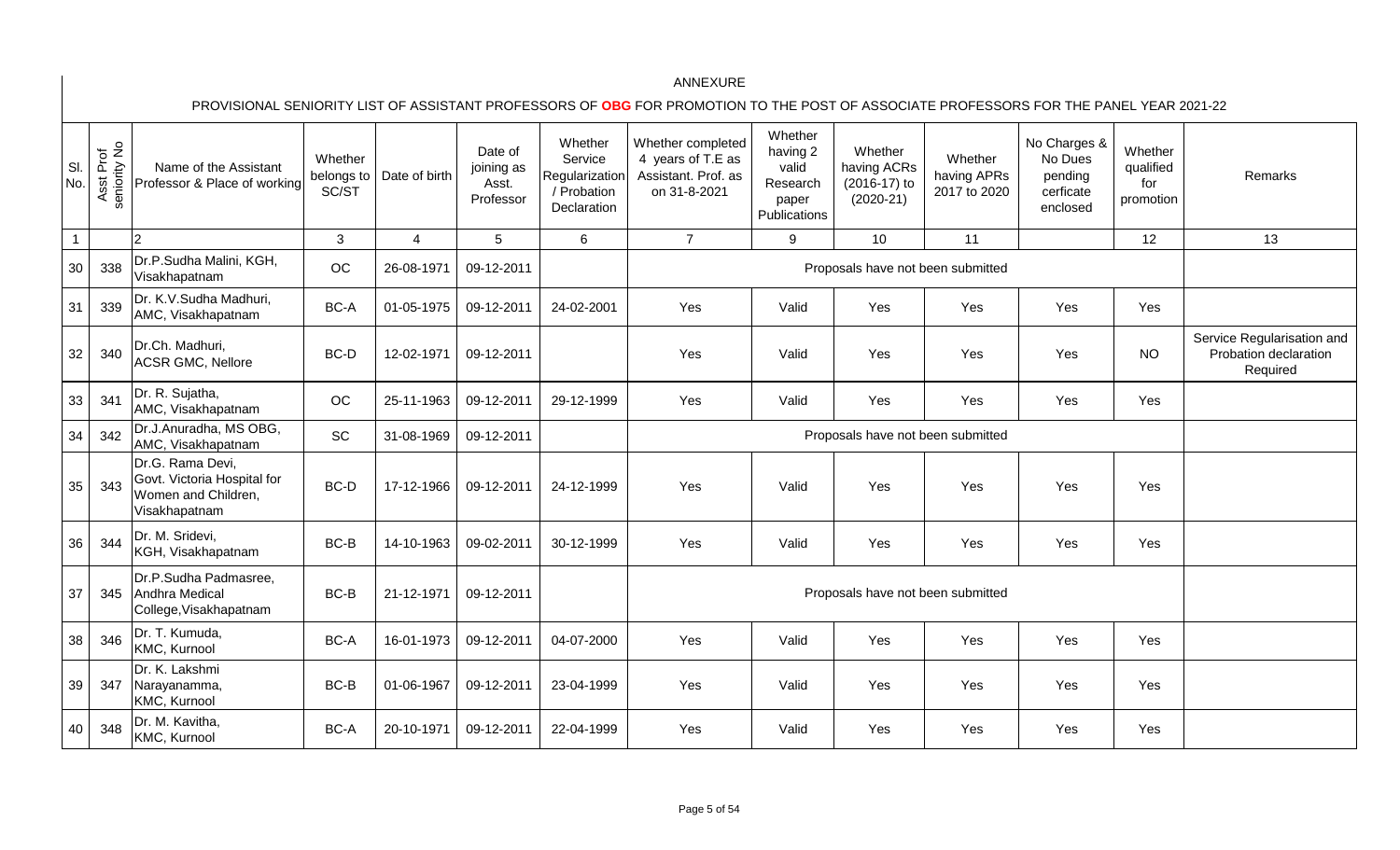| SI.<br>No.     | seniority No<br>Prof<br>Asst | Name of the Assistant<br>Professor & Place of working                                   | Whether<br>belongs to<br>SC/ST | Date of birth | Date of<br>joining as<br>Asst.<br>Professor | Whether<br>Service<br>Regularization<br>/ Probation<br>Declaration | Whether completed<br>4 years of T.E as<br>Assistant. Prof. as<br>on 31-8-2021 | Whether<br>having 2<br>valid<br>Research<br>paper<br>Publications | Whether<br>having ACRs<br>(2016-17) to<br>$(2020-21)$ | Whether<br>having APRs<br>2017 to 2020 | No Charges &<br>No Dues<br>pending<br>cerficate<br>enclosed | Whether<br>qualified<br>for<br>promotion | Remarks                                                         |
|----------------|------------------------------|-----------------------------------------------------------------------------------------|--------------------------------|---------------|---------------------------------------------|--------------------------------------------------------------------|-------------------------------------------------------------------------------|-------------------------------------------------------------------|-------------------------------------------------------|----------------------------------------|-------------------------------------------------------------|------------------------------------------|-----------------------------------------------------------------|
| $\overline{1}$ |                              | $\overline{2}$                                                                          | $\mathbf{3}$                   | 4             | 5                                           | $\,6\,$                                                            | $\overline{7}$                                                                | 9                                                                 | 10                                                    | 11                                     |                                                             | 12                                       | 13                                                              |
| 30             | 338                          | Dr.P.Sudha Malini, KGH,<br>Visakhapatnam                                                | OC                             | 26-08-1971    | 09-12-2011                                  |                                                                    |                                                                               |                                                                   | Proposals have not been submitted                     |                                        |                                                             |                                          |                                                                 |
| 31             | 339                          | Dr. K.V.Sudha Madhuri,<br>AMC, Visakhapatnam                                            | BC-A                           | 01-05-1975    | 09-12-2011                                  | 24-02-2001                                                         | Yes                                                                           | Valid                                                             | Yes                                                   | Yes                                    | Yes                                                         | Yes                                      |                                                                 |
| 32             | 340                          | Dr.Ch. Madhuri,<br><b>ACSR GMC, Nellore</b>                                             | BC-D                           | 12-02-1971    | 09-12-2011                                  |                                                                    | Yes                                                                           | Valid                                                             | Yes                                                   | Yes                                    | Yes                                                         | <b>NO</b>                                | Service Regularisation and<br>Probation declaration<br>Required |
| 33             | 341                          | Dr. R. Sujatha,<br>AMC, Visakhapatnam                                                   | OC                             | 25-11-1963    | 09-12-2011                                  | 29-12-1999                                                         | Yes                                                                           | Valid                                                             | Yes                                                   | Yes                                    | Yes                                                         | Yes                                      |                                                                 |
| 34             | 342                          | Dr.J.Anuradha, MS OBG,<br>AMC, Visakhapatnam                                            | SC                             | 31-08-1969    | 09-12-2011                                  |                                                                    |                                                                               |                                                                   | Proposals have not been submitted                     |                                        |                                                             |                                          |                                                                 |
| 35             | 343                          | Dr.G. Rama Devi,<br>Govt. Victoria Hospital for<br>Women and Children,<br>Visakhapatnam | BC-D                           | 17-12-1966    | 09-12-2011                                  | 24-12-1999                                                         | Yes                                                                           | Valid                                                             | Yes                                                   | Yes                                    | Yes                                                         | Yes                                      |                                                                 |
| 36             | 344                          | Dr. M. Sridevi,<br>KGH, Visakhapatnam                                                   | BC-B                           | 14-10-1963    | 09-02-2011                                  | 30-12-1999                                                         | Yes                                                                           | Valid                                                             | Yes                                                   | Yes                                    | Yes                                                         | Yes                                      |                                                                 |
| 37             | 345                          | Dr.P.Sudha Padmasree,<br>Andhra Medical<br>College, Visakhapatnam                       | BC-B                           | 21-12-1971    | 09-12-2011                                  |                                                                    |                                                                               |                                                                   | Proposals have not been submitted                     |                                        |                                                             |                                          |                                                                 |
| 38             | 346                          | Dr. T. Kumuda,<br>KMC, Kurnool                                                          | BC-A                           | 16-01-1973    | 09-12-2011                                  | 04-07-2000                                                         | Yes                                                                           | Valid                                                             | Yes                                                   | Yes                                    | Yes                                                         | Yes                                      |                                                                 |
| 39             | 347                          | Dr. K. Lakshmi<br>Narayanamma,<br>KMC, Kurnool                                          | BC-B                           | 01-06-1967    | 09-12-2011                                  | 23-04-1999                                                         | Yes                                                                           | Valid                                                             | Yes                                                   | Yes                                    | Yes                                                         | Yes                                      |                                                                 |
| 40             | 348                          | Dr. M. Kavitha,<br>KMC, Kurnool                                                         | BC-A                           | 20-10-1971    | 09-12-2011                                  | 22-04-1999                                                         | Yes                                                                           | Valid                                                             | Yes                                                   | Yes                                    | Yes                                                         | Yes                                      |                                                                 |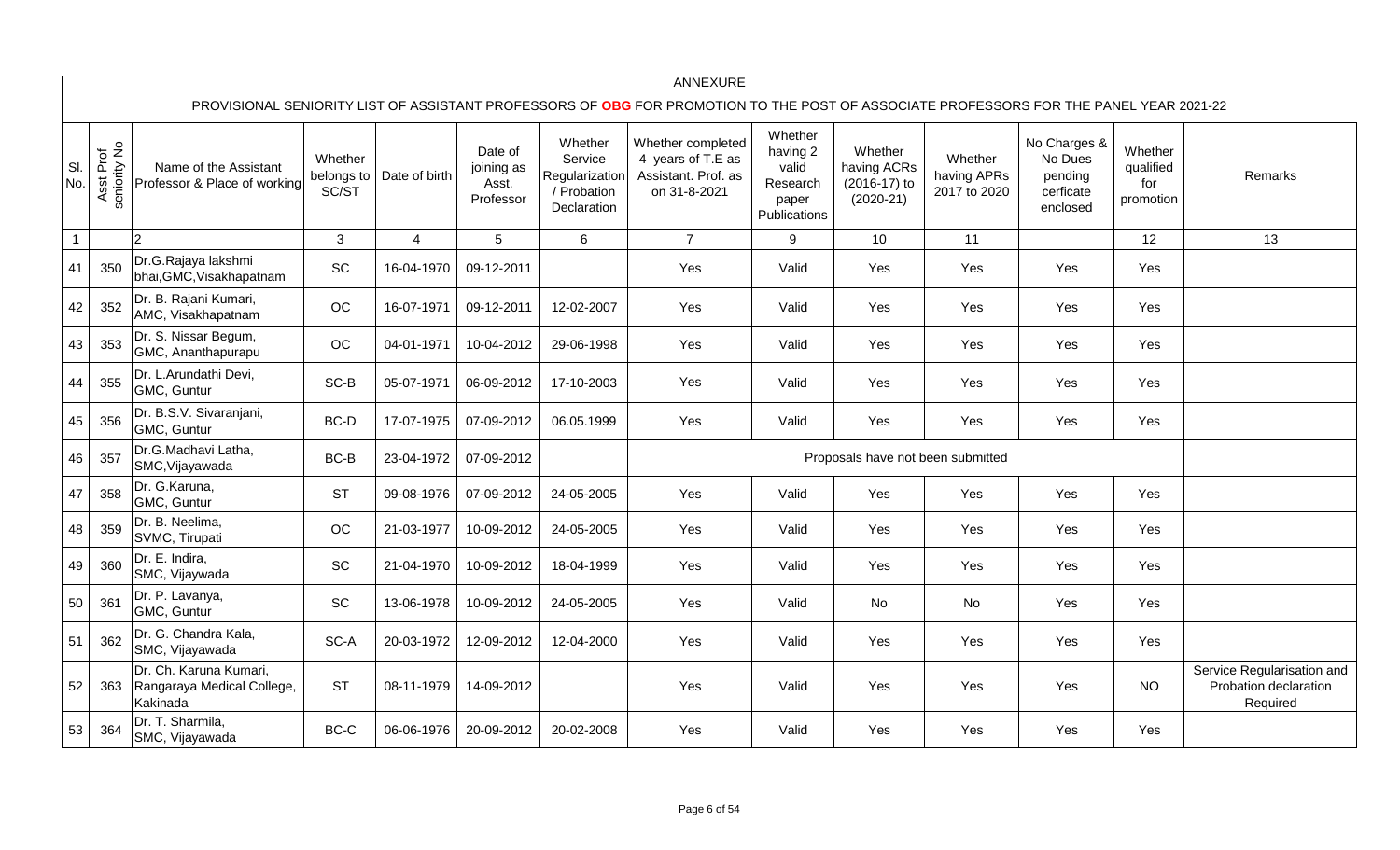| SI.<br>No.     | seniority No<br>Asst Prof | Name of the Assistant<br>Professor & Place of working            | Whether<br>belongs to<br>SC/ST | Date of birth  | Date of<br>joining as<br>Asst.<br>Professor | Whether<br>Service<br>Regularization<br>/ Probation<br>Declaration | Whether completed<br>4 years of T.E as<br>Assistant. Prof. as<br>on 31-8-2021 | Whether<br>having 2<br>valid<br>Research<br>paper<br>Publications | Whether<br>having ACRs<br>(2016-17) to<br>$(2020-21)$ | Whether<br>having APRs<br>2017 to 2020 | No Charges &<br>No Dues<br>pending<br>cerficate<br>enclosed | Whether<br>qualified<br>for<br>promotion | Remarks                                                         |
|----------------|---------------------------|------------------------------------------------------------------|--------------------------------|----------------|---------------------------------------------|--------------------------------------------------------------------|-------------------------------------------------------------------------------|-------------------------------------------------------------------|-------------------------------------------------------|----------------------------------------|-------------------------------------------------------------|------------------------------------------|-----------------------------------------------------------------|
| $\overline{1}$ |                           |                                                                  | $\mathbf{3}$                   | $\overline{4}$ | 5                                           | 6                                                                  | $\overline{7}$                                                                | 9                                                                 | 10                                                    | 11                                     |                                                             | 12                                       | 13                                                              |
| 41             | 350                       | Dr.G.Rajaya lakshmi<br>bhai, GMC, Visakhapatnam                  | SC                             | 16-04-1970     | 09-12-2011                                  |                                                                    | Yes                                                                           | Valid                                                             | Yes                                                   | Yes                                    | Yes                                                         | Yes                                      |                                                                 |
| 42             | 352                       | Dr. B. Rajani Kumari,<br>AMC, Visakhapatnam                      | OC                             | 16-07-1971     | 09-12-2011                                  | 12-02-2007                                                         | Yes                                                                           | Valid                                                             | Yes                                                   | Yes                                    | Yes                                                         | Yes                                      |                                                                 |
| 43             | 353                       | Dr. S. Nissar Begum,<br>GMC, Ananthapurapu                       | OC                             | 04-01-1971     | 10-04-2012                                  | 29-06-1998                                                         | Yes                                                                           | Valid                                                             | Yes                                                   | Yes                                    | Yes                                                         | Yes                                      |                                                                 |
| 44             | 355                       | Dr. L.Arundathi Devi,<br>GMC, Guntur                             | SC-B                           | 05-07-1971     | 06-09-2012                                  | 17-10-2003                                                         | Yes                                                                           | Valid                                                             | Yes                                                   | Yes                                    | Yes                                                         | Yes                                      |                                                                 |
| 45             | 356                       | Dr. B.S.V. Sivaranjani,<br>GMC, Guntur                           | BC-D                           | 17-07-1975     | 07-09-2012                                  | 06.05.1999                                                         | Yes                                                                           | Valid                                                             | Yes                                                   | Yes                                    | Yes                                                         | Yes                                      |                                                                 |
| 46             | 357                       | Dr.G.Madhavi Latha,<br>SMC, Vijayawada                           | BC-B                           | 23-04-1972     | 07-09-2012                                  |                                                                    |                                                                               |                                                                   | Proposals have not been submitted                     |                                        |                                                             |                                          |                                                                 |
| 47             | 358                       | Dr. G.Karuna,<br>GMC, Guntur                                     | <b>ST</b>                      | 09-08-1976     | 07-09-2012                                  | 24-05-2005                                                         | Yes                                                                           | Valid                                                             | Yes                                                   | Yes                                    | Yes                                                         | Yes                                      |                                                                 |
| 48             | 359                       | Dr. B. Neelima,<br>SVMC, Tirupati                                | OC                             | 21-03-1977     | 10-09-2012                                  | 24-05-2005                                                         | Yes                                                                           | Valid                                                             | Yes                                                   | Yes                                    | Yes                                                         | Yes                                      |                                                                 |
| 49             | 360                       | Dr. E. Indira,<br>SMC, Vijaywada                                 | SC                             | 21-04-1970     | 10-09-2012                                  | 18-04-1999                                                         | Yes                                                                           | Valid                                                             | Yes                                                   | Yes                                    | Yes                                                         | Yes                                      |                                                                 |
| 50             | 361                       | Dr. P. Lavanya,<br>GMC, Guntur                                   | SC                             | 13-06-1978     | 10-09-2012                                  | 24-05-2005                                                         | Yes                                                                           | Valid                                                             | No                                                    | No                                     | Yes                                                         | Yes                                      |                                                                 |
| 51             | 362                       | Dr. G. Chandra Kala,<br>SMC, Vijayawada                          | SC-A                           | 20-03-1972     | 12-09-2012                                  | 12-04-2000                                                         | Yes                                                                           | Valid                                                             | Yes                                                   | Yes                                    | Yes                                                         | Yes                                      |                                                                 |
| 52             | 363                       | Dr. Ch. Karuna Kumari,<br>Rangaraya Medical College,<br>Kakinada | <b>ST</b>                      | 08-11-1979     | 14-09-2012                                  |                                                                    | Yes                                                                           | Valid                                                             | Yes                                                   | Yes                                    | Yes                                                         | <b>NO</b>                                | Service Regularisation and<br>Probation declaration<br>Required |
| 53             | 364                       | Dr. T. Sharmila,<br>SMC, Vijayawada                              | BC-C                           | 06-06-1976     | 20-09-2012                                  | 20-02-2008                                                         | Yes                                                                           | Valid                                                             | Yes                                                   | Yes                                    | Yes                                                         | Yes                                      |                                                                 |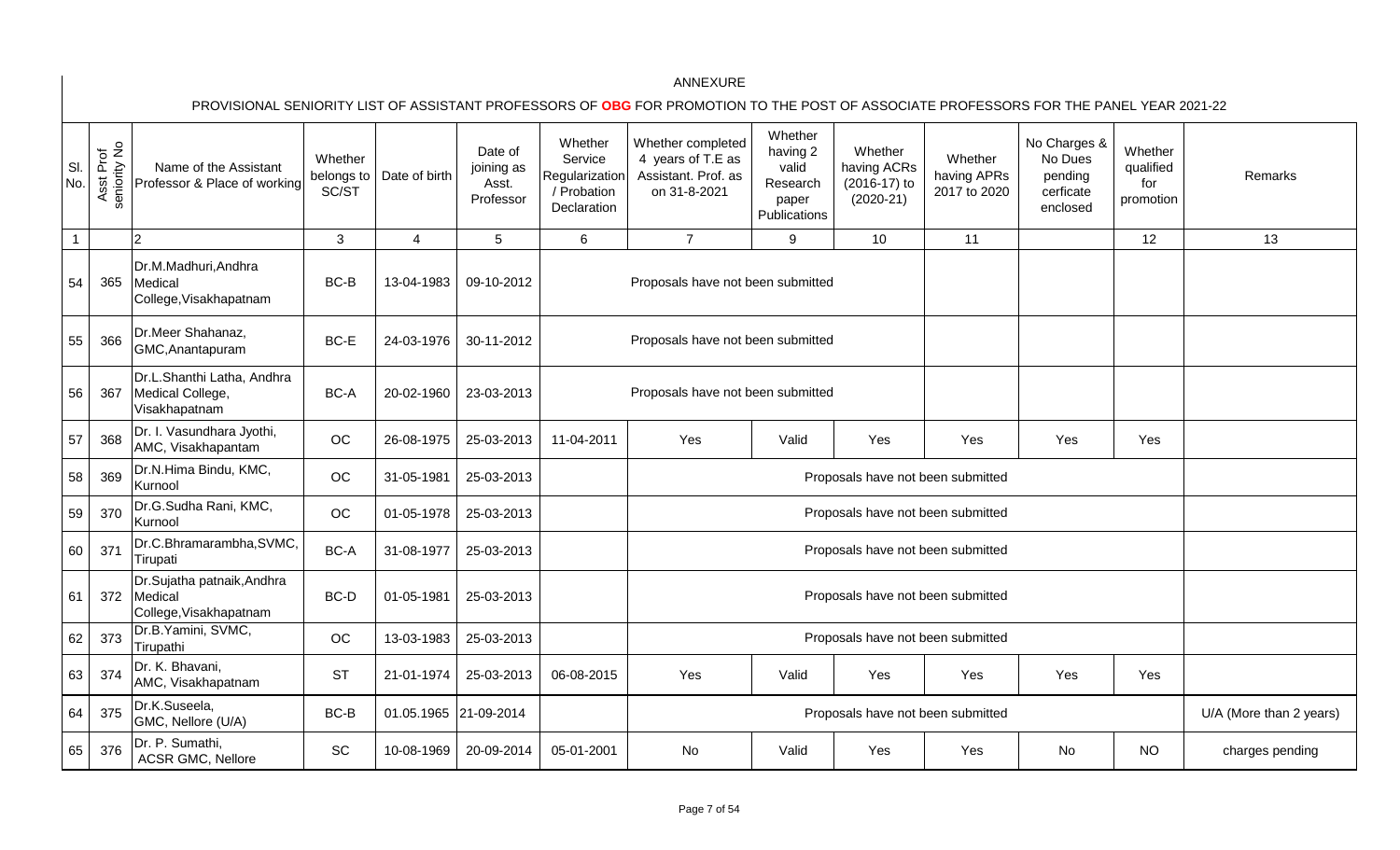| SI.<br>No.   | Asst Prof<br>seniority No | Name of the Assistant<br>Professor & Place of working           | Whether<br>belongs to<br>SC/ST | Date of birth         | Date of<br>joining as<br>Asst.<br>Professor | Whether<br>Service<br>Regularization<br>/ Probation<br>Declaration | Whether completed<br>4 years of T.E as<br>Assistant. Prof. as<br>on 31-8-2021 | Whether<br>having 2<br>valid<br>Research<br>paper<br>Publications | Whether<br>having ACRs<br>(2016-17) to<br>$(2020-21)$ | Whether<br>having APRs<br>2017 to 2020 | No Charges &<br>No Dues<br>pending<br>cerficate<br>enclosed | Whether<br>qualified<br>for<br>promotion | <b>Remarks</b>          |
|--------------|---------------------------|-----------------------------------------------------------------|--------------------------------|-----------------------|---------------------------------------------|--------------------------------------------------------------------|-------------------------------------------------------------------------------|-------------------------------------------------------------------|-------------------------------------------------------|----------------------------------------|-------------------------------------------------------------|------------------------------------------|-------------------------|
| $\mathbf{1}$ |                           | $\overline{2}$                                                  | 3                              | $\overline{4}$        | 5                                           | $6\phantom{1}$                                                     | $\overline{7}$                                                                | 9                                                                 | 10                                                    | 11                                     |                                                             | 12                                       | 13                      |
| 54           | 365                       | Dr.M.Madhuri, Andhra<br>Medical<br>College, Visakhapatnam       | BC-B                           | 13-04-1983            | 09-10-2012                                  |                                                                    | Proposals have not been submitted                                             |                                                                   |                                                       |                                        |                                                             |                                          |                         |
| 55           | 366                       | Dr.Meer Shahanaz,<br>GMC, Anantapuram                           | BC-E                           | 24-03-1976            | 30-11-2012                                  |                                                                    | Proposals have not been submitted                                             |                                                                   |                                                       |                                        |                                                             |                                          |                         |
| 56           | 367                       | Dr.L.Shanthi Latha, Andhra<br>Medical College,<br>Visakhapatnam | BC-A                           | 20-02-1960            | 23-03-2013                                  |                                                                    | Proposals have not been submitted                                             |                                                                   |                                                       |                                        |                                                             |                                          |                         |
| 57           | 368                       | Dr. I. Vasundhara Jyothi,<br>AMC, Visakhapantam                 | OC                             | 26-08-1975            | 25-03-2013                                  | 11-04-2011                                                         | Yes                                                                           | Valid                                                             | Yes                                                   | Yes                                    | Yes                                                         | Yes                                      |                         |
| 58           | 369                       | Dr.N.Hima Bindu, KMC,<br>Kurnool                                | OC                             | 31-05-1981            | 25-03-2013                                  |                                                                    |                                                                               |                                                                   | Proposals have not been submitted                     |                                        |                                                             |                                          |                         |
| 59           | 370                       | Dr.G.Sudha Rani, KMC,<br>Kurnool                                | OC                             | 01-05-1978            | 25-03-2013                                  |                                                                    |                                                                               |                                                                   | Proposals have not been submitted                     |                                        |                                                             |                                          |                         |
| 60           | 371                       | Dr.C.Bhramarambha, SVMC,<br>Tirupati                            | BC-A                           | 31-08-1977            | 25-03-2013                                  |                                                                    |                                                                               |                                                                   | Proposals have not been submitted                     |                                        |                                                             |                                          |                         |
| 61           | 372                       | Dr.Sujatha patnaik, Andhra<br>Medical<br>College, Visakhapatnam | BC-D                           | 01-05-1981            | 25-03-2013                                  |                                                                    |                                                                               |                                                                   | Proposals have not been submitted                     |                                        |                                                             |                                          |                         |
| 62           | 373                       | Dr.B. Yamini, SVMC,<br>Tirupathi                                | OC                             | 13-03-1983            | 25-03-2013                                  |                                                                    |                                                                               |                                                                   | Proposals have not been submitted                     |                                        |                                                             |                                          |                         |
| 63           | 374                       | Dr. K. Bhavani,<br>AMC, Visakhapatnam                           | <b>ST</b>                      | 21-01-1974            | 25-03-2013                                  | 06-08-2015                                                         | Yes                                                                           | Valid                                                             | Yes                                                   | Yes                                    | Yes                                                         | Yes                                      |                         |
| 64           | 375                       | Dr.K.Suseela,<br>GMC, Nellore (U/A)                             | BC-B                           | 01.05.1965 21-09-2014 |                                             |                                                                    |                                                                               |                                                                   | Proposals have not been submitted                     |                                        |                                                             |                                          | U/A (More than 2 years) |
| 65           | 376                       | Dr. P. Sumathi,<br><b>ACSR GMC, Nellore</b>                     | SC                             | 10-08-1969            | 20-09-2014                                  | 05-01-2001                                                         | No                                                                            | Valid                                                             | Yes                                                   | Yes                                    | No                                                          | <b>NO</b>                                | charges pending         |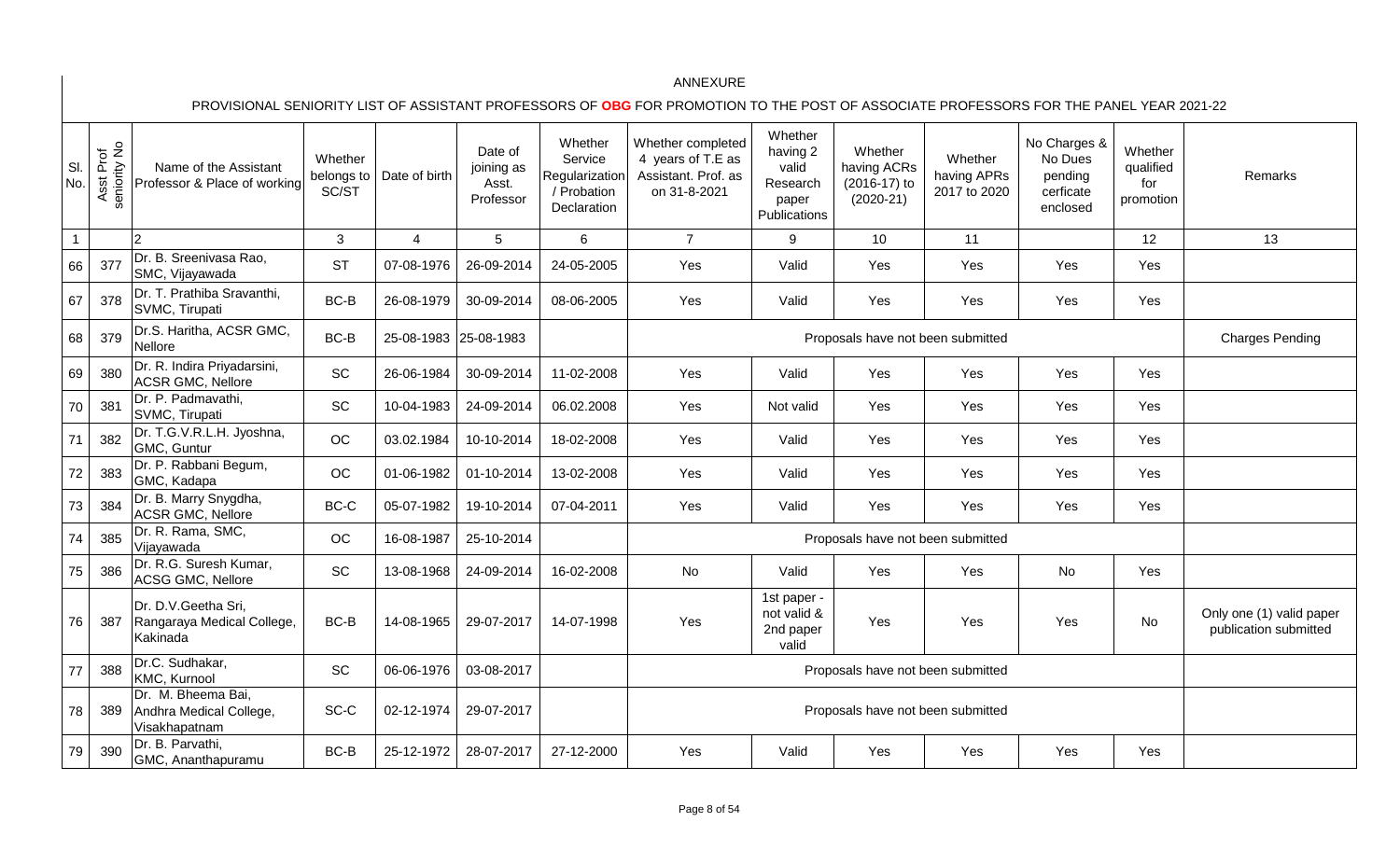| SI.<br>No.   | Asst Prof<br>seniority No | Name of the Assistant<br>Professor & Place of working          | Whether<br>belongs to<br>SC/ST | Date of birth         | Date of<br>joining as<br>Asst.<br>Professor | Whether<br>Service<br>Regularization<br>/ Probation<br>Declaration | Whether completed<br>4 years of T.E as<br>Assistant. Prof. as<br>on 31-8-2021 | Whether<br>having 2<br>valid<br>Research<br>paper<br>Publications | Whether<br>having ACRs<br>(2016-17) to<br>$(2020-21)$ | Whether<br>having APRs<br>2017 to 2020 | No Charges &<br>No Dues<br>pending<br>cerficate<br>enclosed | Whether<br>qualified<br>for<br>promotion | Remarks                                           |
|--------------|---------------------------|----------------------------------------------------------------|--------------------------------|-----------------------|---------------------------------------------|--------------------------------------------------------------------|-------------------------------------------------------------------------------|-------------------------------------------------------------------|-------------------------------------------------------|----------------------------------------|-------------------------------------------------------------|------------------------------------------|---------------------------------------------------|
| $\mathbf{1}$ |                           | $\overline{2}$                                                 | 3                              | 4                     | 5                                           | 6                                                                  | $\overline{7}$                                                                | 9                                                                 | 10                                                    | 11                                     |                                                             | 12                                       | 13                                                |
| 66           | 377                       | Dr. B. Sreenivasa Rao,<br>SMC, Vijayawada                      | <b>ST</b>                      | 07-08-1976            | 26-09-2014                                  | 24-05-2005                                                         | Yes                                                                           | Valid                                                             | Yes                                                   | <b>Yes</b>                             | Yes                                                         | Yes                                      |                                                   |
| 67           | 378                       | Dr. T. Prathiba Sravanthi,<br>SVMC, Tirupati                   | BC-B                           | 26-08-1979            | 30-09-2014                                  | 08-06-2005                                                         | Yes                                                                           | Valid                                                             | Yes                                                   | Yes                                    | Yes                                                         | Yes                                      |                                                   |
| 68           | 379                       | Dr.S. Haritha, ACSR GMC,<br><b>Nellore</b>                     | BC-B                           | 25-08-1983 25-08-1983 |                                             |                                                                    |                                                                               |                                                                   | Proposals have not been submitted                     |                                        |                                                             |                                          | <b>Charges Pending</b>                            |
| 69           | 380                       | Dr. R. Indira Priyadarsini,<br><b>ACSR GMC, Nellore</b>        | SC                             | 26-06-1984            | 30-09-2014                                  | 11-02-2008                                                         | Yes                                                                           | Valid                                                             | Yes                                                   | Yes                                    | Yes                                                         | Yes                                      |                                                   |
| 70           | 381                       | Dr. P. Padmavathi,<br>SVMC, Tirupati                           | SC                             | 10-04-1983            | 24-09-2014                                  | 06.02.2008                                                         | Yes                                                                           | Not valid                                                         | Yes                                                   | Yes                                    | Yes                                                         | Yes                                      |                                                   |
| 71           | 382                       | Dr. T.G.V.R.L.H. Jyoshna,<br>GMC, Guntur                       | OC                             | 03.02.1984            | 10-10-2014                                  | 18-02-2008                                                         | Yes                                                                           | Valid                                                             | Yes                                                   | Yes                                    | Yes                                                         | Yes                                      |                                                   |
| $72\,$       | 383                       | Dr. P. Rabbani Begum,<br>GMC, Kadapa                           | OC                             | 01-06-1982            | 01-10-2014                                  | 13-02-2008                                                         | Yes                                                                           | Valid                                                             | Yes                                                   | <b>Yes</b>                             | Yes                                                         | Yes                                      |                                                   |
| 73           | 384                       | Dr. B. Marry Snygdha,<br><b>ACSR GMC, Nellore</b>              | $BC-C$                         | 05-07-1982            | 19-10-2014                                  | 07-04-2011                                                         | Yes                                                                           | Valid                                                             | Yes                                                   | Yes                                    | Yes                                                         | Yes                                      |                                                   |
| 74           | 385                       | Dr. R. Rama, SMC,<br>Vijayawada                                | OC                             | 16-08-1987            | 25-10-2014                                  |                                                                    |                                                                               |                                                                   | Proposals have not been submitted                     |                                        |                                                             |                                          |                                                   |
| 75           | 386                       | Dr. R.G. Suresh Kumar,<br>ACSG GMC, Nellore                    | SC                             | 13-08-1968            | 24-09-2014                                  | 16-02-2008                                                         | No                                                                            | Valid                                                             | Yes                                                   | Yes                                    | No                                                          | Yes                                      |                                                   |
| 76           | 387                       | Dr. D.V.Geetha Sri,<br>Rangaraya Medical College,<br>Kakinada  | BC-B                           | 14-08-1965            | 29-07-2017                                  | 14-07-1998                                                         | Yes                                                                           | 1st paper -<br>not valid &<br>2nd paper<br>valid                  | Yes                                                   | Yes                                    | Yes                                                         | <b>No</b>                                | Only one (1) valid paper<br>publication submitted |
| 77           | 388                       | Dr.C. Sudhakar,<br>KMC, Kurnool                                | SC                             | 06-06-1976            | 03-08-2017                                  |                                                                    |                                                                               |                                                                   | Proposals have not been submitted                     |                                        |                                                             |                                          |                                                   |
| 78           | 389                       | Dr. M. Bheema Bai,<br>Andhra Medical College,<br>Visakhapatnam | SC-C                           | 02-12-1974            | 29-07-2017                                  |                                                                    |                                                                               |                                                                   | Proposals have not been submitted                     |                                        |                                                             |                                          |                                                   |
| 79           | 390                       | Dr. B. Parvathi,<br>GMC, Ananthapuramu                         | BC-B                           | 25-12-1972            | 28-07-2017                                  | 27-12-2000                                                         | Yes                                                                           | Valid                                                             | Yes                                                   | Yes                                    | Yes                                                         | Yes                                      |                                                   |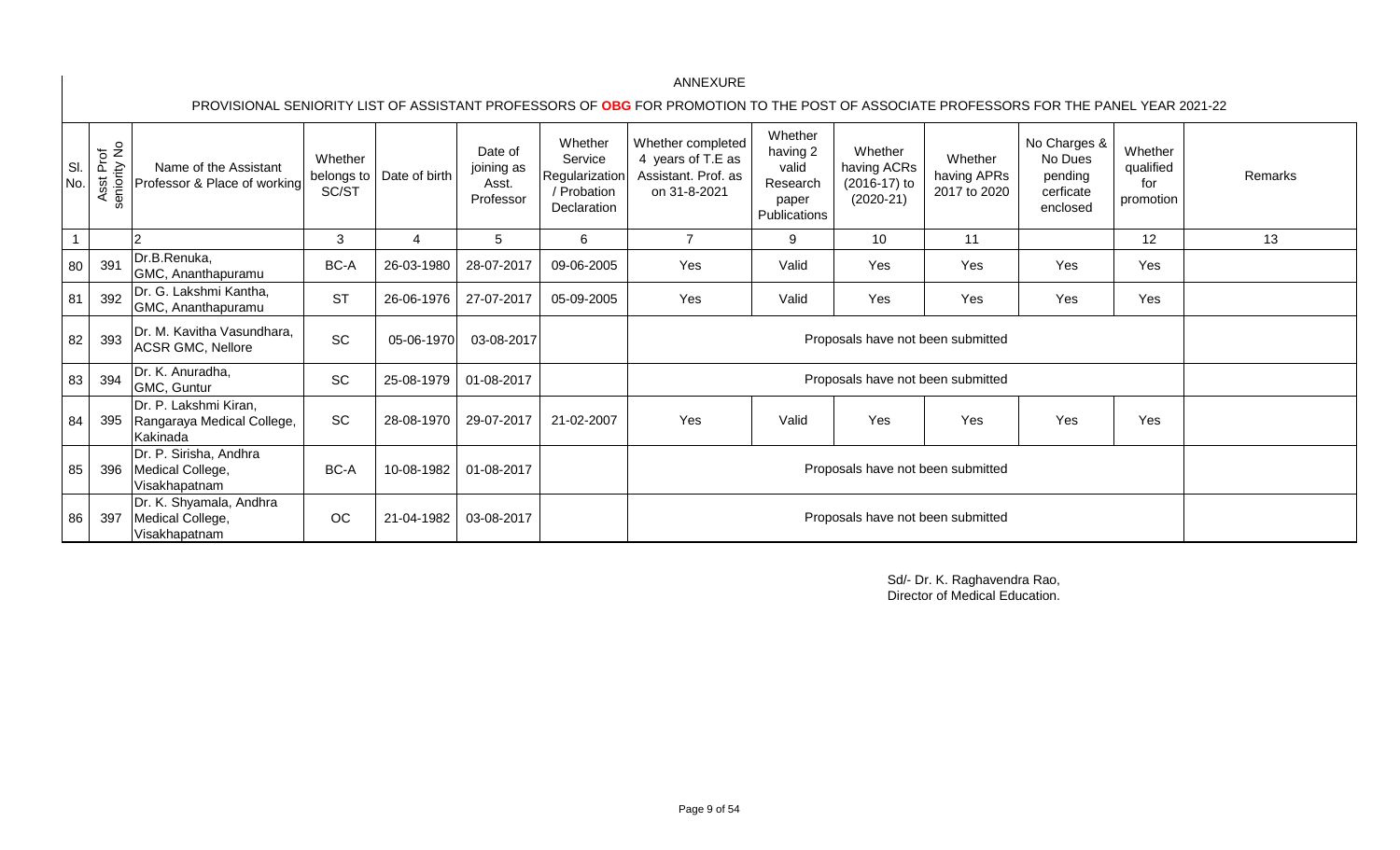PROVISIONAL SENIORITY LIST OF ASSISTANT PROFESSORS OF **OBG** FOR PROMOTION TO THE POST OF ASSOCIATE PROFESSORS FOR THE PANEL YEAR 2021-22

| SI<br>No. | Prof<br>ity No<br>eniority<br>$\overline{\omega}$<br>4s<br>$\epsilon$ | Name of the Assistant<br>Professor & Place of working           | Whether<br>belongs to<br>SC/ST | Date of birth | Date of<br>joining as<br>Asst.<br>Professor | Whether<br>Service<br>Regularization<br>/ Probation<br>Declaration | Whether completed<br>4 years of T.E as<br>Assistant. Prof. as<br>on 31-8-2021 | Whether<br>having 2<br>valid<br>Research<br>paper<br>Publications | Whether<br>having ACRs<br>$(2016-17)$ to<br>$(2020-21)$ | Whether<br>having APRs<br>2017 to 2020 | No Charges &<br>No Dues<br>pending<br>cerficate<br>enclosed | Whether<br>qualified<br>for<br>promotion | Remarks |
|-----------|-----------------------------------------------------------------------|-----------------------------------------------------------------|--------------------------------|---------------|---------------------------------------------|--------------------------------------------------------------------|-------------------------------------------------------------------------------|-------------------------------------------------------------------|---------------------------------------------------------|----------------------------------------|-------------------------------------------------------------|------------------------------------------|---------|
|           |                                                                       |                                                                 | 3                              | 4             | 5                                           | 6                                                                  | $\overline{7}$                                                                | 9                                                                 | 10 <sup>°</sup>                                         | 11                                     |                                                             | 12                                       | 13      |
| 80        | 391                                                                   | Dr.B.Renuka,<br>GMC, Ananthapuramu                              | BC-A                           | 26-03-1980    | 28-07-2017                                  | 09-06-2005                                                         | Yes                                                                           | Valid                                                             | Yes                                                     | Yes                                    | Yes                                                         | Yes                                      |         |
| 81        | 392                                                                   | Dr. G. Lakshmi Kantha,<br>GMC, Ananthapuramu                    | <b>ST</b>                      | 26-06-1976    | 27-07-2017                                  | 05-09-2005                                                         | Yes                                                                           | Valid                                                             | Yes                                                     | Yes                                    | Yes                                                         | Yes                                      |         |
| 82        | 393                                                                   | Dr. M. Kavitha Vasundhara,<br><b>ACSR GMC, Nellore</b>          | SC                             | 05-06-1970    | 03-08-2017                                  |                                                                    |                                                                               |                                                                   | Proposals have not been submitted                       |                                        |                                                             |                                          |         |
| 83        | 394                                                                   | Dr. K. Anuradha,<br>GMC, Guntur                                 | SC                             | 25-08-1979    | 01-08-2017                                  |                                                                    |                                                                               |                                                                   | Proposals have not been submitted                       |                                        |                                                             |                                          |         |
| 84        | 395                                                                   | Dr. P. Lakshmi Kiran,<br>Rangaraya Medical College,<br>Kakinada | SC                             | 28-08-1970    | 29-07-2017                                  | 21-02-2007                                                         | Yes                                                                           | Valid                                                             | Yes                                                     | Yes                                    | Yes                                                         | Yes                                      |         |
| 85        | 396                                                                   | Dr. P. Sirisha, Andhra<br>Medical College,<br>Visakhapatnam     | BC-A                           | 10-08-1982    | 01-08-2017                                  |                                                                    |                                                                               |                                                                   |                                                         |                                        |                                                             |                                          |         |
| 86        | 397                                                                   | Dr. K. Shyamala, Andhra<br>Medical College,<br>Visakhapatnam    | OC                             | 21-04-1982    | 03-08-2017                                  |                                                                    |                                                                               |                                                                   | Proposals have not been submitted                       |                                        |                                                             |                                          |         |

Sd/- Dr. K. Raghavendra Rao, Director of Medical Education.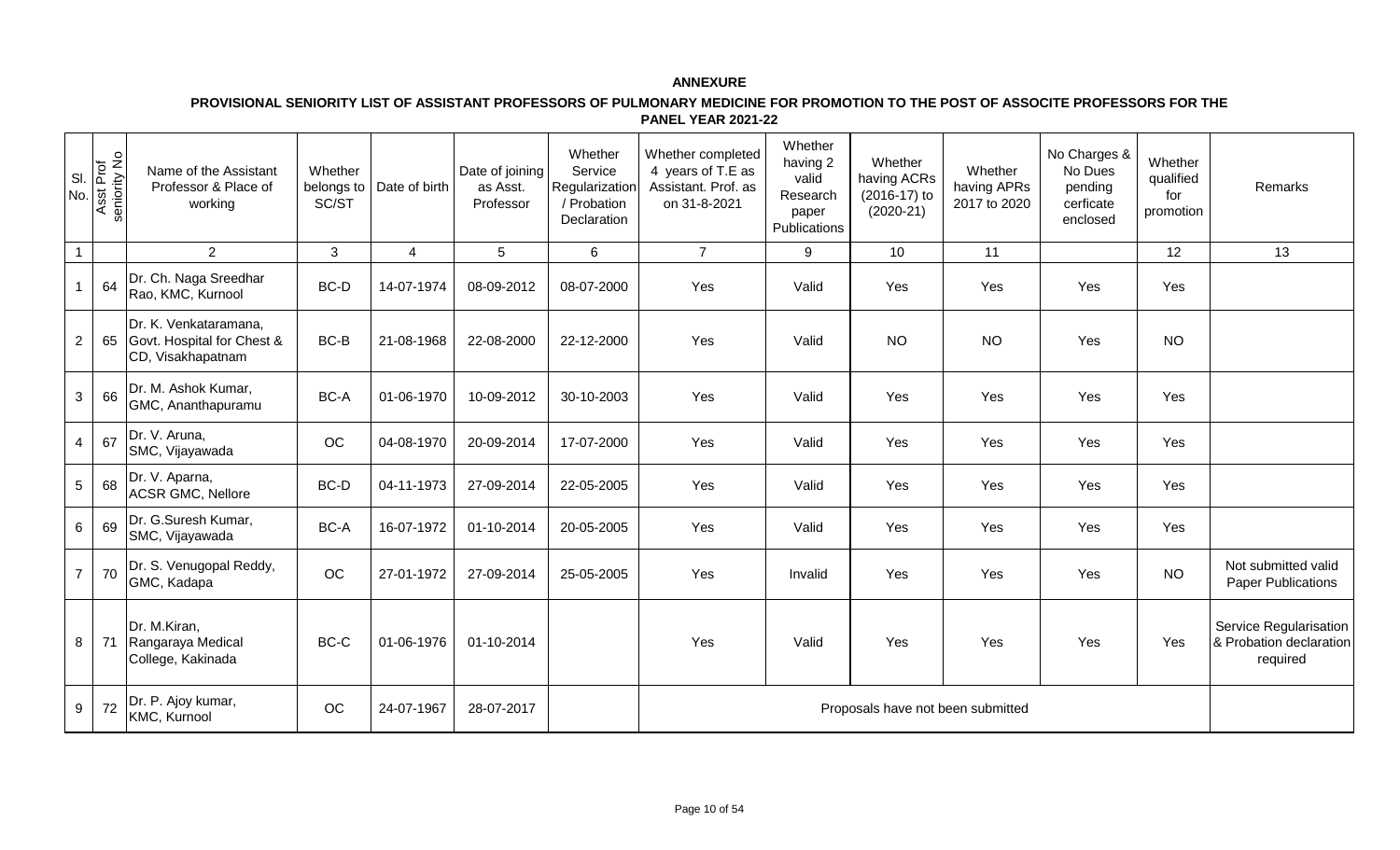| SI.<br>No.     | Asst Prof<br>seniority No | Name of the Assistant<br>Professor & Place of<br>working                 | Whether<br>belongs to<br>SC/ST | Date of birth  | Date of joining<br>as Asst.<br>Professor | Whether<br>Service<br>Regularization<br>/ Probation<br>Declaration | Whether completed<br>4 years of T.E as<br>Assistant. Prof. as<br>on 31-8-2021 | Whether<br>having 2<br>valid<br>Research<br>paper<br>Publications | Whether<br>having ACRs<br>(2016-17) to<br>$(2020-21)$ | Whether<br>having APRs<br>2017 to 2020 | No Charges &<br>No Dues<br>pending<br>cerficate<br>enclosed | Whether<br>qualified<br>for<br>promotion | Remarks                                                       |
|----------------|---------------------------|--------------------------------------------------------------------------|--------------------------------|----------------|------------------------------------------|--------------------------------------------------------------------|-------------------------------------------------------------------------------|-------------------------------------------------------------------|-------------------------------------------------------|----------------------------------------|-------------------------------------------------------------|------------------------------------------|---------------------------------------------------------------|
| $\mathbf{1}$   |                           | $\overline{2}$                                                           | 3                              | $\overline{4}$ | 5                                        | 6                                                                  | $\overline{7}$                                                                | 9                                                                 | 10                                                    | 11                                     |                                                             | 12                                       | 13                                                            |
| $\mathbf{1}$   | 64                        | Dr. Ch. Naga Sreedhar<br>Rao, KMC, Kurnool                               | BC-D                           | 14-07-1974     | 08-09-2012                               | 08-07-2000                                                         | Yes                                                                           | Valid                                                             | Yes                                                   | Yes                                    | Yes                                                         | Yes                                      |                                                               |
| $\overline{2}$ | 65                        | Dr. K. Venkataramana,<br>Govt. Hospital for Chest &<br>CD, Visakhapatnam | BC-B                           | 21-08-1968     | 22-08-2000                               | 22-12-2000                                                         | Yes                                                                           | Valid                                                             | <b>NO</b>                                             | <b>NO</b>                              | Yes                                                         | <b>NO</b>                                |                                                               |
| $\mathbf{3}$   | 66                        | Dr. M. Ashok Kumar,<br>GMC, Ananthapuramu                                | BC-A                           | 01-06-1970     | 10-09-2012                               | 30-10-2003                                                         | Yes                                                                           | Valid                                                             | Yes                                                   | Yes                                    | Yes                                                         | Yes                                      |                                                               |
| $\overline{4}$ | 67                        | Dr. V. Aruna,<br>SMC, Vijayawada                                         | OC                             | 04-08-1970     | 20-09-2014                               | 17-07-2000                                                         | Yes                                                                           | Valid                                                             | Yes                                                   | Yes                                    | Yes                                                         | Yes                                      |                                                               |
| 5              | 68                        | Dr. V. Aparna,<br><b>ACSR GMC, Nellore</b>                               | BC-D                           | 04-11-1973     | 27-09-2014                               | 22-05-2005                                                         | Yes                                                                           | Valid                                                             | Yes                                                   | Yes                                    | Yes                                                         | Yes                                      |                                                               |
| $6\phantom{a}$ | 69                        | Dr. G.Suresh Kumar,<br>SMC, Vijayawada                                   | BC-A                           | 16-07-1972     | 01-10-2014                               | 20-05-2005                                                         | Yes                                                                           | Valid                                                             | Yes                                                   | Yes                                    | Yes                                                         | Yes                                      |                                                               |
| $\overline{7}$ | 70                        | Dr. S. Venugopal Reddy,<br>GMC, Kadapa                                   | OC                             | 27-01-1972     | 27-09-2014                               | 25-05-2005                                                         | Yes                                                                           | Invalid                                                           | Yes                                                   | Yes                                    | Yes                                                         | <b>NO</b>                                | Not submitted valid<br><b>Paper Publications</b>              |
| 8              | 71                        | Dr. M.Kiran,<br>Rangaraya Medical<br>College, Kakinada                   | BC-C                           | 01-06-1976     | 01-10-2014                               |                                                                    | Yes                                                                           | Valid                                                             | Yes                                                   | Yes                                    | Yes                                                         | Yes                                      | Service Regularisation<br>& Probation declaration<br>required |
| 9              | 72                        | Dr. P. Ajoy kumar,<br>KMC, Kurnool                                       | OC                             | 24-07-1967     | 28-07-2017                               |                                                                    |                                                                               |                                                                   | Proposals have not been submitted                     |                                        |                                                             |                                          |                                                               |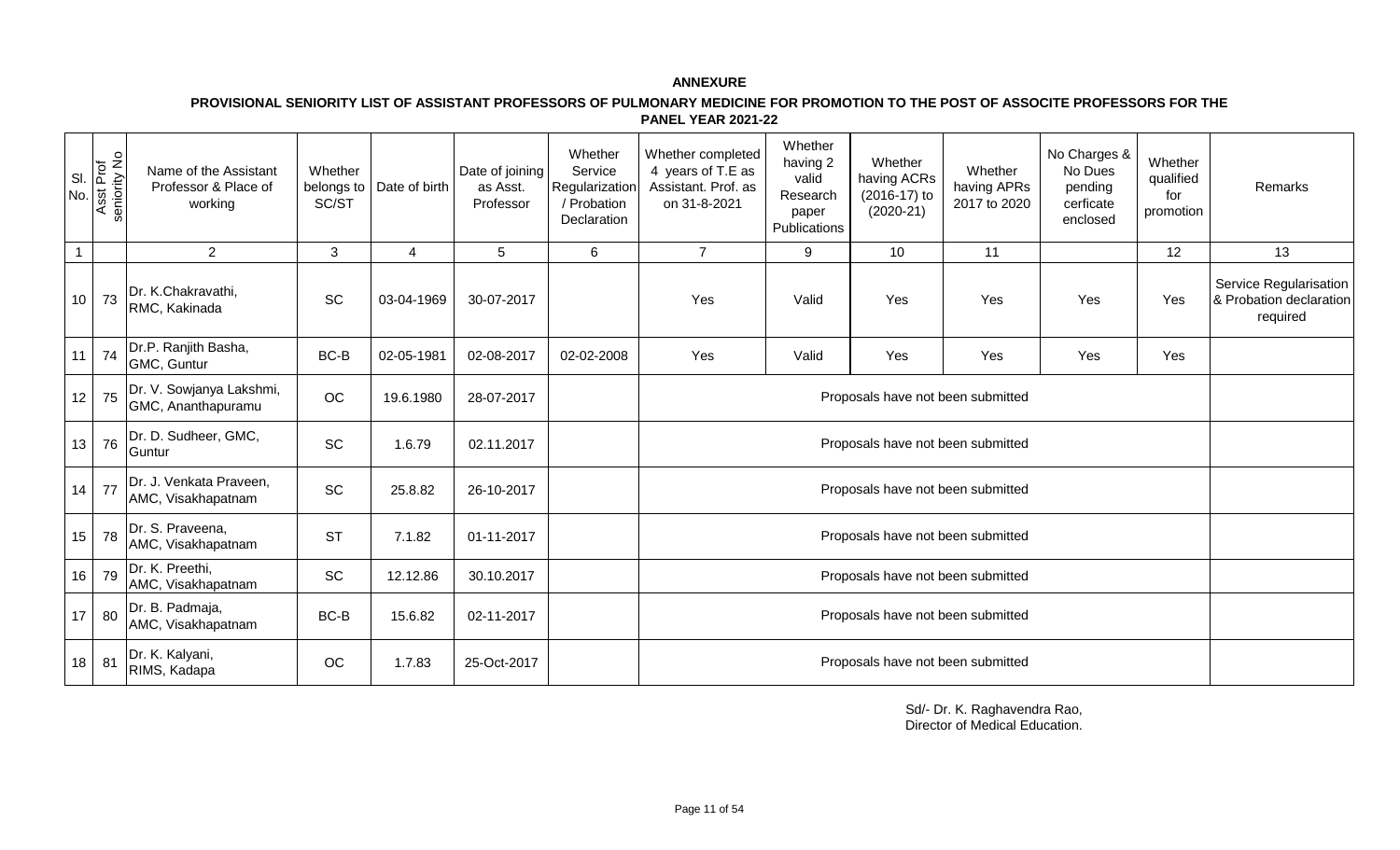**PROVISIONAL SENIORITY LIST OF ASSISTANT PROFESSORS OF PULMONARY MEDICINE FOR PROMOTION TO THE POST OF ASSOCITE PROFESSORS FOR THE PANEL YEAR 2021-22** 

| SI.<br>No.     | Asst Prof<br>seniority No | Name of the Assistant<br>Professor & Place of<br>working | Whether<br>belongs to<br>SC/ST | Date of birth | Date of joining<br>as Asst.<br>Professor | Whether<br>Service<br>Regularization<br>/ Probation<br>Declaration | Whether completed<br>4 years of T.E as<br>Assistant. Prof. as<br>on 31-8-2021 | Whether<br>having 2<br>valid<br>Research<br>paper<br>Publications | Whether<br>having ACRs<br>(2016-17) to<br>$(2020-21)$ | Whether<br>having APRs<br>2017 to 2020 | No Charges &<br>No Dues<br>pending<br>cerficate<br>enclosed | Whether<br>qualified<br>for<br>promotion | Remarks                                                       |
|----------------|---------------------------|----------------------------------------------------------|--------------------------------|---------------|------------------------------------------|--------------------------------------------------------------------|-------------------------------------------------------------------------------|-------------------------------------------------------------------|-------------------------------------------------------|----------------------------------------|-------------------------------------------------------------|------------------------------------------|---------------------------------------------------------------|
| $\overline{1}$ |                           | $\overline{2}$                                           | 3                              | 4             | 5                                        | 6                                                                  | $\overline{7}$                                                                | 9                                                                 | 10 <sup>1</sup>                                       | 11                                     |                                                             | 12                                       | 13                                                            |
| 10             | 73                        | Dr. K.Chakravathi,<br>RMC, Kakinada                      | <b>SC</b>                      | 03-04-1969    | 30-07-2017                               |                                                                    | Yes                                                                           | Valid                                                             | Yes                                                   | Yes                                    | Yes                                                         | Yes                                      | Service Regularisation<br>& Probation declaration<br>required |
|                | $11$ 74                   | Dr.P. Ranjith Basha,<br>GMC, Guntur                      | BC-B                           | 02-05-1981    | 02-08-2017                               | 02-02-2008                                                         | Yes                                                                           | Valid                                                             | Yes                                                   | Yes                                    | Yes                                                         | Yes                                      |                                                               |
|                | $12$ 75                   | Dr. V. Sowjanya Lakshmi,<br>GMC, Ananthapuramu           | OC                             | 19.6.1980     | 28-07-2017                               |                                                                    | Proposals have not been submitted                                             |                                                                   |                                                       |                                        |                                                             |                                          |                                                               |
|                | $13$ 76                   | Dr. D. Sudheer, GMC,<br>Guntur                           | <b>SC</b>                      | 1.6.79        | 02.11.2017                               |                                                                    |                                                                               |                                                                   |                                                       |                                        |                                                             |                                          |                                                               |
|                | $14$ 77                   | Dr. J. Venkata Praveen,<br>AMC, Visakhapatnam            | <b>SC</b>                      | 25.8.82       | 26-10-2017                               |                                                                    |                                                                               |                                                                   | Proposals have not been submitted                     |                                        |                                                             |                                          |                                                               |
| 15             | 78                        | Dr. S. Praveena,<br>AMC, Visakhapatnam                   | <b>ST</b>                      | 7.1.82        | 01-11-2017                               |                                                                    |                                                                               |                                                                   | Proposals have not been submitted                     |                                        |                                                             |                                          |                                                               |
| 16             | 79                        | Dr. K. Preethi,<br>AMC, Visakhapatnam                    | <b>SC</b>                      | 12.12.86      | 30.10.2017                               |                                                                    |                                                                               |                                                                   |                                                       |                                        |                                                             |                                          |                                                               |
|                | 17 80                     | Dr. B. Padmaja,<br>AMC, Visakhapatnam                    | BC-B                           | 15.6.82       | 02-11-2017                               |                                                                    |                                                                               |                                                                   |                                                       |                                        |                                                             |                                          |                                                               |
| 18             | 81                        | Dr. K. Kalyani,<br>RIMS, Kadapa                          | OC                             | 1.7.83        | 25-Oct-2017                              |                                                                    |                                                                               |                                                                   | Proposals have not been submitted                     |                                        |                                                             |                                          |                                                               |

Sd/- Dr. K. Raghavendra Rao, Director of Medical Education.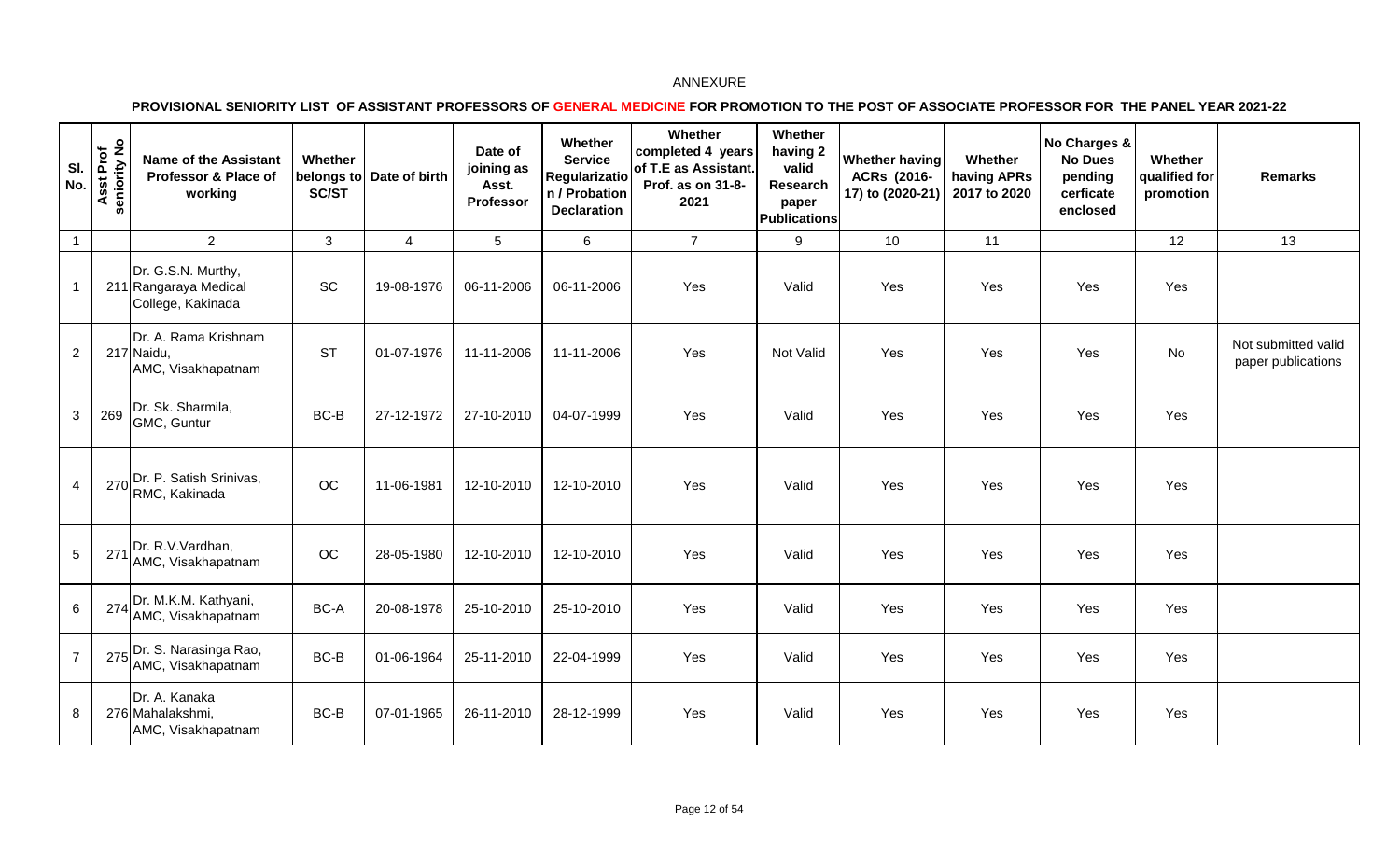| SI.<br>No.     | seniority No<br>sst Prof<br>∢ | <b>Name of the Assistant</b><br>Professor & Place of<br>working  | Whether<br><b>SC/ST</b> | belongs to Date of birth | Date of<br>joining as<br>Asst.<br>Professor | Whether<br><b>Service</b><br>Regularizatio<br>n / Probation<br><b>Declaration</b> | Whether<br>completed 4 years<br>of T.E as Assistant.<br>Prof. as on 31-8-<br>2021 | Whether<br>having 2<br>valid<br>Research<br>paper<br><b>Publications</b> | Whether having<br>ACRs (2016-<br>17) to (2020-21) | Whether<br>having APRs<br>2017 to 2020 | No Charges &<br><b>No Dues</b><br>pending<br>cerficate<br>enclosed | Whether<br>qualified for<br>promotion | <b>Remarks</b>                            |
|----------------|-------------------------------|------------------------------------------------------------------|-------------------------|--------------------------|---------------------------------------------|-----------------------------------------------------------------------------------|-----------------------------------------------------------------------------------|--------------------------------------------------------------------------|---------------------------------------------------|----------------------------------------|--------------------------------------------------------------------|---------------------------------------|-------------------------------------------|
| $\overline{1}$ |                               | $\overline{2}$                                                   | $\mathbf{3}$            | $\overline{4}$           | 5                                           | 6                                                                                 | $\overline{7}$                                                                    | 9                                                                        | 10                                                | 11                                     |                                                                    | 12                                    | 13                                        |
| $\overline{1}$ |                               | Dr. G.S.N. Murthy,<br>211 Rangaraya Medical<br>College, Kakinada | SC                      | 19-08-1976               | 06-11-2006                                  | 06-11-2006                                                                        | Yes                                                                               | Valid                                                                    | Yes                                               | Yes                                    | Yes                                                                | Yes                                   |                                           |
| $\overline{2}$ |                               | Dr. A. Rama Krishnam<br>217 Naidu,<br>AMC, Visakhapatnam         | <b>ST</b>               | 01-07-1976               | 11-11-2006                                  | 11-11-2006                                                                        | Yes                                                                               | Not Valid                                                                | Yes                                               | Yes                                    | Yes                                                                | No                                    | Not submitted valid<br>paper publications |
| $\mathbf{3}$   | 269                           | Dr. Sk. Sharmila,<br>GMC, Guntur                                 | BC-B                    | 27-12-1972               | 27-10-2010                                  | 04-07-1999                                                                        | Yes                                                                               | Valid                                                                    | Yes                                               | Yes                                    | Yes                                                                | Yes                                   |                                           |
| $\overline{4}$ |                               | 270 Dr. P. Satish Srinivas,<br>RMC, Kakinada                     | OC                      | 11-06-1981               | 12-10-2010                                  | 12-10-2010                                                                        | Yes                                                                               | Valid                                                                    | Yes                                               | Yes                                    | Yes                                                                | Yes                                   |                                           |
| 5              |                               | 271 Dr. R.V.Vardhan,<br>AMC, Visakhapatnam                       | OC                      | 28-05-1980               | 12-10-2010                                  | 12-10-2010                                                                        | Yes                                                                               | Valid                                                                    | Yes                                               | Yes                                    | Yes                                                                | Yes                                   |                                           |
| 6              |                               | 274 Dr. M.K.M. Kathyani,<br>AMC, Visakhapatnam                   | BC-A                    | 20-08-1978               | 25-10-2010                                  | 25-10-2010                                                                        | Yes                                                                               | Valid                                                                    | Yes                                               | Yes                                    | Yes                                                                | Yes                                   |                                           |
| $\overline{7}$ |                               | 275 Dr. S. Narasinga Rao,<br>AMC, Visakhapatnam                  | BC-B                    | 01-06-1964               | 25-11-2010                                  | 22-04-1999                                                                        | Yes                                                                               | Valid                                                                    | Yes                                               | Yes                                    | Yes                                                                | Yes                                   |                                           |
| 8              |                               | Dr. A. Kanaka<br>276 Mahalakshmi,<br>AMC, Visakhapatnam          | BC-B                    | 07-01-1965               | 26-11-2010                                  | 28-12-1999                                                                        | Yes                                                                               | Valid                                                                    | Yes                                               | Yes                                    | Yes                                                                | Yes                                   |                                           |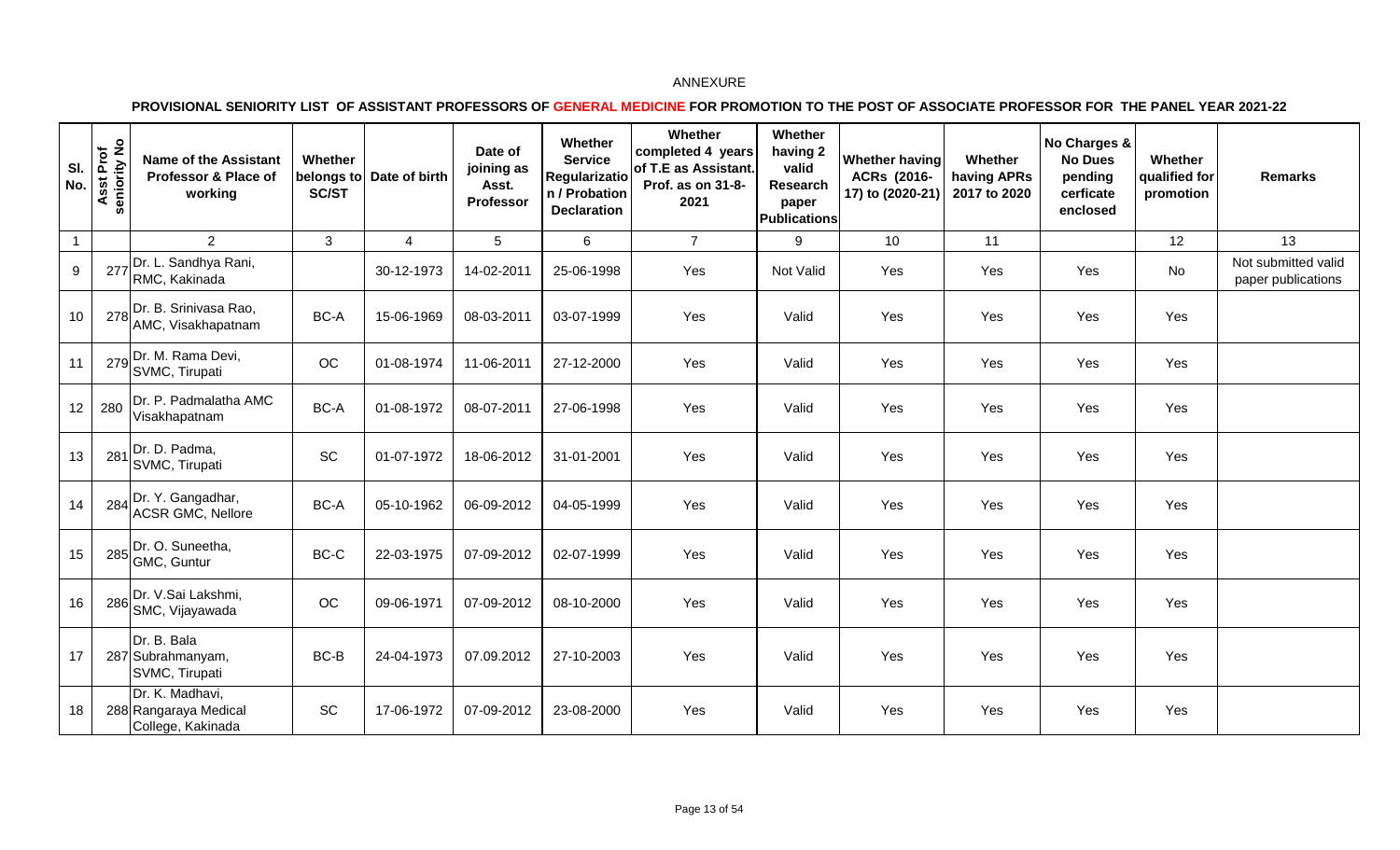| SI.<br>No.     | Asst Prof<br>seniority No | <b>Name of the Assistant</b><br>Professor & Place of<br>working | Whether<br>SC/ST | belongs to Date of birth | Date of<br>joining as<br>Asst.<br>Professor | Whether<br><b>Service</b><br>Regularizatio<br>n / Probation<br><b>Declaration</b> | Whether<br>completed 4 years<br>of T.E as Assistant.<br>Prof. as on 31-8-<br>2021 | Whether<br>having 2<br>valid<br>Research<br>paper<br><b>Publications</b> | <b>Whether having</b><br>ACRs (2016-<br>17) to (2020-21) | Whether<br>having APRs<br>2017 to 2020 | No Charges &<br><b>No Dues</b><br>pending<br>cerficate<br>enclosed | Whether<br>qualified for<br>promotion | <b>Remarks</b>                            |
|----------------|---------------------------|-----------------------------------------------------------------|------------------|--------------------------|---------------------------------------------|-----------------------------------------------------------------------------------|-----------------------------------------------------------------------------------|--------------------------------------------------------------------------|----------------------------------------------------------|----------------------------------------|--------------------------------------------------------------------|---------------------------------------|-------------------------------------------|
| $\overline{1}$ |                           | 2                                                               | 3                | $\overline{4}$           | 5                                           | 6                                                                                 | $\overline{7}$                                                                    | 9                                                                        | 10                                                       | 11                                     |                                                                    | 12                                    | 13                                        |
| 9              |                           | 277 Dr. L. Sandhya Rani,<br>RMC, Kakinada                       |                  | 30-12-1973               | 14-02-2011                                  | 25-06-1998                                                                        | Yes                                                                               | Not Valid                                                                | Yes                                                      | Yes                                    | Yes                                                                | No                                    | Not submitted valid<br>paper publications |
| 10             |                           | 278 Dr. B. Srinivasa Rao,<br>AMC, Visakhapatnam                 | BC-A             | 15-06-1969               | 08-03-2011                                  | 03-07-1999                                                                        | Yes                                                                               | Valid                                                                    | Yes                                                      | Yes                                    | Yes                                                                | Yes                                   |                                           |
| 11             |                           | $279$ Dr. M. Rama Devi,<br>SVMC, Tirupati                       | OC               | 01-08-1974               | 11-06-2011                                  | 27-12-2000                                                                        | Yes                                                                               | Valid                                                                    | Yes                                                      | Yes                                    | Yes                                                                | Yes                                   |                                           |
| 12             | 280                       | Dr. P. Padmalatha AMC<br>Visakhapatnam                          | BC-A             | 01-08-1972               | 08-07-2011                                  | 27-06-1998                                                                        | Yes                                                                               | Valid                                                                    | Yes                                                      | Yes                                    | Yes                                                                | Yes                                   |                                           |
| 13             | 281                       | Dr. D. Padma,<br>SVMC, Tirupati                                 | SC               | 01-07-1972               | 18-06-2012                                  | 31-01-2001                                                                        | Yes                                                                               | Valid                                                                    | Yes                                                      | Yes                                    | Yes                                                                | Yes                                   |                                           |
| 14             |                           | 284 Dr. Y. Gangadhar,<br><b>ACSR GMC, Nellore</b>               | BC-A             | 05-10-1962               | 06-09-2012                                  | 04-05-1999                                                                        | Yes                                                                               | Valid                                                                    | Yes                                                      | Yes                                    | Yes                                                                | Yes                                   |                                           |
| 15             |                           | $285$ Dr. O. Suneetha,<br>GMC, Guntur                           | BC-C             | 22-03-1975               | 07-09-2012                                  | 02-07-1999                                                                        | Yes                                                                               | Valid                                                                    | Yes                                                      | Yes                                    | Yes                                                                | Yes                                   |                                           |
| 16             |                           | 286 Dr. V.Sai Lakshmi,<br>SMC, Vijayawada                       | $_{\rm OC}$      | 09-06-1971               | 07-09-2012                                  | 08-10-2000                                                                        | Yes                                                                               | Valid                                                                    | Yes                                                      | Yes                                    | Yes                                                                | Yes                                   |                                           |
| 17             |                           | Dr. B. Bala<br>287 Subrahmanyam,<br>SVMC, Tirupati              | BC-B             | 24-04-1973               | 07.09.2012                                  | 27-10-2003                                                                        | Yes                                                                               | Valid                                                                    | Yes                                                      | Yes                                    | Yes                                                                | Yes                                   |                                           |
| 18             |                           | Dr. K. Madhavi,<br>288 Rangaraya Medical<br>College, Kakinada   | SC               | 17-06-1972               | 07-09-2012                                  | 23-08-2000                                                                        | Yes                                                                               | Valid                                                                    | Yes                                                      | Yes                                    | Yes                                                                | Yes                                   |                                           |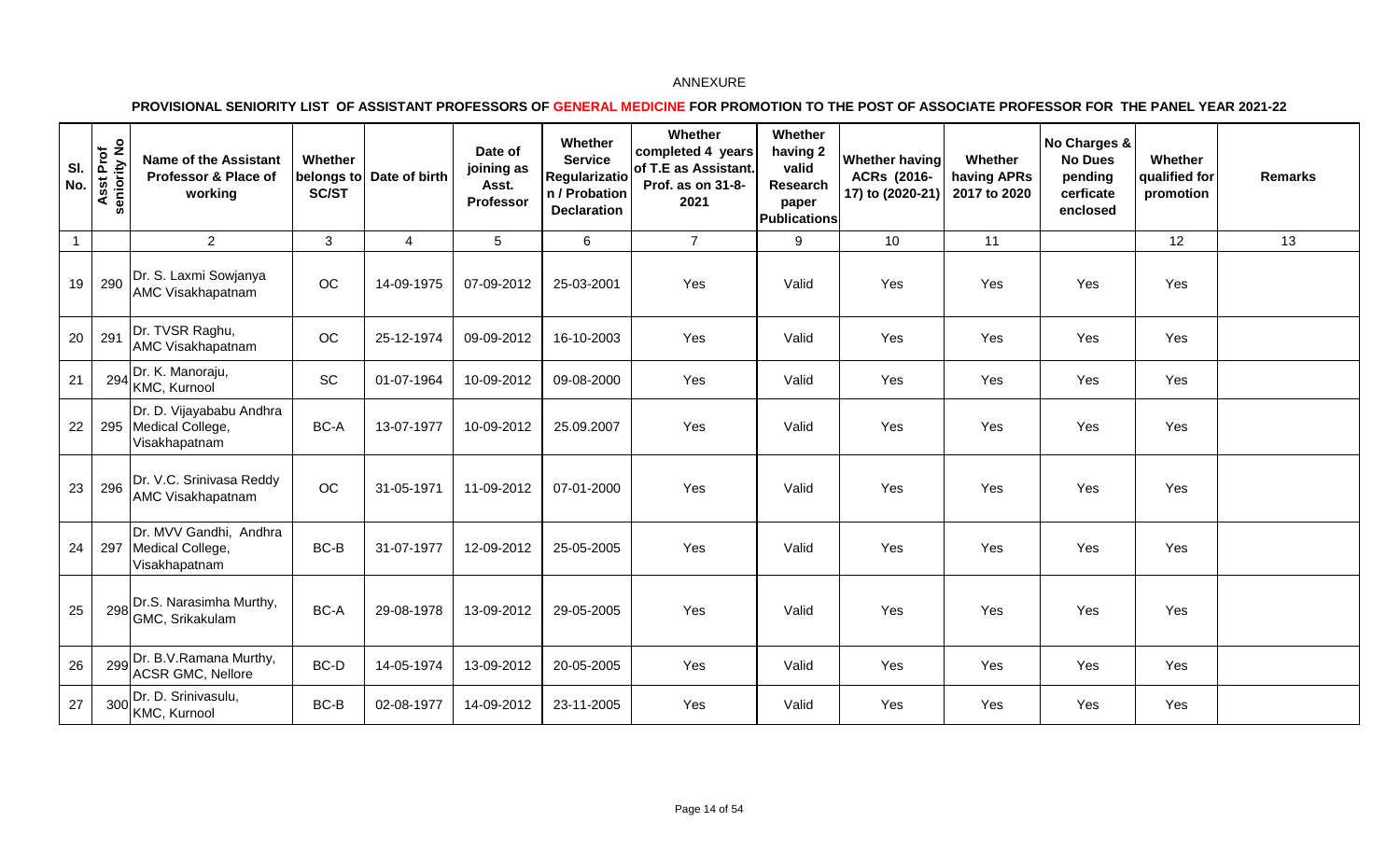| SI.<br>No.   | Asst Prof<br>seniority No<br><b>in</b> | <b>Name of the Assistant</b><br>Professor & Place of<br>working     | Whether<br>SC/ST | belongs to Date of birth | Date of<br>joining as<br>Asst.<br>Professor | Whether<br><b>Service</b><br><b>Regularizatio</b><br>n / Probation<br><b>Declaration</b> | Whether<br>completed 4 years<br>of T.E as Assistant.<br>Prof. as on 31-8-<br>2021 | Whether<br>having 2<br>valid<br>Research<br>paper<br><b>Publications</b> | Whether having<br>ACRs (2016-<br>17) to (2020-21) | Whether<br>having APRs<br>2017 to 2020 | No Charges &<br><b>No Dues</b><br>pending<br>cerficate<br>enclosed | Whether<br>qualified for<br>promotion | <b>Remarks</b> |
|--------------|----------------------------------------|---------------------------------------------------------------------|------------------|--------------------------|---------------------------------------------|------------------------------------------------------------------------------------------|-----------------------------------------------------------------------------------|--------------------------------------------------------------------------|---------------------------------------------------|----------------------------------------|--------------------------------------------------------------------|---------------------------------------|----------------|
| $\mathbf{1}$ |                                        | 2                                                                   | $\mathbf{3}$     | $\overline{4}$           | 5                                           | 6                                                                                        | $\overline{7}$                                                                    | 9                                                                        | 10                                                | 11                                     |                                                                    | 12                                    | 13             |
| 19           | 290                                    | Dr. S. Laxmi Sowjanya<br><b>AMC Visakhapatnam</b>                   | $OC$             | 14-09-1975               | 07-09-2012                                  | 25-03-2001                                                                               | Yes                                                                               | Valid                                                                    | Yes                                               | Yes                                    | Yes                                                                | Yes                                   |                |
| 20           | 291                                    | Dr. TVSR Raghu,<br><b>AMC Visakhapatnam</b>                         | OC               | 25-12-1974               | 09-09-2012                                  | 16-10-2003                                                                               | Yes                                                                               | Valid                                                                    | Yes                                               | Yes                                    | Yes                                                                | Yes                                   |                |
| 21           |                                        | $294$ Dr. K. Manoraju,<br>KMC, Kurnool                              | SC               | 01-07-1964               | 10-09-2012                                  | 09-08-2000                                                                               | Yes                                                                               | Valid                                                                    | Yes                                               | Yes                                    | Yes                                                                | Yes                                   |                |
| 22           |                                        | Dr. D. Vijayababu Andhra<br>295   Medical College,<br>Visakhapatnam | BC-A             | 13-07-1977               | 10-09-2012                                  | 25.09.2007                                                                               | Yes                                                                               | Valid                                                                    | Yes                                               | Yes                                    | Yes                                                                | Yes                                   |                |
| 23           | 296                                    | Dr. V.C. Srinivasa Reddy<br>AMC Visakhapatnam                       | $_{\rm OC}$      | 31-05-1971               | 11-09-2012                                  | 07-01-2000                                                                               | Yes                                                                               | Valid                                                                    | Yes                                               | Yes                                    | Yes                                                                | Yes                                   |                |
| 24           |                                        | Dr. MVV Gandhi, Andhra<br>297 Medical College,<br>Visakhapatnam     | BC-B             | 31-07-1977               | 12-09-2012                                  | 25-05-2005                                                                               | Yes                                                                               | Valid                                                                    | Yes                                               | Yes                                    | Yes                                                                | Yes                                   |                |
| 25           |                                        | 298 Dr.S. Narasimha Murthy,<br>GMC, Srikakulam                      | BC-A             | 29-08-1978               | 13-09-2012                                  | 29-05-2005                                                                               | Yes                                                                               | Valid                                                                    | Yes                                               | Yes                                    | Yes                                                                | Yes                                   |                |
| 26           |                                        | 299 Dr. B.V.Ramana Murthy,<br><b>ACSR GMC, Nellore</b>              | BC-D             | 14-05-1974               | 13-09-2012                                  | 20-05-2005                                                                               | Yes                                                                               | Valid                                                                    | Yes                                               | Yes                                    | Yes                                                                | Yes                                   |                |
| 27           | 300                                    | Dr. D. Srinivasulu,<br>KMC, Kurnool                                 | BC-B             | 02-08-1977               | 14-09-2012                                  | 23-11-2005                                                                               | Yes                                                                               | Valid                                                                    | Yes                                               | Yes                                    | Yes                                                                | Yes                                   |                |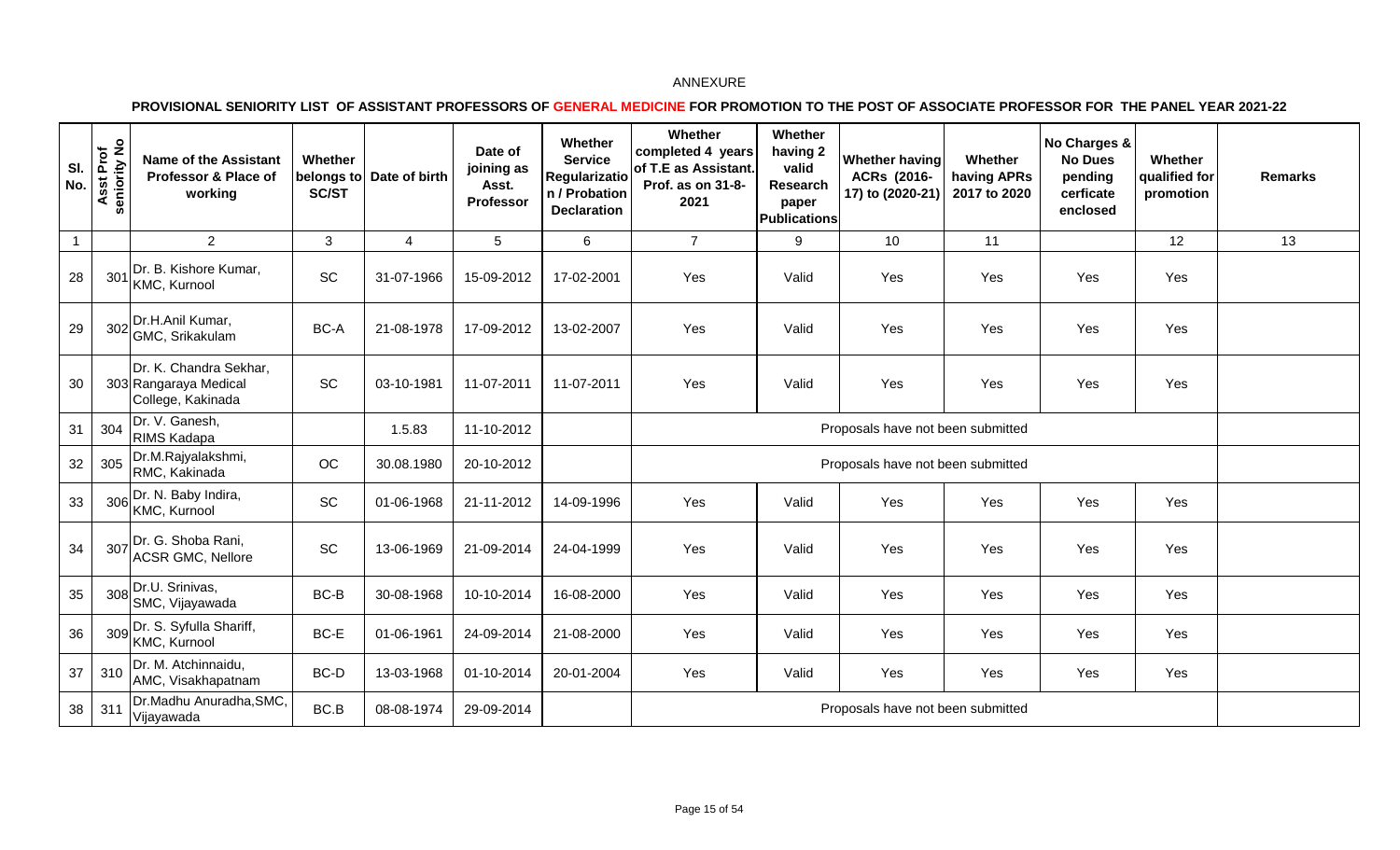| SI.<br>No.     | Asst Prof<br>seniority No | <b>Name of the Assistant</b><br>Professor & Place of<br>working      | Whether<br>SC/ST | belongs to Date of birth | Date of<br>joining as<br>Asst.<br>Professor | Whether<br><b>Service</b><br><b>Regularizatio</b><br>n / Probation<br><b>Declaration</b> | Whether<br>completed 4 years<br>of T.E as Assistant.<br>Prof. as on 31-8-<br>2021 | Whether<br>having 2<br>valid<br>Research<br>paper<br><b>Publications</b> | <b>Whether having</b><br>ACRs (2016-<br>17) to (2020-21) | Whether<br>having APRs<br>2017 to 2020 | No Charges &<br><b>No Dues</b><br>pending<br>cerficate<br>enclosed | Whether<br>qualified for<br>promotion | <b>Remarks</b> |
|----------------|---------------------------|----------------------------------------------------------------------|------------------|--------------------------|---------------------------------------------|------------------------------------------------------------------------------------------|-----------------------------------------------------------------------------------|--------------------------------------------------------------------------|----------------------------------------------------------|----------------------------------------|--------------------------------------------------------------------|---------------------------------------|----------------|
| $\overline{1}$ |                           | 2                                                                    | $\mathbf{3}$     | 4                        | 5                                           | 6                                                                                        | $\overline{7}$                                                                    | 9                                                                        | 10                                                       | 11                                     |                                                                    | 12                                    | 13             |
| 28             | 301                       | Dr. B. Kishore Kumar,<br>KMC, Kurnool                                | SC               | 31-07-1966               | 15-09-2012                                  | 17-02-2001                                                                               | Yes                                                                               | Valid                                                                    | Yes                                                      | Yes                                    | Yes                                                                | Yes                                   |                |
| 29             | 302                       | Dr.H.Anil Kumar,<br>GMC, Srikakulam                                  | BC-A             | 21-08-1978               | 17-09-2012                                  | 13-02-2007                                                                               | Yes                                                                               | Valid                                                                    | Yes                                                      | Yes                                    | Yes                                                                | Yes                                   |                |
| 30             |                           | Dr. K. Chandra Sekhar,<br>303 Rangaraya Medical<br>College, Kakinada | SC               | 03-10-1981               | 11-07-2011                                  | 11-07-2011                                                                               | Yes                                                                               | Valid                                                                    | Yes                                                      | Yes                                    | Yes                                                                | Yes                                   |                |
| 31             | 304                       | Dr. V. Ganesh,<br><b>RIMS Kadapa</b>                                 |                  | 1.5.83                   | 11-10-2012                                  |                                                                                          |                                                                                   |                                                                          | Proposals have not been submitted                        |                                        |                                                                    |                                       |                |
| 32             | 305                       | Dr.M.Rajyalakshmi,<br>RMC, Kakinada                                  | $_{\rm OC}$      | 30.08.1980               | 20-10-2012                                  |                                                                                          |                                                                                   |                                                                          | Proposals have not been submitted                        |                                        |                                                                    |                                       |                |
| 33             | 306                       | Dr. N. Baby Indira,<br>KMC, Kurnool                                  | SC               | 01-06-1968               | 21-11-2012                                  | 14-09-1996                                                                               | Yes                                                                               | Valid                                                                    | Yes                                                      | Yes                                    | Yes                                                                | Yes                                   |                |
| 34             | 307                       | Dr. G. Shoba Rani,<br><b>ACSR GMC, Nellore</b>                       | SC               | 13-06-1969               | 21-09-2014                                  | 24-04-1999                                                                               | Yes                                                                               | Valid                                                                    | Yes                                                      | Yes                                    | Yes                                                                | Yes                                   |                |
| 35             | 308                       | Dr.U. Srinivas,<br>SMC, Vijayawada                                   | BC-B             | 30-08-1968               | 10-10-2014                                  | 16-08-2000                                                                               | Yes                                                                               | Valid                                                                    | Yes                                                      | Yes                                    | Yes                                                                | Yes                                   |                |
| 36             | 309                       | Dr. S. Syfulla Shariff,<br>KMC, Kurnool                              | BC-E             | 01-06-1961               | 24-09-2014                                  | 21-08-2000                                                                               | Yes                                                                               | Valid                                                                    | Yes                                                      | Yes                                    | Yes                                                                | Yes                                   |                |
| 37             | 310                       | Dr. M. Atchinnaidu,<br>AMC, Visakhapatnam                            | BC-D             | 13-03-1968               | 01-10-2014                                  | 20-01-2004                                                                               | Yes                                                                               | Valid                                                                    | Yes                                                      | Yes                                    | Yes                                                                | Yes                                   |                |
| 38             | 311                       | Dr.Madhu Anuradha, SMC,<br>Vijayawada                                | BC.B             | 08-08-1974               | 29-09-2014                                  |                                                                                          |                                                                                   |                                                                          | Proposals have not been submitted                        |                                        |                                                                    |                                       |                |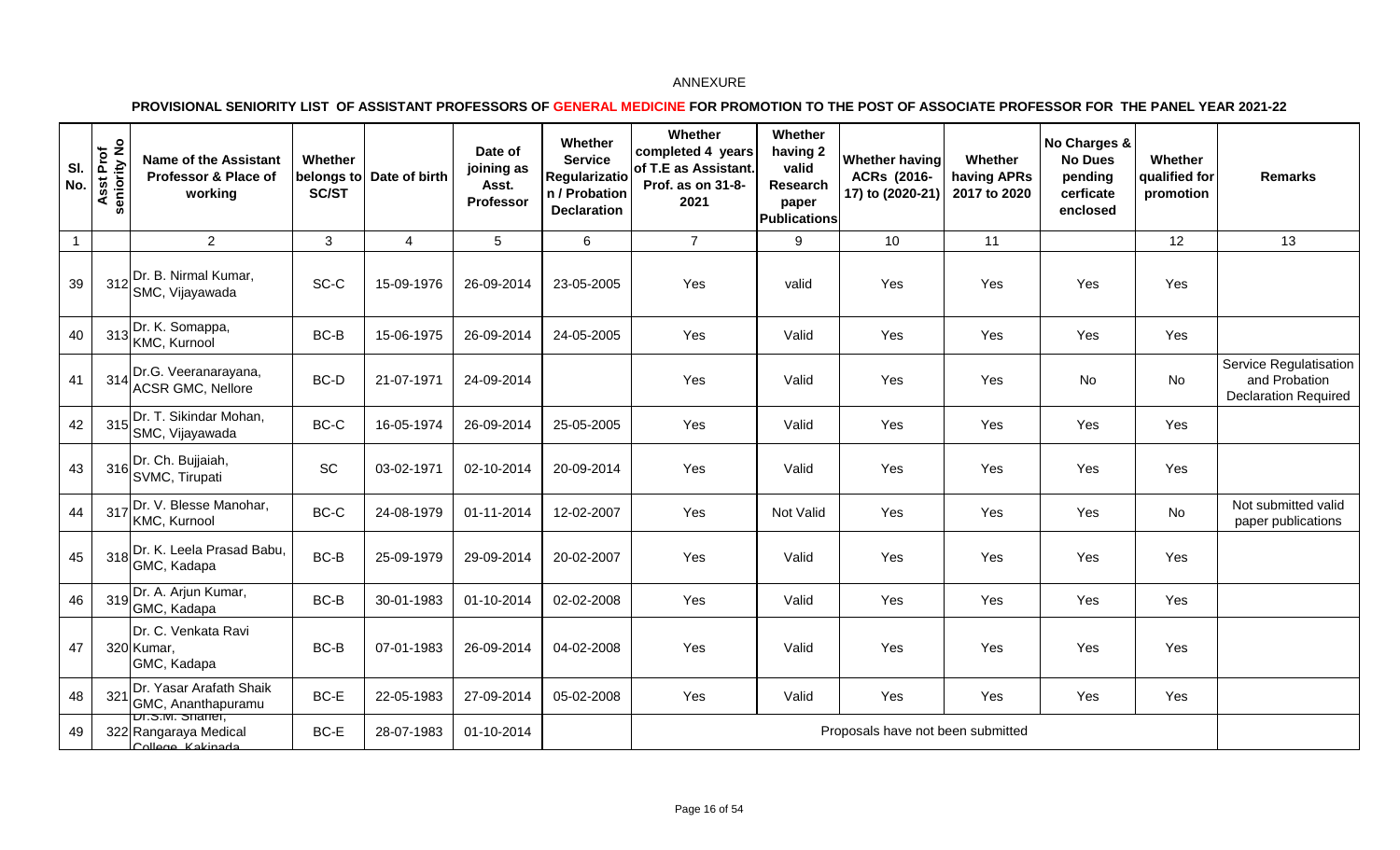| SI.<br>No.   | Asst Prof<br>seniority No | <b>Name of the Assistant</b><br>Professor & Place of<br>working          | Whether<br>SC/ST | belongs to Date of birth | Date of<br>joining as<br>Asst.<br>Professor | Whether<br><b>Service</b><br>Regularizatio<br>n / Probation<br><b>Declaration</b> | Whether<br>completed 4 years<br>of T.E as Assistant.<br>Prof. as on 31-8-<br>2021 | Whether<br>having 2<br>valid<br>Research<br>paper<br><b>Publications</b> | <b>Whether having</b><br>ACRs (2016- | Whether<br>having APRs<br>2017 to 2020 | No Charges &<br><b>No Dues</b><br>pending<br>cerficate<br>enclosed | Whether<br>qualified for<br>promotion | <b>Remarks</b>                                                         |
|--------------|---------------------------|--------------------------------------------------------------------------|------------------|--------------------------|---------------------------------------------|-----------------------------------------------------------------------------------|-----------------------------------------------------------------------------------|--------------------------------------------------------------------------|--------------------------------------|----------------------------------------|--------------------------------------------------------------------|---------------------------------------|------------------------------------------------------------------------|
| $\mathbf{1}$ |                           | $\overline{2}$                                                           | 3                | 4                        | $\sqrt{5}$                                  | 6                                                                                 | $\overline{7}$                                                                    | 9                                                                        | 10                                   | 11                                     |                                                                    | 12                                    | 13                                                                     |
| 39           |                           | 312 Dr. B. Nirmal Kumar,<br>SMC, Vijayawada                              | SC-C             | 15-09-1976               | 26-09-2014                                  | 23-05-2005                                                                        | Yes                                                                               | valid                                                                    | Yes                                  | Yes                                    | Yes                                                                | Yes                                   |                                                                        |
| 40           | 313                       | Dr. K. Somappa,<br>KMC, Kurnool                                          | BC-B             | 15-06-1975               | 26-09-2014                                  | 24-05-2005                                                                        | Yes                                                                               | Valid                                                                    | Yes                                  | Yes                                    | Yes                                                                | Yes                                   |                                                                        |
| 41           |                           | 314 Dr.G. Veeranarayana,<br>ACSR GMC, Nellore                            | BC-D             | 21-07-1971               | 24-09-2014                                  |                                                                                   | Yes                                                                               | Valid                                                                    | Yes                                  | Yes                                    | No                                                                 | No                                    | Service Regulatisation<br>and Probation<br><b>Declaration Required</b> |
| 42           |                           | 315 Dr. T. Sikindar Mohan,<br>SMC, Vijayawada                            | BC-C             | 16-05-1974               | 26-09-2014                                  | 25-05-2005                                                                        | Yes                                                                               | Valid                                                                    | Yes                                  | Yes                                    | Yes                                                                | Yes                                   |                                                                        |
| 43           |                           | 316 Dr. Ch. Bujjaiah,<br>SVMC, Tirupati                                  | SC               | 03-02-1971               | 02-10-2014                                  | 20-09-2014                                                                        | Yes                                                                               | Valid                                                                    | Yes                                  | Yes                                    | Yes                                                                | Yes                                   |                                                                        |
| 44           | 317                       | Dr. V. Blesse Manohar,<br>KMC, Kurnool                                   | BC-C             | 24-08-1979               | 01-11-2014                                  | 12-02-2007                                                                        | Yes                                                                               | Not Valid                                                                | Yes                                  | Yes                                    | Yes                                                                | No                                    | Not submitted valid<br>paper publications                              |
| 45           |                           | 318 Dr. K. Leela Prasad Babu,<br>GMC, Kadapa                             | BC-B             | 25-09-1979               | 29-09-2014                                  | 20-02-2007                                                                        | Yes                                                                               | Valid                                                                    | Yes                                  | Yes                                    | Yes                                                                | Yes                                   |                                                                        |
| 46           |                           | 319 Dr. A. Arjun Kumar,<br>GMC, Kadapa                                   | BC-B             | 30-01-1983               | 01-10-2014                                  | 02-02-2008                                                                        | Yes                                                                               | Valid                                                                    | Yes                                  | Yes                                    | Yes                                                                | Yes                                   |                                                                        |
| 47           |                           | Dr. C. Venkata Ravi<br>320 Kumar,<br>GMC, Kadapa                         | BC-B             | 07-01-1983               | 26-09-2014                                  | 04-02-2008                                                                        | Yes                                                                               | Valid                                                                    | Yes                                  | Yes                                    | Yes                                                                | Yes                                   |                                                                        |
| 48           | 321                       | Dr. Yasar Arafath Shaik<br>GMC, Ananthapuramu                            | BC-E             | 22-05-1983               | 27-09-2014                                  | 05-02-2008                                                                        | Yes                                                                               | Valid                                                                    | Yes                                  | Yes                                    | Yes                                                                | Yes                                   |                                                                        |
| 49           |                           | <del>JUT.S.M. Snanei,</del><br>322 Rangaraya Medical<br>College Kakinada | BC-E             | 28-07-1983               | 01-10-2014                                  |                                                                                   |                                                                                   |                                                                          | Proposals have not been submitted    |                                        |                                                                    |                                       |                                                                        |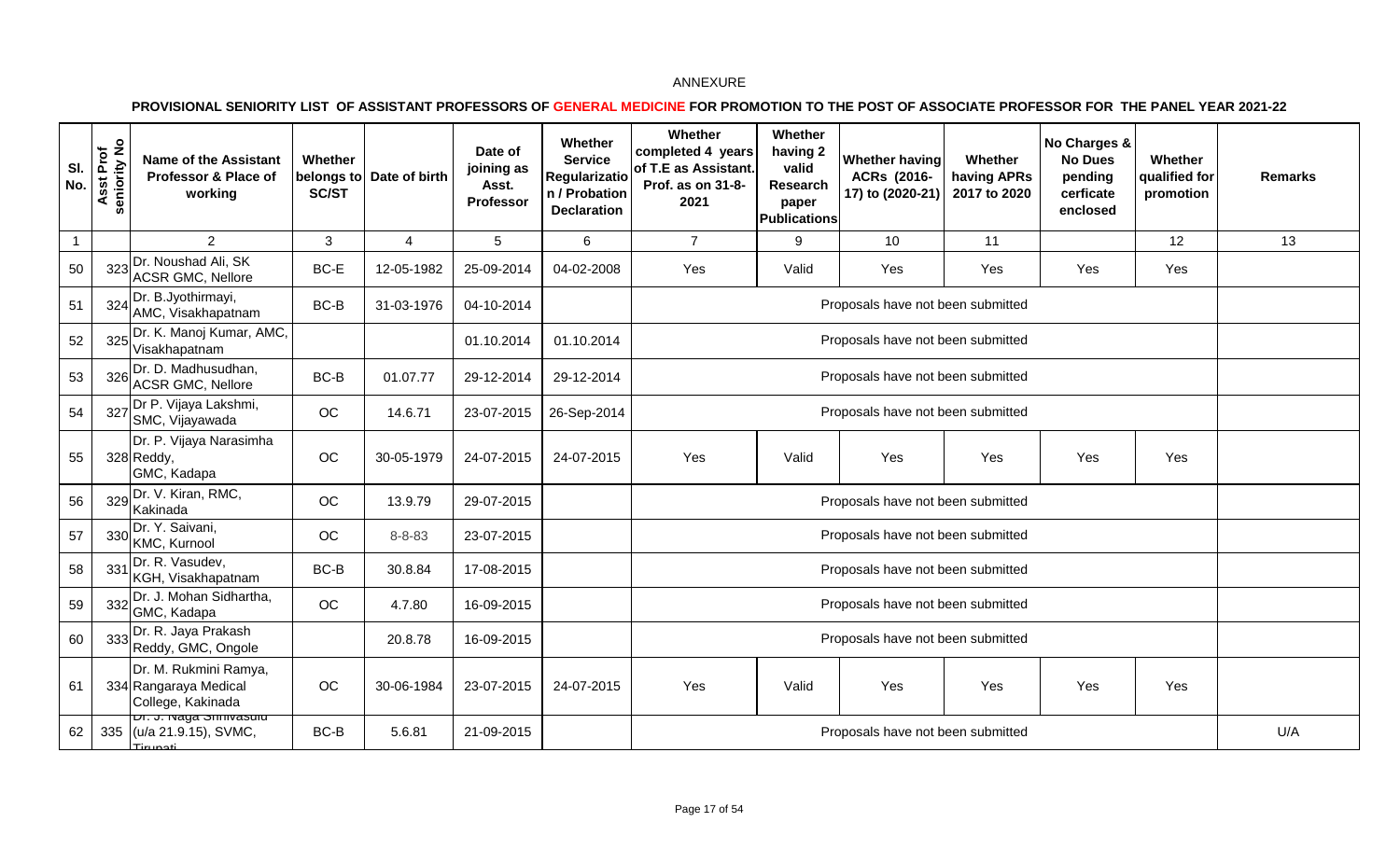| SI.<br>No.     | Asst Prof<br>seniority No<br><b>in</b> | <b>Name of the Assistant</b><br>Professor & Place of<br>working         | Whether<br><b>SC/ST</b> | belongs to Date of birth | Date of<br>joining as<br>Asst.<br>Professor | Whether<br><b>Service</b><br>Regularizatio<br>n / Probation<br><b>Declaration</b> | Whether<br>completed 4 years<br>of T.E as Assistant.<br>Prof. as on 31-8-<br>2021 | Whether<br>having 2<br>valid<br>Research<br>paper<br><b>Publications</b> | Whether having<br>ACRs (2016-<br>17) to (2020-21) | Whether<br>having APRs<br>2017 to 2020 | No Charges &<br><b>No Dues</b><br>pending<br>cerficate<br>enclosed | Whether<br>qualified for<br>promotion | <b>Remarks</b> |
|----------------|----------------------------------------|-------------------------------------------------------------------------|-------------------------|--------------------------|---------------------------------------------|-----------------------------------------------------------------------------------|-----------------------------------------------------------------------------------|--------------------------------------------------------------------------|---------------------------------------------------|----------------------------------------|--------------------------------------------------------------------|---------------------------------------|----------------|
| $\overline{1}$ |                                        | $\overline{2}$                                                          | 3                       | 4                        | 5                                           | 6                                                                                 | $\overline{7}$                                                                    | 9                                                                        | 10                                                | 11                                     |                                                                    | 12                                    | 13             |
| 50             |                                        | 323 Dr. Noushad Ali, SK<br><b>ACSR GMC, Nellore</b>                     | $BC-E$                  | 12-05-1982               | 25-09-2014                                  | 04-02-2008                                                                        | Yes                                                                               | Valid                                                                    | Yes                                               | Yes                                    | Yes                                                                | Yes                                   |                |
| 51             |                                        | 324 Dr. B.Jyothirmayi,<br>AMC, Visakhapatnam                            | BC-B                    | 31-03-1976               | 04-10-2014                                  |                                                                                   |                                                                                   |                                                                          | Proposals have not been submitted                 |                                        |                                                                    |                                       |                |
| 52             |                                        | 325 Dr. K. Manoj Kumar, AMC,<br>Visakhapatnam                           |                         |                          | 01.10.2014                                  | 01.10.2014                                                                        |                                                                                   |                                                                          | Proposals have not been submitted                 |                                        |                                                                    |                                       |                |
| 53             | 326                                    | Dr. D. Madhusudhan,<br><b>ACSR GMC, Nellore</b>                         | BC-B                    | 01.07.77                 | 29-12-2014                                  | 29-12-2014                                                                        | Proposals have not been submitted                                                 |                                                                          |                                                   |                                        |                                                                    |                                       |                |
| 54             |                                        | 327 Dr P. Vijaya Lakshmi,<br>SMC, Vijayawada                            | OC                      | 14.6.71                  | 23-07-2015                                  | 26-Sep-2014                                                                       | Proposals have not been submitted                                                 |                                                                          |                                                   |                                        |                                                                    |                                       |                |
| 55             |                                        | Dr. P. Vijaya Narasimha<br>328 Reddy,<br>GMC, Kadapa                    | OC                      | 30-05-1979               | 24-07-2015                                  | 24-07-2015                                                                        | Yes                                                                               | Valid                                                                    | Yes                                               | Yes                                    | Yes                                                                | Yes                                   |                |
| 56             |                                        | 329 Dr. V. Kiran, RMC,<br>Kakinada                                      | OC                      | 13.9.79                  | 29-07-2015                                  |                                                                                   |                                                                                   |                                                                          | Proposals have not been submitted                 |                                        |                                                                    |                                       |                |
| 57             |                                        | 330 Dr. Y. Saivani,<br>KMC, Kurnool                                     | OC                      | $8 - 8 - 83$             | 23-07-2015                                  |                                                                                   |                                                                                   |                                                                          | Proposals have not been submitted                 |                                        |                                                                    |                                       |                |
| 58             | 331                                    | Dr. R. Vasudev,<br>KGH, Visakhapatnam                                   | BC-B                    | 30.8.84                  | 17-08-2015                                  |                                                                                   |                                                                                   |                                                                          | Proposals have not been submitted                 |                                        |                                                                    |                                       |                |
| 59             |                                        | 332 Dr. J. Mohan Sidhartha,<br>GMC, Kadapa                              | OC                      | 4.7.80                   | 16-09-2015                                  |                                                                                   |                                                                                   |                                                                          | Proposals have not been submitted                 |                                        |                                                                    |                                       |                |
| 60             |                                        | 333 Dr. R. Jaya Prakash<br>Reddy, GMC, Ongole                           |                         | 20.8.78                  | 16-09-2015                                  |                                                                                   |                                                                                   |                                                                          | Proposals have not been submitted                 |                                        |                                                                    |                                       |                |
| 61             |                                        | Dr. M. Rukmini Ramya,<br>334 Rangaraya Medical<br>College, Kakinada     | OC                      | 30-06-1984               | 23-07-2015                                  | 24-07-2015                                                                        | Yes                                                                               | Valid                                                                    | Yes                                               | Yes                                    | Yes                                                                | Yes                                   |                |
| 62             |                                        | <del>ט. J. waya Sumvasulu</del><br>335 (u/a 21.9.15), SVMC,<br>Tirungti | BC-B                    | 5.6.81                   | 21-09-2015                                  |                                                                                   |                                                                                   |                                                                          | Proposals have not been submitted                 |                                        |                                                                    |                                       | U/A            |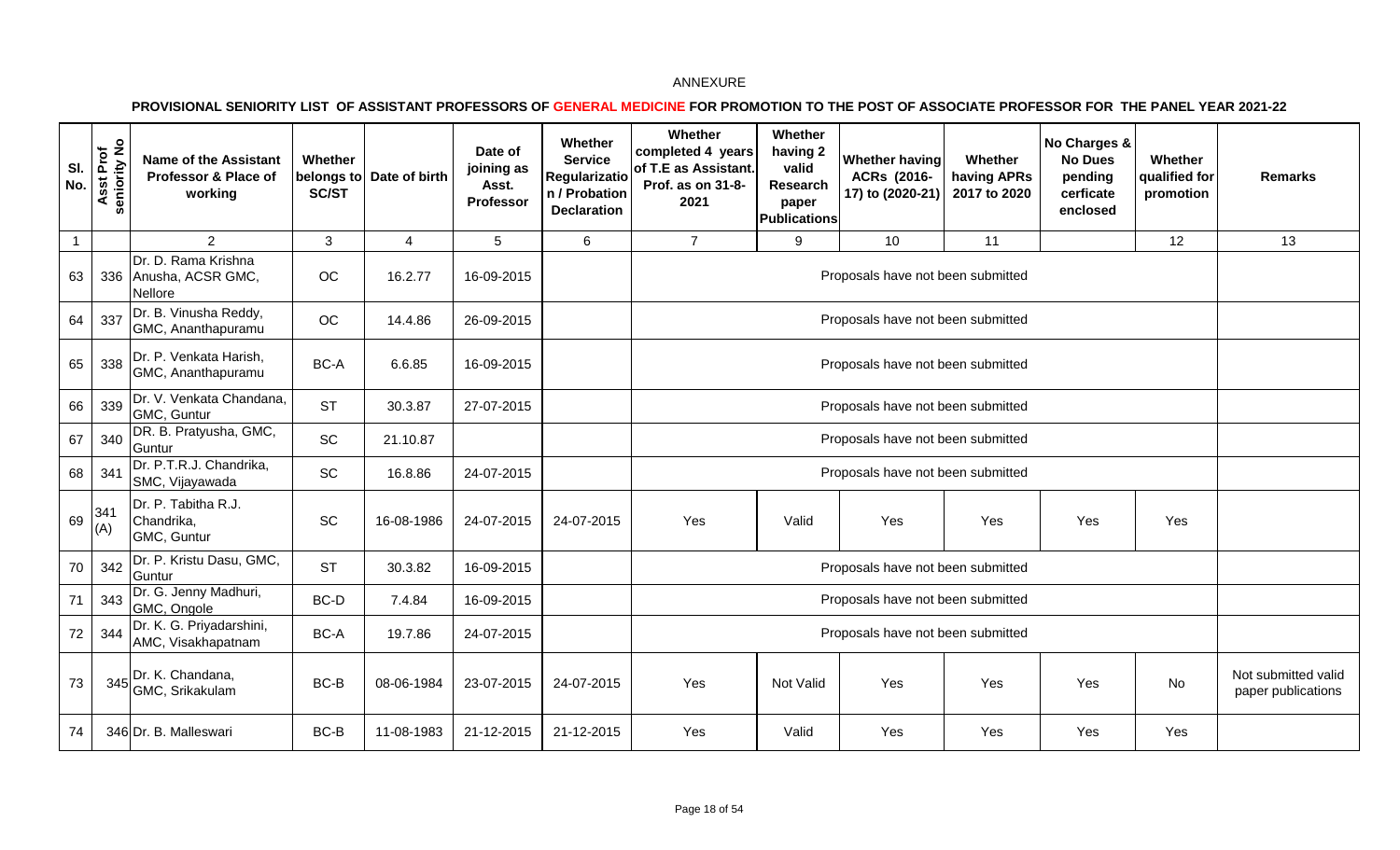| SI.<br>No.     | Asst Prof<br>eniority No<br>m | <b>Name of the Assistant</b><br>Professor & Place of<br>working | Whether<br>SC/ST | belongs to Date of birth | Date of<br>joining as<br>Asst.<br>Professor | Whether<br><b>Service</b><br><b>Regularizatio</b><br>n / Probation<br><b>Declaration</b> | Whether<br>completed 4 years<br>of T.E as Assistant.<br>Prof. as on 31-8-<br>2021 | Whether<br>having 2<br>valid<br>Research<br>paper<br><b>Publications</b> | Whether having<br>ACRs (2016-<br>17) to (2020-21) | Whether<br>having APRs<br>2017 to 2020 | No Charges &<br><b>No Dues</b><br>pending<br>cerficate<br>enclosed | Whether<br>qualified for<br>promotion | <b>Remarks</b>                            |
|----------------|-------------------------------|-----------------------------------------------------------------|------------------|--------------------------|---------------------------------------------|------------------------------------------------------------------------------------------|-----------------------------------------------------------------------------------|--------------------------------------------------------------------------|---------------------------------------------------|----------------------------------------|--------------------------------------------------------------------|---------------------------------------|-------------------------------------------|
| $\overline{1}$ |                               | $\overline{2}$                                                  | 3                | 4                        | 5                                           | 6                                                                                        | $\overline{7}$                                                                    | 9                                                                        | 10                                                | 11                                     |                                                                    | 12                                    | 13                                        |
| 63             |                               | Dr. D. Rama Krishna<br>336 Anusha, ACSR GMC,<br>Nellore         | OC               | 16.2.77                  | 16-09-2015                                  |                                                                                          |                                                                                   |                                                                          | Proposals have not been submitted                 |                                        |                                                                    |                                       |                                           |
| 64             | 337                           | Dr. B. Vinusha Reddy,<br>GMC, Ananthapuramu                     | OC               | 14.4.86                  | 26-09-2015                                  |                                                                                          |                                                                                   |                                                                          | Proposals have not been submitted                 |                                        |                                                                    |                                       |                                           |
| 65             | 338                           | Dr. P. Venkata Harish,<br>GMC, Ananthapuramu                    | BC-A             | 6.6.85                   | 16-09-2015                                  |                                                                                          |                                                                                   |                                                                          | Proposals have not been submitted                 |                                        |                                                                    |                                       |                                           |
| 66             | 339                           | Dr. V. Venkata Chandana,<br>GMC, Guntur                         | <b>ST</b>        | 30.3.87                  | 27-07-2015                                  |                                                                                          |                                                                                   |                                                                          | Proposals have not been submitted                 |                                        |                                                                    |                                       |                                           |
| 67             | 340                           | DR. B. Pratyusha, GMC,<br>Guntur                                | SC               | 21.10.87                 |                                             |                                                                                          |                                                                                   |                                                                          | Proposals have not been submitted                 |                                        |                                                                    |                                       |                                           |
| 68             | 341                           | Dr. P.T.R.J. Chandrika,<br>SMC, Vijayawada                      | SC               | 16.8.86                  | 24-07-2015                                  |                                                                                          |                                                                                   |                                                                          | Proposals have not been submitted                 |                                        |                                                                    |                                       |                                           |
| 69             | 341<br>(A)                    | Dr. P. Tabitha R.J.<br>Chandrika,<br>GMC, Guntur                | SC               | 16-08-1986               | 24-07-2015                                  | 24-07-2015                                                                               | Yes                                                                               | Valid                                                                    | Yes                                               | Yes                                    | Yes                                                                | Yes                                   |                                           |
| 70             | 342                           | Dr. P. Kristu Dasu, GMC,<br>Guntur                              | <b>ST</b>        | 30.3.82                  | 16-09-2015                                  |                                                                                          |                                                                                   |                                                                          | Proposals have not been submitted                 |                                        |                                                                    |                                       |                                           |
| 71             | 343                           | Dr. G. Jenny Madhuri,<br>GMC, Ongole                            | BC-D             | 7.4.84                   | 16-09-2015                                  |                                                                                          |                                                                                   |                                                                          | Proposals have not been submitted                 |                                        |                                                                    |                                       |                                           |
| 72             | 344                           | Dr. K. G. Priyadarshini,<br>AMC, Visakhapatnam                  | BC-A             | 19.7.86                  | 24-07-2015                                  |                                                                                          |                                                                                   |                                                                          | Proposals have not been submitted                 |                                        |                                                                    |                                       |                                           |
| 73             |                               | $345$ Dr. K. Chandana,<br>GMC, Srikakulam                       | BC-B             | 08-06-1984               | 23-07-2015                                  | 24-07-2015                                                                               | Yes                                                                               | Not Valid                                                                | Yes                                               | Yes                                    | Yes                                                                | No                                    | Not submitted valid<br>paper publications |
| 74             |                               | 346 Dr. B. Malleswari                                           | BC-B             | 11-08-1983               | 21-12-2015                                  | 21-12-2015                                                                               | Yes                                                                               | Valid                                                                    | Yes                                               | Yes                                    | Yes                                                                | Yes                                   |                                           |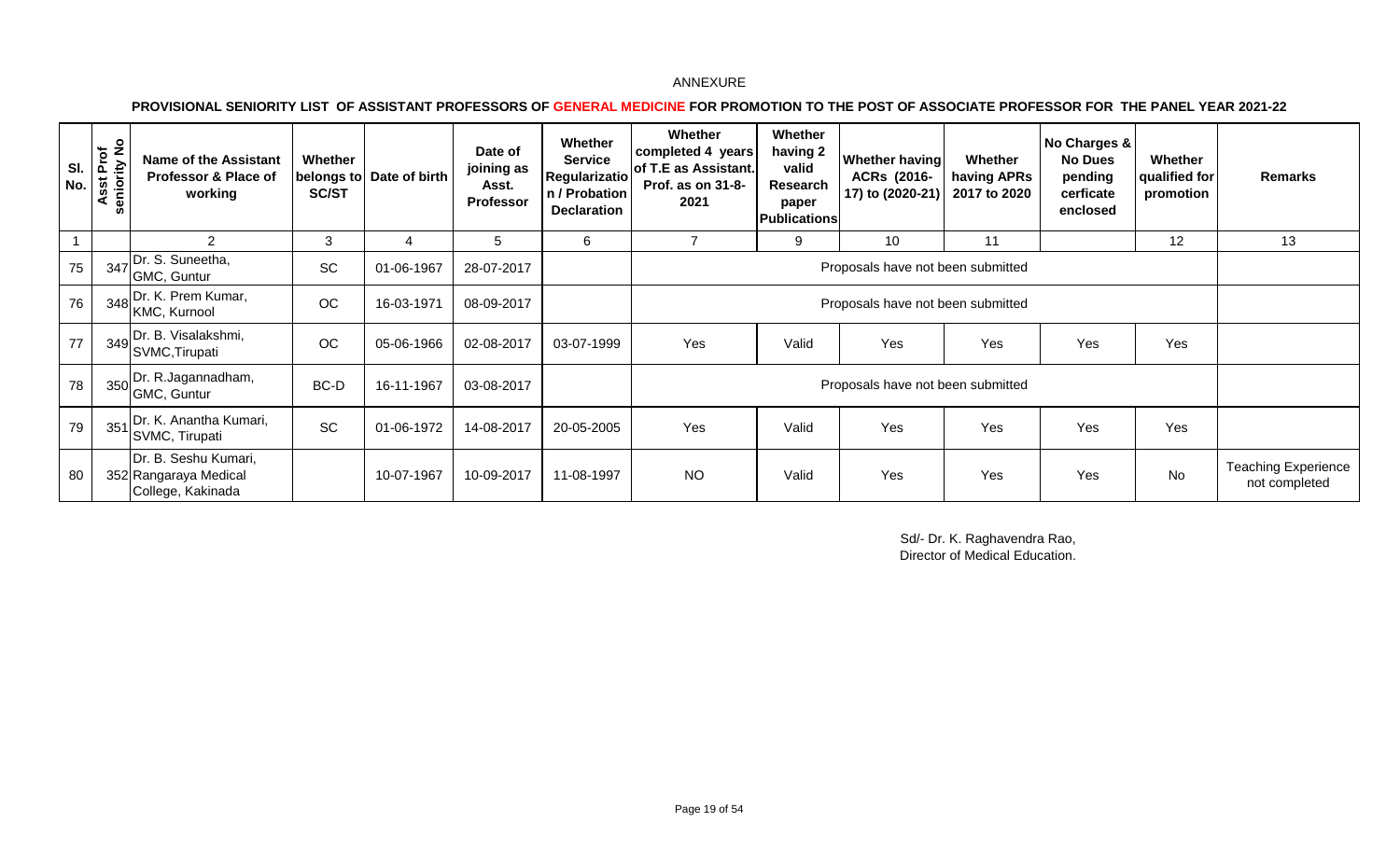**PROVISIONAL SENIORITY LIST OF ASSISTANT PROFESSORS OF GENERAL MEDICINE FOR PROMOTION TO THE POST OF ASSOCIATE PROFESSOR FOR THE PANEL YEAR 2021-22** 

| SI.<br>No. | Prof<br>ity No<br>eniority<br><b>შ</b><br>ō | <b>Name of the Assistant</b><br>Professor & Place of<br>working    | Whether<br><b>SC/ST</b> | belongs to Date of birth | Date of<br>joining as<br>Asst.<br><b>Professor</b> | Whether<br><b>Service</b><br>Regularizatio<br>n / Probation<br><b>Declaration</b> | Whether<br>completed 4 years<br>of T.E as Assistant.<br>Prof. as on 31-8-<br>2021 | Whether<br>having 2<br>valid<br><b>Research</b><br>paper<br><b>Publications</b> | Whether having<br>ACRs (2016-<br>17) to (2020-21) | Whether<br>having APRs<br>2017 to 2020 | No Charges &<br><b>No Dues</b><br>pending<br>cerficate<br>enclosed | Whether<br>qualified for<br>promotion | <b>Remarks</b>                              |
|------------|---------------------------------------------|--------------------------------------------------------------------|-------------------------|--------------------------|----------------------------------------------------|-----------------------------------------------------------------------------------|-----------------------------------------------------------------------------------|---------------------------------------------------------------------------------|---------------------------------------------------|----------------------------------------|--------------------------------------------------------------------|---------------------------------------|---------------------------------------------|
|            |                                             | 2                                                                  | 3                       | 4                        | 5                                                  | 6                                                                                 |                                                                                   | 9                                                                               | 10                                                | 11                                     |                                                                    | 12                                    | 13                                          |
| 75         | 347                                         | Dr. S. Suneetha,<br>GMC, Guntur                                    | SC                      | 01-06-1967               | 28-07-2017                                         |                                                                                   |                                                                                   |                                                                                 | Proposals have not been submitted                 |                                        |                                                                    |                                       |                                             |
| 76         |                                             | Dr. K. Prem Kumar,<br>$1 \t348$ KMC, Kurnool                       | OC                      | 16-03-1971               | 08-09-2017                                         |                                                                                   |                                                                                   |                                                                                 |                                                   |                                        |                                                                    |                                       |                                             |
| 77         |                                             | 349 Dr. B. Visalakshmi,<br>SVMC, Tirupati                          | OC                      | 05-06-1966               | 02-08-2017                                         | 03-07-1999                                                                        | Yes                                                                               | Valid                                                                           | Yes                                               | Yes                                    | Yes                                                                | Yes                                   |                                             |
| 78         |                                             | 350 Dr. R.Jagannadham,<br>GMC, Guntur                              | BC-D                    | 16-11-1967               | 03-08-2017                                         |                                                                                   |                                                                                   |                                                                                 | Proposals have not been submitted                 |                                        |                                                                    |                                       |                                             |
| 79         | 351                                         | Dr. K. Anantha Kumari,<br>SVMC, Tirupati                           | SC                      | 01-06-1972               | 14-08-2017                                         | 20-05-2005                                                                        | Yes                                                                               | Valid                                                                           | Yes                                               | Yes                                    | Yes                                                                | Yes                                   |                                             |
| 80         |                                             | Dr. B. Seshu Kumari,<br>352 Rangaraya Medical<br>College, Kakinada |                         | 10-07-1967               | 10-09-2017                                         | 11-08-1997                                                                        | <b>NO</b>                                                                         | Valid                                                                           | Yes                                               | Yes                                    | Yes                                                                | <b>No</b>                             | <b>Teaching Experience</b><br>not completed |

Sd/- Dr. K. Raghavendra Rao, Director of Medical Education.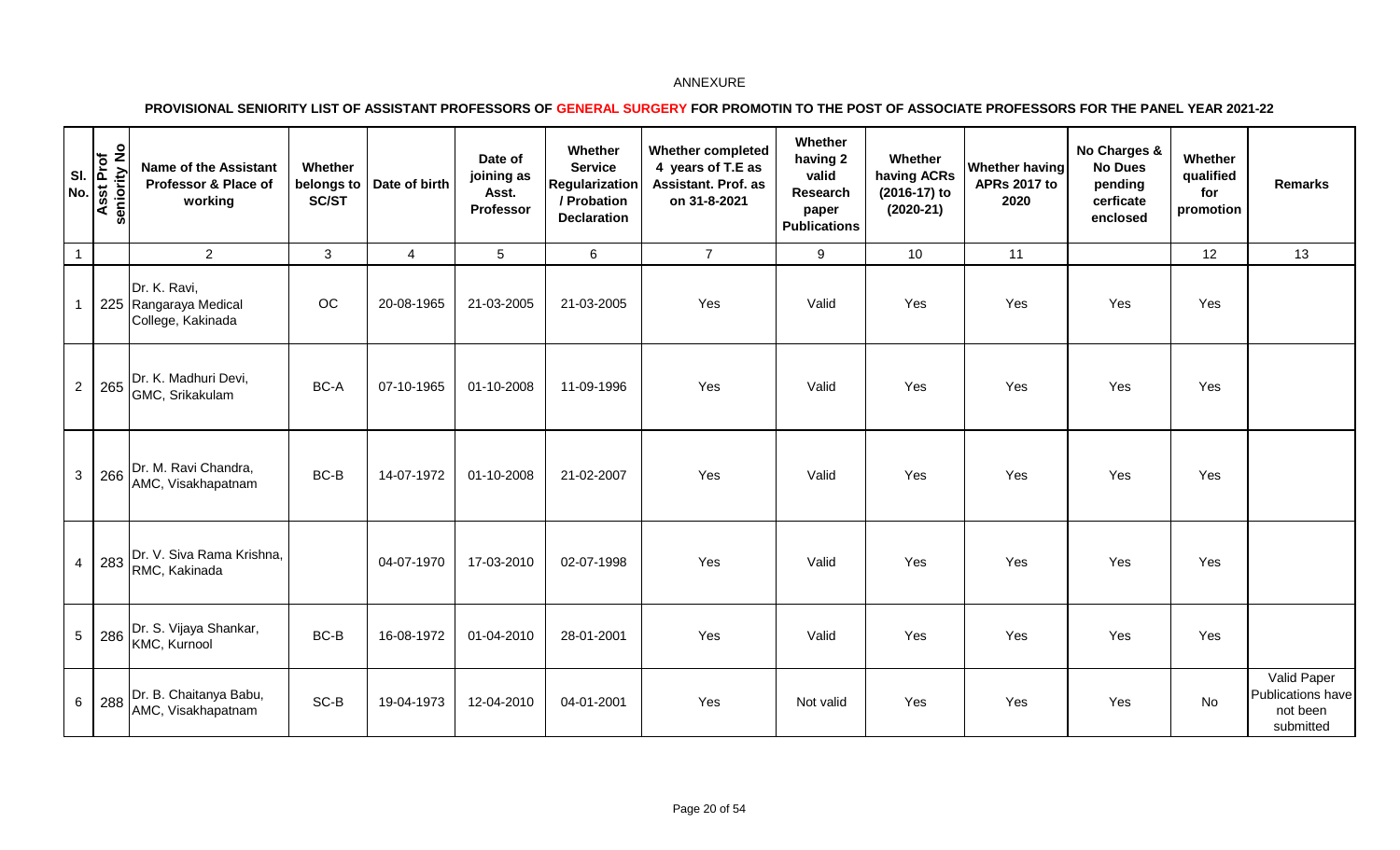|                 | on y is<br>Asst Prof<br>Seniority No<br>Ō. | <b>Name of the Assistant</b><br>Professor & Place of<br>working | Whether<br>SC/ST | belongs to   Date of birth | Date of<br>joining as<br>Asst.<br>Professor | Whether<br><b>Service</b><br>Regularization<br>/ Probation<br><b>Declaration</b> | <b>Whether completed</b><br>4 years of T.E as<br><b>Assistant. Prof. as</b><br>on 31-8-2021 | Whether<br>having 2<br>valid<br>Research<br>paper<br><b>Publications</b> | Whether<br>having ACRs<br>(2016-17) to<br>$(2020-21)$ | Whether having<br><b>APRs 2017 to</b><br>2020 | No Charges &<br><b>No Dues</b><br>pending<br>cerficate<br>enclosed | Whether<br>qualified<br>for<br>promotion | <b>Remarks</b>                                            |
|-----------------|--------------------------------------------|-----------------------------------------------------------------|------------------|----------------------------|---------------------------------------------|----------------------------------------------------------------------------------|---------------------------------------------------------------------------------------------|--------------------------------------------------------------------------|-------------------------------------------------------|-----------------------------------------------|--------------------------------------------------------------------|------------------------------------------|-----------------------------------------------------------|
| $\overline{1}$  |                                            | $\overline{2}$                                                  | 3                | $\overline{4}$             | 5                                           | 6                                                                                | $\overline{7}$                                                                              | 9                                                                        | 10                                                    | 11                                            |                                                                    | 12                                       | 13                                                        |
|                 |                                            | Dr. K. Ravi,<br>225 Rangaraya Medical<br>College, Kakinada      | OC               | 20-08-1965                 | 21-03-2005                                  | 21-03-2005                                                                       | Yes                                                                                         | Valid                                                                    | Yes                                                   | Yes                                           | Yes                                                                | Yes                                      |                                                           |
| $\overline{2}$  | 265                                        | Dr. K. Madhuri Devi,<br>GMC, Srikakulam                         | BC-A             | 07-10-1965                 | 01-10-2008                                  | 11-09-1996                                                                       | Yes                                                                                         | Valid                                                                    | Yes                                                   | Yes                                           | Yes                                                                | Yes                                      |                                                           |
| 3               |                                            | 266 Dr. M. Ravi Chandra,<br>AMC, Visakhapatnam                  | BC-B             | 14-07-1972                 | 01-10-2008                                  | 21-02-2007                                                                       | Yes                                                                                         | Valid                                                                    | Yes                                                   | Yes                                           | Yes                                                                | Yes                                      |                                                           |
| $\overline{4}$  |                                            | 283 Dr. V. Siva Rama Krishna,<br>RMC, Kakinada                  |                  | 04-07-1970                 | 17-03-2010                                  | 02-07-1998                                                                       | Yes                                                                                         | Valid                                                                    | Yes                                                   | Yes                                           | Yes                                                                | Yes                                      |                                                           |
| $5\phantom{.0}$ |                                            | 286 Dr. S. Vijaya Shankar,<br>KMC, Kurnool                      | BC-B             | 16-08-1972                 | 01-04-2010                                  | 28-01-2001                                                                       | Yes                                                                                         | Valid                                                                    | Yes                                                   | Yes                                           | Yes                                                                | Yes                                      |                                                           |
| 6               | 288                                        | Dr. B. Chaitanya Babu,<br>AMC, Visakhapatnam                    | SC-B             | 19-04-1973                 | 12-04-2010                                  | 04-01-2001                                                                       | Yes                                                                                         | Not valid                                                                | Yes                                                   | Yes                                           | Yes                                                                | No                                       | Valid Paper<br>Publications have<br>not been<br>submitted |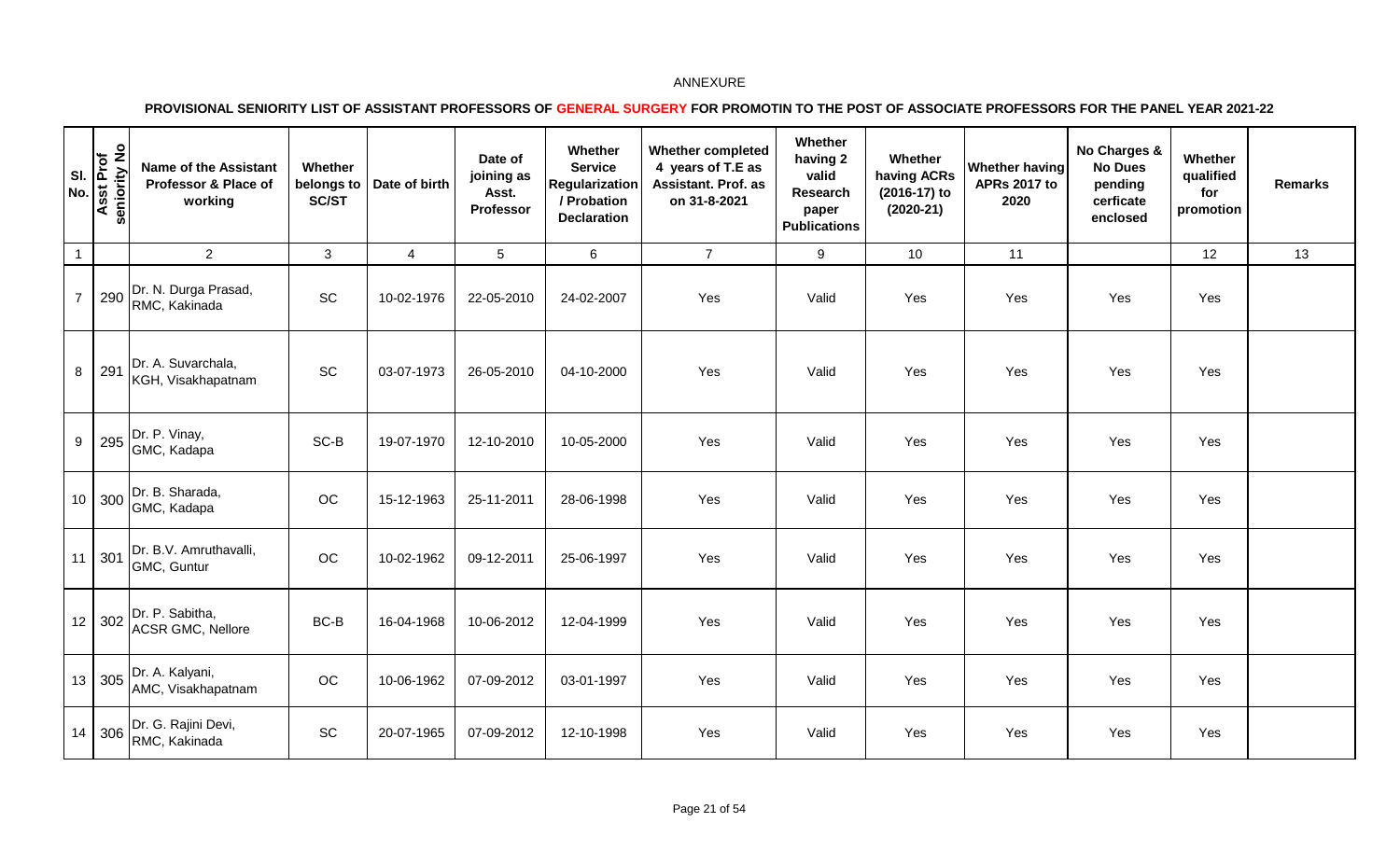| SI.<br>No.       | <b>Asst Prof</b><br>seniority No | <b>Name of the Assistant</b><br>Professor & Place of<br>working | Whether<br>belongs to<br>SC/ST | Date of birth  | Date of<br>joining as<br>Asst.<br>Professor | Whether<br><b>Service</b><br>Regularization<br>/ Probation<br><b>Declaration</b> | <b>Whether completed</b><br>4 years of T.E as<br>Assistant. Prof. as<br>on 31-8-2021 | Whether<br>having 2<br>valid<br>Research<br>paper<br><b>Publications</b> | Whether<br>having ACRs<br>(2016-17) to<br>$(2020-21)$ | Whether having<br><b>APRs 2017 to</b><br>2020 | No Charges &<br><b>No Dues</b><br>pending<br>cerficate<br>enclosed | Whether<br>qualified<br>for<br>promotion | <b>Remarks</b> |
|------------------|----------------------------------|-----------------------------------------------------------------|--------------------------------|----------------|---------------------------------------------|----------------------------------------------------------------------------------|--------------------------------------------------------------------------------------|--------------------------------------------------------------------------|-------------------------------------------------------|-----------------------------------------------|--------------------------------------------------------------------|------------------------------------------|----------------|
| $\mathbf{1}$     |                                  | $\overline{2}$                                                  | 3                              | $\overline{4}$ | 5                                           | $\,6\,$                                                                          | $\overline{7}$                                                                       | 9                                                                        | 10                                                    | 11                                            |                                                                    | 12                                       | 13             |
| $\overline{7}$   | 290                              | Dr. N. Durga Prasad,<br>RMC, Kakinada                           | SC                             | 10-02-1976     | 22-05-2010                                  | 24-02-2007                                                                       | Yes                                                                                  | Valid                                                                    | Yes                                                   | Yes                                           | Yes                                                                | Yes                                      |                |
| 8                | 291                              | Dr. A. Suvarchala,<br>KGH, Visakhapatnam                        | SC                             | 03-07-1973     | 26-05-2010                                  | 04-10-2000                                                                       | Yes                                                                                  | Valid                                                                    | Yes                                                   | Yes                                           | Yes                                                                | Yes                                      |                |
| $\boldsymbol{9}$ | 295                              | Dr. P. Vinay,<br>GMC, Kadapa                                    | $SC-B$                         | 19-07-1970     | 12-10-2010                                  | 10-05-2000                                                                       | Yes                                                                                  | Valid                                                                    | Yes                                                   | Yes                                           | Yes                                                                | Yes                                      |                |
|                  | 10   300                         | Dr. B. Sharada,<br>GMC, Kadapa                                  | OC                             | 15-12-1963     | 25-11-2011                                  | 28-06-1998                                                                       | Yes                                                                                  | Valid                                                                    | Yes                                                   | Yes                                           | Yes                                                                | Yes                                      |                |
|                  | 11 301                           | Dr. B.V. Amruthavalli,<br>GMC, Guntur                           | OC                             | 10-02-1962     | 09-12-2011                                  | 25-06-1997                                                                       | Yes                                                                                  | Valid                                                                    | Yes                                                   | Yes                                           | Yes                                                                | Yes                                      |                |
|                  |                                  | 12 302 Dr. P. Sabitha,<br><b>ACSR GMC, Nellore</b>              | BC-B                           | 16-04-1968     | 10-06-2012                                  | 12-04-1999                                                                       | Yes                                                                                  | Valid                                                                    | Yes                                                   | Yes                                           | Yes                                                                | Yes                                      |                |
|                  | 13 305                           | Dr. A. Kalyani,<br>AMC, Visakhapatnam                           | OC                             | 10-06-1962     | 07-09-2012                                  | 03-01-1997                                                                       | Yes                                                                                  | Valid                                                                    | Yes                                                   | Yes                                           | Yes                                                                | Yes                                      |                |
|                  | 14 306                           | Dr. G. Rajini Devi,<br>RMC, Kakinada                            | SC                             | 20-07-1965     | 07-09-2012                                  | 12-10-1998                                                                       | Yes                                                                                  | Valid                                                                    | Yes                                                   | Yes                                           | Yes                                                                | Yes                                      |                |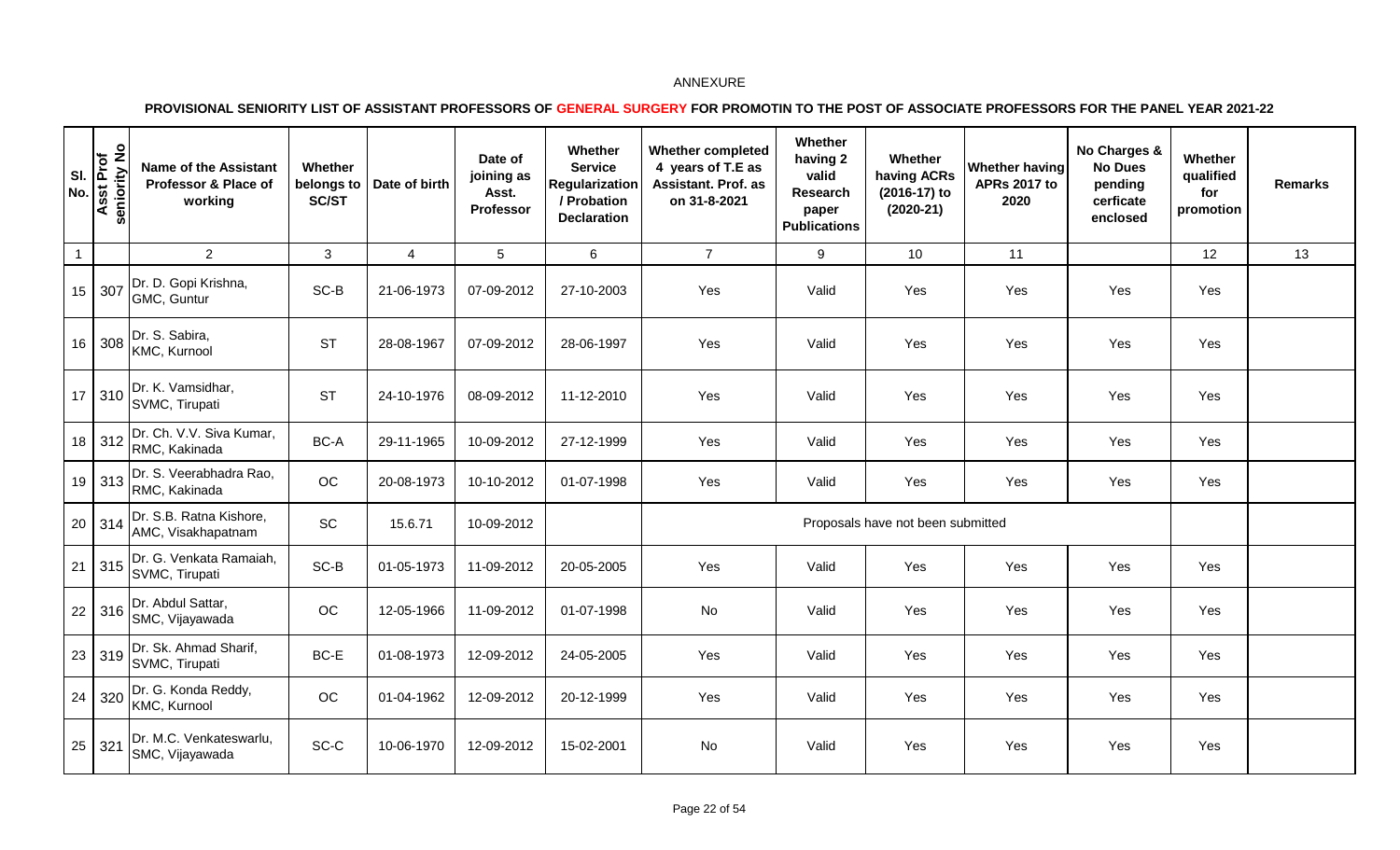|              | <b>z</b> or <b>produced</b><br>isst Prof<br>niority No<br>seni<br>⋖ | <b>Name of the Assistant</b><br>Professor & Place of<br>working                  | Whether<br>belongs to<br>SC/ST | Date of birth  | Date of<br>joining as<br>Asst.<br>Professor | Whether<br><b>Service</b><br>Regularization<br>/ Probation<br><b>Declaration</b> | <b>Whether completed</b><br>4 years of T.E as<br>Assistant. Prof. as<br>on 31-8-2021 | Whether<br>having 2<br>valid<br>Research<br>paper<br><b>Publications</b> | Whether<br>having ACRs<br>(2016-17) to<br>$(2020-21)$ | Whether having<br><b>APRs 2017 to</b><br>2020 | No Charges &<br><b>No Dues</b><br>pending<br>cerficate<br>enclosed | Whether<br>qualified<br>for<br>promotion | <b>Remarks</b> |
|--------------|---------------------------------------------------------------------|----------------------------------------------------------------------------------|--------------------------------|----------------|---------------------------------------------|----------------------------------------------------------------------------------|--------------------------------------------------------------------------------------|--------------------------------------------------------------------------|-------------------------------------------------------|-----------------------------------------------|--------------------------------------------------------------------|------------------------------------------|----------------|
| $\mathbf{1}$ |                                                                     | $\overline{2}$                                                                   | 3                              | $\overline{4}$ | 5                                           | $6\phantom{1}$                                                                   | $\overline{7}$                                                                       | 9                                                                        | 10 <sup>1</sup>                                       | 11                                            |                                                                    | 12                                       | 13             |
|              | 15 307                                                              | Dr. D. Gopi Krishna,<br>GMC, Guntur                                              | $SC-B$                         | 21-06-1973     | 07-09-2012                                  | 27-10-2003                                                                       | Yes                                                                                  | Valid                                                                    | Yes                                                   | Yes                                           | Yes                                                                | Yes                                      |                |
|              | 16 308                                                              | Dr. S. Sabira,<br>KMC, Kurnool                                                   | <b>ST</b>                      | 28-08-1967     | 07-09-2012                                  | 28-06-1997                                                                       | Yes                                                                                  | Valid                                                                    | Yes                                                   | Yes                                           | Yes                                                                | Yes                                      |                |
|              |                                                                     | 17 310 $\int_{0}^{\infty}$ SIC S <sub>1</sub> + C <sub>1</sub><br>SVMC, Tirupati | <b>ST</b>                      | 24-10-1976     | 08-09-2012                                  | 11-12-2010                                                                       | Yes                                                                                  | Valid                                                                    | Yes                                                   | Yes                                           | Yes                                                                | Yes                                      |                |
|              | $18$ 312                                                            | Dr. Ch. V.V. Siva Kumar,<br>RMC, Kakinada                                        | $BC-A$                         | 29-11-1965     | 10-09-2012                                  | 27-12-1999                                                                       | Yes                                                                                  | Valid                                                                    | Yes                                                   | Yes                                           | Yes                                                                | Yes                                      |                |
|              | 19   313                                                            | Dr. S. Veerabhadra Rao,<br>RMC, Kakinada                                         | OC                             | 20-08-1973     | 10-10-2012                                  | 01-07-1998                                                                       | Yes                                                                                  | Valid                                                                    | Yes                                                   | Yes                                           | Yes                                                                | Yes                                      |                |
|              | 20 314                                                              | Dr. S.B. Ratna Kishore,<br>AMC, Visakhapatnam                                    | SC                             | 15.6.71        | 10-09-2012                                  |                                                                                  |                                                                                      |                                                                          | Proposals have not been submitted                     |                                               |                                                                    |                                          |                |
|              | $21 \mid 315$                                                       | Dr. G. Venkata Ramaiah,<br>SVMC, Tirupati                                        | SC-B                           | 01-05-1973     | 11-09-2012                                  | 20-05-2005                                                                       | Yes                                                                                  | Valid                                                                    | Yes                                                   | Yes                                           | Yes                                                                | Yes                                      |                |
|              | $22 \mid 316 \mid$                                                  | Dr. Abdul Sattar,<br>SMC, Vijayawada                                             | $OC$                           | 12-05-1966     | 11-09-2012                                  | 01-07-1998                                                                       | No                                                                                   | Valid                                                                    | Yes                                                   | Yes                                           | Yes                                                                | Yes                                      |                |
|              | $23 \mid 319$                                                       | Dr. Sk. Ahmad Sharif,<br>SVMC, Tirupati                                          | BC-E                           | 01-08-1973     | 12-09-2012                                  | 24-05-2005                                                                       | Yes                                                                                  | Valid                                                                    | Yes                                                   | Yes                                           | Yes                                                                | Yes                                      |                |
|              | $24 \mid 320$                                                       | Dr. G. Konda Reddy,<br>KMC, Kurnool                                              | OC                             | 01-04-1962     | 12-09-2012                                  | 20-12-1999                                                                       | Yes                                                                                  | Valid                                                                    | Yes                                                   | Yes                                           | Yes                                                                | Yes                                      |                |
|              | $25 \mid 321$                                                       | Dr. M.C. Venkateswarlu,<br>SMC, Vijayawada                                       | $SC-C$                         | 10-06-1970     | 12-09-2012                                  | 15-02-2001                                                                       | No                                                                                   | Valid                                                                    | Yes                                                   | Yes                                           | Yes                                                                | Yes                                      |                |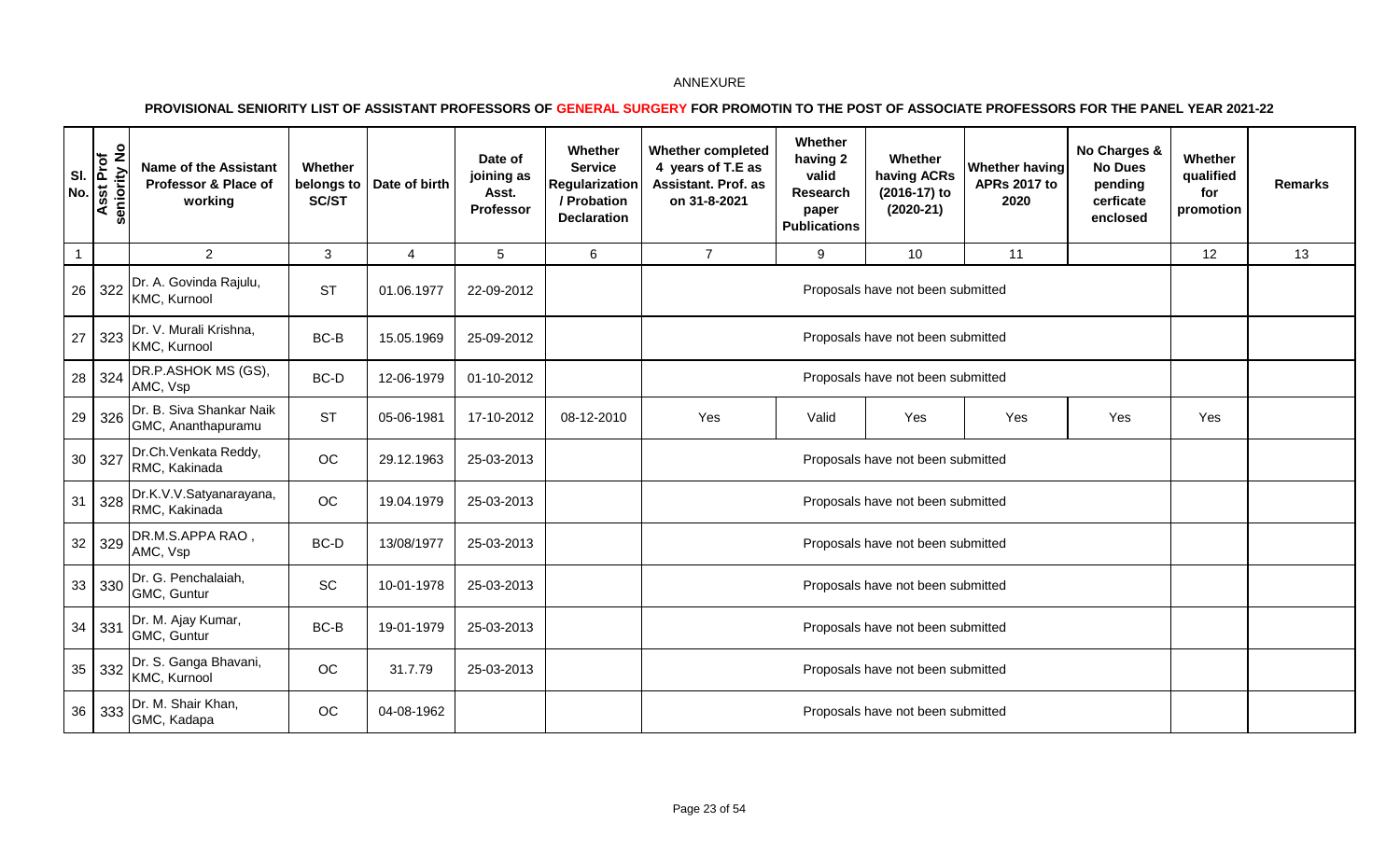| SI.<br><b>No</b> | $\frac{1}{2}$<br>Asst Prof<br>seniority | <b>Name of the Assistant</b><br>Professor & Place of<br>working | Whether<br>belongs to<br>SC/ST | Date of birth | Date of<br>joining as<br>Asst.<br>Professor | Whether<br><b>Service</b><br>Regularization<br>/ Probation<br><b>Declaration</b> | <b>Whether completed</b><br>4 years of T.E as<br>Assistant. Prof. as<br>on 31-8-2021                 | Whether<br>having 2<br>valid<br>Research<br>paper<br><b>Publications</b> | Whether<br>having ACRs<br>(2016-17) to<br>$(2020-21)$ | <b>Whether having</b><br><b>APRs 2017 to</b><br>2020 | No Charges &<br><b>No Dues</b><br>pending<br>cerficate<br>enclosed | Whether<br>qualified<br>for<br>promotion | <b>Remarks</b> |
|------------------|-----------------------------------------|-----------------------------------------------------------------|--------------------------------|---------------|---------------------------------------------|----------------------------------------------------------------------------------|------------------------------------------------------------------------------------------------------|--------------------------------------------------------------------------|-------------------------------------------------------|------------------------------------------------------|--------------------------------------------------------------------|------------------------------------------|----------------|
| $\mathbf{1}$     |                                         | $\overline{2}$                                                  | 3                              | 4             | 5                                           | 6                                                                                | $\overline{7}$                                                                                       | 9                                                                        | 10                                                    | 11                                                   |                                                                    | 12                                       | 13             |
| 26               | 322                                     | Dr. A. Govinda Rajulu,<br>KMC, Kurnool                          | <b>ST</b>                      | 01.06.1977    | 22-09-2012                                  |                                                                                  |                                                                                                      |                                                                          | Proposals have not been submitted                     |                                                      |                                                                    |                                          |                |
| 27               | 323                                     | Dr. V. Murali Krishna,<br>KMC, Kurnool                          | BC-B                           | 15.05.1969    | 25-09-2012                                  |                                                                                  |                                                                                                      |                                                                          |                                                       |                                                      |                                                                    |                                          |                |
| 28               | 324                                     | DR.P.ASHOK MS (GS),<br>AMC, Vsp                                 | BC-D                           | 12-06-1979    | 01-10-2012                                  |                                                                                  | Proposals have not been submitted<br>Proposals have not been submitted<br>Yes<br>Yes<br>Valid<br>Yes |                                                                          |                                                       |                                                      |                                                                    |                                          |                |
| 29               | 326                                     | Dr. B. Siva Shankar Naik<br>GMC, Ananthapuramu                  | <b>ST</b>                      | 05-06-1981    | 17-10-2012                                  | 08-12-2010                                                                       |                                                                                                      |                                                                          |                                                       |                                                      | Yes                                                                | Yes                                      |                |
| 30               | 327                                     | Dr.Ch.Venkata Reddy,<br>RMC, Kakinada                           | <b>OC</b>                      | 29.12.1963    | 25-03-2013                                  |                                                                                  |                                                                                                      |                                                                          | Proposals have not been submitted                     |                                                      |                                                                    |                                          |                |
| 31               | 328                                     | Dr.K.V.V.Satyanarayana,<br>RMC, Kakinada                        | OC                             | 19.04.1979    | 25-03-2013                                  |                                                                                  |                                                                                                      |                                                                          | Proposals have not been submitted                     |                                                      |                                                                    |                                          |                |
| 32               | 329                                     | DR.M.S.APPA RAO,<br>AMC, Vsp                                    | BC-D                           | 13/08/1977    | 25-03-2013                                  |                                                                                  |                                                                                                      |                                                                          | Proposals have not been submitted                     |                                                      |                                                                    |                                          |                |
| 33               | 330                                     | Dr. G. Penchalaiah,<br>GMC, Guntur                              | <b>SC</b>                      | 10-01-1978    | 25-03-2013                                  |                                                                                  |                                                                                                      |                                                                          | Proposals have not been submitted                     |                                                      |                                                                    |                                          |                |
| 34               | 331                                     | Dr. M. Ajay Kumar,<br>GMC, Guntur                               | BC-B                           | 19-01-1979    | 25-03-2013                                  |                                                                                  |                                                                                                      |                                                                          | Proposals have not been submitted                     |                                                      |                                                                    |                                          |                |
| 35               | 332                                     | Dr. S. Ganga Bhavani,<br>KMC, Kurnool                           | OC                             | 31.7.79       | 25-03-2013                                  |                                                                                  |                                                                                                      |                                                                          | Proposals have not been submitted                     |                                                      |                                                                    |                                          |                |
| 36               | 333                                     | Dr. M. Shair Khan,<br>GMC, Kadapa                               | OC                             | 04-08-1962    |                                             |                                                                                  |                                                                                                      |                                                                          | Proposals have not been submitted                     |                                                      |                                                                    |                                          |                |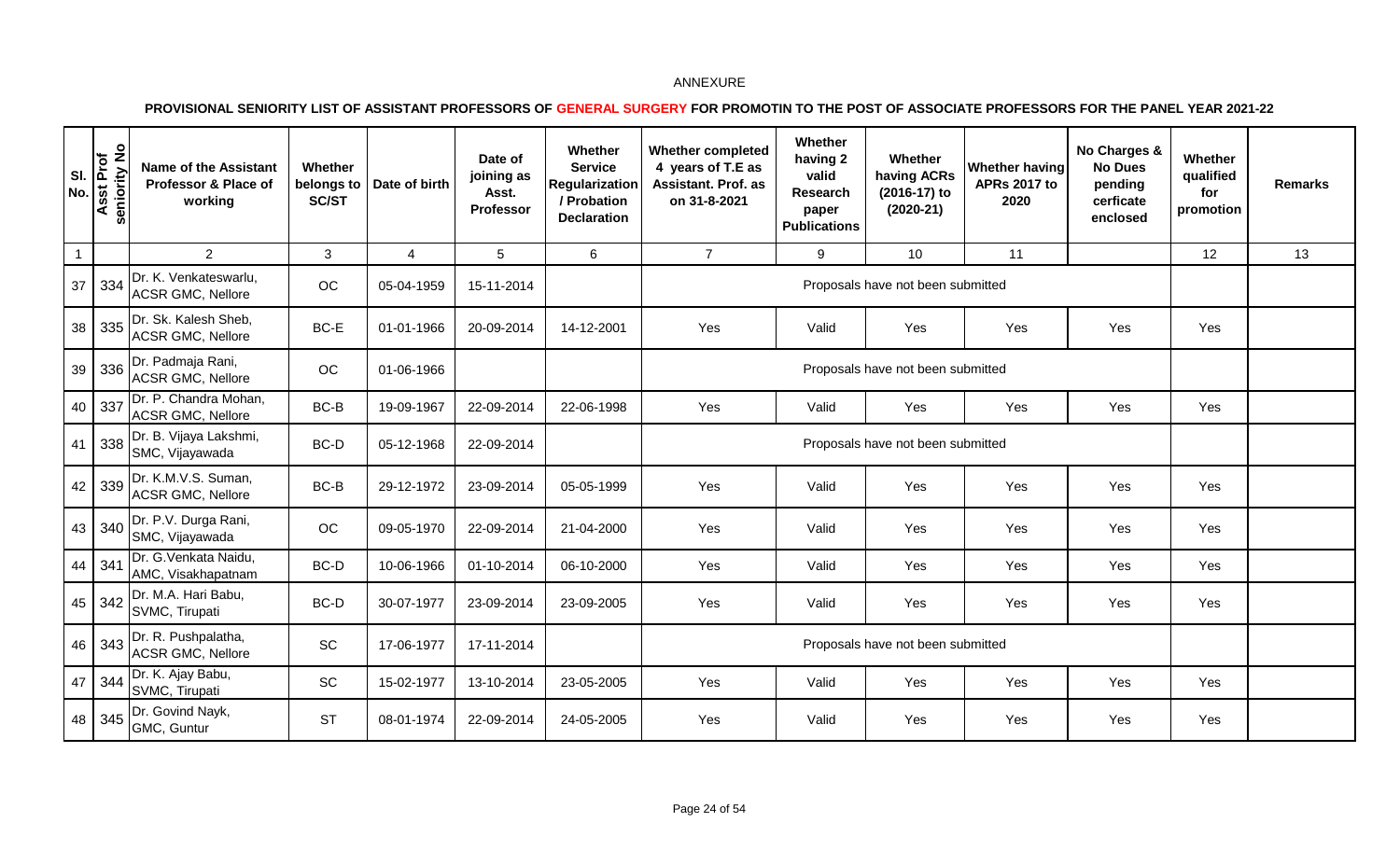| SI.<br><b>No</b> | $\frac{1}{2}$<br>Asst Prof<br>seniority | <b>Name of the Assistant</b><br>Professor & Place of<br>working | Whether<br>belongs to<br>SC/ST | Date of birth | Date of<br>joining as<br>Asst.<br><b>Professor</b> | Whether<br><b>Service</b><br>Regularization<br>/ Probation<br><b>Declaration</b> | <b>Whether completed</b><br>4 years of T.E as<br>Assistant. Prof. as<br>on 31-8-2021 | Whether<br>having 2<br>valid<br>Research<br>paper<br><b>Publications</b> | Whether<br>having ACRs<br>(2016-17) to<br>$(2020-21)$ | <b>Whether having</b><br><b>APRs 2017 to</b><br>2020 | No Charges &<br><b>No Dues</b><br>pending<br>cerficate<br>enclosed | Whether<br>qualified<br>for<br>promotion | <b>Remarks</b> |
|------------------|-----------------------------------------|-----------------------------------------------------------------|--------------------------------|---------------|----------------------------------------------------|----------------------------------------------------------------------------------|--------------------------------------------------------------------------------------|--------------------------------------------------------------------------|-------------------------------------------------------|------------------------------------------------------|--------------------------------------------------------------------|------------------------------------------|----------------|
| $\mathbf{1}$     |                                         | $\overline{2}$                                                  | 3                              | 4             | 5                                                  | 6                                                                                | $\overline{7}$                                                                       | 9                                                                        | 10 <sup>°</sup>                                       | 11                                                   |                                                                    | 12                                       | 13             |
| 37               | 334                                     | Dr. K. Venkateswarlu,<br><b>ACSR GMC, Nellore</b>               | OC                             | 05-04-1959    | 15-11-2014                                         |                                                                                  |                                                                                      |                                                                          | Proposals have not been submitted                     |                                                      |                                                                    |                                          |                |
| 38               | 335                                     | Dr. Sk. Kalesh Sheb,<br><b>ACSR GMC, Nellore</b>                | BC-E                           | 01-01-1966    | 20-09-2014                                         | 14-12-2001                                                                       | Yes                                                                                  | Valid                                                                    | Yes                                                   | Yes                                                  | Yes                                                                | Yes                                      |                |
| 39               | 336                                     | Dr. Padmaja Rani,<br><b>ACSR GMC, Nellore</b>                   | OC                             | 01-06-1966    |                                                    |                                                                                  |                                                                                      |                                                                          | Proposals have not been submitted                     |                                                      |                                                                    |                                          |                |
| 40               | 337                                     | Dr. P. Chandra Mohan,<br><b>ACSR GMC, Nellore</b>               | $BC-B$                         | 19-09-1967    | 22-09-2014                                         | 22-06-1998                                                                       | Yes                                                                                  | Valid                                                                    | Yes                                                   | Yes                                                  | Yes                                                                | Yes                                      |                |
| 41               | 338                                     | Dr. B. Vijaya Lakshmi,<br>SMC, Vijayawada                       | BC-D                           | 05-12-1968    | 22-09-2014                                         |                                                                                  |                                                                                      |                                                                          | Proposals have not been submitted                     |                                                      |                                                                    |                                          |                |
| 42               | 339                                     | Dr. K.M.V.S. Suman,<br><b>ACSR GMC, Nellore</b>                 | BC-B                           | 29-12-1972    | 23-09-2014                                         | 05-05-1999                                                                       | Yes                                                                                  | Valid                                                                    | Yes                                                   | Yes                                                  | Yes                                                                | Yes                                      |                |
| 43               | 340                                     | Dr. P.V. Durga Rani,<br>SMC, Vijayawada                         | OC                             | 09-05-1970    | 22-09-2014                                         | 21-04-2000                                                                       | Yes                                                                                  | Valid                                                                    | Yes                                                   | Yes                                                  | Yes                                                                | Yes                                      |                |
| 44               | 341                                     | Dr. G. Venkata Naidu,<br>AMC, Visakhapatnam                     | BC-D                           | 10-06-1966    | 01-10-2014                                         | 06-10-2000                                                                       | Yes                                                                                  | Valid                                                                    | Yes                                                   | Yes                                                  | Yes                                                                | Yes                                      |                |
| 45               | 342                                     | Dr. M.A. Hari Babu,<br>SVMC, Tirupati                           | BC-D                           | 30-07-1977    | 23-09-2014                                         | 23-09-2005                                                                       | Yes                                                                                  | Valid                                                                    | Yes                                                   | Yes                                                  | Yes                                                                | Yes                                      |                |
| 46               | 343                                     | Dr. R. Pushpalatha,<br><b>ACSR GMC, Nellore</b>                 | SC                             | 17-06-1977    | 17-11-2014                                         |                                                                                  |                                                                                      |                                                                          | Proposals have not been submitted                     |                                                      |                                                                    |                                          |                |
| 47               | 344                                     | Dr. K. Ajay Babu,<br>SVMC, Tirupati                             | SC                             | 15-02-1977    | 13-10-2014                                         | 23-05-2005                                                                       | Yes                                                                                  | Valid                                                                    | Yes                                                   | Yes                                                  | Yes                                                                | Yes                                      |                |
| 48               | 345                                     | Dr. Govind Nayk,<br>GMC, Guntur                                 | <b>ST</b>                      | 08-01-1974    | 22-09-2014                                         | 24-05-2005                                                                       | Yes                                                                                  | Valid                                                                    | Yes                                                   | Yes                                                  | Yes                                                                | Yes                                      |                |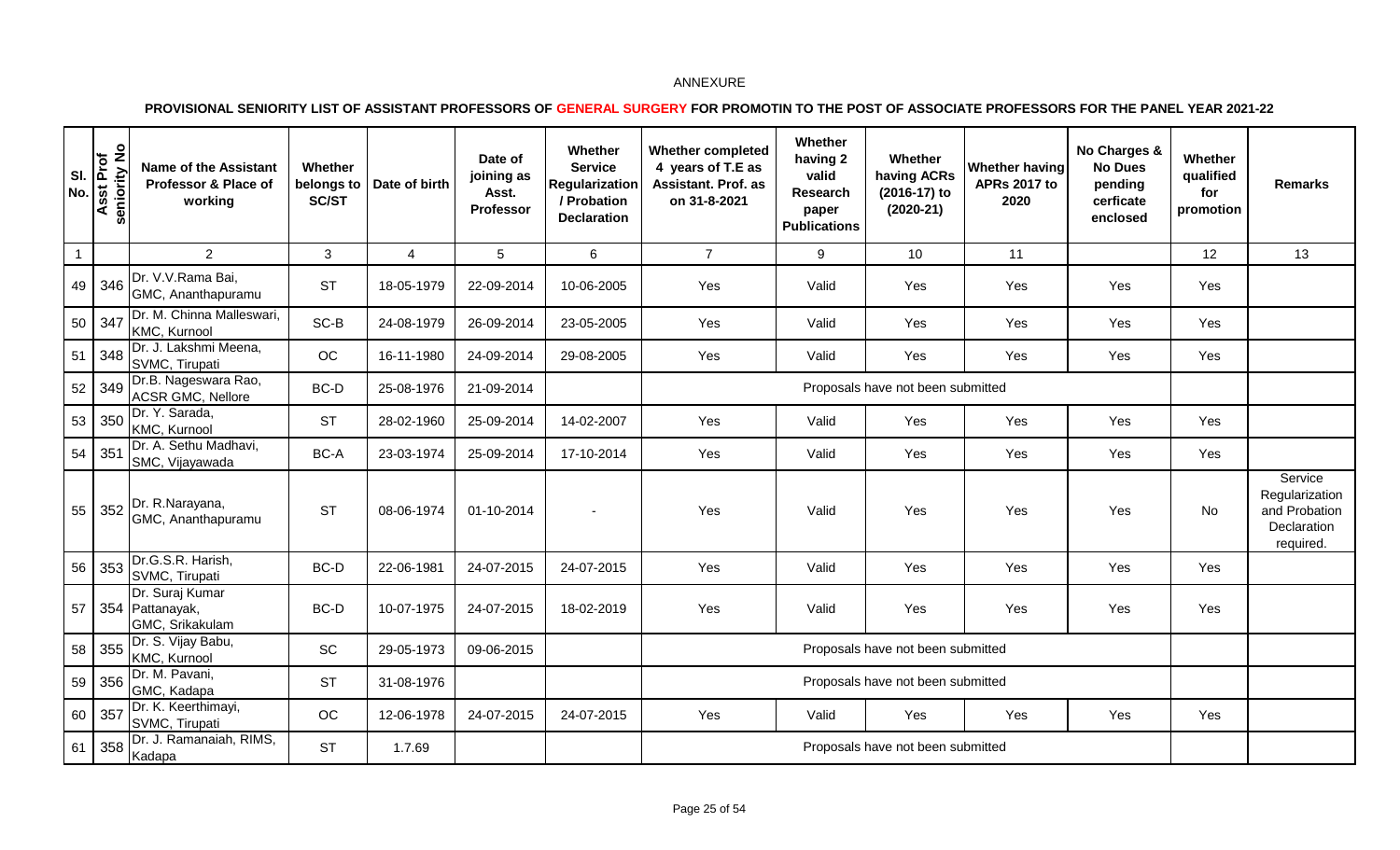| SI.<br>No.     | $\frac{1}{2}$<br>sst Prof<br>seniority<br>lС | <b>Name of the Assistant</b><br>Professor & Place of<br>working | Whether<br>belongs to<br><b>SC/ST</b> | Date of birth  | Date of<br>joining as<br>Asst.<br>Professor | Whether<br><b>Service</b><br><b>Regularization</b><br>/ Probation<br><b>Declaration</b> | <b>Whether completed</b><br>4 years of T.E as<br><b>Assistant. Prof. as</b><br>on 31-8-2021 | Whether<br>having 2<br>valid<br>Research<br>paper<br><b>Publications</b> | Whether<br>having ACRs<br>(2016-17) to<br>$(2020-21)$ | Whether having<br><b>APRs 2017 to</b><br>2020 | No Charges &<br><b>No Dues</b><br>pending<br>cerficate<br>enclosed | Whether<br>qualified<br>for<br>promotion | <b>Remarks</b>                                                         |
|----------------|----------------------------------------------|-----------------------------------------------------------------|---------------------------------------|----------------|---------------------------------------------|-----------------------------------------------------------------------------------------|---------------------------------------------------------------------------------------------|--------------------------------------------------------------------------|-------------------------------------------------------|-----------------------------------------------|--------------------------------------------------------------------|------------------------------------------|------------------------------------------------------------------------|
| $\overline{1}$ |                                              | 2                                                               | 3                                     | $\overline{4}$ | 5                                           | 6                                                                                       | $\overline{7}$                                                                              | 9                                                                        | 10                                                    | 11                                            |                                                                    | 12                                       | 13                                                                     |
|                | 49 346                                       | Dr. V.V.Rama Bai,<br>GMC, Ananthapuramu                         | <b>ST</b>                             | 18-05-1979     | 22-09-2014                                  | 10-06-2005                                                                              | Yes                                                                                         | Valid                                                                    | Yes                                                   | Yes                                           | Yes                                                                | Yes                                      |                                                                        |
|                | 50 347                                       | Dr. M. Chinna Malleswari,<br>KMC, Kurnool                       | SC-B                                  | 24-08-1979     | 26-09-2014                                  | 23-05-2005                                                                              | Yes                                                                                         | Valid                                                                    | Yes                                                   | Yes                                           | Yes                                                                | Yes                                      |                                                                        |
|                | 51 348                                       | Dr. J. Lakshmi Meena,<br>SVMC, Tirupati                         | OC                                    | 16-11-1980     | 24-09-2014                                  | 29-08-2005                                                                              | Yes                                                                                         | Valid                                                                    | Yes                                                   | Yes                                           | Yes                                                                | Yes                                      |                                                                        |
|                | $52 \mid 349$                                | Dr.B. Nageswara Rao,<br><b>ACSR GMC, Nellore</b>                | BC-D                                  | 25-08-1976     | 21-09-2014                                  |                                                                                         |                                                                                             |                                                                          | Proposals have not been submitted                     |                                               |                                                                    |                                          |                                                                        |
|                | 53 350                                       | Dr. Y. Sarada,<br>KMC, Kurnool                                  | <b>ST</b>                             | 28-02-1960     | 25-09-2014                                  | 14-02-2007                                                                              | Yes                                                                                         | Valid                                                                    | Yes                                                   | Yes                                           | Yes                                                                | Yes                                      |                                                                        |
| 54 351         |                                              | Dr. A. Sethu Madhavi,<br>SMC, Vijayawada                        | BC-A                                  | 23-03-1974     | 25-09-2014                                  | 17-10-2014                                                                              | Yes                                                                                         | Valid                                                                    | Yes                                                   | Yes                                           | Yes                                                                | Yes                                      |                                                                        |
| 55             |                                              | $\frac{1}{352}$ Dr. R. Narayana,<br>GMC, Ananthapuramu          | <b>ST</b>                             | 08-06-1974     | 01-10-2014                                  |                                                                                         | Yes                                                                                         | Valid                                                                    | Yes                                                   | Yes                                           | Yes                                                                | No                                       | Service<br>Regularization<br>and Probation<br>Declaration<br>required. |
| 56             | 353                                          | Dr.G.S.R. Harish,<br>SVMC, Tirupati                             | BC-D                                  | 22-06-1981     | 24-07-2015                                  | 24-07-2015                                                                              | Yes                                                                                         | Valid                                                                    | Yes                                                   | Yes                                           | Yes                                                                | Yes                                      |                                                                        |
| 57             |                                              | Dr. Suraj Kumar<br>354 Pattanayak,<br>GMC, Srikakulam           | BC-D                                  | 10-07-1975     | 24-07-2015                                  | 18-02-2019                                                                              | Yes                                                                                         | Valid                                                                    | Yes                                                   | Yes                                           | Yes                                                                | Yes                                      |                                                                        |
|                | 58 355                                       | Dr. S. Vijay Babu,<br>KMC, Kurnool                              | SC                                    | 29-05-1973     | 09-06-2015                                  |                                                                                         |                                                                                             |                                                                          | Proposals have not been submitted                     |                                               |                                                                    |                                          |                                                                        |
|                | 59   356                                     | Dr. M. Pavani,<br>GMC, Kadapa                                   | <b>ST</b>                             | 31-08-1976     |                                             |                                                                                         |                                                                                             |                                                                          | Proposals have not been submitted                     |                                               |                                                                    |                                          |                                                                        |
| 60             | 357                                          | Dr. K. Keerthimayi,<br>SVMC, Tirupati                           | OC                                    | 12-06-1978     | 24-07-2015                                  | 24-07-2015                                                                              | Yes                                                                                         | Valid                                                                    | Yes                                                   | Yes                                           | Yes                                                                | Yes                                      |                                                                        |
|                | 61 358                                       | Dr. J. Ramanaiah, RIMS,<br>Kadapa                               | <b>ST</b>                             | 1.7.69         |                                             |                                                                                         |                                                                                             |                                                                          | Proposals have not been submitted                     |                                               |                                                                    |                                          |                                                                        |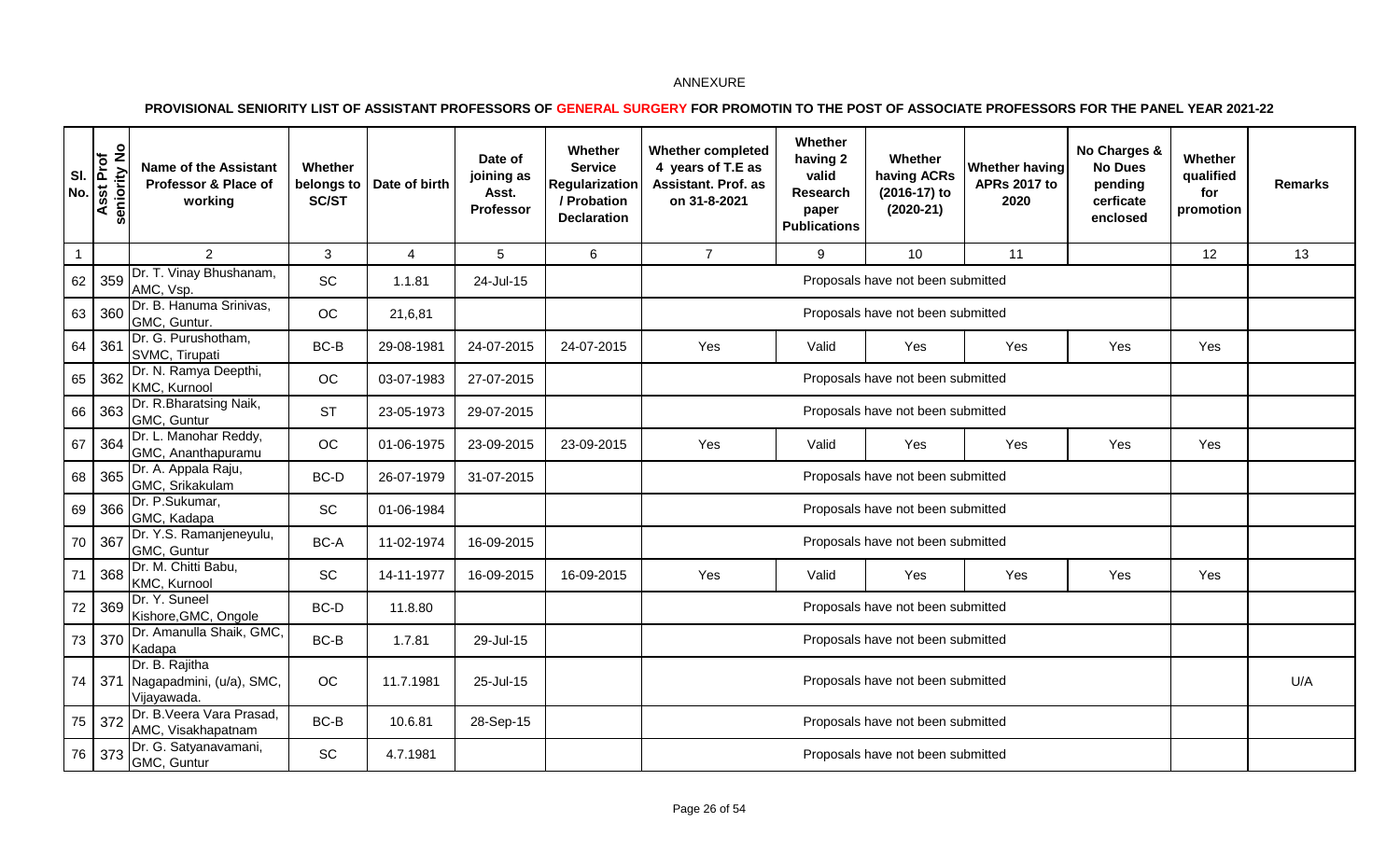| SI.<br>No.   | $\frac{1}{2}$<br>sst Prof<br>seniority<br>⋖ | <b>Name of the Assistant</b><br>Professor & Place of<br>working | Whether<br>belongs to<br>SC/ST | Date of birth | Date of<br>joining as<br>Asst.<br>Professor | Whether<br><b>Service</b><br>Regularization<br>/ Probation<br><b>Declaration</b> | <b>Whether completed</b><br>4 years of T.E as<br>Assistant. Prof. as<br>on 31-8-2021 | Whether<br>having 2<br>valid<br>Research<br>paper<br><b>Publications</b> | Whether<br>having ACRs<br>(2016-17) to<br>$(2020-21)$ | Whether having<br><b>APRs 2017 to</b><br>2020 | No Charges &<br><b>No Dues</b><br>pending<br>cerficate<br>enclosed | Whether<br>qualified<br>for<br>promotion | <b>Remarks</b> |
|--------------|---------------------------------------------|-----------------------------------------------------------------|--------------------------------|---------------|---------------------------------------------|----------------------------------------------------------------------------------|--------------------------------------------------------------------------------------|--------------------------------------------------------------------------|-------------------------------------------------------|-----------------------------------------------|--------------------------------------------------------------------|------------------------------------------|----------------|
| $\mathbf{1}$ |                                             | 2                                                               | 3                              | 4             | 5                                           | 6                                                                                | $\overline{7}$                                                                       | 9                                                                        | 10                                                    | 11                                            |                                                                    | 12                                       | 13             |
| 62           | 359                                         | Dr. T. Vinay Bhushanam,<br>AMC, Vsp.                            | SC                             | 1.1.81        | 24-Jul-15                                   |                                                                                  |                                                                                      |                                                                          | Proposals have not been submitted                     |                                               |                                                                    |                                          |                |
| 63           | 360                                         | Dr. B. Hanuma Srinivas,<br>GMC, Guntur.                         | OC                             | 21,6,81       |                                             |                                                                                  |                                                                                      |                                                                          | Proposals have not been submitted                     |                                               |                                                                    |                                          |                |
| 64           | 36 <sup>′</sup>                             | Dr. G. Purushotham,<br>SVMC, Tirupati                           | BC-B                           | 29-08-1981    | 24-07-2015                                  | 24-07-2015                                                                       | Yes                                                                                  | Valid                                                                    | Yes                                                   | Yes                                           | Yes                                                                | Yes                                      |                |
| 65           | 362                                         | Dr. N. Ramya Deepthi,<br>KMC, Kurnool                           | OC                             | 03-07-1983    | 27-07-2015                                  |                                                                                  |                                                                                      | Proposals have not been submitted                                        |                                                       |                                               |                                                                    |                                          |                |
| 66           | 363                                         | Dr. R.Bharatsing Naik,<br>GMC, Guntur                           | <b>ST</b>                      | 23-05-1973    | 29-07-2015                                  |                                                                                  |                                                                                      | Proposals have not been submitted                                        |                                                       |                                               |                                                                    |                                          |                |
| 67           | 364                                         | Dr. L. Manohar Reddy,<br>GMC, Ananthapuramu                     | OC                             | 01-06-1975    | 23-09-2015                                  | 23-09-2015                                                                       | Yes                                                                                  | Valid                                                                    | Yes                                                   | Yes                                           | Yes                                                                | Yes                                      |                |
| 68           | 365                                         | Dr. A. Appala Raju,<br>GMC, Srikakulam                          | BC-D                           | 26-07-1979    | 31-07-2015                                  |                                                                                  |                                                                                      |                                                                          | Proposals have not been submitted                     |                                               |                                                                    |                                          |                |
| 69           | 366                                         | Dr. P.Sukumar,<br>GMC, Kadapa                                   | SC                             | 01-06-1984    |                                             |                                                                                  |                                                                                      |                                                                          | Proposals have not been submitted                     |                                               |                                                                    |                                          |                |
| $70\,$       | 367                                         | Dr. Y.S. Ramanjeneyulu,<br>GMC, Guntur                          | BC-A                           | 11-02-1974    | 16-09-2015                                  |                                                                                  |                                                                                      |                                                                          | Proposals have not been submitted                     |                                               |                                                                    |                                          |                |
| 71           | 368                                         | Dr. M. Chitti Babu,<br>KMC, Kurnool                             | <b>SC</b>                      | 14-11-1977    | 16-09-2015                                  | 16-09-2015                                                                       | Yes                                                                                  | Valid                                                                    | Yes                                                   | Yes                                           | Yes                                                                | Yes                                      |                |
| $72\,$       | 369                                         | Dr. Y. Suneel<br>Kishore, GMC, Ongole                           | BC-D                           | 11.8.80       |                                             |                                                                                  |                                                                                      |                                                                          | Proposals have not been submitted                     |                                               |                                                                    |                                          |                |
|              | 73 370                                      | Dr. Amanulla Shaik, GMC,<br>Kadapa                              | BC-B                           | 1.7.81        | 29-Jul-15                                   |                                                                                  |                                                                                      |                                                                          | Proposals have not been submitted                     |                                               |                                                                    |                                          |                |
| 74           | 371                                         | Dr. B. Rajitha<br>Nagapadmini, (u/a), SMC,<br>Vijayawada.       | OC                             | 11.7.1981     | 25-Jul-15                                   |                                                                                  |                                                                                      |                                                                          | Proposals have not been submitted                     |                                               |                                                                    |                                          | U/A            |
| 75           | 372                                         | Dr. B. Veera Vara Prasad,<br>AMC, Visakhapatnam                 | BC-B                           | 10.6.81       | 28-Sep-15                                   |                                                                                  |                                                                                      |                                                                          | Proposals have not been submitted                     |                                               |                                                                    |                                          |                |
| 76           | 373                                         | Dr. G. Satyanavamani,<br>GMC, Guntur                            | SC                             | 4.7.1981      |                                             |                                                                                  |                                                                                      |                                                                          | Proposals have not been submitted                     |                                               |                                                                    |                                          |                |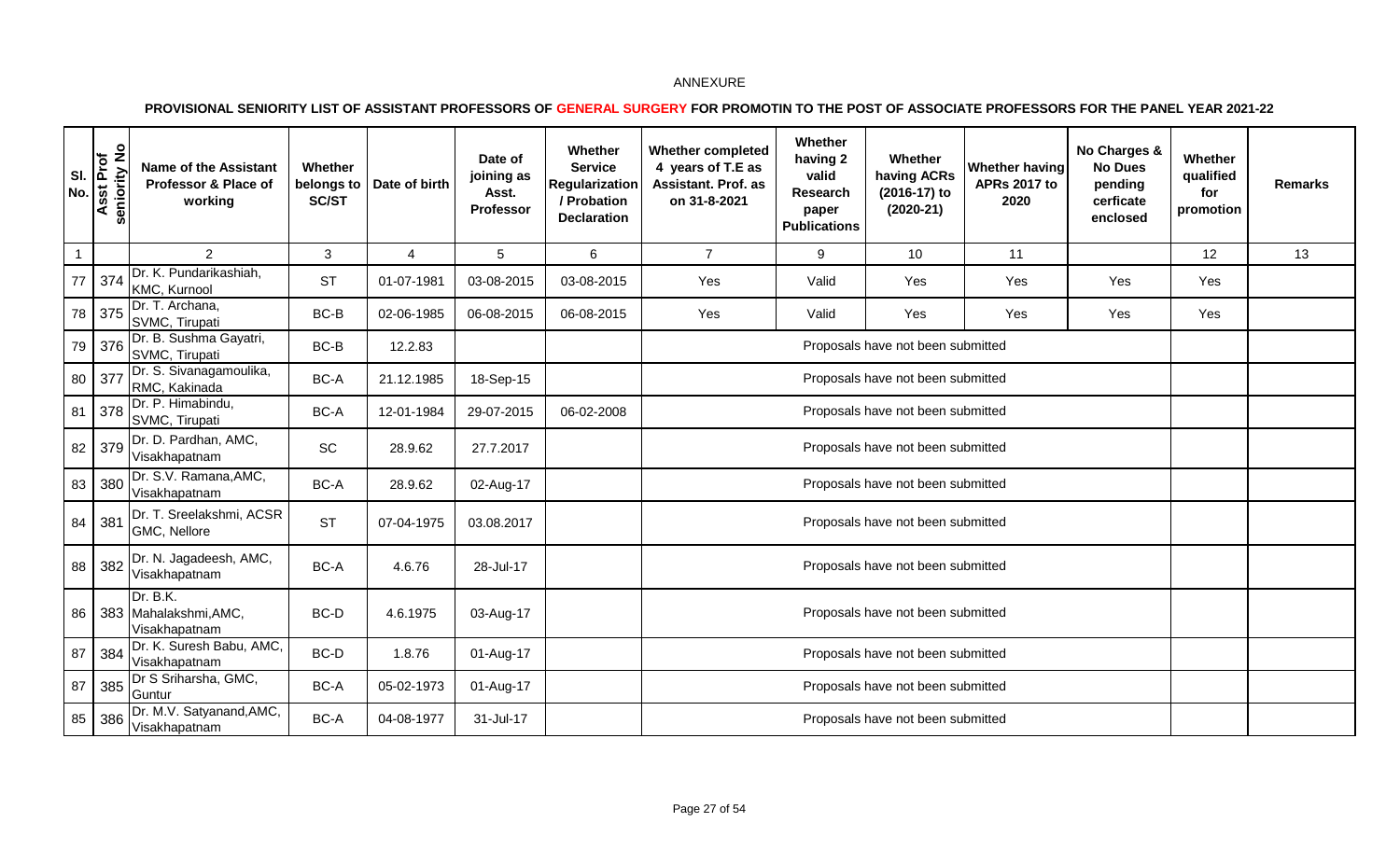| SI.<br><b>No</b> | $\frac{9}{2}$<br>Asst Prof<br>eniority | <b>Name of the Assistant</b><br>Professor & Place of<br>working | Whether<br>belongs to<br>SC/ST | Date of birth | Date of<br>joining as<br>Asst.<br>Professor | Whether<br><b>Service</b><br>Regularization<br>/ Probation<br><b>Declaration</b> | <b>Whether completed</b><br>4 years of T.E as<br>Assistant. Prof. as<br>on 31-8-2021 | Whether<br>having 2<br>valid<br>Research<br>paper<br><b>Publications</b> | Whether<br>having ACRs<br>(2016-17) to<br>$(2020-21)$ | <b>Whether having</b><br><b>APRs 2017 to</b><br>2020 | No Charges &<br><b>No Dues</b><br>pending<br>cerficate<br>enclosed | Whether<br>qualified<br>for<br>promotion | <b>Remarks</b> |
|------------------|----------------------------------------|-----------------------------------------------------------------|--------------------------------|---------------|---------------------------------------------|----------------------------------------------------------------------------------|--------------------------------------------------------------------------------------|--------------------------------------------------------------------------|-------------------------------------------------------|------------------------------------------------------|--------------------------------------------------------------------|------------------------------------------|----------------|
| $\mathbf{1}$     |                                        | $\overline{2}$                                                  | 3                              | 4             | 5                                           | 6                                                                                | $\overline{7}$                                                                       | 9                                                                        | 10                                                    | 11                                                   |                                                                    | 12                                       | 13             |
| 77               | 374                                    | Dr. K. Pundarikashiah,<br>KMC, Kurnool                          | <b>ST</b>                      | 01-07-1981    | 03-08-2015                                  | 03-08-2015                                                                       | Yes                                                                                  | Valid                                                                    | Yes                                                   | Yes                                                  | Yes                                                                | Yes                                      |                |
| 78               | 375                                    | Dr. T. Archana,<br>SVMC, Tirupati                               | BC-B                           | 02-06-1985    | 06-08-2015                                  | 06-08-2015                                                                       | Yes                                                                                  | Valid                                                                    | Yes                                                   | Yes                                                  | Yes                                                                | Yes                                      |                |
| 79               | 376                                    | Dr. B. Sushma Gayatri,<br>SVMC, Tirupati                        | BC-B                           | 12.2.83       |                                             |                                                                                  |                                                                                      | Proposals have not been submitted                                        |                                                       |                                                      |                                                                    |                                          |                |
| 80               | 377                                    | Dr. S. Sivanagamoulika,<br>RMC, Kakinada                        | BC-A                           | 21.12.1985    | 18-Sep-15                                   |                                                                                  |                                                                                      | Proposals have not been submitted                                        |                                                       |                                                      |                                                                    |                                          |                |
| 81               | 378                                    | Dr. P. Himabindu,<br>SVMC, Tirupati                             | BC-A                           | 12-01-1984    | 29-07-2015                                  | 06-02-2008                                                                       |                                                                                      | Proposals have not been submitted                                        |                                                       |                                                      |                                                                    |                                          |                |
| 82               | 379                                    | Dr. D. Pardhan, AMC,<br>Visakhapatnam                           | <b>SC</b>                      | 28.9.62       | 27.7.2017                                   |                                                                                  |                                                                                      |                                                                          | Proposals have not been submitted                     |                                                      |                                                                    |                                          |                |
| 83               | 380                                    | Dr. S.V. Ramana, AMC,<br>Visakhapatnam                          | BC-A                           | 28.9.62       | 02-Aug-17                                   |                                                                                  |                                                                                      |                                                                          | Proposals have not been submitted                     |                                                      |                                                                    |                                          |                |
| 84               | 381                                    | Dr. T. Sreelakshmi, ACSR<br>GMC, Nellore                        | <b>ST</b>                      | 07-04-1975    | 03.08.2017                                  |                                                                                  |                                                                                      |                                                                          | Proposals have not been submitted                     |                                                      |                                                                    |                                          |                |
| 88               | 382                                    | Dr. N. Jagadeesh, AMC,<br>Visakhapatnam                         | BC-A                           | 4.6.76        | 28-Jul-17                                   |                                                                                  |                                                                                      |                                                                          | Proposals have not been submitted                     |                                                      |                                                                    |                                          |                |
| 86               |                                        | Dr. B.K.<br>383 Mahalakshmi, AMC,<br>Visakhapatnam              | BC-D                           | 4.6.1975      | 03-Aug-17                                   |                                                                                  |                                                                                      |                                                                          | Proposals have not been submitted                     |                                                      |                                                                    |                                          |                |
| 87               | 384                                    | Dr. K. Suresh Babu, AMC,<br>Visakhapatnam                       | BC-D                           | 1.8.76        | 01-Aug-17                                   |                                                                                  |                                                                                      |                                                                          | Proposals have not been submitted                     |                                                      |                                                                    |                                          |                |
| 87               | 385                                    | Dr S Sriharsha, GMC,<br>Guntur                                  | BC-A                           | 05-02-1973    | 01-Aug-17                                   |                                                                                  |                                                                                      |                                                                          | Proposals have not been submitted                     |                                                      |                                                                    |                                          |                |
| 85               | 386                                    | Dr. M.V. Satyanand, AMC,<br>Visakhapatnam                       | BC-A                           | 04-08-1977    | 31-Jul-17                                   |                                                                                  |                                                                                      |                                                                          | Proposals have not been submitted                     |                                                      |                                                                    |                                          |                |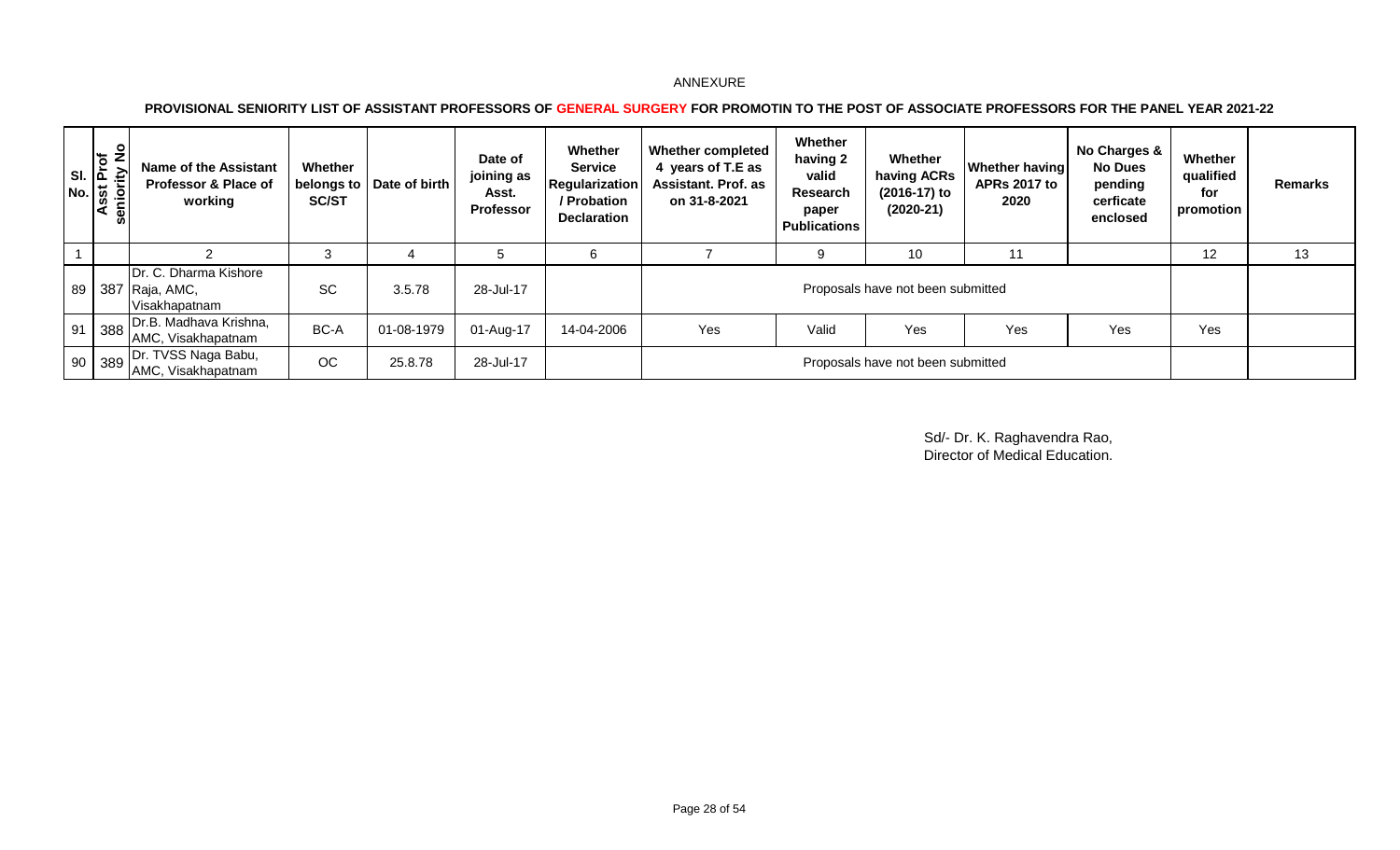### **PROVISIONAL SENIORITY LIST OF ASSISTANT PROFESSORS OF GENERAL SURGERY FOR PROMOTIN TO THE POST OF ASSOCIATE PROFESSORS FOR THE PANEL YEAR 2021-22**

|    | an Si<br>Asst Prof<br>eniority No<br>.≙'<br>မ္တ | Name of the Assistant<br><b>Professor &amp; Place of</b><br>working | Whether<br><b>SC/ST</b> | belongs to   Date of birth | Date of<br>joining as<br>Asst.<br><b>Professor</b> | Whether<br><b>Service</b><br>Regularization<br>/ Probation<br><b>Declaration</b> | <b>Whether completed</b><br>4 years of T.E as<br><b>Assistant. Prof. as</b><br>on 31-8-2021 | Whether<br>having 2<br>valid<br>Research<br>paper<br><b>Publications</b> | Whether<br>having ACRs<br>(2016-17) to<br>$(2020-21)$ | <b>Whether having</b><br><b>APRs 2017 to</b><br>2020 | No Charges &<br><b>No Dues</b><br>pending<br>cerficate<br>enclosed | Whether<br>qualified<br>for<br>promotion | <b>Remarks</b> |
|----|-------------------------------------------------|---------------------------------------------------------------------|-------------------------|----------------------------|----------------------------------------------------|----------------------------------------------------------------------------------|---------------------------------------------------------------------------------------------|--------------------------------------------------------------------------|-------------------------------------------------------|------------------------------------------------------|--------------------------------------------------------------------|------------------------------------------|----------------|
|    |                                                 |                                                                     | $\cdot$                 |                            | G                                                  | 6                                                                                |                                                                                             | 9                                                                        | 10                                                    | 11                                                   |                                                                    | 12                                       | 13             |
|    |                                                 | Dr. C. Dharma Kishore<br>  89   387   Raja, AMC,<br>Visakhapatnam   | <b>SC</b>               | 3.5.78                     | 28-Jul-17                                          |                                                                                  |                                                                                             |                                                                          | Proposals have not been submitted                     |                                                      |                                                                    |                                          |                |
| 91 | $388$                                           | Dr.B. Madhava Krishna,<br>AMC, Visakhapatnam                        | BC-A                    | 01-08-1979                 | 01-Aug-17                                          | 14-04-2006                                                                       | Yes                                                                                         | Valid                                                                    | Yes                                                   | Yes                                                  | Yes                                                                | Yes                                      |                |
|    | 90 389                                          | Dr. TVSS Naga Babu,<br>AMC, Visakhapatnam                           | <b>OC</b>               | 25.8.78                    | 28-Jul-17                                          |                                                                                  |                                                                                             |                                                                          | Proposals have not been submitted                     |                                                      |                                                                    |                                          |                |

Sd/- Dr. K. Raghavendra Rao, Director of Medical Education.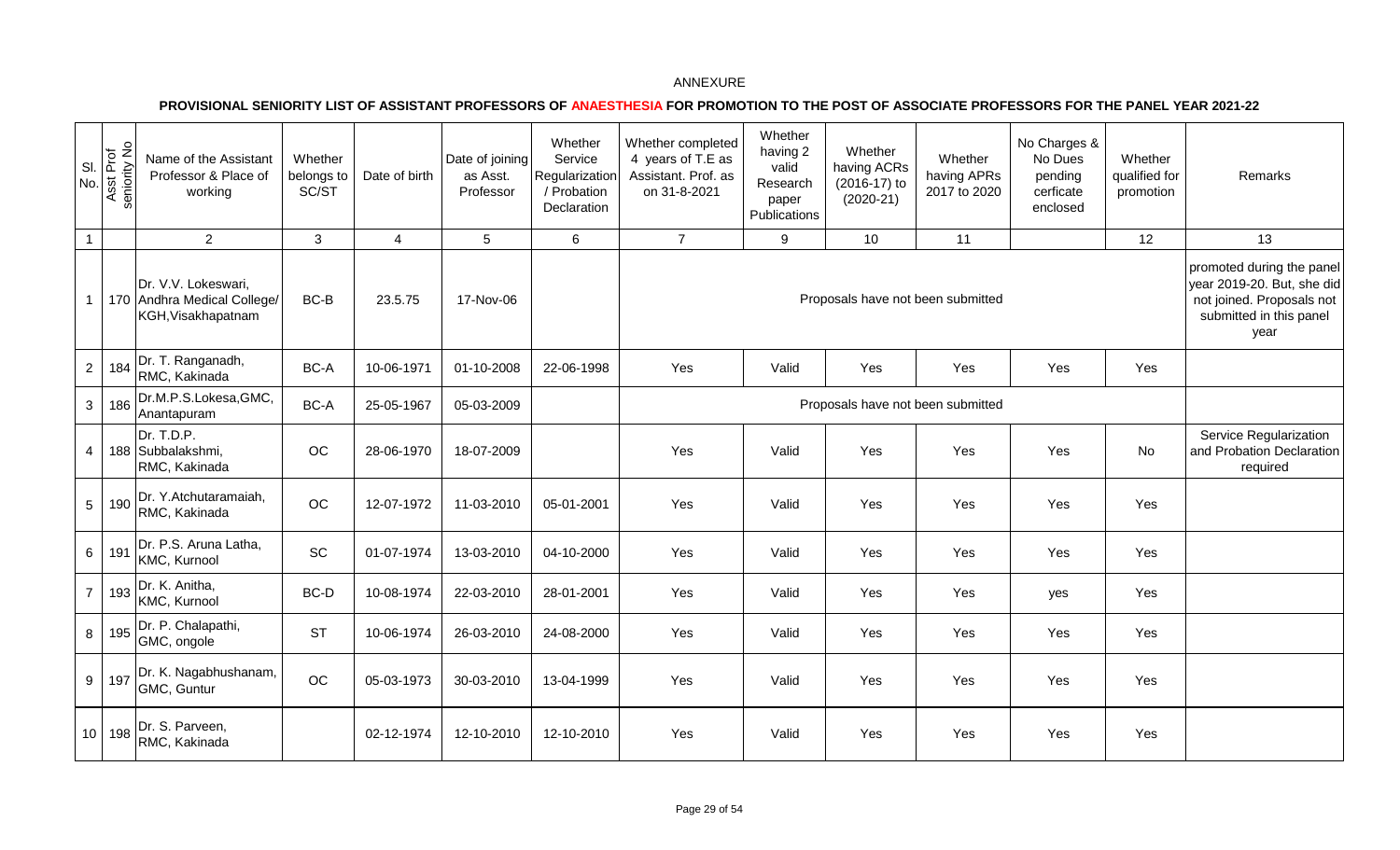|                 | $\frac{8}{10}$<br>Asst Prof<br>seniority No | Name of the Assistant<br>Professor & Place of<br>working                 | Whether<br>belongs to<br>SC/ST | Date of birth  | Date of joining<br>as Asst.<br>Professor | Whether<br>Service<br>Regularization<br>/ Probation<br>Declaration | Whether completed<br>4 years of T.E as<br>Assistant. Prof. as<br>on 31-8-2021 | Whether<br>having 2<br>valid<br>Research<br>paper<br>Publications | Whether<br>having ACRs<br>(2016-17) to<br>$(2020-21)$ | Whether<br>having APRs<br>2017 to 2020 | No Charges &<br>No Dues<br>pending<br>cerficate<br>enclosed | Whether<br>qualified for<br>promotion | Remarks                                                                                                                 |
|-----------------|---------------------------------------------|--------------------------------------------------------------------------|--------------------------------|----------------|------------------------------------------|--------------------------------------------------------------------|-------------------------------------------------------------------------------|-------------------------------------------------------------------|-------------------------------------------------------|----------------------------------------|-------------------------------------------------------------|---------------------------------------|-------------------------------------------------------------------------------------------------------------------------|
| $\mathbf{1}$    |                                             | $\overline{2}$                                                           | $\mathbf{3}$                   | $\overline{4}$ | 5                                        | 6                                                                  | $\overline{7}$                                                                | 9                                                                 | 10                                                    | 11                                     |                                                             | 12                                    | 13                                                                                                                      |
| $\mathbf{1}$    |                                             | Dr. V.V. Lokeswari,<br>170 Andhra Medical College/<br>KGH, Visakhapatnam | BC-B                           | 23.5.75        | 17-Nov-06                                |                                                                    |                                                                               |                                                                   | Proposals have not been submitted                     |                                        |                                                             |                                       | promoted during the panel<br>year 2019-20. But, she did<br>not joined. Proposals not<br>submitted in this panel<br>year |
| $\overline{2}$  | 184                                         | Dr. T. Ranganadh,<br>RMC, Kakinada                                       | $BC-A$                         | 10-06-1971     | 01-10-2008                               | 22-06-1998                                                         | Yes                                                                           | Valid                                                             | Yes                                                   | Yes                                    | Yes                                                         | Yes                                   |                                                                                                                         |
| $\mathbf{3}$    | 186                                         | Dr.M.P.S.Lokesa, GMC,<br>Anantapuram                                     | BC-A                           | 25-05-1967     | 05-03-2009                               |                                                                    |                                                                               |                                                                   | Proposals have not been submitted                     |                                        |                                                             |                                       |                                                                                                                         |
| 4               |                                             | Dr. T.D.P.<br>188 Subbalakshmi,<br>RMC, Kakinada                         | OC                             | 28-06-1970     | 18-07-2009                               |                                                                    | Yes                                                                           | Valid                                                             | Yes                                                   | Yes                                    | Yes                                                         | <b>No</b>                             | Service Regularization<br>and Probation Declaration<br>required                                                         |
| 5               | 190                                         | Dr. Y.Atchutaramaiah,<br>RMC, Kakinada                                   | OC                             | 12-07-1972     | 11-03-2010                               | 05-01-2001                                                         | Yes                                                                           | Valid                                                             | Yes                                                   | Yes                                    | Yes                                                         | Yes                                   |                                                                                                                         |
| $6\overline{6}$ | 191                                         | Dr. P.S. Aruna Latha,<br>KMC, Kurnool                                    | $\ensuremath{\mathsf{SC}}$     | 01-07-1974     | 13-03-2010                               | 04-10-2000                                                         | Yes                                                                           | Valid                                                             | Yes                                                   | Yes                                    | Yes                                                         | Yes                                   |                                                                                                                         |
| $\overline{7}$  | 193                                         | Dr. K. Anitha,<br>KMC, Kurnool                                           | $BC-D$                         | 10-08-1974     | 22-03-2010                               | 28-01-2001                                                         | Yes                                                                           | Valid                                                             | Yes                                                   | Yes                                    | yes                                                         | Yes                                   |                                                                                                                         |
| 8               | 195                                         | Dr. P. Chalapathi,<br>GMC, ongole                                        | <b>ST</b>                      | 10-06-1974     | 26-03-2010                               | 24-08-2000                                                         | Yes                                                                           | Valid                                                             | Yes                                                   | Yes                                    | Yes                                                         | Yes                                   |                                                                                                                         |
| 9               | 197                                         | Dr. K. Nagabhushanam,<br>GMC, Guntur                                     | $_{\rm OC}$                    | 05-03-1973     | 30-03-2010                               | 13-04-1999                                                         | Yes                                                                           | Valid                                                             | Yes                                                   | Yes                                    | Yes                                                         | Yes                                   |                                                                                                                         |
|                 | 10 198                                      | Dr. S. Parveen,<br>RMC, Kakinada                                         |                                | 02-12-1974     | 12-10-2010                               | 12-10-2010                                                         | Yes                                                                           | Valid                                                             | Yes                                                   | Yes                                    | Yes                                                         | Yes                                   |                                                                                                                         |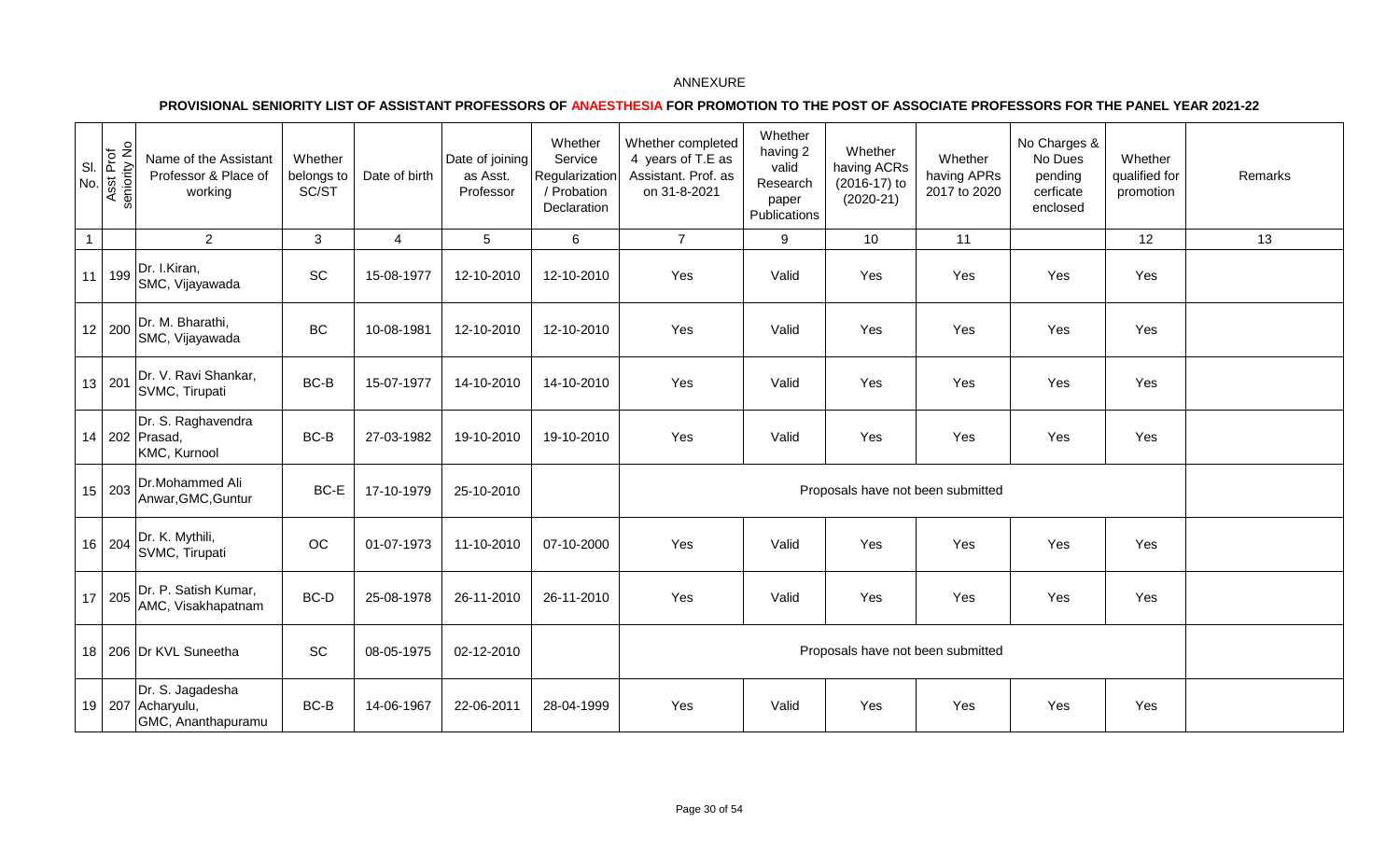| SI<br>No.    | Asst Prof<br>seniority No | Name of the Assistant<br>Professor & Place of<br>working    | Whether<br>belongs to<br>SC/ST | Date of birth  | Date of joining<br>as Asst.<br>Professor | Whether<br>Service<br>Regularization<br>/ Probation<br>Declaration | Whether completed<br>4 years of T.E as<br>Assistant. Prof. as<br>on 31-8-2021 | Whether<br>having 2<br>valid<br>Research<br>paper<br>Publications | Whether<br>having ACRs<br>(2016-17) to<br>$(2020-21)$ | Whether<br>having APRs<br>2017 to 2020 | No Charges &<br>No Dues<br>pending<br>cerficate<br>enclosed | Whether<br>qualified for<br>promotion | Remarks |
|--------------|---------------------------|-------------------------------------------------------------|--------------------------------|----------------|------------------------------------------|--------------------------------------------------------------------|-------------------------------------------------------------------------------|-------------------------------------------------------------------|-------------------------------------------------------|----------------------------------------|-------------------------------------------------------------|---------------------------------------|---------|
| $\mathbf{1}$ |                           | $\overline{2}$                                              | 3                              | $\overline{4}$ | $\overline{5}$                           | 6                                                                  | $\overline{7}$                                                                | 9                                                                 | 10                                                    | 11                                     |                                                             | 12                                    | 13      |
| 11           | 199                       | Dr. I.Kiran,<br>SMC, Vijayawada                             | SC                             | 15-08-1977     | 12-10-2010                               | 12-10-2010                                                         | Yes                                                                           | Valid                                                             | Yes                                                   | Yes                                    | Yes                                                         | Yes                                   |         |
|              | 12 200                    | Dr. M. Bharathi,<br>SMC, Vijayawada                         | BC                             | 10-08-1981     | 12-10-2010                               | 12-10-2010                                                         | Yes                                                                           | Valid                                                             | Yes                                                   | Yes                                    | Yes                                                         | Yes                                   |         |
|              | 13 201                    | Dr. V. Ravi Shankar,<br>SVMC, Tirupati                      | BC-B                           | 15-07-1977     | 14-10-2010                               | 14-10-2010                                                         | Yes                                                                           | Valid                                                             | Yes                                                   | Yes                                    | Yes                                                         | Yes                                   |         |
|              |                           | Dr. S. Raghavendra<br>14 202 Prasad,<br>KMC, Kurnool        | $BC-B$                         | 27-03-1982     | 19-10-2010                               | 19-10-2010                                                         | Yes                                                                           | Valid                                                             | Yes                                                   | Yes                                    | Yes                                                         | Yes                                   |         |
|              | 15 203                    | Dr.Mohammed Ali<br>Anwar, GMC, Guntur                       | BC-E                           | 17-10-1979     | 25-10-2010                               |                                                                    |                                                                               |                                                                   |                                                       | Proposals have not been submitted      |                                                             |                                       |         |
|              | 16 204                    | Dr. K. Mythili,<br>SVMC, Tirupati                           | $_{\rm OC}$                    | 01-07-1973     | 11-10-2010                               | 07-10-2000                                                         | Yes                                                                           | Valid                                                             | Yes                                                   | Yes                                    | Yes                                                         | Yes                                   |         |
| 17           | 205                       | Dr. P. Satish Kumar,<br>AMC, Visakhapatnam                  | BC-D                           | 25-08-1978     | 26-11-2010                               | 26-11-2010                                                         | Yes                                                                           | Valid                                                             | Yes                                                   | Yes                                    | Yes                                                         | Yes                                   |         |
|              |                           | 18 206 Dr KVL Suneetha                                      | SC                             | 08-05-1975     | 02-12-2010                               |                                                                    |                                                                               |                                                                   |                                                       | Proposals have not been submitted      |                                                             |                                       |         |
|              |                           | Dr. S. Jagadesha<br>19 207 Acharyulu,<br>GMC, Ananthapuramu | BC-B                           | 14-06-1967     | 22-06-2011                               | 28-04-1999                                                         | Yes                                                                           | Valid                                                             | Yes                                                   | Yes                                    | Yes                                                         | Yes                                   |         |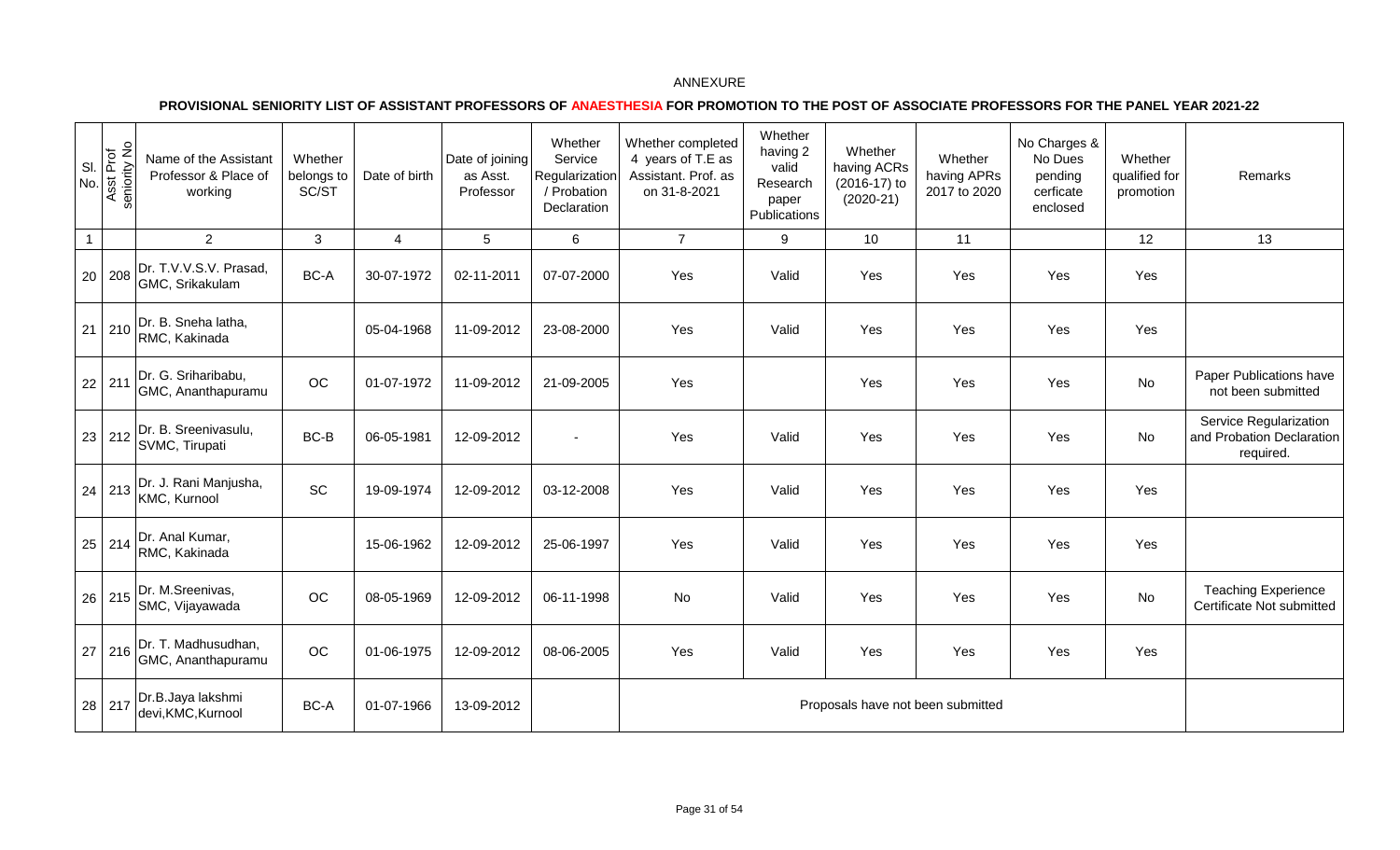| SI.<br>No.   | Asst Prof<br>seniority No | Name of the Assistant<br>Professor & Place of<br>working | Whether<br>belongs to<br>SC/ST | Date of birth  | Date of joining<br>as Asst.<br>Professor | Whether<br>Service<br>Regularization<br>/ Probation<br>Declaration | Whether completed<br>4 years of T.E as<br>Assistant. Prof. as<br>on 31-8-2021 | Whether<br>having 2<br>valid<br>Research<br>paper<br>Publications | Whether<br>having ACRs<br>(2016-17) to<br>$(2020-21)$ | Whether<br>having APRs<br>2017 to 2020 | No Charges &<br>No Dues<br>pending<br>cerficate<br>enclosed | Whether<br>qualified for<br>promotion | Remarks                                                          |
|--------------|---------------------------|----------------------------------------------------------|--------------------------------|----------------|------------------------------------------|--------------------------------------------------------------------|-------------------------------------------------------------------------------|-------------------------------------------------------------------|-------------------------------------------------------|----------------------------------------|-------------------------------------------------------------|---------------------------------------|------------------------------------------------------------------|
| $\mathbf{1}$ |                           | $2^{\circ}$                                              | $\mathbf{3}$                   | $\overline{4}$ | 5                                        | 6                                                                  | $\overline{7}$                                                                | 9                                                                 | 10                                                    | 11                                     |                                                             | 12                                    | 13                                                               |
| 20           | 208                       | Dr. T.V.V.S.V. Prasad,<br>GMC, Srikakulam                | BC-A                           | 30-07-1972     | 02-11-2011                               | 07-07-2000                                                         | Yes                                                                           | Valid                                                             | Yes                                                   | Yes                                    | Yes                                                         | Yes                                   |                                                                  |
|              | $21 \ 210$                | Dr. B. Sneha latha,<br>RMC, Kakinada                     |                                | 05-04-1968     | 11-09-2012                               | 23-08-2000                                                         | Yes                                                                           | Valid                                                             | Yes                                                   | Yes                                    | Yes                                                         | Yes                                   |                                                                  |
|              | 22 211                    | Dr. G. Sriharibabu,<br>GMC, Ananthapuramu                | OC                             | 01-07-1972     | 11-09-2012                               | 21-09-2005                                                         | Yes                                                                           |                                                                   | Yes                                                   | Yes                                    | Yes                                                         | No                                    | Paper Publications have<br>not been submitted                    |
| 23           | 212                       | Dr. B. Sreenivasulu,<br>SVMC, Tirupati                   | BC-B                           | 06-05-1981     | 12-09-2012                               |                                                                    | Yes                                                                           | Valid                                                             | Yes                                                   | Yes                                    | Yes                                                         | No                                    | Service Regularization<br>and Probation Declaration<br>required. |
|              | $24 \mid 213$             | Dr. J. Rani Manjusha,<br>KMC, Kurnool                    | SC                             | 19-09-1974     | 12-09-2012                               | 03-12-2008                                                         | Yes                                                                           | Valid                                                             | Yes                                                   | Yes                                    | Yes                                                         | Yes                                   |                                                                  |
|              |                           | 25 214 Dr. Anal Kumar,<br>RMC, Kakinada                  |                                | 15-06-1962     | 12-09-2012                               | 25-06-1997                                                         | Yes                                                                           | Valid                                                             | Yes                                                   | Yes                                    | Yes                                                         | Yes                                   |                                                                  |
|              | 26 215                    | Dr. M.Sreenivas,<br>SMC, Vijayawada                      | OC                             | 08-05-1969     | 12-09-2012                               | 06-11-1998                                                         | No                                                                            | Valid                                                             | Yes                                                   | Yes                                    | Yes                                                         | No                                    | <b>Teaching Experience</b><br>Certificate Not submitted          |
|              | $27 \mid 216$             | Dr. T. Madhusudhan,<br>GMC, Ananthapuramu                | OC                             | 01-06-1975     | 12-09-2012                               | 08-06-2005                                                         | Yes                                                                           | Valid                                                             | Yes                                                   | Yes                                    | Yes                                                         | Yes                                   |                                                                  |
|              | 28 217                    | Dr.B.Jaya lakshmi<br>devi, KMC, Kurnool                  | BC-A                           | 01-07-1966     | 13-09-2012                               |                                                                    |                                                                               |                                                                   | Proposals have not been submitted                     |                                        |                                                             |                                       |                                                                  |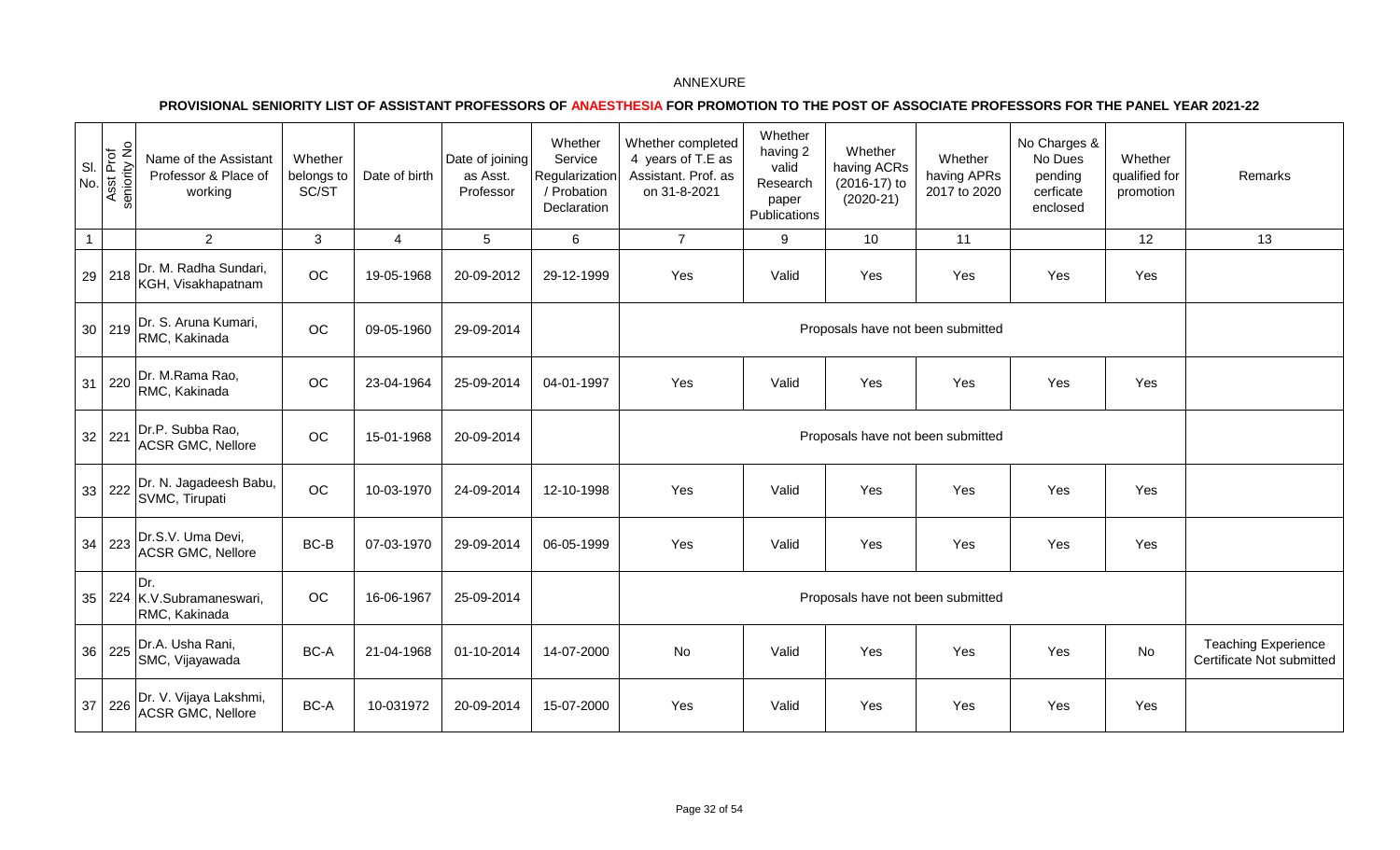| SI<br>No.    | Asst Prof<br>seniority No | Name of the Assistant<br>Professor & Place of<br>working | Whether<br>belongs to<br>SC/ST | Date of birth  | Date of joining<br>as Asst.<br>Professor | Whether<br>Service<br>Regularization<br>/ Probation<br>Declaration | Whether completed<br>4 years of T.E as<br>Assistant. Prof. as<br>on 31-8-2021 | Whether<br>having 2<br>valid<br>Research<br>paper<br>Publications | Whether<br>having ACRs<br>(2016-17) to<br>$(2020-21)$ | Whether<br>having APRs<br>2017 to 2020 | No Charges &<br>No Dues<br>pending<br>cerficate<br>enclosed | Whether<br>qualified for<br>promotion | Remarks                                                 |
|--------------|---------------------------|----------------------------------------------------------|--------------------------------|----------------|------------------------------------------|--------------------------------------------------------------------|-------------------------------------------------------------------------------|-------------------------------------------------------------------|-------------------------------------------------------|----------------------------------------|-------------------------------------------------------------|---------------------------------------|---------------------------------------------------------|
| $\mathbf{1}$ |                           | $\overline{2}$                                           | 3                              | $\overline{4}$ | $\overline{5}$                           | $6\phantom{1}$                                                     | $\overline{7}$                                                                | 9                                                                 | 10                                                    | 11                                     |                                                             | 12                                    | 13                                                      |
| 29           | 218                       | Dr. M. Radha Sundari,<br>KGH, Visakhapatnam              | OC                             | 19-05-1968     | 20-09-2012                               | 29-12-1999                                                         | Yes                                                                           | Valid                                                             | Yes                                                   | Yes                                    | Yes                                                         | Yes                                   |                                                         |
|              | 30 219                    | Dr. S. Aruna Kumari,<br>RMC, Kakinada                    | OC                             | 09-05-1960     | 29-09-2014                               |                                                                    |                                                                               |                                                                   | Proposals have not been submitted                     |                                        |                                                             |                                       |                                                         |
| 31           | 220                       | Dr. M.Rama Rao,<br>RMC, Kakinada                         | OC                             | 23-04-1964     | 25-09-2014                               | 04-01-1997                                                         | Yes                                                                           | Valid                                                             | Yes                                                   | Yes                                    | Yes                                                         | Yes                                   |                                                         |
| 32           | 221                       | Dr.P. Subba Rao,<br><b>ACSR GMC, Nellore</b>             | OC                             | 15-01-1968     | 20-09-2014                               |                                                                    |                                                                               |                                                                   |                                                       | Proposals have not been submitted      |                                                             |                                       |                                                         |
| 33           | 222                       | Dr. N. Jagadeesh Babu,<br>SVMC, Tirupati                 | OC                             | 10-03-1970     | 24-09-2014                               | 12-10-1998                                                         | Yes                                                                           | Valid                                                             | Yes                                                   | Yes                                    | Yes                                                         | Yes                                   |                                                         |
| 34           | 223                       | Dr.S.V. Uma Devi,<br><b>ACSR GMC, Nellore</b>            | BC-B                           | 07-03-1970     | 29-09-2014                               | 06-05-1999                                                         | Yes                                                                           | Valid                                                             | Yes                                                   | Yes                                    | Yes                                                         | Yes                                   |                                                         |
| 35           |                           | Dr.<br>224 K.V.Subramaneswari,<br>RMC, Kakinada          | OC                             | 16-06-1967     | 25-09-2014                               |                                                                    |                                                                               |                                                                   |                                                       | Proposals have not been submitted      |                                                             |                                       |                                                         |
| 36           | 225                       | Dr.A. Usha Rani,<br>SMC, Vijayawada                      | BC-A                           | 21-04-1968     | 01-10-2014                               | 14-07-2000                                                         | No                                                                            | Valid                                                             | Yes                                                   | Yes                                    | Yes                                                         | No                                    | <b>Teaching Experience</b><br>Certificate Not submitted |
| 37           | 226                       | Dr. V. Vijaya Lakshmi,<br><b>ACSR GMC, Nellore</b>       | BC-A                           | 10-031972      | 20-09-2014                               | 15-07-2000                                                         | Yes                                                                           | Valid                                                             | Yes                                                   | Yes                                    | Yes                                                         | Yes                                   |                                                         |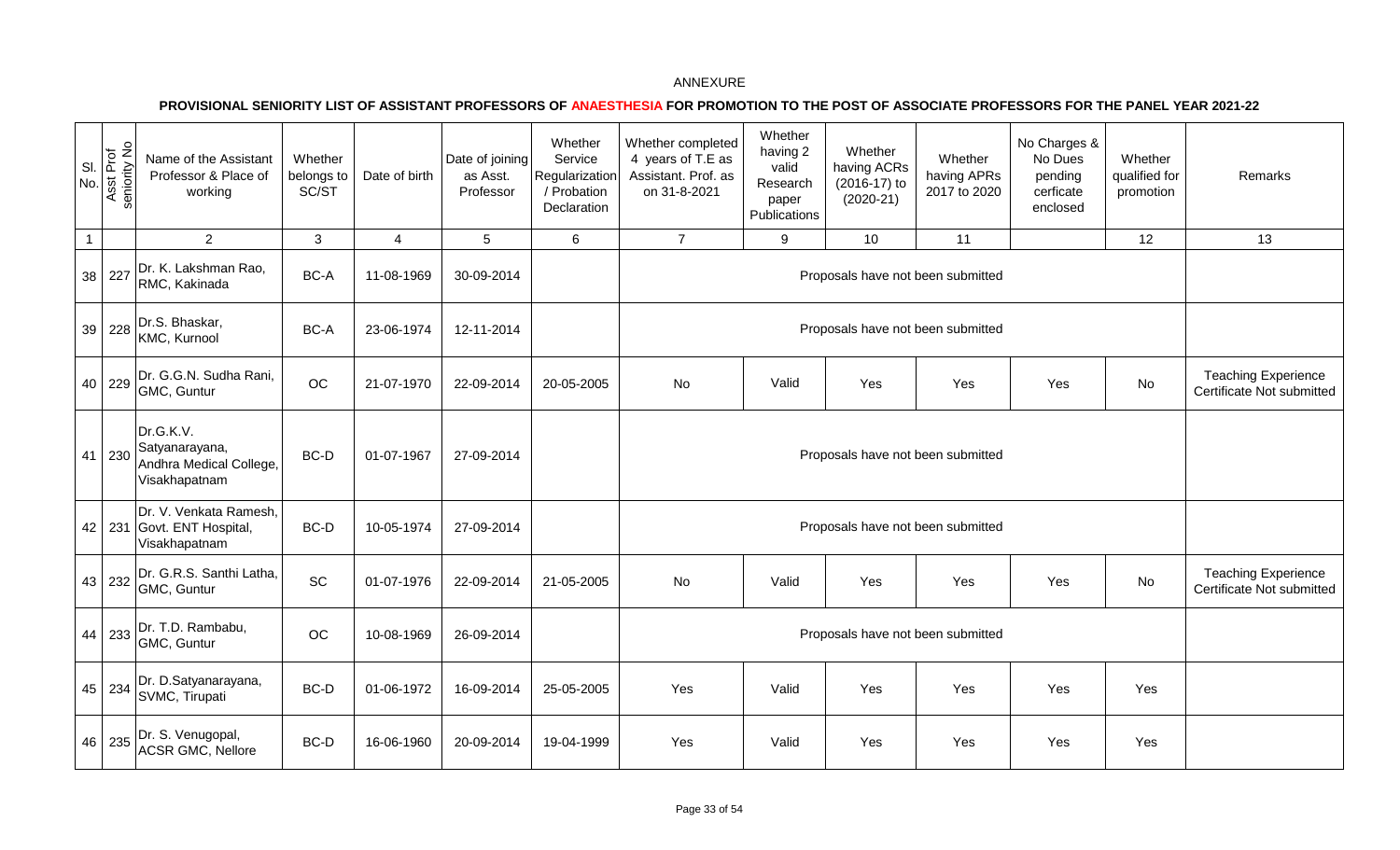| SI.<br>No.   | Asst Prof<br>seniority No | Name of the Assistant<br>Professor & Place of<br>working                | Whether<br>belongs to<br>SC/ST | Date of birth  | Date of joining<br>as Asst.<br>Professor | Whether<br>Service<br>Regularization<br>/ Probation<br>Declaration | Whether completed<br>4 years of T.E as<br>Assistant. Prof. as<br>on 31-8-2021 | Whether<br>having 2<br>valid<br>Research<br>paper<br>Publications | Whether<br>having ACRs<br>(2016-17) to<br>$(2020-21)$ | Whether<br>having APRs<br>2017 to 2020 | No Charges &<br>No Dues<br>pending<br>cerficate<br>enclosed | Whether<br>qualified for<br>promotion | Remarks                                                 |
|--------------|---------------------------|-------------------------------------------------------------------------|--------------------------------|----------------|------------------------------------------|--------------------------------------------------------------------|-------------------------------------------------------------------------------|-------------------------------------------------------------------|-------------------------------------------------------|----------------------------------------|-------------------------------------------------------------|---------------------------------------|---------------------------------------------------------|
| $\mathbf{1}$ |                           | $\overline{2}$                                                          | 3                              | $\overline{4}$ | $5\phantom{.0}$                          | $6\phantom{1}$                                                     | $\overline{7}$                                                                | 9                                                                 | 10                                                    | 11                                     |                                                             | 12 <sup>°</sup>                       | 13                                                      |
|              | 38 227                    | Dr. K. Lakshman Rao,<br>RMC, Kakinada                                   | BC-A                           | 11-08-1969     | 30-09-2014                               |                                                                    |                                                                               |                                                                   | Proposals have not been submitted                     |                                        |                                                             |                                       |                                                         |
|              | 39 228                    | Dr.S. Bhaskar,<br>KMC, Kurnool                                          | BC-A                           | 23-06-1974     | 12-11-2014                               |                                                                    |                                                                               |                                                                   | Proposals have not been submitted                     |                                        |                                                             |                                       |                                                         |
|              | 40 229                    | Dr. G.G.N. Sudha Rani,<br>GMC, Guntur                                   | OC                             | 21-07-1970     | 22-09-2014                               | 20-05-2005                                                         | No                                                                            | Valid                                                             | Yes                                                   | Yes                                    | Yes                                                         | No                                    | <b>Teaching Experience</b><br>Certificate Not submitted |
|              | 41 230                    | Dr.G.K.V.<br>Satyanarayana,<br>Andhra Medical College,<br>Visakhapatnam | BC-D                           | 01-07-1967     | 27-09-2014                               |                                                                    |                                                                               |                                                                   | Proposals have not been submitted                     |                                        |                                                             |                                       |                                                         |
|              |                           | Dr. V. Venkata Ramesh,<br>42   231 Govt. ENT Hospital,<br>Visakhapatnam | BC-D                           | 10-05-1974     | 27-09-2014                               |                                                                    |                                                                               |                                                                   | Proposals have not been submitted                     |                                        |                                                             |                                       |                                                         |
|              | 43 232                    | Dr. G.R.S. Santhi Latha,<br>GMC, Guntur                                 | $\operatorname{\textsf{SC}}$   | 01-07-1976     | 22-09-2014                               | 21-05-2005                                                         | No                                                                            | Valid                                                             | Yes                                                   | Yes                                    | Yes                                                         | No                                    | <b>Teaching Experience</b><br>Certificate Not submitted |
|              | 44 233                    | Dr. T.D. Rambabu,<br>GMC, Guntur                                        | OC                             | 10-08-1969     | 26-09-2014                               |                                                                    |                                                                               |                                                                   | Proposals have not been submitted                     |                                        |                                                             |                                       |                                                         |
|              | 45 234                    | Dr. D.Satyanarayana,<br>SVMC, Tirupati                                  | BC-D                           | 01-06-1972     | 16-09-2014                               | 25-05-2005                                                         | Yes                                                                           | Valid                                                             | Yes                                                   | Yes                                    | Yes                                                         | Yes                                   |                                                         |
|              | 46 235                    | Dr. S. Venugopal,<br>ACSR GMC, Nellore                                  | BC-D                           | 16-06-1960     | 20-09-2014                               | 19-04-1999                                                         | Yes                                                                           | Valid                                                             | Yes                                                   | Yes                                    | Yes                                                         | Yes                                   |                                                         |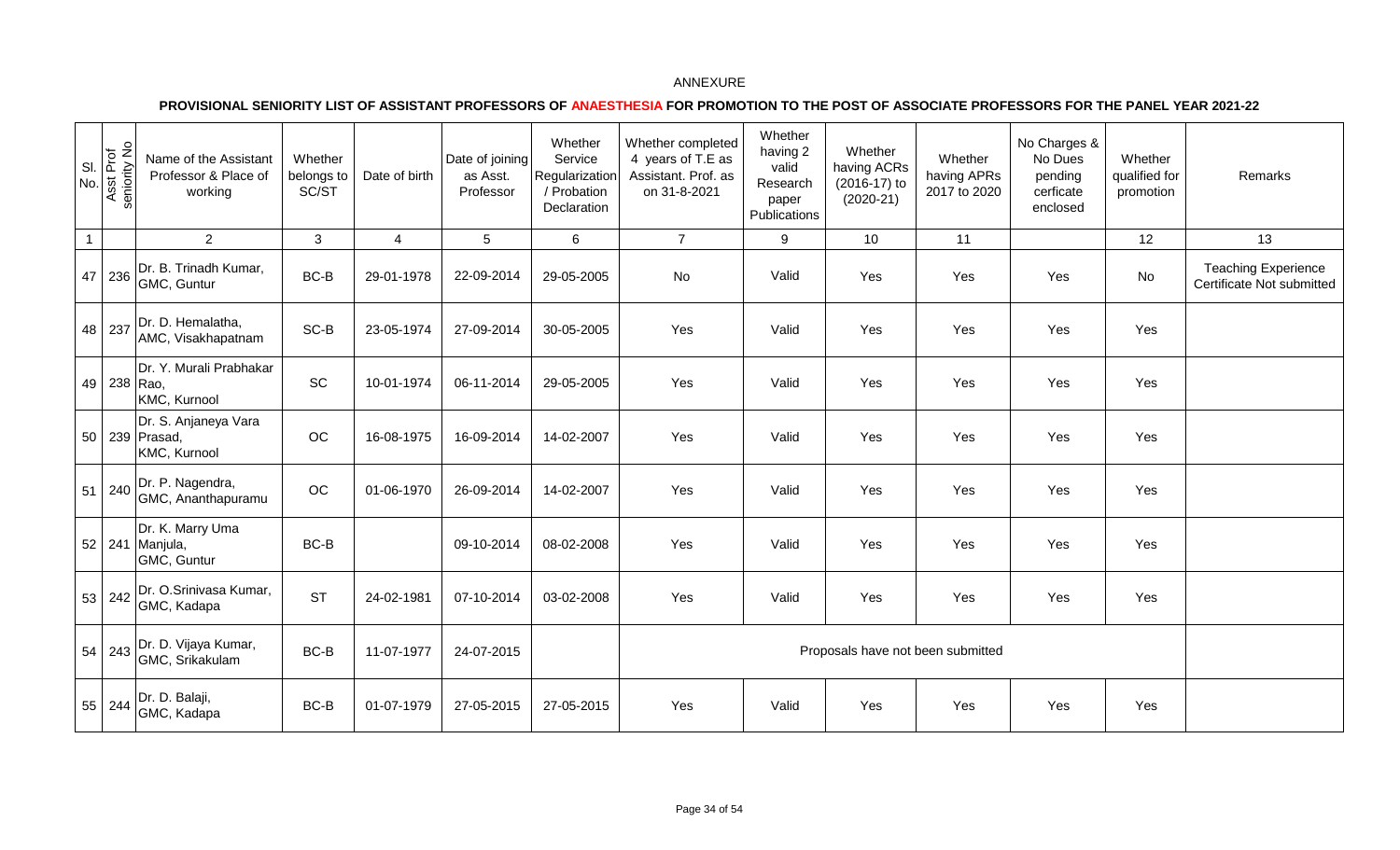| SI.<br>No.   | Asst Prof<br>seniority No | Name of the Assistant<br>Professor & Place of<br>working | Whether<br>belongs to<br>SC/ST | Date of birth  | Date of joining<br>as Asst.<br>Professor | Whether<br>Service<br>Regularization<br>/ Probation<br>Declaration | Whether completed<br>4 years of T.E as<br>Assistant. Prof. as<br>on 31-8-2021 | Whether<br>having 2<br>valid<br>Research<br>paper<br>Publications | Whether<br>having ACRs<br>(2016-17) to<br>$(2020-21)$ | Whether<br>having APRs<br>2017 to 2020 | No Charges &<br>No Dues<br>pending<br>cerficate<br>enclosed | Whether<br>qualified for<br>promotion | Remarks                                                 |
|--------------|---------------------------|----------------------------------------------------------|--------------------------------|----------------|------------------------------------------|--------------------------------------------------------------------|-------------------------------------------------------------------------------|-------------------------------------------------------------------|-------------------------------------------------------|----------------------------------------|-------------------------------------------------------------|---------------------------------------|---------------------------------------------------------|
| $\mathbf{1}$ |                           | $2^{\circ}$                                              | $\mathbf{3}$                   | $\overline{4}$ | $5\overline{)}$                          | 6                                                                  | $\overline{7}$                                                                | 9                                                                 | 10                                                    | 11                                     |                                                             | 12                                    | 13                                                      |
|              | 47 236                    | Dr. B. Trinadh Kumar,<br>GMC, Guntur                     | BC-B                           | 29-01-1978     | 22-09-2014                               | 29-05-2005                                                         | No                                                                            | Valid                                                             | Yes                                                   | Yes                                    | Yes                                                         | No                                    | <b>Teaching Experience</b><br>Certificate Not submitted |
|              | 48 237                    | Dr. D. Hemalatha,<br>AMC, Visakhapatnam                  | SC-B                           | 23-05-1974     | 27-09-2014                               | 30-05-2005                                                         | Yes                                                                           | Valid                                                             | Yes                                                   | Yes                                    | Yes                                                         | Yes                                   |                                                         |
|              | 49 238 Rao,               | Dr. Y. Murali Prabhakar<br>KMC, Kurnool                  | SC                             | 10-01-1974     | 06-11-2014                               | 29-05-2005                                                         | Yes                                                                           | Valid                                                             | Yes                                                   | Yes                                    | Yes                                                         | Yes                                   |                                                         |
|              |                           | Dr. S. Anjaneya Vara<br>50 239 Prasad,<br>KMC, Kurnool   | $_{\rm OC}$                    | 16-08-1975     | 16-09-2014                               | 14-02-2007                                                         | Yes                                                                           | Valid                                                             | Yes                                                   | Yes                                    | Yes                                                         | Yes                                   |                                                         |
|              | 51 240                    | Dr. P. Nagendra,<br>GMC, Ananthapuramu                   | $_{\rm OC}$                    | 01-06-1970     | 26-09-2014                               | 14-02-2007                                                         | Yes                                                                           | Valid                                                             | Yes                                                   | Yes                                    | Yes                                                         | Yes                                   |                                                         |
|              |                           | Dr. K. Marry Uma<br>52 241 Manjula,<br>GMC, Guntur       | BC-B                           |                | 09-10-2014                               | 08-02-2008                                                         | Yes                                                                           | Valid                                                             | Yes                                                   | Yes                                    | Yes                                                         | Yes                                   |                                                         |
|              | 53 242                    | Dr. O.Srinivasa Kumar,<br>GMC, Kadapa                    | <b>ST</b>                      | 24-02-1981     | 07-10-2014                               | 03-02-2008                                                         | Yes                                                                           | Valid                                                             | Yes                                                   | Yes                                    | Yes                                                         | Yes                                   |                                                         |
|              |                           | 54 243 Dr. D. Vijaya Kumar,<br>GMC, Srikakulam           | BC-B                           | 11-07-1977     | 24-07-2015                               |                                                                    |                                                                               |                                                                   | Proposals have not been submitted                     |                                        |                                                             |                                       |                                                         |
|              | 55 244                    | Dr. D. Balaji,<br>GMC, Kadapa                            | BC-B                           | 01-07-1979     | 27-05-2015                               | 27-05-2015                                                         | Yes                                                                           | Valid                                                             | Yes                                                   | Yes                                    | Yes                                                         | Yes                                   |                                                         |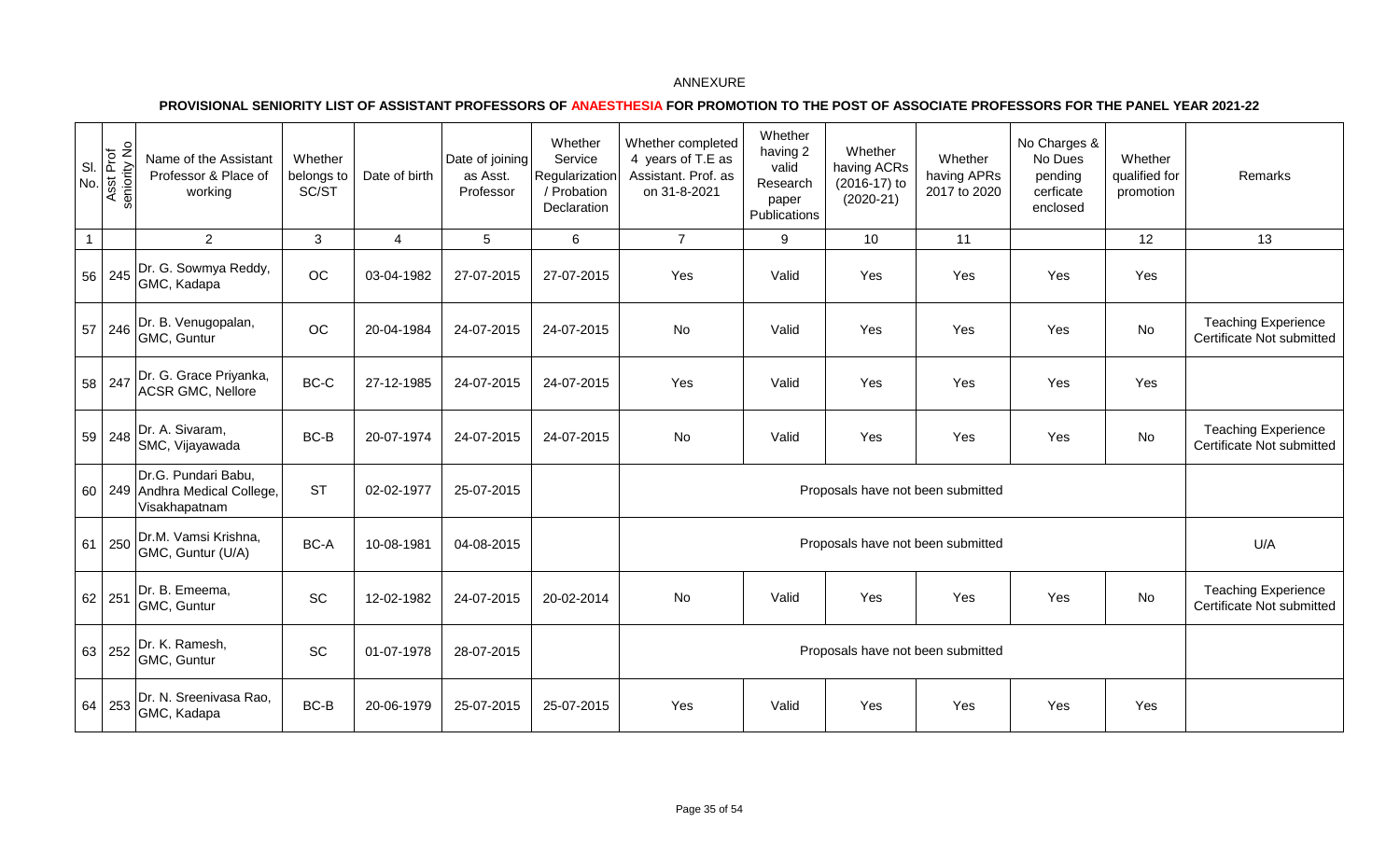| SI<br>No.      | Asst Prof<br>seniority No<br>$\bar{a}$ | Name of the Assistant<br>Professor & Place of<br>working               | Whether<br>belongs to<br>SC/ST | Date of birth  | Date of joining<br>as Asst.<br>Professor | Whether<br>Service<br>Regularization<br>/ Probation<br>Declaration | Whether completed<br>4 years of T.E as<br>Assistant. Prof. as<br>on 31-8-2021 | Whether<br>having 2<br>valid<br>Research<br>paper<br>Publications | Whether<br>having ACRs<br>(2016-17) to<br>$(2020-21)$ | Whether<br>having APRs<br>2017 to 2020 | No Charges &<br>No Dues<br>pending<br>cerficate<br>enclosed | Whether<br>qualified for<br>promotion | Remarks                                                 |
|----------------|----------------------------------------|------------------------------------------------------------------------|--------------------------------|----------------|------------------------------------------|--------------------------------------------------------------------|-------------------------------------------------------------------------------|-------------------------------------------------------------------|-------------------------------------------------------|----------------------------------------|-------------------------------------------------------------|---------------------------------------|---------------------------------------------------------|
| $\overline{1}$ |                                        | $\overline{2}$                                                         | $\mathbf{3}$                   | $\overline{4}$ | $5\phantom{.0}$                          | 6                                                                  | $\overline{7}$                                                                | 9                                                                 | 10                                                    | 11                                     |                                                             | 12                                    | 13                                                      |
| 56             | 245                                    | Dr. G. Sowmya Reddy,<br>GMC, Kadapa                                    | $OC$                           | 03-04-1982     | 27-07-2015                               | 27-07-2015                                                         | Yes                                                                           | Valid                                                             | Yes                                                   | Yes                                    | Yes                                                         | Yes                                   |                                                         |
| 57             | 246                                    | Dr. B. Venugopalan,<br>GMC, Guntur                                     | $OC$                           | 20-04-1984     | 24-07-2015                               | 24-07-2015                                                         | No                                                                            | Valid                                                             | Yes                                                   | Yes                                    | Yes                                                         | <b>No</b>                             | <b>Teaching Experience</b><br>Certificate Not submitted |
| 58             | 247                                    | Dr. G. Grace Priyanka,<br><b>ACSR GMC, Nellore</b>                     | BC-C                           | 27-12-1985     | 24-07-2015                               | 24-07-2015                                                         | Yes                                                                           | Valid                                                             | Yes                                                   | Yes                                    | Yes                                                         | Yes                                   |                                                         |
| 59             | 248                                    | Dr. A. Sivaram,<br>SMC, Vijayawada                                     | BC-B                           | 20-07-1974     | 24-07-2015                               | 24-07-2015                                                         | No                                                                            | Valid                                                             | Yes                                                   | Yes                                    | Yes                                                         | <b>No</b>                             | <b>Teaching Experience</b><br>Certificate Not submitted |
|                |                                        | Dr.G. Pundari Babu,<br>60 249 Andhra Medical College,<br>Visakhapatnam | <b>ST</b>                      | 02-02-1977     | 25-07-2015                               |                                                                    |                                                                               |                                                                   | Proposals have not been submitted                     |                                        |                                                             |                                       |                                                         |
| 61             | 250                                    | Dr.M. Vamsi Krishna,<br>GMC, Guntur (U/A)                              | BC-A                           | 10-08-1981     | 04-08-2015                               |                                                                    |                                                                               |                                                                   | Proposals have not been submitted                     |                                        |                                                             |                                       | U/A                                                     |
| 62             | 251                                    | Dr. B. Emeema,<br>GMC, Guntur                                          | SC                             | 12-02-1982     | 24-07-2015                               | 20-02-2014                                                         | No                                                                            | Valid                                                             | Yes                                                   | Yes                                    | Yes                                                         | No                                    | <b>Teaching Experience</b><br>Certificate Not submitted |
|                | 63 252                                 | Dr. K. Ramesh,<br>GMC, Guntur                                          | SC                             | 01-07-1978     | 28-07-2015                               |                                                                    |                                                                               |                                                                   | Proposals have not been submitted                     |                                        |                                                             |                                       |                                                         |
| 64             | 253                                    | Dr. N. Sreenivasa Rao,<br>GMC, Kadapa                                  | BC-B                           | 20-06-1979     | 25-07-2015                               | 25-07-2015                                                         | Yes                                                                           | Valid                                                             | Yes                                                   | Yes                                    | Yes                                                         | Yes                                   |                                                         |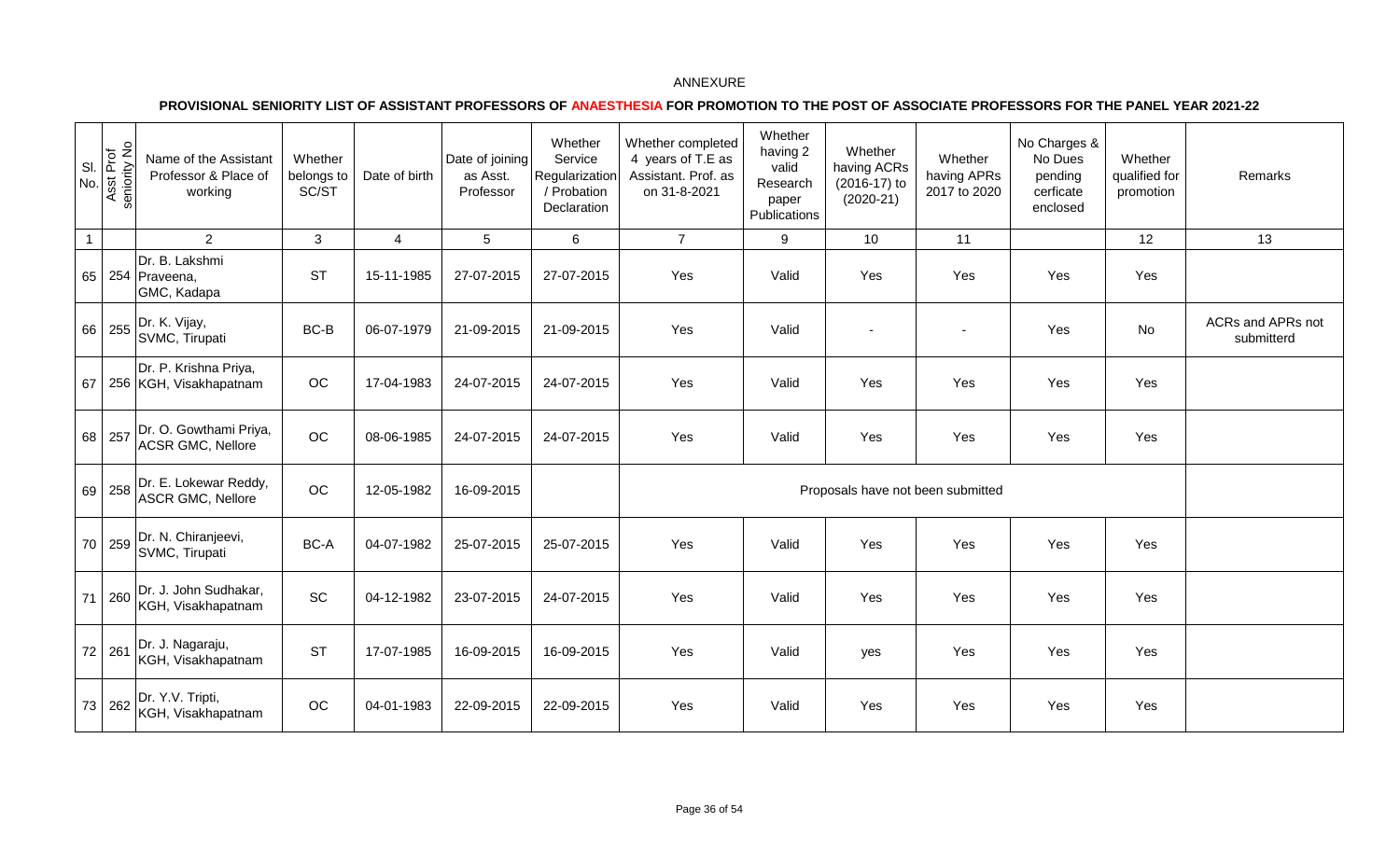|              | $\frac{8}{10}$<br>Asst Prof<br>Seniority No | Name of the Assistant<br>Professor & Place of<br>working | Whether<br>belongs to<br>SC/ST | Date of birth  | Date of joining<br>as Asst.<br>Professor | Whether<br>Service<br>Regularization<br>/ Probation<br>Declaration | Whether completed<br>4 years of T.E as<br>Assistant. Prof. as<br>on 31-8-2021 | Whether<br>having 2<br>valid<br>Research<br>paper<br>Publications | Whether<br>having ACRs<br>(2016-17) to<br>$(2020-21)$ | Whether<br>having APRs<br>2017 to 2020 | No Charges &<br>No Dues<br>pending<br>cerficate<br>enclosed | Whether<br>qualified for<br>promotion | Remarks                         |
|--------------|---------------------------------------------|----------------------------------------------------------|--------------------------------|----------------|------------------------------------------|--------------------------------------------------------------------|-------------------------------------------------------------------------------|-------------------------------------------------------------------|-------------------------------------------------------|----------------------------------------|-------------------------------------------------------------|---------------------------------------|---------------------------------|
| $\mathbf{1}$ |                                             | $\overline{2}$                                           | 3                              | $\overline{4}$ | $5\phantom{.0}$                          | $\,6$                                                              | $\overline{7}$                                                                | 9                                                                 | 10                                                    | 11                                     |                                                             | 12                                    | 13                              |
|              |                                             | Dr. B. Lakshmi<br>65 254 Praveena,<br>GMC, Kadapa        | <b>ST</b>                      | 15-11-1985     | 27-07-2015                               | 27-07-2015                                                         | Yes                                                                           | Valid                                                             | Yes                                                   | Yes                                    | Yes                                                         | Yes                                   |                                 |
|              | 66 255                                      | Dr. K. Vijay,<br>SVMC, Tirupati                          | BC-B                           | 06-07-1979     | 21-09-2015                               | 21-09-2015                                                         | Yes                                                                           | Valid                                                             |                                                       | $\blacksquare$                         | Yes                                                         | No                                    | ACRs and APRs not<br>submitterd |
| 67           |                                             | Dr. P. Krishna Priya,<br>256 KGH, Visakhapatnam          | OC                             | 17-04-1983     | 24-07-2015                               | 24-07-2015                                                         | Yes                                                                           | Valid                                                             | Yes                                                   | Yes                                    | Yes                                                         | Yes                                   |                                 |
| 68           | 257                                         | Dr. O. Gowthami Priya,<br><b>ACSR GMC, Nellore</b>       | OC                             | 08-06-1985     | 24-07-2015                               | 24-07-2015                                                         | Yes                                                                           | Valid                                                             | Yes                                                   | Yes                                    | Yes                                                         | Yes                                   |                                 |
|              | 69 258                                      | Dr. E. Lokewar Reddy,<br><b>ASCR GMC, Nellore</b>        | $_{\rm OC}$                    | 12-05-1982     | 16-09-2015                               |                                                                    |                                                                               |                                                                   |                                                       | Proposals have not been submitted      |                                                             |                                       |                                 |
|              | 70 259                                      | Dr. N. Chiranjeevi,<br>SVMC, Tirupati                    | BC-A                           | 04-07-1982     | 25-07-2015                               | 25-07-2015                                                         | Yes                                                                           | Valid                                                             | Yes                                                   | Yes                                    | Yes                                                         | Yes                                   |                                 |
| 71           | 260                                         | Dr. J. John Sudhakar,<br>KGH, Visakhapatnam              | SC                             | 04-12-1982     | 23-07-2015                               | 24-07-2015                                                         | Yes                                                                           | Valid                                                             | Yes                                                   | Yes                                    | Yes                                                         | Yes                                   |                                 |
|              | 72 261                                      | Dr. J. Nagaraju,<br>KGH, Visakhapatnam                   | <b>ST</b>                      | 17-07-1985     | 16-09-2015                               | 16-09-2015                                                         | Yes                                                                           | Valid                                                             | yes                                                   | Yes                                    | Yes                                                         | Yes                                   |                                 |
|              | 73 262                                      | Dr. Y.V. Tripti,<br>KGH, Visakhapatnam                   | OC                             | 04-01-1983     | 22-09-2015                               | 22-09-2015                                                         | Yes                                                                           | Valid                                                             | Yes                                                   | Yes                                    | Yes                                                         | Yes                                   |                                 |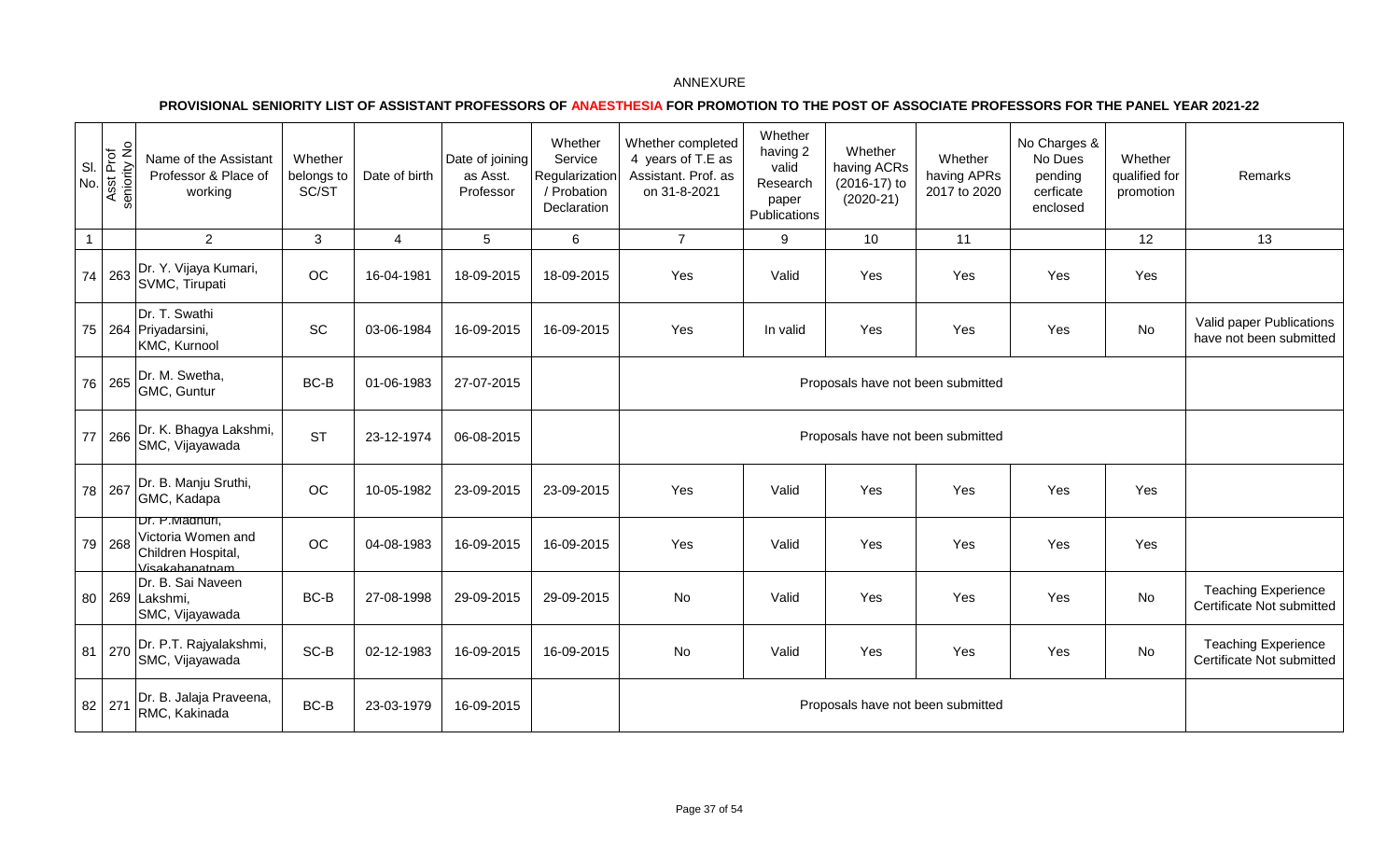| SI.<br>No.   | Asst Prof<br>seniority No | Name of the Assistant<br>Professor & Place of<br>working                     | Whether<br>belongs to<br>SC/ST | Date of birth  | Date of joining<br>as Asst.<br>Professor | Whether<br>Service<br>Regularization<br>/ Probation<br>Declaration | Whether completed<br>4 years of T.E as<br>Assistant. Prof. as<br>on 31-8-2021 | Whether<br>having 2<br>valid<br>Research<br>paper<br>Publications | Whether<br>having ACRs<br>(2016-17) to<br>$(2020-21)$ | Whether<br>having APRs<br>2017 to 2020 | No Charges &<br>No Dues<br>pending<br>cerficate<br>enclosed | Whether<br>qualified for<br>promotion | Remarks                                                 |
|--------------|---------------------------|------------------------------------------------------------------------------|--------------------------------|----------------|------------------------------------------|--------------------------------------------------------------------|-------------------------------------------------------------------------------|-------------------------------------------------------------------|-------------------------------------------------------|----------------------------------------|-------------------------------------------------------------|---------------------------------------|---------------------------------------------------------|
| $\mathbf{1}$ |                           | $\overline{2}$                                                               | 3                              | $\overline{4}$ | 5                                        | 6                                                                  | $\overline{7}$                                                                | 9                                                                 | 10                                                    | 11                                     |                                                             | 12                                    | 13                                                      |
|              | 74 263                    | Dr. Y. Vijaya Kumari,<br>SVMC, Tirupati                                      | OC                             | 16-04-1981     | 18-09-2015                               | 18-09-2015                                                         | Yes                                                                           | Valid                                                             | Yes                                                   | Yes                                    | Yes                                                         | Yes                                   |                                                         |
|              |                           | Dr. T. Swathi<br>75 264 Priyadarsini,<br>KMC, Kurnool                        | SC                             | 03-06-1984     | 16-09-2015                               | 16-09-2015                                                         | Yes                                                                           | In valid                                                          | Yes                                                   | Yes                                    | Yes                                                         | No                                    | Valid paper Publications<br>have not been submitted     |
|              | 76 265                    | Dr. M. Swetha,<br>GMC, Guntur                                                | BC-B                           | 01-06-1983     | 27-07-2015                               |                                                                    |                                                                               |                                                                   | Proposals have not been submitted                     |                                        |                                                             |                                       |                                                         |
| 77           | 266                       | Dr. K. Bhagya Lakshmi,<br>SMC, Vijayawada                                    | <b>ST</b>                      | 23-12-1974     | 06-08-2015                               |                                                                    |                                                                               |                                                                   | Proposals have not been submitted                     |                                        |                                                             |                                       |                                                         |
|              | 78 267                    | Dr. B. Manju Sruthi,<br>GMC, Kadapa                                          | OC                             | 10-05-1982     | 23-09-2015                               | 23-09-2015                                                         | Yes                                                                           | Valid                                                             | Yes                                                   | Yes                                    | Yes                                                         | Yes                                   |                                                         |
|              | 79 268                    | Dr. P.Madhuri,<br>Victoria Women and<br>Children Hospital,<br>Visakahanatnam | OC                             | 04-08-1983     | 16-09-2015                               | 16-09-2015                                                         | Yes                                                                           | Valid                                                             | Yes                                                   | Yes                                    | Yes                                                         | Yes                                   |                                                         |
|              |                           | Dr. B. Sai Naveen<br>80 269 Lakshmi,<br>SMC, Vijayawada                      | BC-B                           | 27-08-1998     | 29-09-2015                               | 29-09-2015                                                         | No                                                                            | Valid                                                             | Yes                                                   | Yes                                    | Yes                                                         | No                                    | <b>Teaching Experience</b><br>Certificate Not submitted |
|              | 81 270                    | Dr. P.T. Rajyalakshmi,<br>SMC, Vijayawada                                    | SC-B                           | 02-12-1983     | 16-09-2015                               | 16-09-2015                                                         | No                                                                            | Valid                                                             | Yes                                                   | Yes                                    | Yes                                                         | No                                    | <b>Teaching Experience</b><br>Certificate Not submitted |
|              | 82 271                    | Dr. B. Jalaja Praveena,<br>RMC, Kakinada                                     | BC-B                           | 23-03-1979     | 16-09-2015                               |                                                                    |                                                                               |                                                                   | Proposals have not been submitted                     |                                        |                                                             |                                       |                                                         |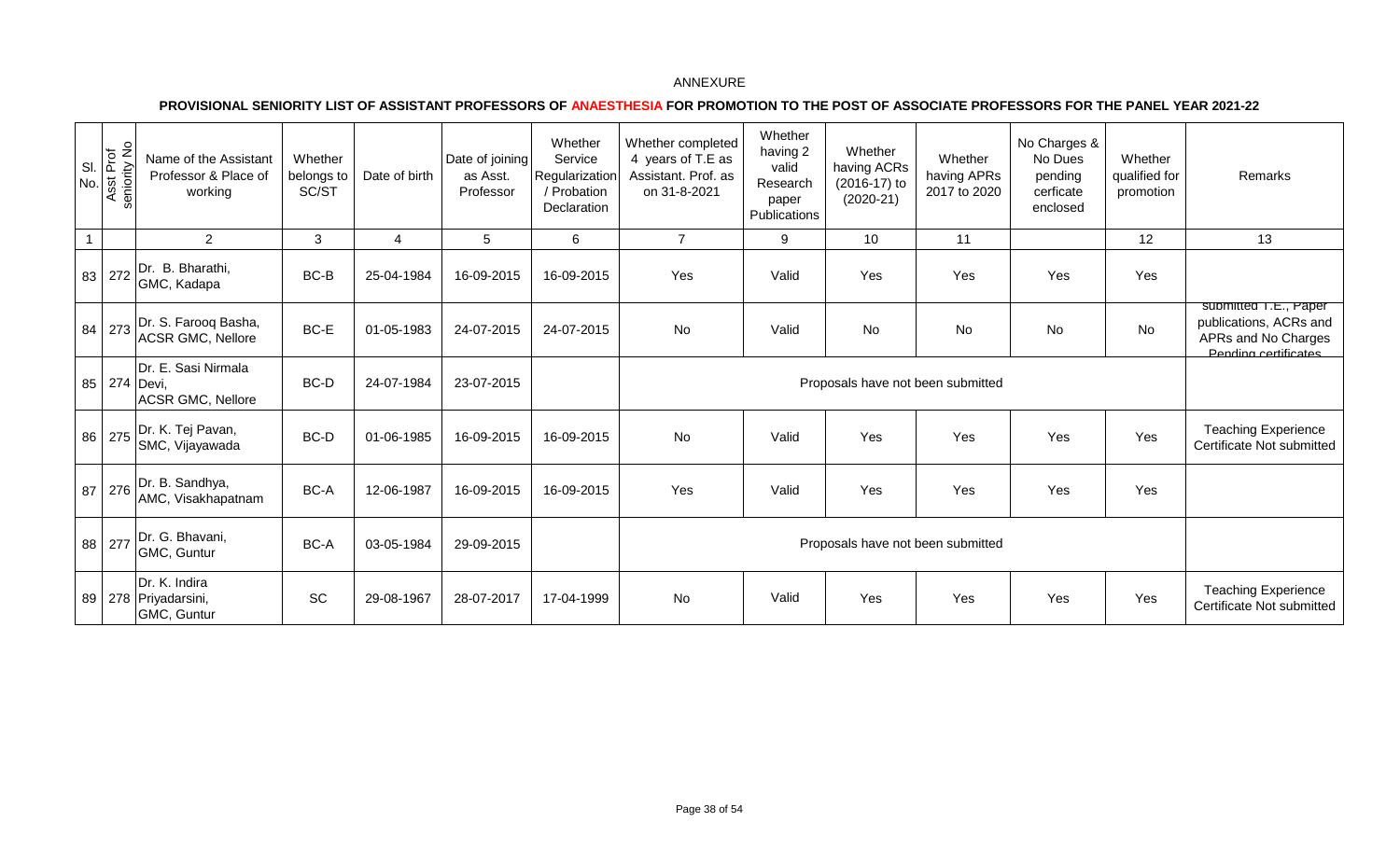| SI.<br>No. | Asst Prof<br>seniority No | Name of the Assistant<br>Professor & Place of<br>working        | Whether<br>belongs to<br>SC/ST | Date of birth | Date of joining<br>as Asst.<br>Professor | Whether<br>Service<br>Regularization<br>/ Probation<br>Declaration | Whether completed<br>4 years of T.E as<br>Assistant. Prof. as<br>on 31-8-2021 | Whether<br>having 2<br>valid<br>Research<br>paper<br>Publications | Whether<br>having ACRs<br>$(2016-17)$ to<br>$(2020-21)$ | Whether<br>having APRs<br>2017 to 2020 | No Charges &<br>No Dues<br>pending<br>cerficate<br>enclosed | Whether<br>qualified for<br>promotion | <b>Remarks</b>                                                                                 |
|------------|---------------------------|-----------------------------------------------------------------|--------------------------------|---------------|------------------------------------------|--------------------------------------------------------------------|-------------------------------------------------------------------------------|-------------------------------------------------------------------|---------------------------------------------------------|----------------------------------------|-------------------------------------------------------------|---------------------------------------|------------------------------------------------------------------------------------------------|
|            |                           | 2                                                               | 3                              | 4             | 5                                        | 6                                                                  | $\overline{7}$                                                                | 9                                                                 | 10                                                      | 11                                     |                                                             | 12                                    | 13                                                                                             |
|            | 83 272                    | Dr. B. Bharathi,<br>GMC, Kadapa                                 | $BC-B$                         | 25-04-1984    | 16-09-2015                               | 16-09-2015                                                         | Yes                                                                           | Valid                                                             | Yes                                                     | Yes                                    | Yes                                                         | Yes                                   |                                                                                                |
| 84         | 273                       | Dr. S. Farooq Basha,<br><b>ACSR GMC, Nellore</b>                | BC-E                           | 01-05-1983    | 24-07-2015                               | 24-07-2015                                                         | No                                                                            | Valid                                                             | No                                                      | No                                     | No                                                          | No                                    | submitted 1.E., Paper<br>publications, ACRs and<br>APRs and No Charges<br>Pending certificates |
|            |                           | Dr. E. Sasi Nirmala<br>85 274 Devi,<br><b>ACSR GMC, Nellore</b> | BC-D                           | 24-07-1984    | 23-07-2015                               |                                                                    |                                                                               |                                                                   | Proposals have not been submitted                       |                                        |                                                             |                                       |                                                                                                |
|            |                           | 86 275 Dr. K. Tej Pavan,<br>SMC, Vijayawada                     | BC-D                           | 01-06-1985    | 16-09-2015                               | 16-09-2015                                                         | <b>No</b>                                                                     | Valid                                                             | Yes                                                     | Yes                                    | Yes                                                         | Yes                                   | <b>Teaching Experience</b><br>Certificate Not submitted                                        |
| 87         | 276                       | Dr. B. Sandhya,<br>AMC, Visakhapatnam                           | BC-A                           | 12-06-1987    | 16-09-2015                               | 16-09-2015                                                         | Yes                                                                           | Valid                                                             | Yes                                                     | Yes                                    | Yes                                                         | Yes                                   |                                                                                                |
|            | 88 277                    | Dr. G. Bhavani,<br>GMC, Guntur                                  | BC-A                           | 03-05-1984    | 29-09-2015                               |                                                                    |                                                                               |                                                                   | Proposals have not been submitted                       |                                        |                                                             |                                       |                                                                                                |
|            |                           | Dr. K. Indira<br>89   278   Priyadarsini,<br>GMC, Guntur        | SC                             | 29-08-1967    | 28-07-2017                               | 17-04-1999                                                         | No                                                                            | Valid                                                             | Yes                                                     | Yes                                    | Yes                                                         | Yes                                   | <b>Teaching Experience</b><br>Certificate Not submitted                                        |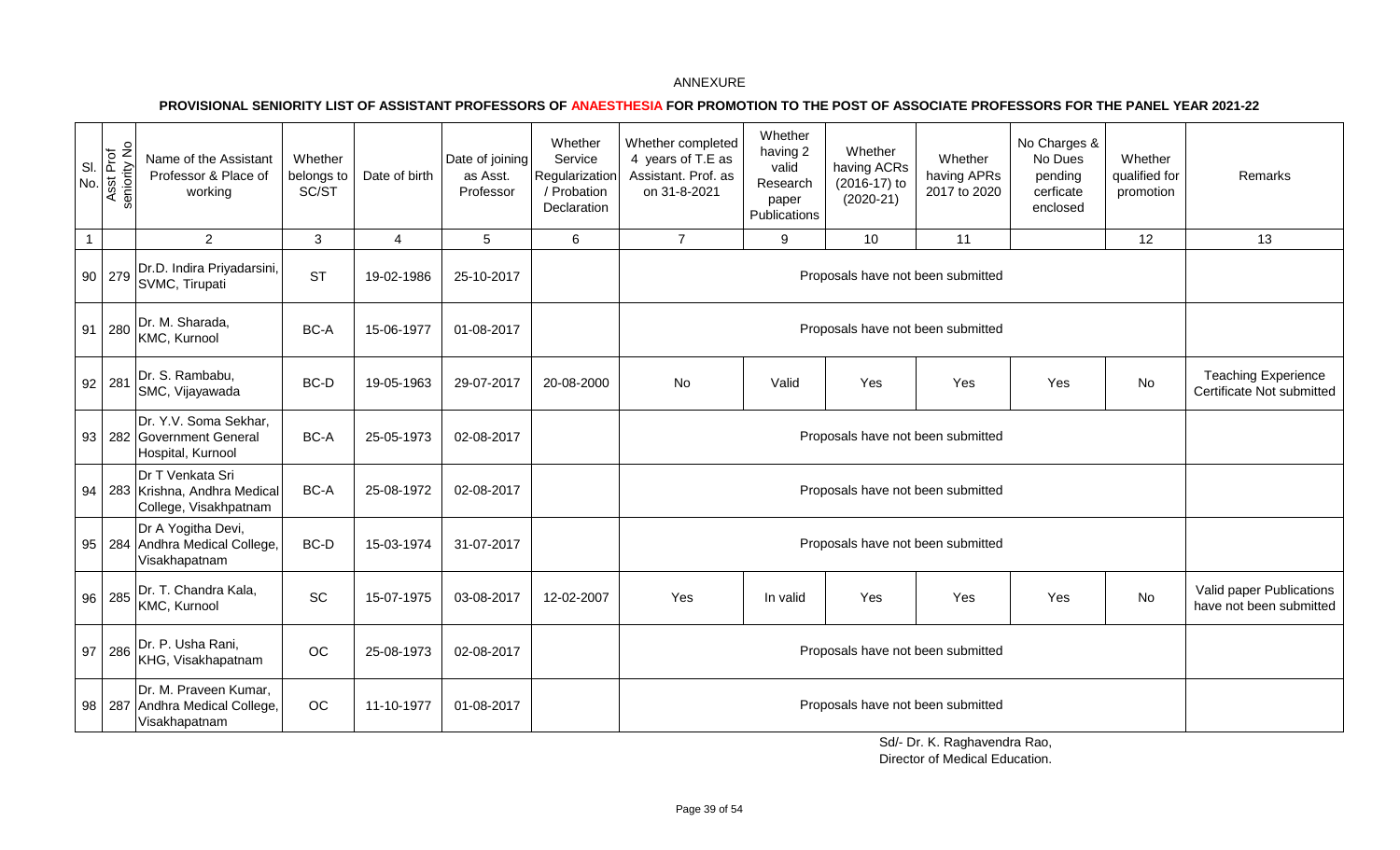**PROVISIONAL SENIORITY LIST OF ASSISTANT PROFESSORS OF ANAESTHESIA FOR PROMOTION TO THE POST OF ASSOCIATE PROFESSORS FOR THE PANEL YEAR 2021-22** 

| SI<br>No.    | Asst Prof<br>seniority No | Name of the Assistant<br>Professor & Place of<br>working                    | Whether<br>belongs to<br>SC/ST | Date of birth | Date of joining<br>as Asst.<br>Professor | Whether<br>Service<br>Regularization<br>/ Probation<br>Declaration | Whether completed<br>4 years of T.E as<br>Assistant. Prof. as<br>on 31-8-2021 | Whether<br>having 2<br>valid<br>Research<br>paper<br>Publications | Whether<br>having ACRs<br>(2016-17) to<br>$(2020-21)$ | Whether<br>having APRs<br>2017 to 2020 | No Charges &<br>No Dues<br>pending<br>cerficate<br>enclosed | Whether<br>qualified for<br>promotion | Remarks                                                 |
|--------------|---------------------------|-----------------------------------------------------------------------------|--------------------------------|---------------|------------------------------------------|--------------------------------------------------------------------|-------------------------------------------------------------------------------|-------------------------------------------------------------------|-------------------------------------------------------|----------------------------------------|-------------------------------------------------------------|---------------------------------------|---------------------------------------------------------|
| $\mathbf{1}$ |                           | $\overline{2}$                                                              | 3                              | 4             | $\overline{5}$                           | 6                                                                  | $\overline{7}$                                                                | 9                                                                 | 10                                                    | 11                                     |                                                             | 12                                    | 13                                                      |
|              | 90 279                    | Dr.D. Indira Priyadarsini,<br>SVMC, Tirupati                                | <b>ST</b>                      | 19-02-1986    | 25-10-2017                               |                                                                    |                                                                               |                                                                   |                                                       | Proposals have not been submitted      |                                                             |                                       |                                                         |
| 91           | 280                       | Dr. M. Sharada,<br>KMC, Kurnool                                             | BC-A                           | 15-06-1977    | 01-08-2017                               |                                                                    |                                                                               |                                                                   |                                                       | Proposals have not been submitted      |                                                             |                                       |                                                         |
|              | $92$ 281                  | Dr. S. Rambabu,<br>SMC, Vijayawada                                          | BC-D                           | 19-05-1963    | 29-07-2017                               | 20-08-2000                                                         | No                                                                            | Valid                                                             | Yes                                                   | Yes                                    | Yes                                                         | No                                    | <b>Teaching Experience</b><br>Certificate Not submitted |
|              |                           | Dr. Y.V. Soma Sekhar,<br>93   282   Government General<br>Hospital, Kurnool | BC-A                           | 25-05-1973    | 02-08-2017                               |                                                                    |                                                                               |                                                                   |                                                       |                                        |                                                             |                                       |                                                         |
| 94           |                           | Dr T Venkata Sri<br>283 Krishna, Andhra Medical<br>College, Visakhpatnam    | BC-A                           | 25-08-1972    | 02-08-2017                               |                                                                    |                                                                               |                                                                   |                                                       | Proposals have not been submitted      |                                                             |                                       |                                                         |
|              |                           | Dr A Yogitha Devi,<br>95   284   Andhra Medical College,<br>Visakhapatnam   | BC-D                           | 15-03-1974    | 31-07-2017                               |                                                                    |                                                                               |                                                                   |                                                       | Proposals have not been submitted      |                                                             |                                       |                                                         |
|              | 96 285                    | Dr. T. Chandra Kala,<br>KMC, Kurnool                                        | SC                             | 15-07-1975    | 03-08-2017                               | 12-02-2007                                                         | Yes                                                                           | In valid                                                          | Yes                                                   | Yes                                    | Yes                                                         | No.                                   | Valid paper Publications<br>have not been submitted     |
| 97           | 286                       | Dr. P. Usha Rani,<br>KHG, Visakhapatnam                                     | OC                             | 25-08-1973    | 02-08-2017                               |                                                                    |                                                                               |                                                                   |                                                       |                                        |                                                             |                                       |                                                         |
|              |                           | Dr. M. Praveen Kumar,<br>98   287 Andhra Medical College,<br>Visakhapatnam  | OC                             | 11-10-1977    | 01-08-2017                               |                                                                    |                                                                               |                                                                   |                                                       | Proposals have not been submitted      |                                                             |                                       |                                                         |

Sd/- Dr. K. Raghavendra Rao, Director of Medical Education.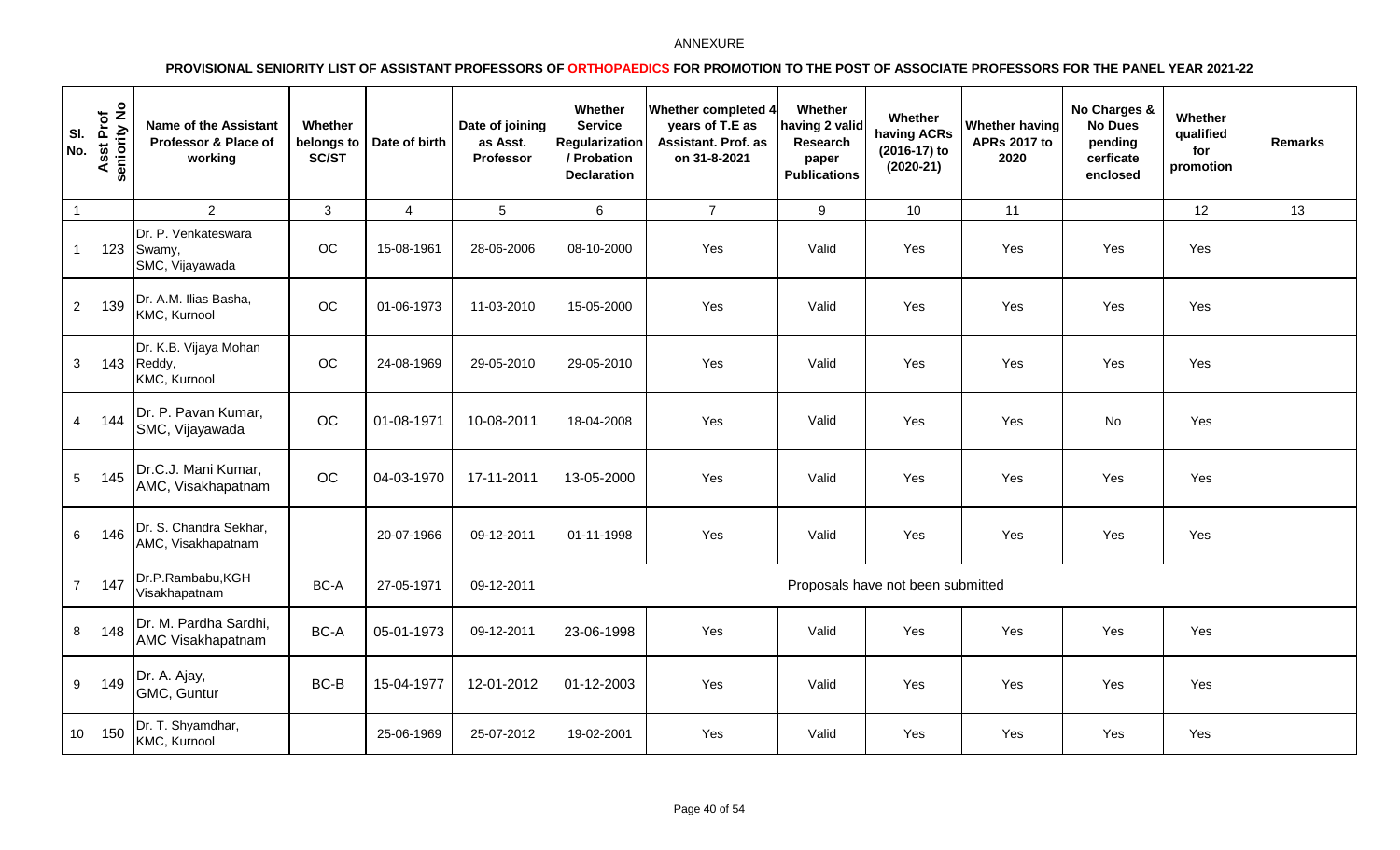| SI.<br>No.      | Asst Prof<br>seniority No | <b>Name of the Assistant</b><br>Professor & Place of<br>working | Whether<br>belongs to<br><b>SC/ST</b> | Date of birth  | Date of joining<br>as Asst.<br>Professor | Whether<br><b>Service</b><br><b>Regularization</b><br>/ Probation<br><b>Declaration</b> | Whether completed 4<br>years of T.E as<br><b>Assistant. Prof. as</b><br>on 31-8-2021 | Whether<br>having 2 valid<br><b>Research</b><br>paper<br><b>Publications</b> | Whether<br>having ACRs<br>(2016-17) to<br>$(2020-21)$ | <b>Whether having</b><br><b>APRs 2017 to</b><br>2020 | No Charges &<br><b>No Dues</b><br>pending<br>cerficate<br>enclosed | Whether<br>qualified<br>for<br>promotion | <b>Remarks</b> |
|-----------------|---------------------------|-----------------------------------------------------------------|---------------------------------------|----------------|------------------------------------------|-----------------------------------------------------------------------------------------|--------------------------------------------------------------------------------------|------------------------------------------------------------------------------|-------------------------------------------------------|------------------------------------------------------|--------------------------------------------------------------------|------------------------------------------|----------------|
| $\overline{1}$  |                           | $2^{\circ}$                                                     | $\mathbf{3}$                          | $\overline{4}$ | 5                                        | $6\phantom{1}$                                                                          | $\overline{7}$                                                                       | 9                                                                            | 10                                                    | 11                                                   |                                                                    | 12                                       | 13             |
|                 | 123                       | Dr. P. Venkateswara<br>Swamy,<br>SMC, Vijayawada                | OC                                    | 15-08-1961     | 28-06-2006                               | 08-10-2000                                                                              | Yes                                                                                  | Valid                                                                        | Yes                                                   | Yes                                                  | Yes                                                                | Yes                                      |                |
| $\overline{2}$  | 139                       | Dr. A.M. Ilias Basha,<br>KMC, Kurnool                           | OC                                    | 01-06-1973     | 11-03-2010                               | 15-05-2000                                                                              | Yes                                                                                  | Valid                                                                        | Yes                                                   | Yes                                                  | Yes                                                                | Yes                                      |                |
| $\mathbf{3}$    | 143                       | Dr. K.B. Vijaya Mohan<br>Reddy,<br>KMC, Kurnool                 | OC                                    | 24-08-1969     | 29-05-2010                               | 29-05-2010                                                                              | Yes                                                                                  | Valid                                                                        | Yes                                                   | Yes                                                  | Yes                                                                | Yes                                      |                |
| $\overline{a}$  | 144                       | Dr. P. Pavan Kumar,<br>SMC, Vijayawada                          | OC                                    | 01-08-1971     | 10-08-2011                               | 18-04-2008                                                                              | Yes                                                                                  | Valid                                                                        | Yes                                                   | Yes                                                  | No                                                                 | Yes                                      |                |
| $5\phantom{.0}$ | 145                       | Dr.C.J. Mani Kumar,<br>AMC, Visakhapatnam                       | OC                                    | 04-03-1970     | 17-11-2011                               | 13-05-2000                                                                              | Yes                                                                                  | Valid                                                                        | Yes                                                   | Yes                                                  | Yes                                                                | Yes                                      |                |
| 6               | 146                       | Dr. S. Chandra Sekhar,<br>AMC, Visakhapatnam                    |                                       | 20-07-1966     | 09-12-2011                               | 01-11-1998                                                                              | Yes                                                                                  | Valid                                                                        | Yes                                                   | Yes                                                  | Yes                                                                | Yes                                      |                |
| $\overline{7}$  | 147                       | Dr.P.Rambabu,KGH<br>Visakhapatnam                               | BC-A                                  | 27-05-1971     | 09-12-2011                               |                                                                                         |                                                                                      |                                                                              | Proposals have not been submitted                     |                                                      |                                                                    |                                          |                |
| 8               | 148                       | Dr. M. Pardha Sardhi,<br>AMC Visakhapatnam                      | BC-A                                  | 05-01-1973     | 09-12-2011                               | 23-06-1998                                                                              | Yes                                                                                  | Valid                                                                        | Yes                                                   | Yes                                                  | Yes                                                                | Yes                                      |                |
| 9               | 149                       | Dr. A. Ajay,<br>GMC, Guntur                                     | BC-B                                  | 15-04-1977     | 12-01-2012                               | 01-12-2003                                                                              | Yes                                                                                  | Valid                                                                        | Yes                                                   | Yes                                                  | Yes                                                                | Yes                                      |                |
| 10 <sup>1</sup> | 150                       | Dr. T. Shyamdhar,<br>KMC, Kurnool                               |                                       | 25-06-1969     | 25-07-2012                               | 19-02-2001                                                                              | Yes                                                                                  | Valid                                                                        | Yes                                                   | Yes                                                  | Yes                                                                | Yes                                      |                |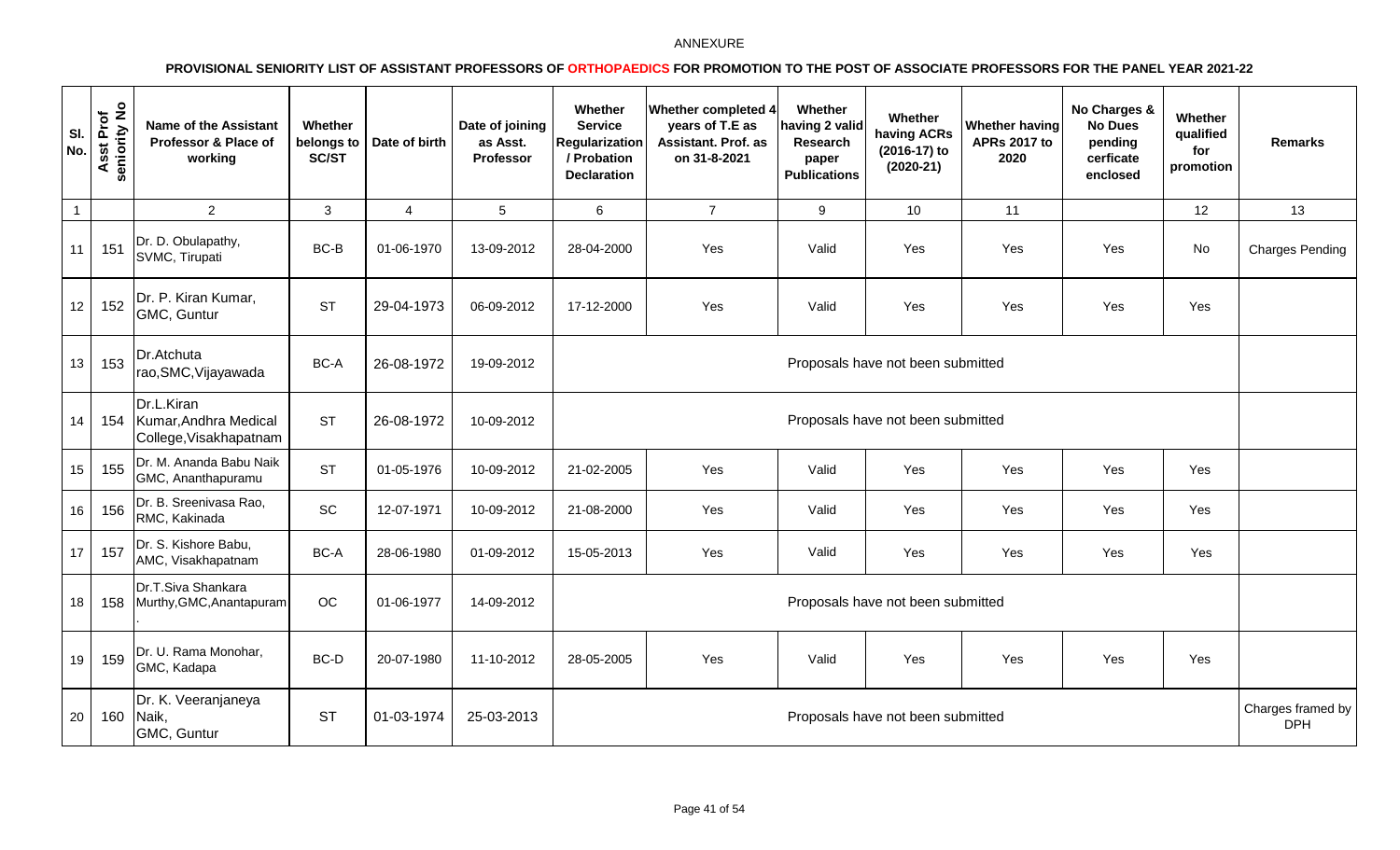| SI.<br>No.       | seniority No<br>Asst Prof | <b>Name of the Assistant</b><br>Professor & Place of<br>working | Whether<br>belongs to<br>SC/ST | Date of birth  | Date of joining<br>as Asst.<br>Professor | Whether<br><b>Service</b><br><b>Regularization</b><br>/ Probation<br><b>Declaration</b> | Whether completed 4<br>years of T.E as<br>Assistant. Prof. as<br>on 31-8-2021 | Whether<br>naving 2 valid<br>Research<br>paper<br><b>Publications</b> | Whether<br>having ACRs<br>(2016-17) to<br>$(2020-21)$ | Whether having<br><b>APRs 2017 to</b><br>2020 | No Charges &<br><b>No Dues</b><br>pending<br>cerficate<br>enclosed | Whether<br>qualified<br>for<br>promotion | Remarks                         |
|------------------|---------------------------|-----------------------------------------------------------------|--------------------------------|----------------|------------------------------------------|-----------------------------------------------------------------------------------------|-------------------------------------------------------------------------------|-----------------------------------------------------------------------|-------------------------------------------------------|-----------------------------------------------|--------------------------------------------------------------------|------------------------------------------|---------------------------------|
| $\overline{1}$   |                           | $\overline{2}$                                                  | $\mathbf{3}$                   | $\overline{4}$ | 5                                        | 6                                                                                       | $\overline{7}$                                                                | 9                                                                     | 10 <sup>1</sup>                                       | 11                                            |                                                                    | 12                                       | 13                              |
| 11               | 151                       | Dr. D. Obulapathy,<br>SVMC, Tirupati                            | BC-B                           | 01-06-1970     | 13-09-2012                               | 28-04-2000                                                                              | Yes                                                                           | Valid                                                                 | Yes                                                   | Yes                                           | Yes                                                                | No                                       | <b>Charges Pending</b>          |
| 12               | 152                       | Dr. P. Kiran Kumar,<br>GMC, Guntur                              | <b>ST</b>                      | 29-04-1973     | 06-09-2012                               | 17-12-2000                                                                              | Yes                                                                           | Valid                                                                 | Yes                                                   | Yes                                           | Yes                                                                | Yes                                      |                                 |
| 13               | 153                       | Dr.Atchuta<br>rao, SMC, Vijayawada                              | BC-A                           | 26-08-1972     | 19-09-2012                               |                                                                                         |                                                                               |                                                                       | Proposals have not been submitted                     |                                               |                                                                    |                                          |                                 |
| 14               | 154                       | Dr.L.Kiran<br>Kumar, Andhra Medical<br>College, Visakhapatnam   | <b>ST</b>                      | 26-08-1972     | 10-09-2012                               | Proposals have not been submitted                                                       |                                                                               |                                                                       |                                                       |                                               |                                                                    |                                          |                                 |
| 15 <sub>15</sub> | 155                       | Dr. M. Ananda Babu Naik<br>GMC, Ananthapuramu                   | <b>ST</b>                      | 01-05-1976     | 10-09-2012                               | 21-02-2005                                                                              | Yes                                                                           | Valid                                                                 | Yes                                                   | Yes                                           | Yes                                                                | Yes                                      |                                 |
| 16               | 156                       | Dr. B. Sreenivasa Rao,<br>RMC, Kakinada                         | SC                             | 12-07-1971     | 10-09-2012                               | 21-08-2000                                                                              | Yes                                                                           | Valid                                                                 | Yes                                                   | Yes                                           | Yes                                                                | Yes                                      |                                 |
| 17               | 157                       | Dr. S. Kishore Babu,<br>AMC, Visakhapatnam                      | BC-A                           | 28-06-1980     | 01-09-2012                               | 15-05-2013                                                                              | Yes                                                                           | Valid                                                                 | Yes                                                   | Yes                                           | Yes                                                                | Yes                                      |                                 |
| 18               | 158                       | Dr.T.Siva Shankara<br>Murthy, GMC, Anantapuram                  | <b>OC</b>                      | 01-06-1977     | 14-09-2012                               |                                                                                         |                                                                               |                                                                       | Proposals have not been submitted                     |                                               |                                                                    |                                          |                                 |
| 19               | 159                       | Dr. U. Rama Monohar,<br>GMC, Kadapa                             | BC-D                           | 20-07-1980     | 11-10-2012                               | 28-05-2005                                                                              | Yes                                                                           | Valid                                                                 | Yes                                                   | Yes                                           | Yes                                                                | Yes                                      |                                 |
| 20               | 160                       | Dr. K. Veeranjaneya<br>Naik,<br>GMC, Guntur                     | <b>ST</b>                      | 01-03-1974     | 25-03-2013                               |                                                                                         |                                                                               |                                                                       | Proposals have not been submitted                     |                                               |                                                                    |                                          | Charges framed by<br><b>DPH</b> |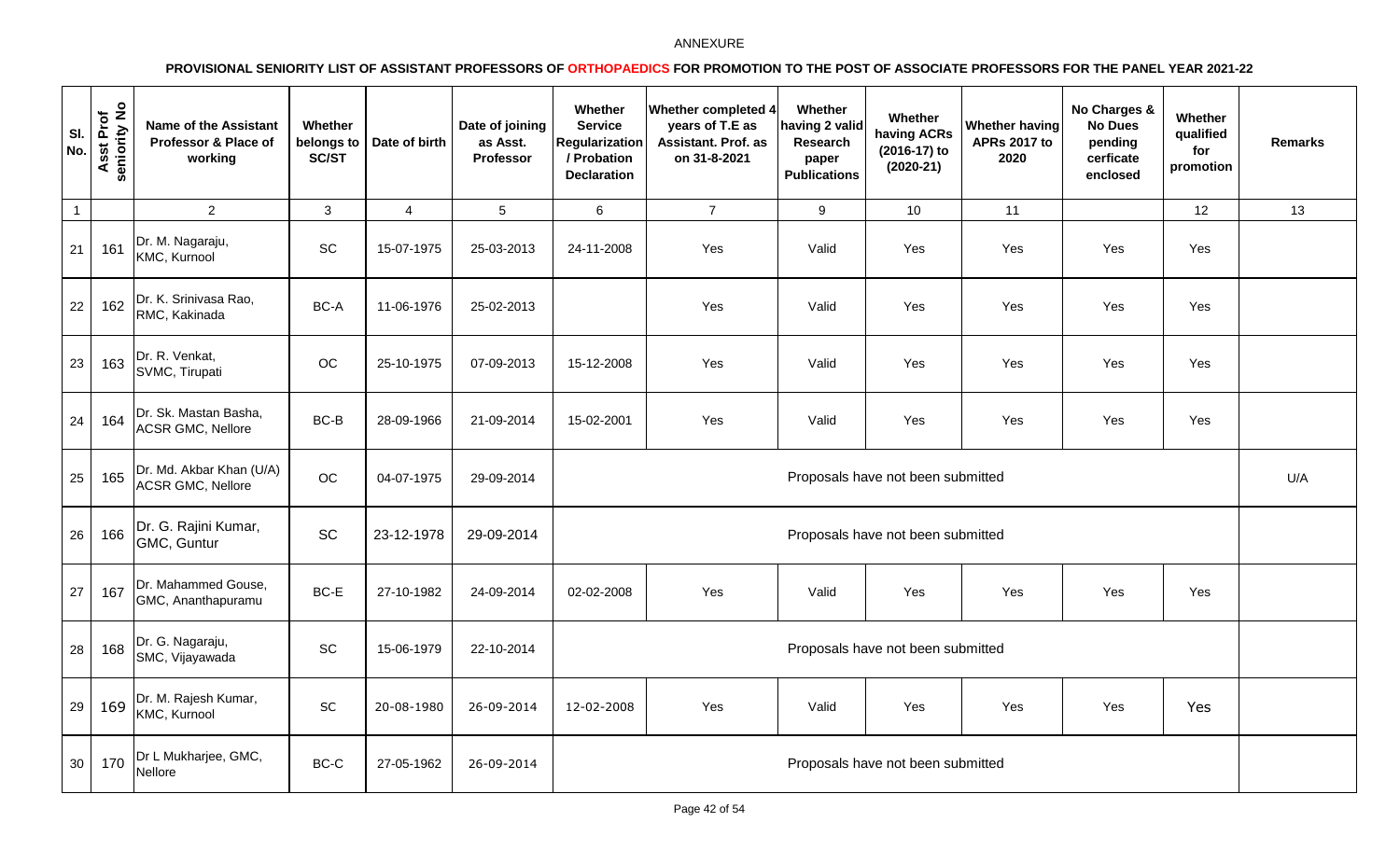| SI.<br>No.      | Asst Prof<br>seniority No | <b>Name of the Assistant</b><br>Professor & Place of<br>working | Whether<br>belongs to<br>SC/ST | Date of birth  | Date of joining<br>as Asst.<br>Professor | Whether<br><b>Service</b><br><b>Regularization</b><br>/ Probation<br><b>Declaration</b> | <b>Whether completed 4</b><br>years of T.E as<br>Assistant. Prof. as<br>on 31-8-2021 | Whether<br>having 2 valid<br>Research<br>paper<br><b>Publications</b> | Whether<br>having ACRs<br>(2016-17) to<br>$(2020-21)$ | Whether having<br><b>APRs 2017 to</b><br>2020 | No Charges &<br><b>No Dues</b><br>pending<br>cerficate<br>enclosed | Whether<br>qualified<br>for<br>promotion | <b>Remarks</b> |
|-----------------|---------------------------|-----------------------------------------------------------------|--------------------------------|----------------|------------------------------------------|-----------------------------------------------------------------------------------------|--------------------------------------------------------------------------------------|-----------------------------------------------------------------------|-------------------------------------------------------|-----------------------------------------------|--------------------------------------------------------------------|------------------------------------------|----------------|
| $\overline{1}$  |                           | $\overline{2}$                                                  | $\mathbf{3}$                   | $\overline{4}$ | $5\phantom{.0}$                          | $6\phantom{1}$                                                                          | $\overline{7}$                                                                       | 9                                                                     | 10                                                    | 11                                            |                                                                    | 12                                       | 13             |
| 21              | 161                       | Dr. M. Nagaraju,<br>KMC, Kurnool                                | SC                             | 15-07-1975     | 25-03-2013                               | 24-11-2008                                                                              | Yes                                                                                  | Valid                                                                 | Yes                                                   | Yes                                           | Yes                                                                | Yes                                      |                |
| 22              | 162                       | Dr. K. Srinivasa Rao,<br>RMC, Kakinada                          | BC-A                           | 11-06-1976     | 25-02-2013                               |                                                                                         | Yes                                                                                  | Valid                                                                 | Yes                                                   | Yes                                           | Yes                                                                | Yes                                      |                |
| 23              | 163                       | Dr. R. Venkat,<br>SVMC, Tirupati                                | OC                             | 25-10-1975     | 07-09-2013                               | 15-12-2008                                                                              | Yes                                                                                  | Valid                                                                 | Yes                                                   | Yes                                           | Yes                                                                | Yes                                      |                |
| 24              | 164                       | Dr. Sk. Mastan Basha,<br><b>ACSR GMC, Nellore</b>               | BC-B                           | 28-09-1966     | 21-09-2014                               | 15-02-2001                                                                              | Yes                                                                                  | Valid                                                                 | Yes                                                   | Yes                                           | Yes                                                                | Yes                                      |                |
| 25              | 165                       | Dr. Md. Akbar Khan (U/A)<br><b>ACSR GMC, Nellore</b>            | OC                             | 04-07-1975     | 29-09-2014                               |                                                                                         |                                                                                      |                                                                       | Proposals have not been submitted                     |                                               |                                                                    |                                          | U/A            |
| 26              | 166                       | Dr. G. Rajini Kumar,<br>GMC, Guntur                             | <b>SC</b>                      | 23-12-1978     | 29-09-2014                               |                                                                                         |                                                                                      |                                                                       | Proposals have not been submitted                     |                                               |                                                                    |                                          |                |
| 27              | 167                       | Dr. Mahammed Gouse,<br>GMC, Ananthapuramu                       | BC-E                           | 27-10-1982     | 24-09-2014                               | 02-02-2008                                                                              | Yes                                                                                  | Valid                                                                 | Yes                                                   | Yes                                           | Yes                                                                | Yes                                      |                |
| 28              | 168                       | Dr. G. Nagaraju,<br>SMC, Vijayawada                             | SC                             | 15-06-1979     | 22-10-2014                               |                                                                                         |                                                                                      |                                                                       | Proposals have not been submitted                     |                                               |                                                                    |                                          |                |
| 29              | 169                       | Dr. M. Rajesh Kumar,<br>KMC, Kurnool                            | $\sf SC$                       | 20-08-1980     | 26-09-2014                               | 12-02-2008                                                                              | Yes                                                                                  | Valid                                                                 | Yes                                                   | Yes                                           | Yes                                                                | Yes                                      |                |
| 30 <sup>1</sup> | 170                       | Dr L Mukharjee, GMC,<br>Nellore                                 | BC-C                           | 27-05-1962     | 26-09-2014                               |                                                                                         |                                                                                      |                                                                       | Proposals have not been submitted                     |                                               |                                                                    |                                          |                |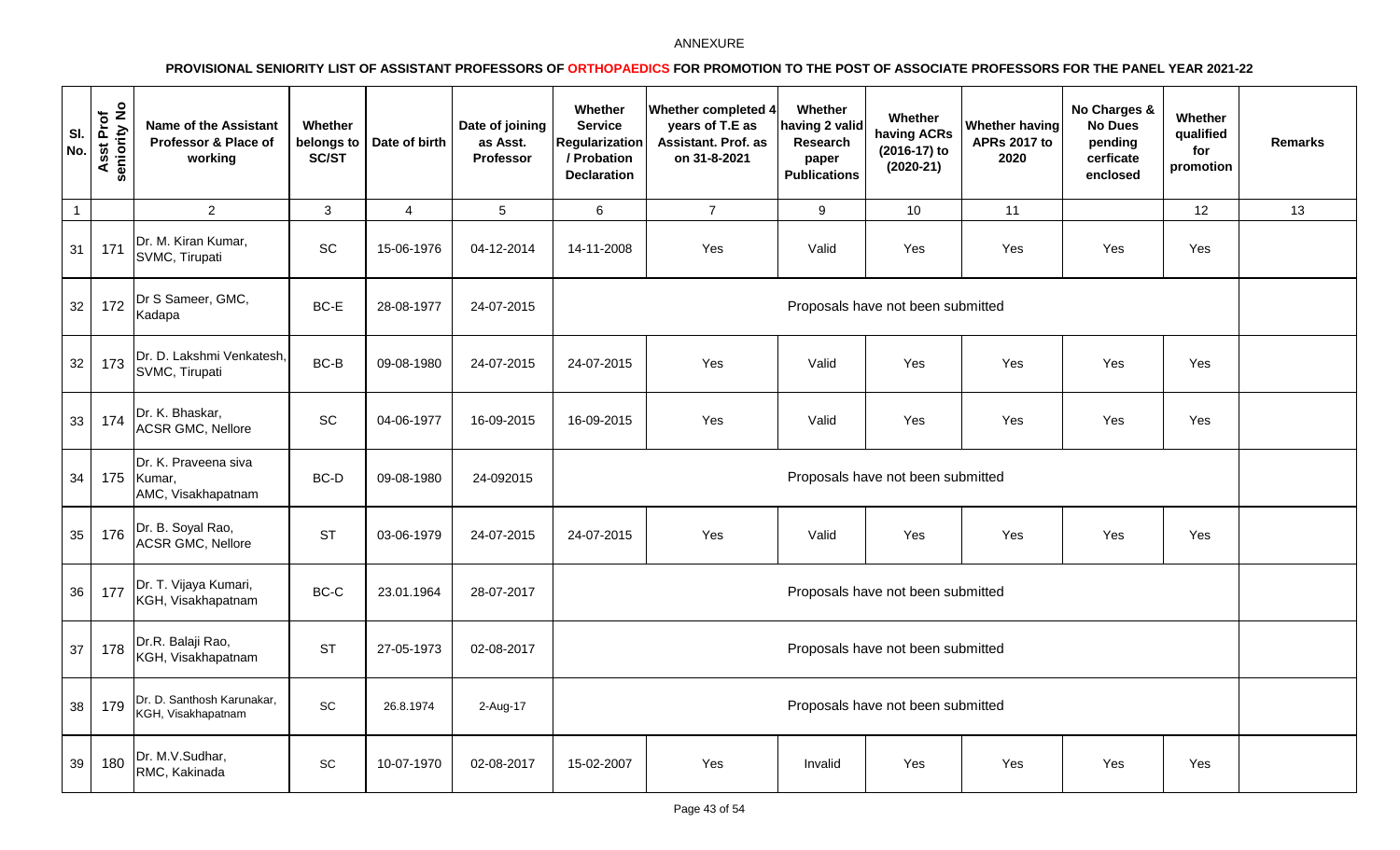| SI.<br>No.      | seniority No<br>Asst Prof | <b>Name of the Assistant</b><br>Professor & Place of<br>working | Whether<br>belongs to<br>SC/ST | Date of birth  | Date of joining<br>as Asst.<br>Professor | Whether<br><b>Service</b><br><b>Regularization</b><br>/ Probation<br><b>Declaration</b> | <b>Whether completed 4</b><br>years of T.E as<br>Assistant. Prof. as<br>on 31-8-2021 | Whether<br>having 2 valic<br>Research<br>paper<br><b>Publications</b> | Whether<br>having ACRs<br>(2016-17) to<br>$(2020-21)$ | <b>Whether having</b><br><b>APRs 2017 to</b><br>2020 | No Charges &<br><b>No Dues</b><br>pending<br>cerficate<br>enclosed | Whether<br>qualified<br>for<br>promotion | <b>Remarks</b> |
|-----------------|---------------------------|-----------------------------------------------------------------|--------------------------------|----------------|------------------------------------------|-----------------------------------------------------------------------------------------|--------------------------------------------------------------------------------------|-----------------------------------------------------------------------|-------------------------------------------------------|------------------------------------------------------|--------------------------------------------------------------------|------------------------------------------|----------------|
| $\overline{1}$  |                           | $\overline{2}$                                                  | $\mathbf{3}$                   | $\overline{4}$ | 5                                        | $6\phantom{1}$                                                                          | $\overline{7}$                                                                       | 9                                                                     | 10                                                    | 11                                                   |                                                                    | 12                                       | 13             |
| 31              | 171                       | Dr. M. Kiran Kumar,<br>SVMC, Tirupati                           | $\operatorname{\textsf{SC}}$   | 15-06-1976     | 04-12-2014                               | 14-11-2008                                                                              | Yes                                                                                  | Valid                                                                 | Yes                                                   | Yes                                                  | Yes                                                                | Yes                                      |                |
| 32              | 172                       | Dr S Sameer, GMC,<br>Kadapa                                     | BC-E                           | 28-08-1977     | 24-07-2015                               |                                                                                         |                                                                                      |                                                                       | Proposals have not been submitted                     |                                                      |                                                                    |                                          |                |
| 32              | 173                       | Dr. D. Lakshmi Venkatesh,<br>SVMC, Tirupati                     | $BC-B$                         | 09-08-1980     | 24-07-2015                               | 24-07-2015                                                                              | Yes                                                                                  | Valid                                                                 | Yes                                                   | Yes                                                  | Yes                                                                | Yes                                      |                |
| 33              | 174                       | Dr. K. Bhaskar,<br><b>ACSR GMC, Nellore</b>                     | SC                             | 04-06-1977     | 16-09-2015                               | 16-09-2015                                                                              | Yes                                                                                  | Valid                                                                 | Yes                                                   | Yes                                                  | Yes                                                                | Yes                                      |                |
| 34              | 175                       | Dr. K. Praveena siva<br>Kumar,<br>AMC, Visakhapatnam            | BC-D                           | 09-08-1980     | 24-092015                                |                                                                                         |                                                                                      |                                                                       | Proposals have not been submitted                     |                                                      |                                                                    |                                          |                |
| 35              | 176                       | Dr. B. Soyal Rao,<br><b>ACSR GMC, Nellore</b>                   | <b>ST</b>                      | 03-06-1979     | 24-07-2015                               | 24-07-2015                                                                              | Yes                                                                                  | Valid                                                                 | Yes                                                   | Yes                                                  | Yes                                                                | Yes                                      |                |
| 36 <sup>°</sup> | 177                       | Dr. T. Vijaya Kumari,<br>KGH, Visakhapatnam                     | BC-C                           | 23.01.1964     | 28-07-2017                               |                                                                                         |                                                                                      |                                                                       | Proposals have not been submitted                     |                                                      |                                                                    |                                          |                |
| 37              | 178                       | Dr.R. Balaji Rao,<br>KGH, Visakhapatnam                         | <b>ST</b>                      | 27-05-1973     | 02-08-2017                               |                                                                                         |                                                                                      |                                                                       | Proposals have not been submitted                     |                                                      |                                                                    |                                          |                |
| 38              | 179                       | Dr. D. Santhosh Karunakar,<br>KGH, Visakhapatnam                | $\operatorname{\textsf{SC}}$   | 26.8.1974      | 2-Aug-17                                 |                                                                                         |                                                                                      |                                                                       | Proposals have not been submitted                     |                                                      |                                                                    |                                          |                |
| 39              | 180                       | Dr. M.V.Sudhar,<br>RMC, Kakinada                                | SC                             | 10-07-1970     | 02-08-2017                               | 15-02-2007                                                                              | Yes                                                                                  | Invalid                                                               | Yes                                                   | Yes                                                  | Yes                                                                | Yes                                      |                |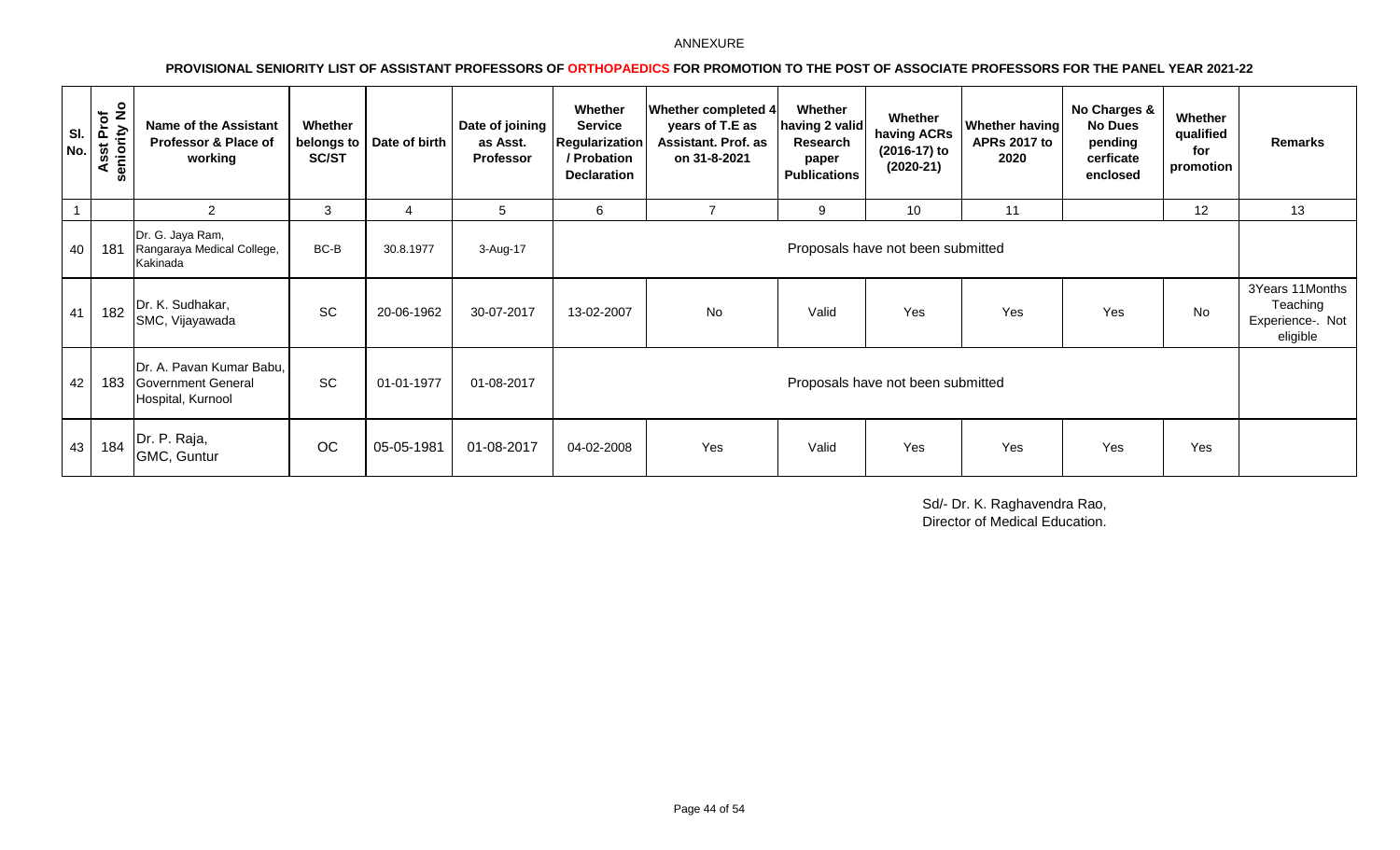# **PROVISIONAL SENIORITY LIST OF ASSISTANT PROFESSORS OF ORTHOPAEDICS FOR PROMOTION TO THE POST OF ASSOCIATE PROFESSORS FOR THE PANEL YEAR 2021-22**

| SI.<br>$\vert$ No. $\vert$ | seniority No<br>Prof<br>sst<br>⋖ | Name of the Assistant<br>Professor & Place of<br>working                   | Whether<br>SC/ST | belongs to   Date of birth | Date of joining<br>as Asst.<br>Professor | Whether<br><b>Service</b><br><b>Regularization</b><br>/ Probation<br><b>Declaration</b> | <b>Whether completed 4</b><br>years of T.E as<br><b>Assistant. Prof. as</b><br>on 31-8-2021 | Whether<br>having 2 valid<br>Research<br>paper<br><b>Publications</b> | Whether<br>having ACRs<br>(2016-17) to<br>$(2020-21)$ | <b>Whether having</b><br><b>APRs 2017 to</b><br>2020 | No Charges &<br><b>No Dues</b><br>pending<br>cerficate<br>enclosed | Whether<br>qualified<br>for<br>promotion | Remarks                                                     |
|----------------------------|----------------------------------|----------------------------------------------------------------------------|------------------|----------------------------|------------------------------------------|-----------------------------------------------------------------------------------------|---------------------------------------------------------------------------------------------|-----------------------------------------------------------------------|-------------------------------------------------------|------------------------------------------------------|--------------------------------------------------------------------|------------------------------------------|-------------------------------------------------------------|
| $\overline{1}$             |                                  | $\overline{2}$                                                             | 3                | 4                          | 5                                        | 6                                                                                       | $\overline{7}$                                                                              | 9                                                                     | 10                                                    | 11                                                   |                                                                    | 12                                       | 13                                                          |
| 40                         | 181                              | Dr. G. Jaya Ram,<br>Rangaraya Medical College,<br>Kakinada                 | BC-B             | 30.8.1977                  | 3-Aug-17                                 |                                                                                         |                                                                                             |                                                                       | Proposals have not been submitted                     |                                                      |                                                                    |                                          |                                                             |
| 41                         | 182                              | Dr. K. Sudhakar,<br>SMC, Vijayawada                                        | SC               | 20-06-1962                 | 30-07-2017                               | 13-02-2007                                                                              | No                                                                                          | Valid                                                                 | Yes                                                   | Yes                                                  | Yes                                                                | No                                       | 3Years 11Months<br>Teaching<br>Experience-. Not<br>eligible |
| 42                         | 183                              | Dr. A. Pavan Kumar Babu,<br><b>Government General</b><br>Hospital, Kurnool | <b>SC</b>        | 01-01-1977                 | 01-08-2017                               |                                                                                         |                                                                                             |                                                                       | Proposals have not been submitted                     |                                                      |                                                                    |                                          |                                                             |
| 43                         | 184                              | Dr. P. Raja,<br>GMC, Guntur                                                | <b>OC</b>        | 05-05-1981                 | 01-08-2017                               | 04-02-2008                                                                              | Yes                                                                                         | Valid                                                                 | Yes                                                   | Yes                                                  | Yes                                                                | Yes                                      |                                                             |

Sd/- Dr. K. Raghavendra Rao, Director of Medical Education.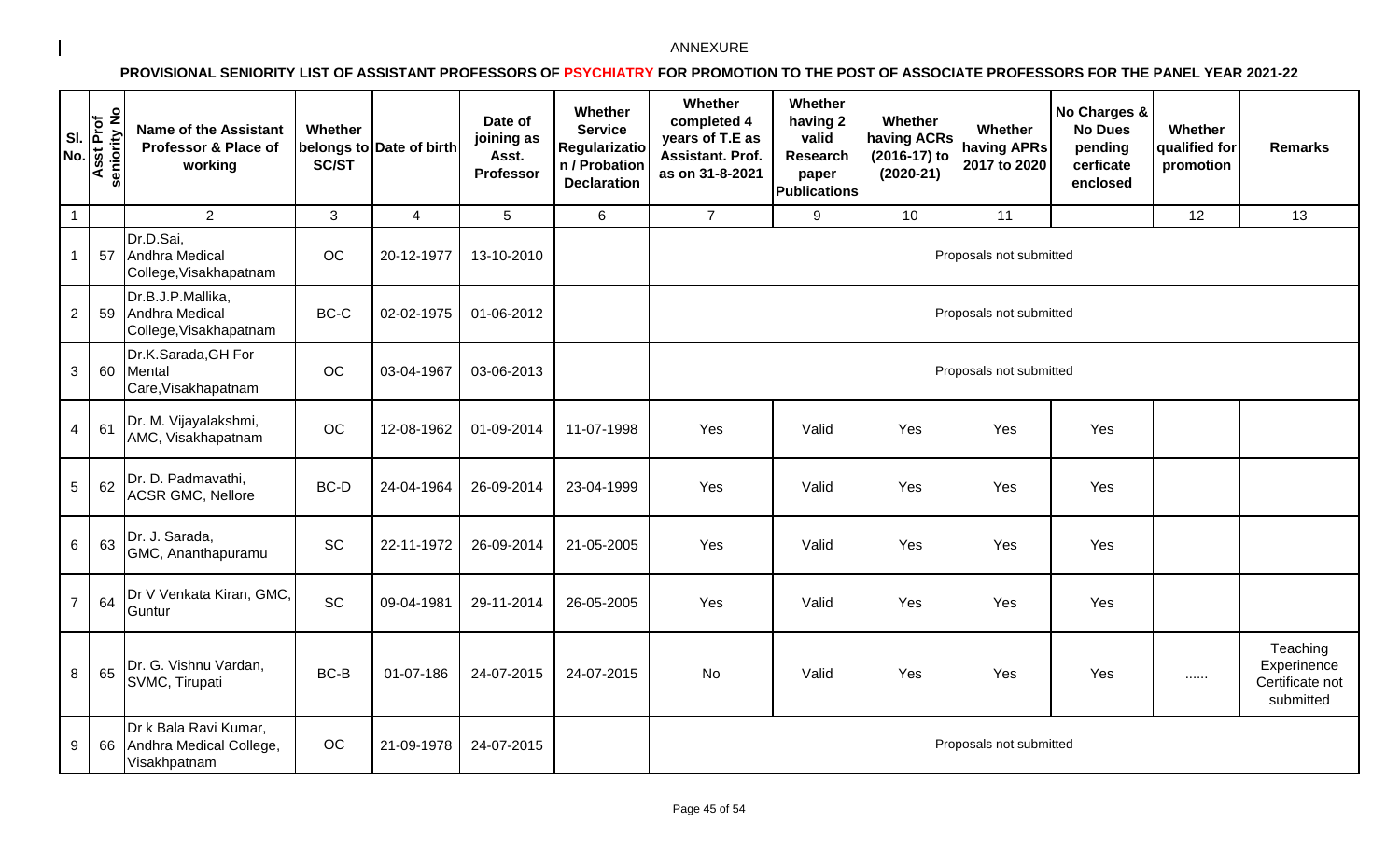| SI.<br>No.      | seniority No<br><b>Asst Prof</b> | <b>Name of the Assistant</b><br>Professor & Place of<br>working  | Whether<br>SC/ST | belongs to Date of birth | Date of<br>joining as<br>Asst.<br><b>Professor</b> | Whether<br><b>Service</b><br><b>Regularizatio</b><br>n / Probation<br><b>Declaration</b> | Whether<br>completed 4<br>years of T.E as<br>Assistant. Prof.<br>as on 31-8-2021 | Whether<br>having 2<br>valid<br><b>Research</b><br>paper<br><b>Publications</b> | Whether<br>having ACRs<br>(2016-17) to<br>$(2020-21)$ | Whether<br>having APRs<br>2017 to 2020 | No Charges &<br><b>No Dues</b><br>pending<br>cerficate<br>enclosed | Whether<br>qualified for<br>promotion | <b>Remarks</b>                                          |
|-----------------|----------------------------------|------------------------------------------------------------------|------------------|--------------------------|----------------------------------------------------|------------------------------------------------------------------------------------------|----------------------------------------------------------------------------------|---------------------------------------------------------------------------------|-------------------------------------------------------|----------------------------------------|--------------------------------------------------------------------|---------------------------------------|---------------------------------------------------------|
| $\overline{1}$  |                                  | $\overline{2}$                                                   | $\mathbf{3}$     | $\overline{4}$           | 5                                                  | 6                                                                                        | $\overline{7}$                                                                   | 9                                                                               | 10                                                    | 11                                     |                                                                    | 12                                    | 13                                                      |
| $\mathbf{1}$    | 57                               | Dr.D.Sai,<br>Andhra Medical<br>College, Visakhapatnam            | OC               | 20-12-1977               | 13-10-2010                                         |                                                                                          |                                                                                  |                                                                                 |                                                       | Proposals not submitted                |                                                                    |                                       |                                                         |
| $\overline{2}$  | 59                               | Dr.B.J.P.Mallika,<br>Andhra Medical<br>College, Visakhapatnam    | BC-C             | 02-02-1975               | 01-06-2012                                         |                                                                                          |                                                                                  |                                                                                 |                                                       | Proposals not submitted                |                                                                    |                                       |                                                         |
| $\mathbf{3}$    | 60                               | Dr.K.Sarada, GH For<br>Mental<br>Care, Visakhapatnam             | OC               | 03-04-1967               | 03-06-2013                                         |                                                                                          |                                                                                  |                                                                                 |                                                       | Proposals not submitted                |                                                                    |                                       |                                                         |
| $\overline{4}$  | 61                               | Dr. M. Vijayalakshmi,<br>AMC, Visakhapatnam                      | OC               | 12-08-1962               | 01-09-2014                                         | 11-07-1998                                                                               | Yes                                                                              | Valid                                                                           | Yes                                                   | Yes                                    | Yes                                                                |                                       |                                                         |
| $\sqrt{5}$      | 62                               | Dr. D. Padmavathi,<br><b>ACSR GMC, Nellore</b>                   | BC-D             | 24-04-1964               | 26-09-2014                                         | 23-04-1999                                                                               | Yes                                                                              | Valid                                                                           | Yes                                                   | Yes                                    | Yes                                                                |                                       |                                                         |
| $6\phantom{.}6$ | 63                               | Dr. J. Sarada,<br>GMC, Ananthapuramu                             | SC               | 22-11-1972               | 26-09-2014                                         | 21-05-2005                                                                               | Yes                                                                              | Valid                                                                           | Yes                                                   | Yes                                    | Yes                                                                |                                       |                                                         |
| $\overline{7}$  | 64                               | Dr V Venkata Kiran, GMC,<br>Guntur                               | <b>SC</b>        | 09-04-1981               | 29-11-2014                                         | 26-05-2005                                                                               | Yes                                                                              | Valid                                                                           | Yes                                                   | Yes                                    | Yes                                                                |                                       |                                                         |
| 8               | 65                               | Dr. G. Vishnu Vardan,<br>SVMC, Tirupati                          | BC-B             | 01-07-186                | 24-07-2015                                         | 24-07-2015                                                                               | <b>No</b>                                                                        | Valid                                                                           | Yes                                                   | Yes                                    | Yes                                                                |                                       | Teaching<br>Experinence<br>Certificate not<br>submitted |
| 9               | 66                               | Dr k Bala Ravi Kumar,<br>Andhra Medical College,<br>Visakhpatnam | <b>OC</b>        | 21-09-1978               | 24-07-2015                                         |                                                                                          |                                                                                  |                                                                                 |                                                       | Proposals not submitted                |                                                                    |                                       |                                                         |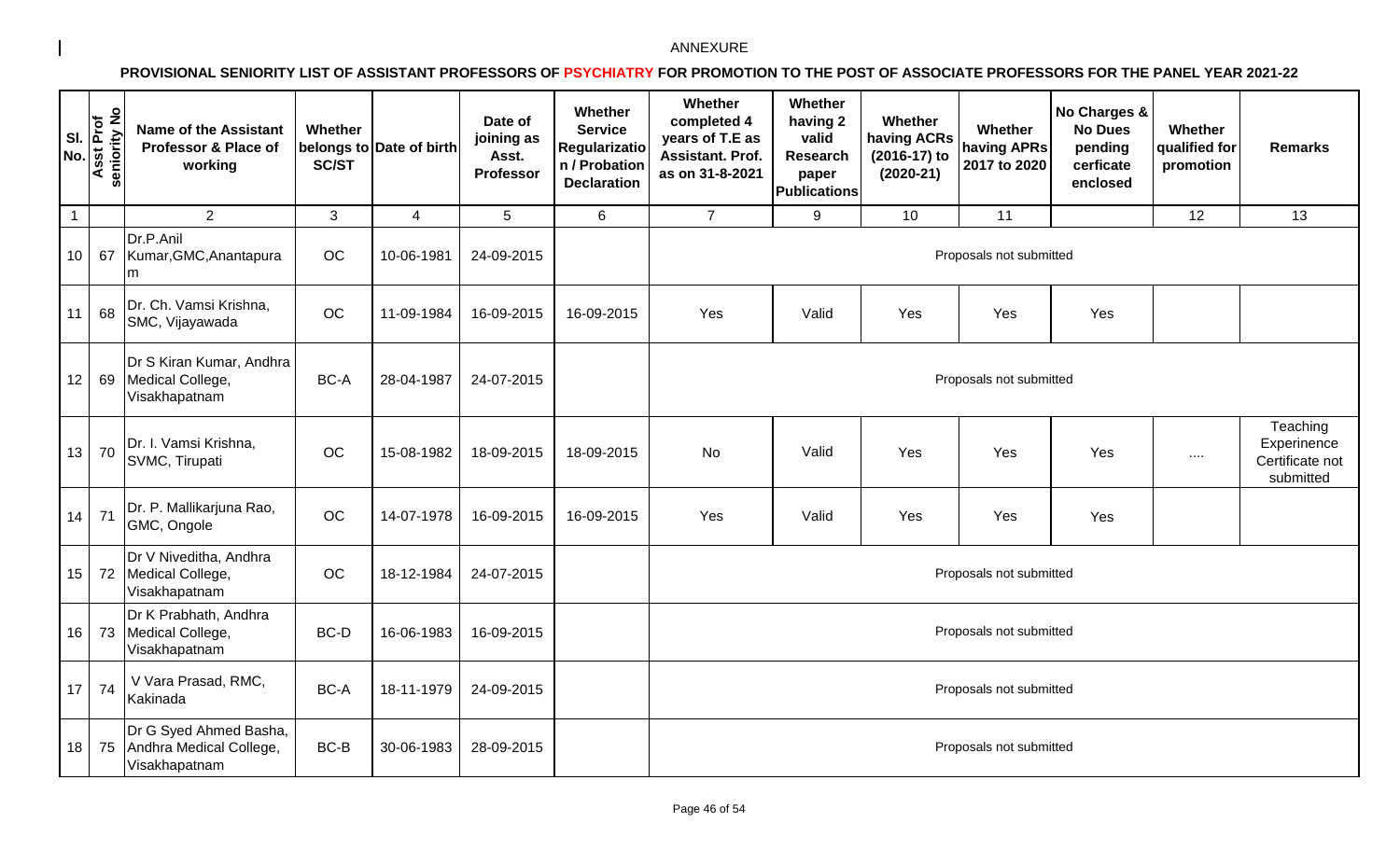| SI.<br>No.       | seniority No<br>Asst Prof | <b>Name of the Assistant</b><br>Professor & Place of<br>working       | Whether<br><b>SC/ST</b> | belongs to Date of birth | Date of<br>joining as<br>Asst.<br><b>Professor</b> | Whether<br><b>Service</b><br><b>Regularizatio</b><br>n / Probation<br><b>Declaration</b> | Whether<br>completed 4<br>years of T.E as<br>Assistant. Prof.<br>as on 31-8-2021 | Whether<br>having 2<br>valid<br><b>Research</b><br>paper<br><b>Publications</b> | Whether<br>having ACRs<br>(2016-17) to<br>$(2020-21)$ | Whether<br>having APRs<br>2017 to 2020 | No Charges &<br><b>No Dues</b><br>pending<br>cerficate<br>enclosed | Whether<br>qualified for<br>promotion | <b>Remarks</b>                                          |
|------------------|---------------------------|-----------------------------------------------------------------------|-------------------------|--------------------------|----------------------------------------------------|------------------------------------------------------------------------------------------|----------------------------------------------------------------------------------|---------------------------------------------------------------------------------|-------------------------------------------------------|----------------------------------------|--------------------------------------------------------------------|---------------------------------------|---------------------------------------------------------|
| $\mathbf{1}$     |                           | $\overline{2}$                                                        | 3                       | $\overline{4}$           | 5                                                  | $6\phantom{1}$                                                                           | $\overline{7}$                                                                   | 9                                                                               | 10                                                    | 11                                     |                                                                    | 12                                    | 13                                                      |
| 10 <sup>°</sup>  | 67                        | Dr.P.Anil<br>Kumar, GMC, Anantapura<br>Im                             | OC                      | 10-06-1981               | 24-09-2015                                         |                                                                                          |                                                                                  |                                                                                 |                                                       | Proposals not submitted                |                                                                    |                                       |                                                         |
| 11               | 68                        | Dr. Ch. Vamsi Krishna,<br>SMC, Vijayawada                             | OC                      | 11-09-1984               | 16-09-2015                                         | 16-09-2015                                                                               | Yes                                                                              | Valid                                                                           | Yes                                                   | Yes                                    | Yes                                                                |                                       |                                                         |
| 12 <sub>2</sub>  |                           | Dr S Kiran Kumar, Andhra<br>69 Medical College,<br>Visakhapatnam      | BC-A                    | 28-04-1987               | 24-07-2015                                         |                                                                                          |                                                                                  |                                                                                 |                                                       | Proposals not submitted                |                                                                    |                                       |                                                         |
| 13               | 70                        | Dr. I. Vamsi Krishna,<br>SVMC, Tirupati                               | OC                      | 15-08-1982               | 18-09-2015                                         | 18-09-2015                                                                               | <b>No</b>                                                                        | Valid                                                                           | Yes                                                   | Yes                                    | Yes                                                                | $\cdots$                              | Teaching<br>Experinence<br>Certificate not<br>submitted |
| 14               | 71                        | Dr. P. Mallikarjuna Rao,<br>GMC, Ongole                               | OC                      | 14-07-1978               | 16-09-2015                                         | 16-09-2015                                                                               | Yes                                                                              | Valid                                                                           | Yes                                                   | Yes                                    | Yes                                                                |                                       |                                                         |
| 15 <sub>15</sub> |                           | Dr V Niveditha, Andhra<br>72 Medical College,<br>Visakhapatnam        | OC                      | 18-12-1984               | 24-07-2015                                         |                                                                                          |                                                                                  |                                                                                 |                                                       | Proposals not submitted                |                                                                    |                                       |                                                         |
| 16               |                           | Dr K Prabhath, Andhra<br>73 Medical College,<br>Visakhapatnam         | BC-D                    | 16-06-1983               | 16-09-2015                                         |                                                                                          |                                                                                  |                                                                                 |                                                       | Proposals not submitted                |                                                                    |                                       |                                                         |
| 17               | 74                        | V Vara Prasad, RMC,<br>Kakinada                                       | BC-A                    | 18-11-1979               | 24-09-2015                                         |                                                                                          |                                                                                  |                                                                                 |                                                       | Proposals not submitted                |                                                                    |                                       |                                                         |
| 18               |                           | Dr G Syed Ahmed Basha,<br>75 Andhra Medical College,<br>Visakhapatnam | BC-B                    | 30-06-1983               | 28-09-2015                                         |                                                                                          |                                                                                  |                                                                                 |                                                       | Proposals not submitted                |                                                                    |                                       |                                                         |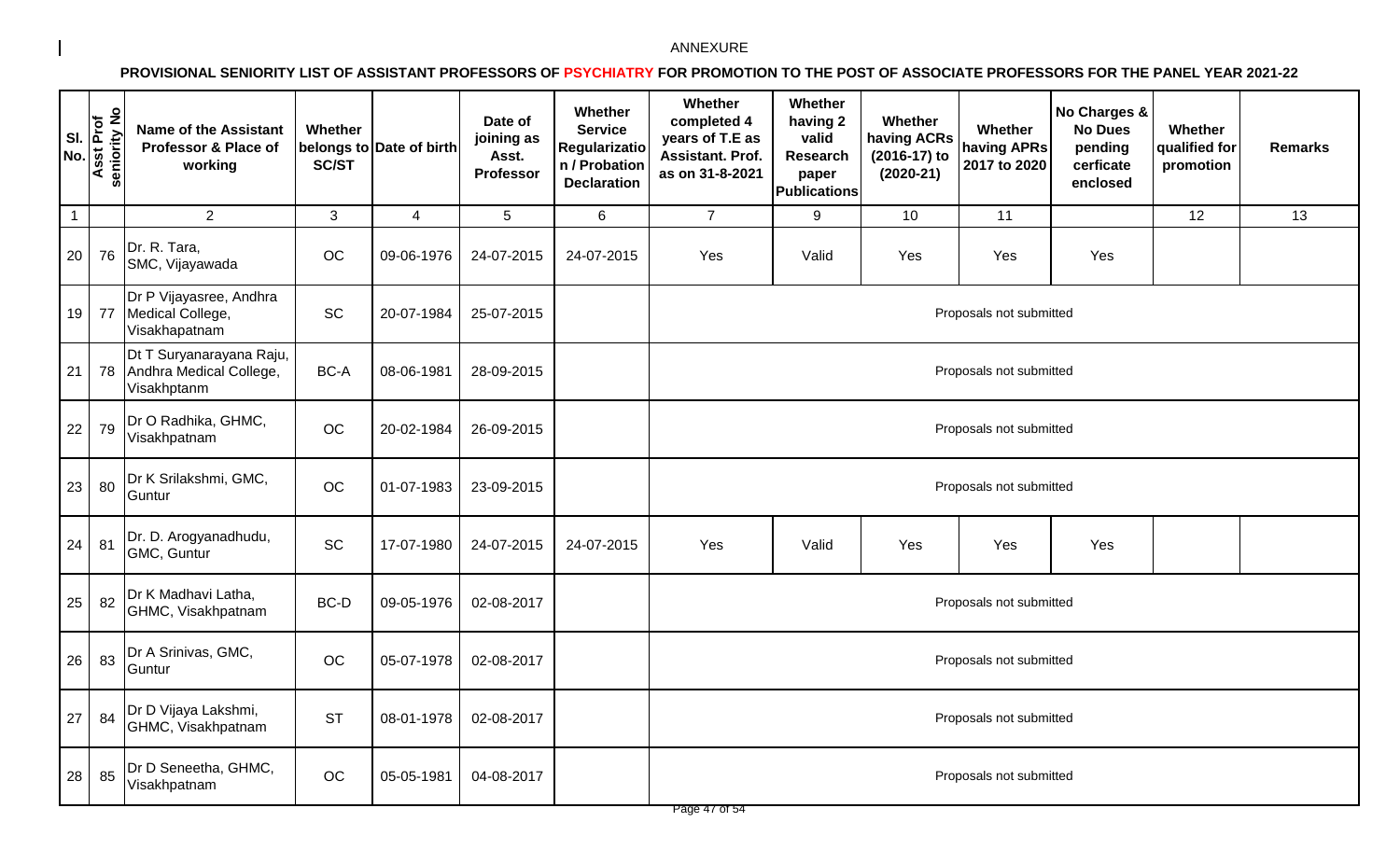| SI.<br>No.     | seniority No<br><b>Asst Prof</b> | <b>Name of the Assistant</b><br>Professor & Place of<br>working    | Whether<br><b>SC/ST</b> | belongs to Date of birth | Date of<br>joining as<br>Asst.<br><b>Professor</b> | Whether<br><b>Service</b><br>Regularizatio<br>n / Probation<br><b>Declaration</b> | Whether<br>completed 4<br>years of T.E as<br><b>Assistant. Prof.</b><br>as on 31-8-2021 | Whether<br>having 2<br>valid<br><b>Research</b><br>paper<br><b>Publications</b> | Whether<br>having ACRs<br>(2016-17) to<br>$(2020-21)$ | Whether<br>having APRs<br>2017 to 2020 | No Charges &<br><b>No Dues</b><br>pending<br>cerficate<br>enclosed | Whether<br>qualified for<br>promotion | <b>Remarks</b> |  |
|----------------|----------------------------------|--------------------------------------------------------------------|-------------------------|--------------------------|----------------------------------------------------|-----------------------------------------------------------------------------------|-----------------------------------------------------------------------------------------|---------------------------------------------------------------------------------|-------------------------------------------------------|----------------------------------------|--------------------------------------------------------------------|---------------------------------------|----------------|--|
| $\overline{1}$ |                                  | 2                                                                  | 3                       | $\overline{4}$           | 5                                                  | 6                                                                                 | $\overline{7}$                                                                          | 9                                                                               | 10                                                    | 11                                     |                                                                    | 12                                    | 13             |  |
| 20             | 76                               | Dr. R. Tara,<br>SMC, Vijayawada                                    | OC                      | 09-06-1976               | 24-07-2015                                         | 24-07-2015                                                                        | Yes                                                                                     | Valid                                                                           | Yes                                                   | Yes                                    | Yes                                                                |                                       |                |  |
| 19             | 77                               | Dr P Vijayasree, Andhra<br>Medical College,<br>Visakhapatnam       | SC                      | 20-07-1984               | 25-07-2015                                         |                                                                                   |                                                                                         |                                                                                 |                                                       | Proposals not submitted                |                                                                    |                                       |                |  |
| 21             | 78                               | Dt T Suryanarayana Raju,<br>Andhra Medical College,<br>Visakhptanm | BC-A                    | 08-06-1981               | 28-09-2015                                         |                                                                                   |                                                                                         |                                                                                 |                                                       | Proposals not submitted                |                                                                    |                                       |                |  |
| 22             | 79                               | Dr O Radhika, GHMC,<br>Visakhpatnam                                | OC                      | 20-02-1984               | 26-09-2015                                         |                                                                                   | Proposals not submitted                                                                 |                                                                                 |                                                       |                                        |                                                                    |                                       |                |  |
| 23             | 80                               | Dr K Srilakshmi, GMC,<br>Guntur                                    | OC                      | 01-07-1983               | 23-09-2015                                         |                                                                                   |                                                                                         |                                                                                 |                                                       | Proposals not submitted                |                                                                    |                                       |                |  |
| 24             | 81                               | Dr. D. Arogyanadhudu,<br>GMC, Guntur                               | SC                      | 17-07-1980               | 24-07-2015                                         | 24-07-2015                                                                        | Yes                                                                                     | Valid                                                                           | Yes                                                   | Yes                                    | Yes                                                                |                                       |                |  |
| 25             | 82                               | Dr K Madhavi Latha,<br>GHMC, Visakhpatnam                          | BC-D                    | 09-05-1976               | 02-08-2017                                         |                                                                                   |                                                                                         |                                                                                 |                                                       | Proposals not submitted                |                                                                    |                                       |                |  |
| 26             | 83                               | Dr A Srinivas, GMC,<br>Guntur                                      | OC                      | 05-07-1978               | 02-08-2017                                         |                                                                                   |                                                                                         |                                                                                 |                                                       | Proposals not submitted                |                                                                    |                                       |                |  |
| 27             | 84                               | Dr D Vijaya Lakshmi,<br>GHMC, Visakhpatnam                         | <b>ST</b>               | 08-01-1978               | 02-08-2017                                         |                                                                                   |                                                                                         |                                                                                 |                                                       | Proposals not submitted                |                                                                    |                                       |                |  |
| 28             | 85                               | Dr D Seneetha, GHMC,<br>Visakhpatnam                               | OC                      | 05-05-1981               | 04-08-2017                                         |                                                                                   |                                                                                         |                                                                                 |                                                       | Proposals not submitted                |                                                                    |                                       |                |  |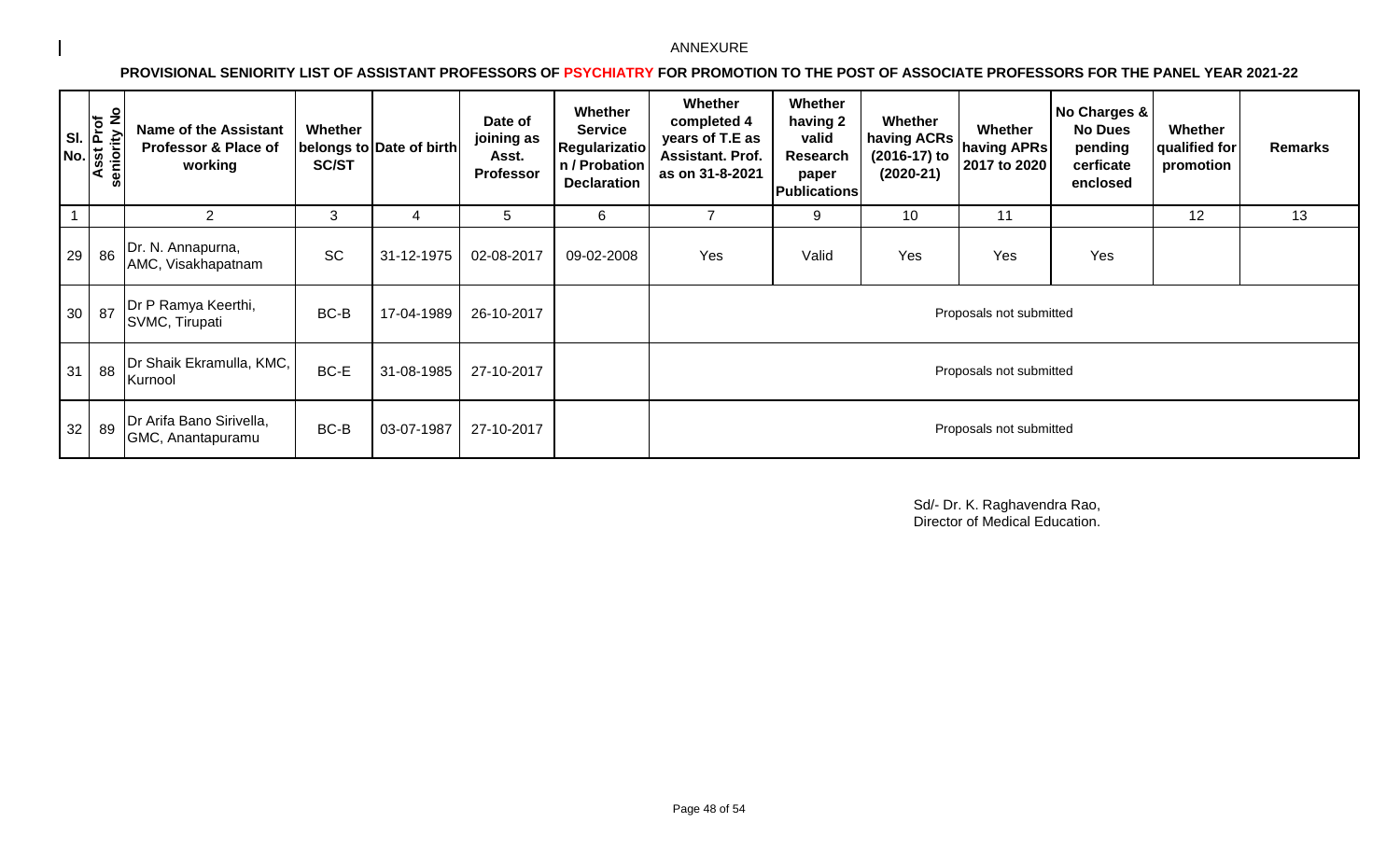**PROVISIONAL SENIORITY LIST OF ASSISTANT PROFESSORS OF PSYCHIATRY FOR PROMOTION TO THE POST OF ASSOCIATE PROFESSORS FOR THE PANEL YEAR 2021-22** 

| $SIL$ $\overline{\tilde{E}}$<br>No. | $\frac{1}{2}$<br>seniority<br>Asst | <b>Name of the Assistant</b><br><b>Professor &amp; Place of</b><br>working | Whether<br><b>SC/ST</b> | belongs to Date of birth | Date of<br>joining as<br>Asst.<br><b>Professor</b> | Whether<br><b>Service</b><br><b>Regularizatio</b><br>n / Probation<br><b>Declaration</b> | <b>Whether</b><br>completed 4<br>years of T.E as<br>Assistant. Prof.<br>as on 31-8-2021 | Whether<br>having 2<br>valid<br>Research<br>paper<br><b>Publications</b> | Whether<br>having ACRs<br>(2016-17) to<br>$(2020-21)$ | Whether<br>having APRs<br>2017 to 2020 | No Charges &<br><b>No Dues</b><br>pending<br>cerficate<br>enclosed | Whether<br>qualified for<br>promotion | <b>Remarks</b> |
|-------------------------------------|------------------------------------|----------------------------------------------------------------------------|-------------------------|--------------------------|----------------------------------------------------|------------------------------------------------------------------------------------------|-----------------------------------------------------------------------------------------|--------------------------------------------------------------------------|-------------------------------------------------------|----------------------------------------|--------------------------------------------------------------------|---------------------------------------|----------------|
|                                     |                                    | 2                                                                          | 3                       | 4                        | 5                                                  | 6                                                                                        |                                                                                         | 9                                                                        | 10                                                    | 11                                     |                                                                    | 12                                    | 13             |
| 29                                  | 86                                 | Dr. N. Annapurna,<br>AMC, Visakhapatnam                                    | SC                      | 31-12-1975               | 02-08-2017                                         | 09-02-2008                                                                               | Yes                                                                                     | Valid                                                                    | Yes                                                   | Yes                                    | Yes                                                                |                                       |                |
| 30                                  | 87                                 | Dr P Ramya Keerthi,<br>SVMC, Tirupati                                      | BC-B                    | 17-04-1989               | 26-10-2017                                         |                                                                                          |                                                                                         |                                                                          |                                                       | Proposals not submitted                |                                                                    |                                       |                |
| 31                                  | 88                                 | Dr Shaik Ekramulla, KMC,<br>Kurnool                                        | BC-E                    | 31-08-1985               | 27-10-2017                                         |                                                                                          |                                                                                         |                                                                          |                                                       | Proposals not submitted                |                                                                    |                                       |                |
| 32                                  | 89                                 | Dr Arifa Bano Sirivella,<br>GMC, Anantapuramu                              | BC-B                    | 03-07-1987               | 27-10-2017                                         |                                                                                          |                                                                                         |                                                                          |                                                       | Proposals not submitted                |                                                                    |                                       |                |

Sd/- Dr. K. Raghavendra Rao, Director of Medical Education.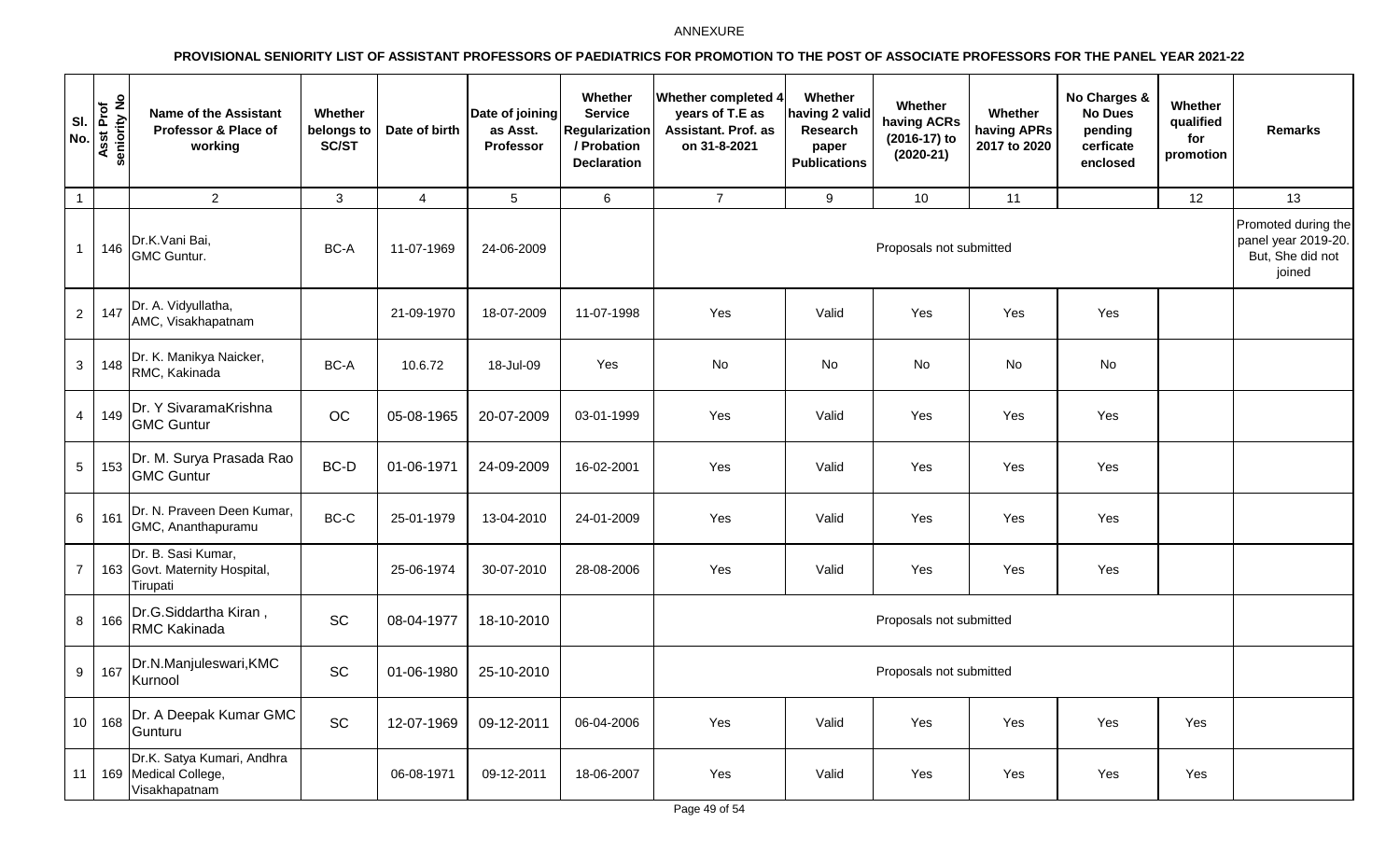| SI.<br>No.      | Asst Prof<br>seniority No | <b>Name of the Assistant</b><br>Professor & Place of<br>working     | Whether<br>belongs to<br>SC/ST | Date of birth  | Date of joining<br>as Asst.<br>Professor | Whether<br><b>Service</b><br><b>Regularization</b><br>/ Probation<br><b>Declaration</b> | Whether completed 4<br>years of T.E as<br>Assistant. Prof. as<br>on 31-8-2021 | Whether<br>having 2 valid<br>Research<br>paper<br><b>Publications</b> | Whether<br>having ACRs<br>(2016-17) to<br>$(2020-21)$ | Whether<br>having APRs<br>2017 to 2020 | No Charges &<br><b>No Dues</b><br>pending<br>cerficate<br>enclosed | Whether<br>qualified<br>for<br>promotion | <b>Remarks</b>                                                           |
|-----------------|---------------------------|---------------------------------------------------------------------|--------------------------------|----------------|------------------------------------------|-----------------------------------------------------------------------------------------|-------------------------------------------------------------------------------|-----------------------------------------------------------------------|-------------------------------------------------------|----------------------------------------|--------------------------------------------------------------------|------------------------------------------|--------------------------------------------------------------------------|
| $\overline{1}$  |                           | $\overline{2}$                                                      | $\mathbf{3}$                   | $\overline{4}$ | $5\overline{)}$                          | 6                                                                                       | $\overline{7}$                                                                | 9                                                                     | 10                                                    | 11                                     |                                                                    | 12                                       | 13                                                                       |
| $\overline{1}$  | 146                       | Dr.K.Vani Bai,<br><b>GMC Guntur.</b>                                | BC-A                           | 11-07-1969     | 24-06-2009                               |                                                                                         |                                                                               |                                                                       | Proposals not submitted                               |                                        |                                                                    |                                          | Promoted during the<br>panel year 2019-20.<br>But, She did not<br>joined |
| $\overline{2}$  | 147                       | Dr. A. Vidyullatha,<br>AMC, Visakhapatnam                           |                                | 21-09-1970     | 18-07-2009                               | 11-07-1998                                                                              | Yes                                                                           | Valid                                                                 | Yes                                                   | Yes                                    | Yes                                                                |                                          |                                                                          |
| 3               | 148                       | Dr. K. Manikya Naicker,<br>RMC, Kakinada                            | BC-A                           | 10.6.72        | 18-Jul-09                                | Yes                                                                                     | No                                                                            | No                                                                    | No                                                    | No                                     | No                                                                 |                                          |                                                                          |
| $\overline{4}$  | 149                       | Dr. Y SivaramaKrishna<br><b>GMC Guntur</b>                          | OC                             | 05-08-1965     | 20-07-2009                               | 03-01-1999                                                                              | Yes                                                                           | Valid                                                                 | Yes                                                   | Yes                                    | Yes                                                                |                                          |                                                                          |
| $\sqrt{5}$      | 153                       | Dr. M. Surya Prasada Rao<br><b>GMC Guntur</b>                       | BC-D                           | 01-06-1971     | 24-09-2009                               | 16-02-2001                                                                              | Yes                                                                           | Valid                                                                 | Yes                                                   | Yes                                    | Yes                                                                |                                          |                                                                          |
| 6               | 161                       | Dr. N. Praveen Deen Kumar,<br>GMC, Ananthapuramu                    | BC-C                           | 25-01-1979     | 13-04-2010                               | 24-01-2009                                                                              | Yes                                                                           | Valid                                                                 | Yes                                                   | Yes                                    | Yes                                                                |                                          |                                                                          |
| $\overline{7}$  |                           | Dr. B. Sasi Kumar,<br>163 Govt. Maternity Hospital,<br>Tirupati     |                                | 25-06-1974     | 30-07-2010                               | 28-08-2006                                                                              | Yes                                                                           | Valid                                                                 | Yes                                                   | Yes                                    | Yes                                                                |                                          |                                                                          |
| $\bf 8$         | 166                       | Dr.G.Siddartha Kiran,<br><b>RMC Kakinada</b>                        | SC                             | 08-04-1977     | 18-10-2010                               |                                                                                         |                                                                               |                                                                       | Proposals not submitted                               |                                        |                                                                    |                                          |                                                                          |
| $9\,$           | 167                       | Dr.N.Manjuleswari, KMC<br>Kurnool                                   | SC                             | 01-06-1980     | 25-10-2010                               |                                                                                         |                                                                               |                                                                       | Proposals not submitted                               |                                        |                                                                    |                                          |                                                                          |
| 10 <sup>1</sup> | 168                       | Dr. A Deepak Kumar GMC<br>Gunturu                                   | <b>SC</b>                      | 12-07-1969     | 09-12-2011                               | 06-04-2006                                                                              | Yes                                                                           | Valid                                                                 | Yes                                                   | Yes                                    | Yes                                                                | Yes                                      |                                                                          |
| 11              |                           | Dr.K. Satya Kumari, Andhra<br>169 Medical College,<br>Visakhapatnam |                                | 06-08-1971     | 09-12-2011                               | 18-06-2007                                                                              | Yes                                                                           | Valid                                                                 | Yes                                                   | Yes                                    | Yes                                                                | Yes                                      |                                                                          |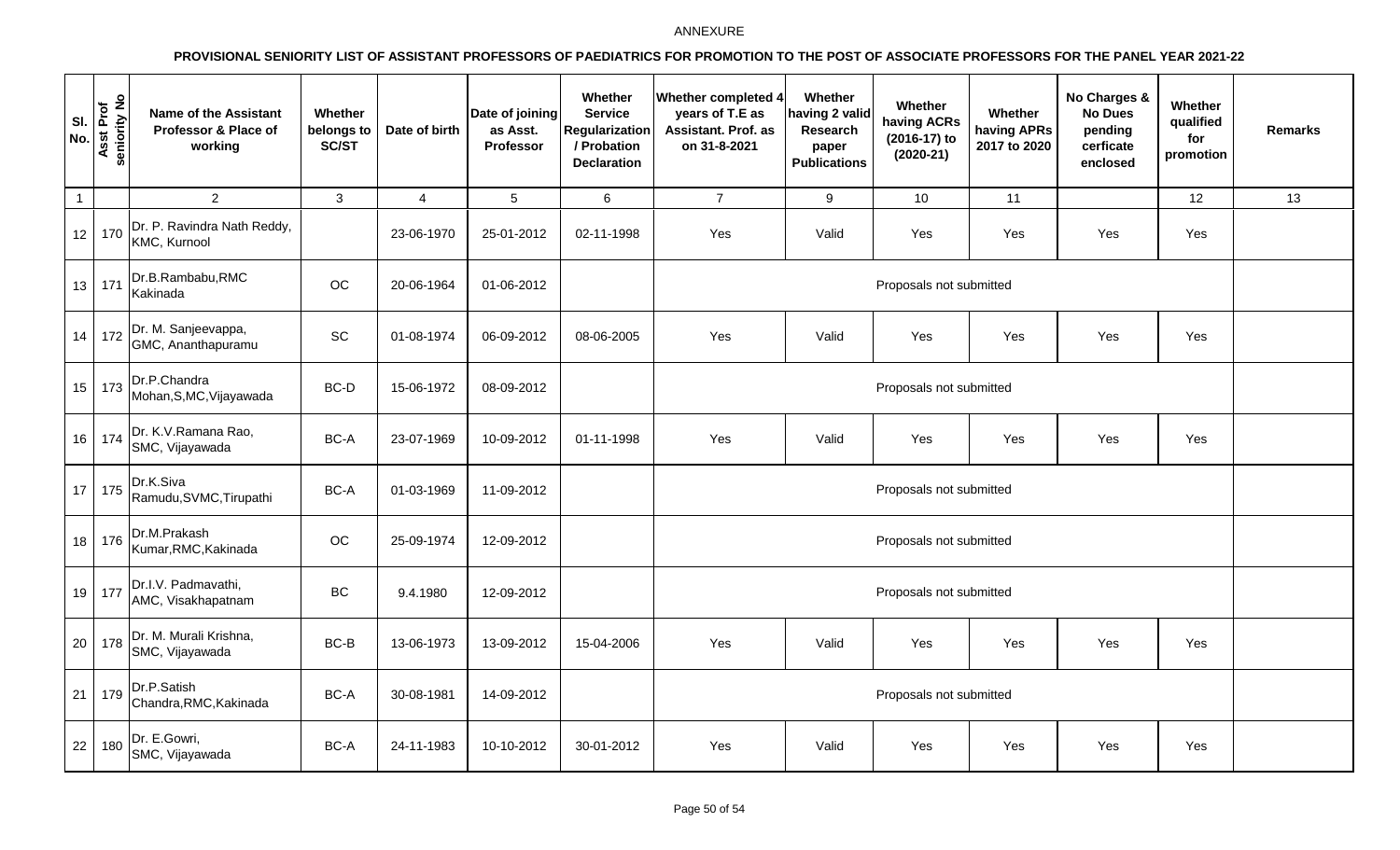| SI.<br>No.      | Asst Prof<br>seniority No | <b>Name of the Assistant</b><br>Professor & Place of<br>working                 | Whether<br>belongs to<br><b>SC/ST</b> | Date of birth  | Date of joining<br>as Asst.<br>Professor | Whether<br><b>Service</b><br><b>Regularization</b><br>/ Probation<br><b>Declaration</b> | Whether completed 4<br>years of T.E as<br>Assistant. Prof. as<br>on 31-8-2021 | Whether<br>aving 2 valid<br>Research<br>paper<br><b>Publications</b> | <b>Whether</b><br>having ACRs<br>(2016-17) to<br>$(2020-21)$ | Whether<br>having APRs<br>2017 to 2020 | No Charges &<br><b>No Dues</b><br>pending<br>cerficate<br>enclosed | Whether<br>qualified<br>for<br>promotion | Remarks |
|-----------------|---------------------------|---------------------------------------------------------------------------------|---------------------------------------|----------------|------------------------------------------|-----------------------------------------------------------------------------------------|-------------------------------------------------------------------------------|----------------------------------------------------------------------|--------------------------------------------------------------|----------------------------------------|--------------------------------------------------------------------|------------------------------------------|---------|
| $\overline{1}$  |                           | $\overline{2}$                                                                  | 3                                     | $\overline{4}$ | $\overline{5}$                           | $\,6\,$                                                                                 | $\overline{7}$                                                                | 9                                                                    | 10                                                           | 11                                     |                                                                    | 12                                       | 13      |
| 12              | 170                       | Dr. P. Ravindra Nath Reddy,<br>KMC, Kurnool                                     |                                       | 23-06-1970     | 25-01-2012                               | 02-11-1998                                                                              | Yes                                                                           | Valid                                                                | Yes                                                          | Yes                                    | Yes                                                                | Yes                                      |         |
| 13              | 171                       | Dr.B.Rambabu,RMC<br>Kakinada                                                    | OC                                    | 20-06-1964     | 01-06-2012                               |                                                                                         |                                                                               | Proposals not submitted                                              |                                                              |                                        |                                                                    |                                          |         |
| 14              | 172                       | Dr. M. Sanjeevappa,<br>GMC, Ananthapuramu                                       | SC                                    | 01-08-1974     | 06-09-2012                               | 08-06-2005                                                                              | Yes                                                                           | Valid                                                                | Yes                                                          | Yes                                    | Yes                                                                | Yes                                      |         |
| 15              |                           | $\begin{bmatrix} 1 & 73 \end{bmatrix}$ Dr.P.Chandra<br>Mohan, S, MC, Vijayawada | BC-D                                  | 15-06-1972     | 08-09-2012                               |                                                                                         | Proposals not submitted                                                       |                                                                      |                                                              |                                        |                                                                    |                                          |         |
|                 | 16 174                    | Dr. K.V.Ramana Rao,<br>SMC, Vijayawada                                          | BC-A                                  | 23-07-1969     | 10-09-2012                               | 01-11-1998                                                                              | Yes                                                                           | Valid                                                                | Yes                                                          | Yes                                    | Yes                                                                | Yes                                      |         |
| 17 <sup>1</sup> | 175                       | Dr.K.Siva<br>Ramudu, SVMC, Tirupathi                                            | BC-A                                  | 01-03-1969     | 11-09-2012                               |                                                                                         |                                                                               |                                                                      | Proposals not submitted                                      |                                        |                                                                    |                                          |         |
| 18              | 176                       | Dr.M.Prakash<br>Kumar, RMC, Kakinada                                            | OC                                    | 25-09-1974     | 12-09-2012                               |                                                                                         |                                                                               |                                                                      | Proposals not submitted                                      |                                        |                                                                    |                                          |         |
|                 | 19 177                    | Dr.I.V. Padmavathi,<br>AMC, Visakhapatnam                                       | <b>BC</b>                             | 9.4.1980       | 12-09-2012                               |                                                                                         |                                                                               |                                                                      |                                                              |                                        |                                                                    |                                          |         |
| 20 <sup>1</sup> | 178                       | Dr. M. Murali Krishna,<br>SMC, Vijayawada                                       | BC-B                                  | 13-06-1973     | 13-09-2012                               | 15-04-2006                                                                              | Yes                                                                           | Valid                                                                | Yes                                                          | Yes                                    | Yes                                                                | Yes                                      |         |
| 21              | 179                       | Dr.P.Satish<br>Chandra, RMC, Kakinada                                           | BC-A                                  | 30-08-1981     | 14-09-2012                               |                                                                                         | Proposals not submitted                                                       |                                                                      |                                                              |                                        |                                                                    |                                          |         |
| 22              | 180                       | Dr. E.Gowri,<br>SMC, Vijayawada                                                 | BC-A                                  | 24-11-1983     | 10-10-2012                               | 30-01-2012                                                                              | Yes                                                                           | Valid                                                                | Yes                                                          | Yes                                    | Yes                                                                | Yes                                      |         |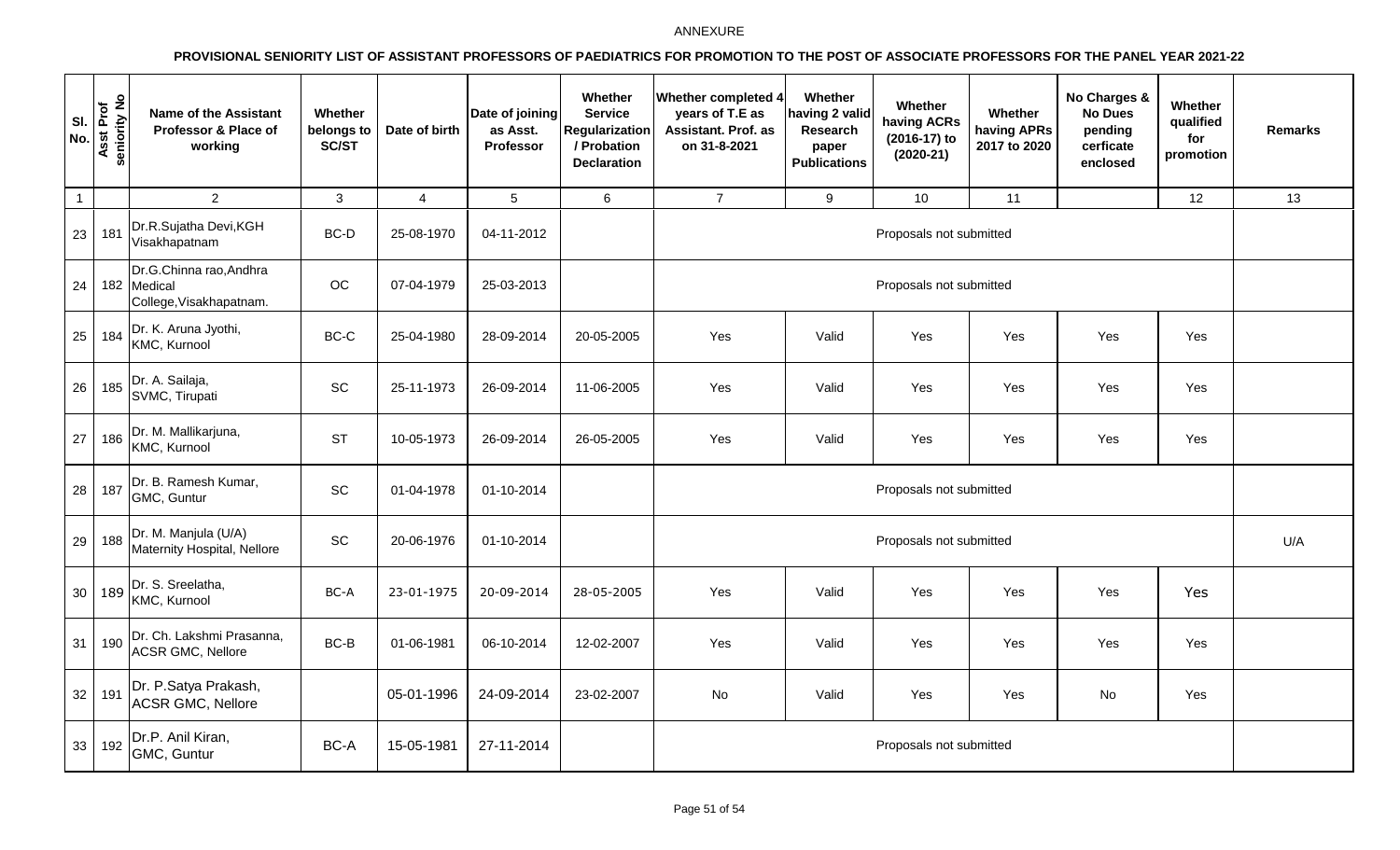| SI.<br>No.      | Asst Prof<br>seniority No | <b>Name of the Assistant</b><br>Professor & Place of<br>working   | Whether<br>belongs to<br>SC/ST | Date of birth | Date of joining<br>as Asst.<br>Professor | Whether<br><b>Service</b><br><b>Regularization</b><br>/ Probation<br><b>Declaration</b> | <b>Whether completed 4</b><br>years of T.E as<br>Assistant. Prof. as<br>on 31-8-2021 | Whether<br>naving 2 valid<br>Research<br>paper<br><b>Publications</b> | Whether<br>having ACRs<br>(2016-17) to<br>$(2020-21)$ | Whether<br>having APRs<br>2017 to 2020 | No Charges &<br><b>No Dues</b><br>pending<br>cerficate<br>enclosed | Whether<br>qualified<br>for<br>promotion | <b>Remarks</b> |  |
|-----------------|---------------------------|-------------------------------------------------------------------|--------------------------------|---------------|------------------------------------------|-----------------------------------------------------------------------------------------|--------------------------------------------------------------------------------------|-----------------------------------------------------------------------|-------------------------------------------------------|----------------------------------------|--------------------------------------------------------------------|------------------------------------------|----------------|--|
| $\overline{1}$  |                           | $\overline{2}$                                                    | 3                              | 4             | $\sqrt{5}$                               | 6                                                                                       | $\overline{7}$                                                                       | 9                                                                     | 10                                                    | 11                                     |                                                                    | 12                                       | 13             |  |
| 23              | 181                       | Dr.R.Sujatha Devi, KGH<br>Visakhapatnam                           | BC-D                           | 25-08-1970    | 04-11-2012                               |                                                                                         |                                                                                      |                                                                       | Proposals not submitted                               |                                        |                                                                    |                                          |                |  |
| 24              |                           | Dr.G.Chinna rao, Andhra<br>182 Medical<br>College, Visakhapatnam. | OC                             | 07-04-1979    | 25-03-2013                               |                                                                                         |                                                                                      | Proposals not submitted                                               |                                                       |                                        |                                                                    |                                          |                |  |
| 25              | 184                       | Dr. K. Aruna Jyothi,<br>KMC, Kurnool                              | BC-C                           | 25-04-1980    | 28-09-2014                               | 20-05-2005                                                                              | Yes                                                                                  | Valid                                                                 | Yes                                                   | Yes                                    | Yes                                                                | Yes                                      |                |  |
| 26              | 185                       | Dr. A. Sailaja,<br>SVMC, Tirupati                                 | SC                             | 25-11-1973    | 26-09-2014                               | 11-06-2005                                                                              | Yes                                                                                  | Valid                                                                 | Yes                                                   | Yes                                    | Yes                                                                | Yes                                      |                |  |
| 27              | 186                       | Dr. M. Mallikarjuna,<br>KMC, Kurnool                              | <b>ST</b>                      | 10-05-1973    | 26-09-2014                               | 26-05-2005                                                                              | Yes                                                                                  | Valid                                                                 | Yes                                                   | Yes                                    | Yes                                                                | Yes                                      |                |  |
| 28              | 187                       | Dr. B. Ramesh Kumar,<br>GMC, Guntur                               | SC                             | 01-04-1978    | 01-10-2014                               |                                                                                         |                                                                                      | Proposals not submitted                                               |                                                       |                                        |                                                                    |                                          |                |  |
| 29              | 188                       | Dr. M. Manjula (U/A)<br>Maternity Hospital, Nellore               | SC                             | 20-06-1976    | 01-10-2014                               |                                                                                         |                                                                                      |                                                                       | Proposals not submitted                               |                                        |                                                                    |                                          | U/A            |  |
| 30 <sup>1</sup> | 189                       | Dr. S. Sreelatha,<br>KMC, Kurnool                                 | BC-A                           | 23-01-1975    | 20-09-2014                               | 28-05-2005                                                                              | Yes                                                                                  | Valid                                                                 | Yes                                                   | Yes                                    | Yes                                                                | Yes                                      |                |  |
| 31              | 190                       | Dr. Ch. Lakshmi Prasanna,<br><b>ACSR GMC, Nellore</b>             | BC-B                           | 01-06-1981    | 06-10-2014                               | 12-02-2007                                                                              | Yes                                                                                  | Valid                                                                 | Yes                                                   | Yes                                    | Yes                                                                | Yes                                      |                |  |
| 32              | 191                       | Dr. P.Satya Prakash,<br><b>ACSR GMC, Nellore</b>                  |                                | 05-01-1996    | 24-09-2014                               | 23-02-2007                                                                              | No                                                                                   | Valid                                                                 | Yes                                                   | Yes                                    | No                                                                 | Yes                                      |                |  |
| 33              | 192                       | Dr.P. Anil Kiran,<br>GMC, Guntur                                  | BC-A                           | 15-05-1981    | 27-11-2014                               |                                                                                         |                                                                                      |                                                                       | Proposals not submitted                               |                                        |                                                                    |                                          |                |  |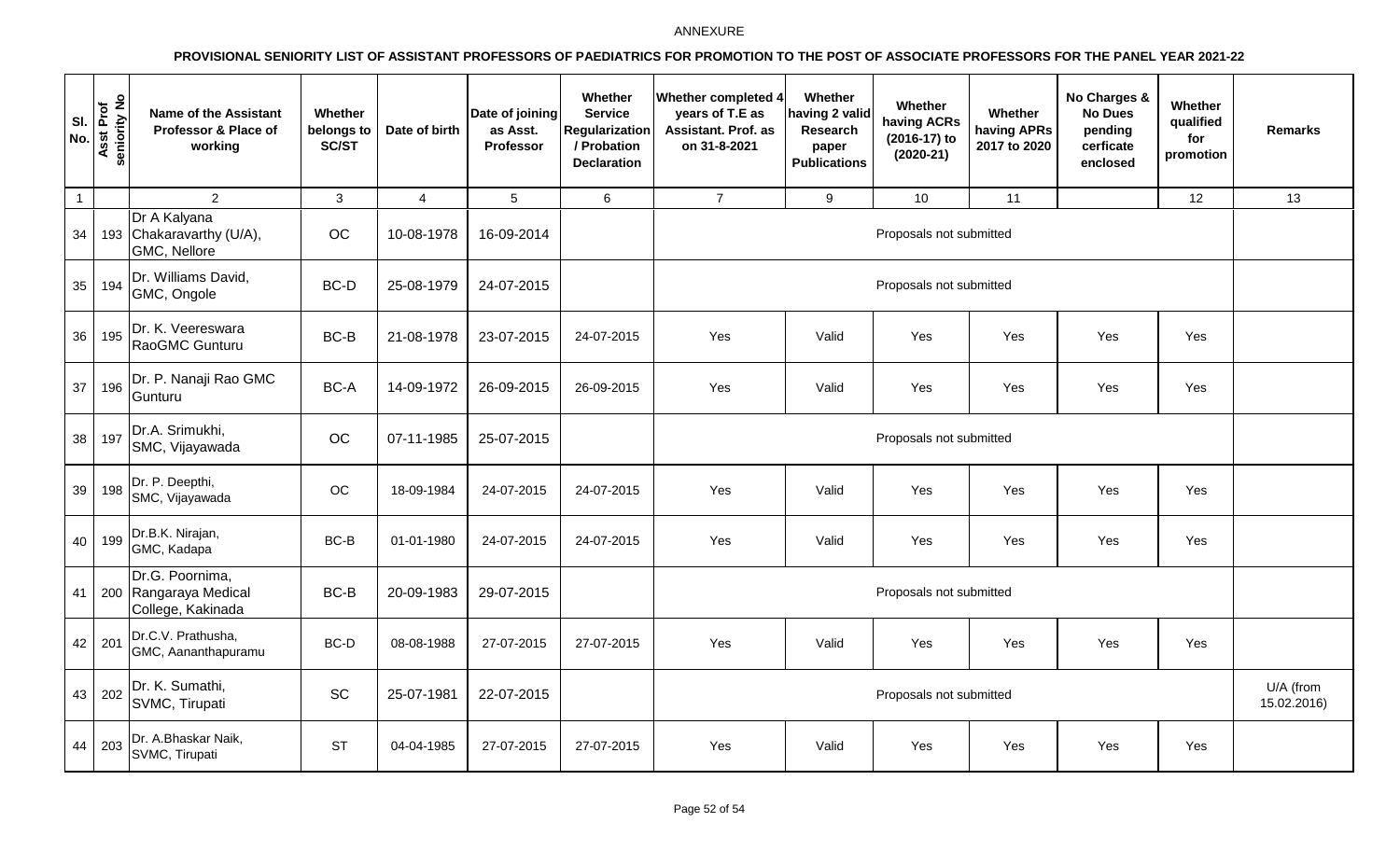| SI.<br>No.      | Asst Prof<br>seniority No | <b>Name of the Assistant</b><br>Professor & Place of<br>working | Whether<br>belongs to<br>SC/ST | Date of birth  | Date of joining<br>as Asst.<br>Professor | Whether<br><b>Service</b><br>Regularization<br>/ Probation<br><b>Declaration</b> | <b>Whether completed 4</b><br>years of T.E as<br>Assistant. Prof. as<br>on 31-8-2021 | Whether<br>aving 2 valid<br>Research<br>paper<br><b>Publications</b> | Whether<br>having ACRs<br>(2016-17) to<br>$(2020-21)$ | Whether<br>having APRs<br>2017 to 2020 | No Charges &<br><b>No Dues</b><br>pending<br>cerficate<br>enclosed | Whether<br>qualified<br>for<br>promotion | <b>Remarks</b>           |  |
|-----------------|---------------------------|-----------------------------------------------------------------|--------------------------------|----------------|------------------------------------------|----------------------------------------------------------------------------------|--------------------------------------------------------------------------------------|----------------------------------------------------------------------|-------------------------------------------------------|----------------------------------------|--------------------------------------------------------------------|------------------------------------------|--------------------------|--|
| $\overline{1}$  |                           | $\overline{2}$                                                  | $\mathbf{3}$                   | $\overline{4}$ | $\sqrt{5}$                               | 6                                                                                | $\overline{7}$                                                                       | 9                                                                    | 10                                                    | 11                                     |                                                                    | 12                                       | 13                       |  |
| 34              |                           | Dr A Kalyana<br>193 Chakaravarthy (U/A),<br>GMC, Nellore        | OC                             | 10-08-1978     | 16-09-2014                               |                                                                                  |                                                                                      | Proposals not submitted                                              |                                                       |                                        |                                                                    |                                          |                          |  |
| 35              | 194                       | Dr. Williams David,<br>GMC, Ongole                              | BC-D                           | 25-08-1979     | 24-07-2015                               |                                                                                  |                                                                                      | Proposals not submitted                                              |                                                       |                                        |                                                                    |                                          |                          |  |
| 36 <sup>1</sup> | 195                       | Dr. K. Veereswara<br>RaoGMC Gunturu                             | BC-B                           | 21-08-1978     | 23-07-2015                               | 24-07-2015                                                                       | Yes                                                                                  | Valid                                                                | Yes                                                   | Yes                                    | Yes                                                                | Yes                                      |                          |  |
| 37              | 196                       | Dr. P. Nanaji Rao GMC<br>Gunturu                                | BC-A                           | 14-09-1972     | 26-09-2015                               | 26-09-2015                                                                       | Yes                                                                                  | Valid                                                                | Yes                                                   | Yes                                    | Yes                                                                | Yes                                      |                          |  |
| 38              | 197                       | Dr.A. Srimukhi,<br>SMC, Vijayawada                              | OC                             | 07-11-1985     | 25-07-2015                               |                                                                                  |                                                                                      |                                                                      |                                                       |                                        |                                                                    |                                          |                          |  |
| 39              | 198                       | Dr. P. Deepthi,<br>SMC, Vijayawada                              | OC                             | 18-09-1984     | 24-07-2015                               | 24-07-2015                                                                       | Yes                                                                                  | Valid                                                                | Yes                                                   | Yes                                    | Yes                                                                | Yes                                      |                          |  |
| 40              | 199                       | Dr.B.K. Nirajan,<br>GMC, Kadapa                                 | BC-B                           | 01-01-1980     | 24-07-2015                               | 24-07-2015                                                                       | Yes                                                                                  | Valid                                                                | Yes                                                   | Yes                                    | Yes                                                                | Yes                                      |                          |  |
| 41              |                           | Dr.G. Poornima,<br>200 Rangaraya Medical<br>College, Kakinada   | BC-B                           | 20-09-1983     | 29-07-2015                               |                                                                                  | Proposals not submitted                                                              |                                                                      |                                                       |                                        |                                                                    |                                          |                          |  |
| 42              | 201                       | Dr.C.V. Prathusha,<br>GMC, Aananthapuramu                       | BC-D                           | 08-08-1988     | 27-07-2015                               | 27-07-2015                                                                       | Yes                                                                                  | Valid                                                                | Yes                                                   | Yes                                    | Yes                                                                | Yes                                      |                          |  |
| 43              | 202                       | Dr. K. Sumathi,<br>SVMC, Tirupati                               | SC                             | 25-07-1981     | 22-07-2015                               |                                                                                  | Proposals not submitted                                                              |                                                                      |                                                       |                                        |                                                                    |                                          | U/A (from<br>15.02.2016) |  |
| 44              | 203                       | Dr. A.Bhaskar Naik,<br>SVMC, Tirupati                           | <b>ST</b>                      | 04-04-1985     | 27-07-2015                               | 27-07-2015                                                                       | Yes                                                                                  | Valid                                                                | Yes                                                   | Yes                                    | Yes                                                                | Yes                                      |                          |  |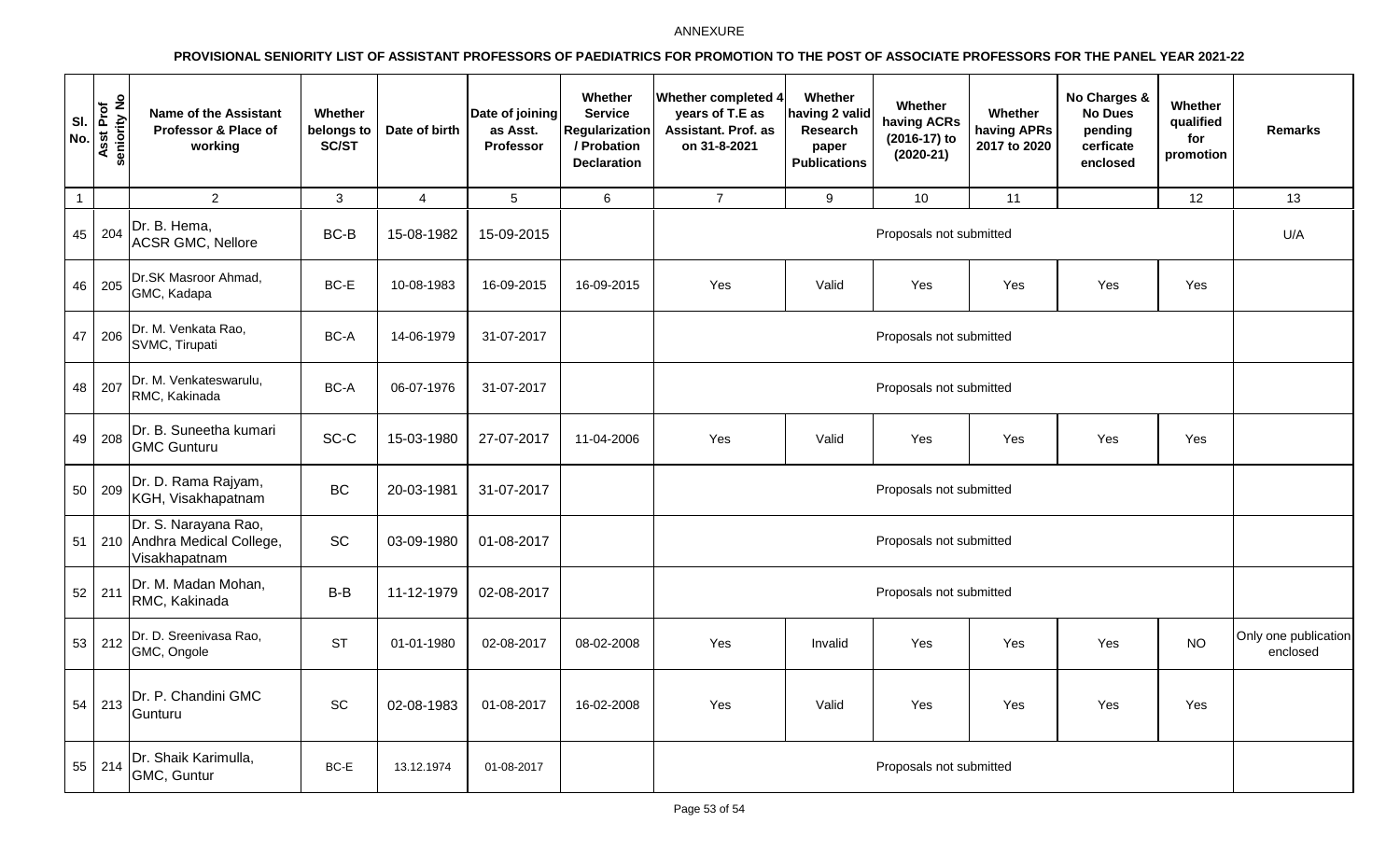| SI.<br>No.     | Asst Prof<br>seniority No | <b>Name of the Assistant</b><br>Professor & Place of<br>working      | Whether<br>belongs to<br>SC/ST | Date of birth  | Date of joining<br>as Asst.<br>Professor | Whether<br><b>Service</b><br>Regularization<br>/ Probation<br><b>Declaration</b> | <b>Whether completed 4</b><br>years of T.E as<br>Assistant. Prof. as<br>on 31-8-2021 | Whether<br>naving 2 valid<br>Research<br>paper<br><b>Publications</b> | Whether<br>having ACRs<br>(2016-17) to<br>$(2020-21)$ | Whether<br>having APRs<br>2017 to 2020 | No Charges &<br><b>No Dues</b><br>pending<br>cerficate<br>enclosed | Whether<br>qualified<br>for<br>promotion | <b>Remarks</b>                   |
|----------------|---------------------------|----------------------------------------------------------------------|--------------------------------|----------------|------------------------------------------|----------------------------------------------------------------------------------|--------------------------------------------------------------------------------------|-----------------------------------------------------------------------|-------------------------------------------------------|----------------------------------------|--------------------------------------------------------------------|------------------------------------------|----------------------------------|
| $\overline{1}$ |                           | $\overline{2}$                                                       | 3                              | $\overline{4}$ | 5 <sup>5</sup>                           | 6                                                                                | $\overline{7}$                                                                       | 9                                                                     | 10                                                    | 11                                     |                                                                    | 12                                       | 13                               |
|                | 45 204                    | Dr. B. Hema,<br><b>ACSR GMC, Nellore</b>                             | $BC-B$                         | 15-08-1982     | 15-09-2015                               |                                                                                  |                                                                                      |                                                                       | Proposals not submitted                               |                                        |                                                                    |                                          | U/A                              |
|                | 46 205                    | Dr.SK Masroor Ahmad,<br>GMC, Kadapa                                  | BC-E                           | 10-08-1983     | 16-09-2015                               | 16-09-2015                                                                       | Yes                                                                                  | Valid                                                                 | Yes                                                   | Yes                                    | Yes                                                                | Yes                                      |                                  |
| 47             | 206                       | Dr. M. Venkata Rao,<br>SVMC, Tirupati                                | BC-A                           | 14-06-1979     | 31-07-2017                               |                                                                                  |                                                                                      | Proposals not submitted                                               |                                                       |                                        |                                                                    |                                          |                                  |
| 48             | 207                       | Dr. M. Venkateswarulu,<br>RMC, Kakinada                              | BC-A                           | 06-07-1976     | 31-07-2017                               |                                                                                  |                                                                                      | Proposals not submitted                                               |                                                       |                                        |                                                                    |                                          |                                  |
|                | 49 208                    | Dr. B. Suneetha kumari<br><b>GMC Gunturu</b>                         | SC-C                           | 15-03-1980     | 27-07-2017                               | 11-04-2006                                                                       | Yes                                                                                  | Valid                                                                 | Yes                                                   | Yes                                    | Yes                                                                | Yes                                      |                                  |
|                | 50 209                    | Dr. D. Rama Rajyam,<br>KGH, Visakhapatnam                            | <b>BC</b>                      | 20-03-1981     | 31-07-2017                               |                                                                                  |                                                                                      |                                                                       | Proposals not submitted                               |                                        |                                                                    |                                          |                                  |
| 51             |                           | Dr. S. Narayana Rao,<br>210 Andhra Medical College,<br>Visakhapatnam | SC                             | 03-09-1980     | 01-08-2017                               |                                                                                  |                                                                                      |                                                                       | Proposals not submitted                               |                                        |                                                                    |                                          |                                  |
|                | $52$ 211                  | Dr. M. Madan Mohan,<br>RMC, Kakinada                                 | $B-B$                          | 11-12-1979     | 02-08-2017                               |                                                                                  |                                                                                      | Proposals not submitted                                               |                                                       |                                        |                                                                    |                                          |                                  |
| 53             | 212                       | Dr. D. Sreenivasa Rao,<br>GMC, Ongole                                | <b>ST</b>                      | 01-01-1980     | 02-08-2017                               | 08-02-2008                                                                       | Yes                                                                                  | Invalid                                                               | Yes                                                   | Yes                                    | Yes                                                                | <b>NO</b>                                | Only one publication<br>enclosed |
|                | $54$ 213                  | Dr. P. Chandini GMC<br>Gunturu                                       | SC                             | 02-08-1983     | 01-08-2017                               | 16-02-2008                                                                       | Yes                                                                                  | Valid                                                                 | Yes                                                   | Yes                                    | Yes                                                                | Yes                                      |                                  |
|                | 55 214                    | Dr. Shaik Karimulla,<br>GMC, Guntur                                  | BC-E                           | 13.12.1974     | 01-08-2017                               |                                                                                  |                                                                                      |                                                                       | Proposals not submitted                               |                                        |                                                                    |                                          |                                  |